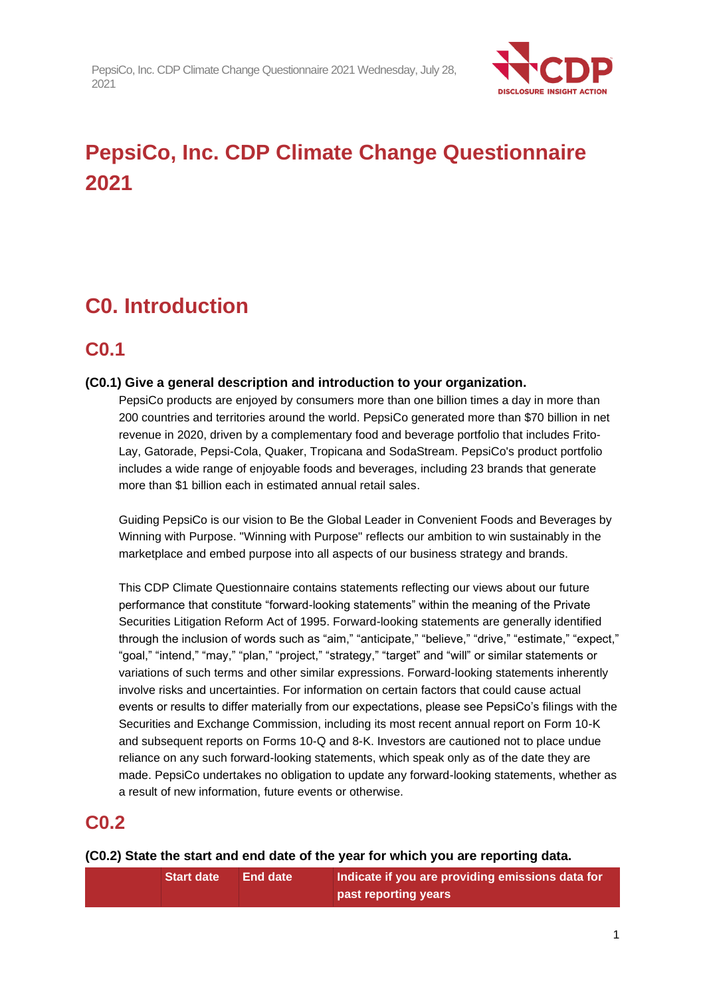

# **PepsiCo, Inc. CDP Climate Change Questionnaire 2021**

# **C0. Introduction**

### **C0.1**

#### **(C0.1) Give a general description and introduction to your organization.**

PepsiCo products are enjoyed by consumers more than one billion times a day in more than 200 countries and territories around the world. PepsiCo generated more than \$70 billion in net revenue in 2020, driven by a complementary food and beverage portfolio that includes Frito-Lay, Gatorade, Pepsi-Cola, Quaker, Tropicana and SodaStream. PepsiCo's product portfolio includes a wide range of enjoyable foods and beverages, including 23 brands that generate more than \$1 billion each in estimated annual retail sales.

Guiding PepsiCo is our vision to Be the Global Leader in Convenient Foods and Beverages by Winning with Purpose. "Winning with Purpose" reflects our ambition to win sustainably in the marketplace and embed purpose into all aspects of our business strategy and brands.

This CDP Climate Questionnaire contains statements reflecting our views about our future performance that constitute "forward-looking statements" within the meaning of the Private Securities Litigation Reform Act of 1995. Forward-looking statements are generally identified through the inclusion of words such as "aim," "anticipate," "believe," "drive," "estimate," "expect," "goal," "intend," "may," "plan," "project," "strategy," "target" and "will" or similar statements or variations of such terms and other similar expressions. Forward-looking statements inherently involve risks and uncertainties. For information on certain factors that could cause actual events or results to differ materially from our expectations, please see PepsiCo's filings with the Securities and Exchange Commission, including its most recent annual report on Form 10-K and subsequent reports on Forms 10-Q and 8-K. Investors are cautioned not to place undue reliance on any such forward-looking statements, which speak only as of the date they are made. PepsiCo undertakes no obligation to update any forward-looking statements, whether as a result of new information, future events or otherwise.

### **C0.2**

#### **(C0.2) State the start and end date of the year for which you are reporting data.**

| <b>Start date</b> | <b>NEnd date \</b> | Indicate if you are providing emissions data for |
|-------------------|--------------------|--------------------------------------------------|
|                   |                    | past reporting years                             |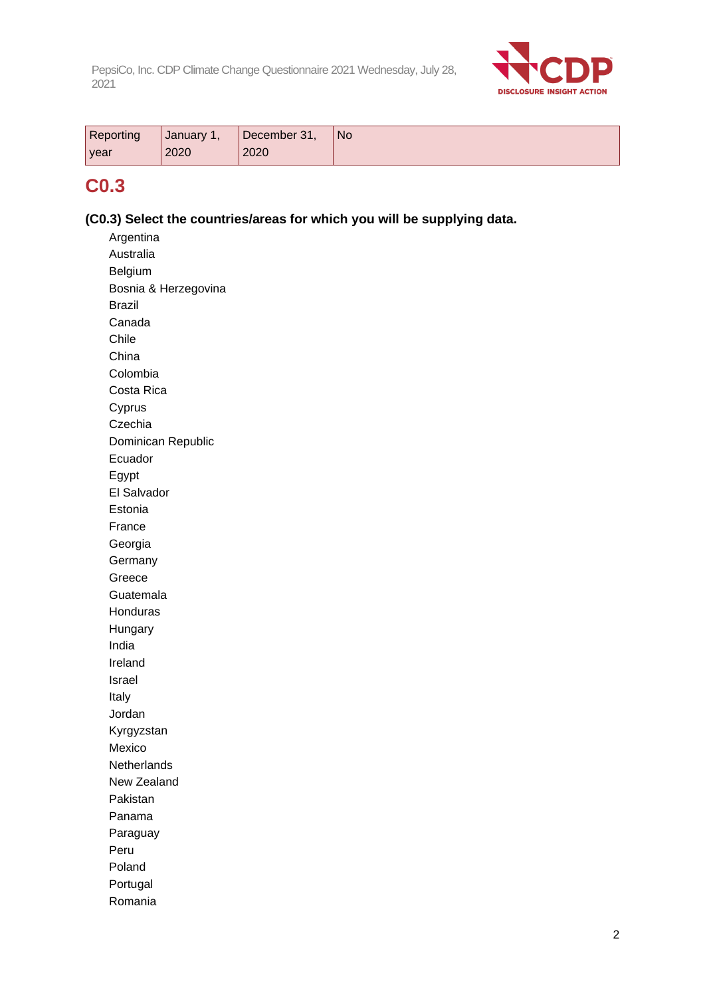

| <b>Reporting</b> | January * | December 31, | <b>No</b> |
|------------------|-----------|--------------|-----------|
| <b>year</b>      | 2020      | 2020         |           |

### **C0.3**

#### **(C0.3) Select the countries/areas for which you will be supplying data.**

Argentina Australia Belgium Bosnia & Herzegovina Brazil Canada Chile China Colombia Costa Rica Cyprus **Czechia** Dominican Republic Ecuador Egypt El Salvador Estonia France Georgia **Germany** Greece Guatemala Honduras Hungary India Ireland Israel Italy Jordan Kyrgyzstan Mexico **Netherlands** New Zealand Pakistan Panama Paraguay Peru Poland Portugal Romania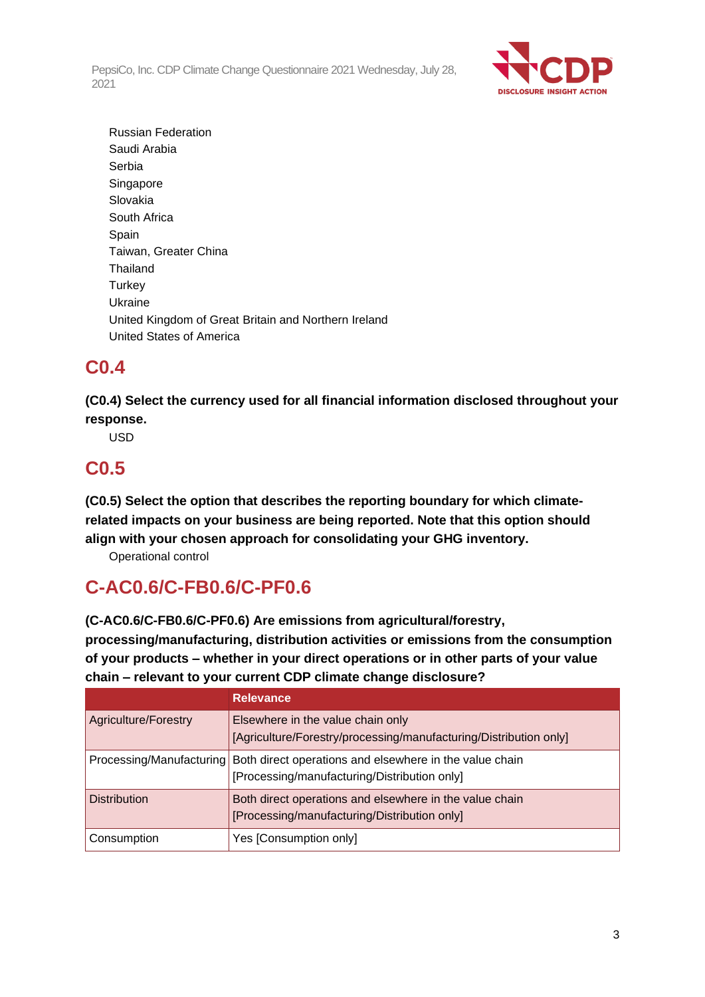

Russian Federation Saudi Arabia Serbia **Singapore** Slovakia South Africa Spain Taiwan, Greater China Thailand **Turkey** Ukraine United Kingdom of Great Britain and Northern Ireland United States of America

### **C0.4**

**(C0.4) Select the currency used for all financial information disclosed throughout your response.**

USD

### **C0.5**

**(C0.5) Select the option that describes the reporting boundary for which climaterelated impacts on your business are being reported. Note that this option should align with your chosen approach for consolidating your GHG inventory.**

Operational control

## **C-AC0.6/C-FB0.6/C-PF0.6**

**(C-AC0.6/C-FB0.6/C-PF0.6) Are emissions from agricultural/forestry, processing/manufacturing, distribution activities or emissions from the consumption of your products – whether in your direct operations or in other parts of your value chain – relevant to your current CDP climate change disclosure?**

|                             | <b>Relevance</b>                                                                                        |
|-----------------------------|---------------------------------------------------------------------------------------------------------|
| <b>Agriculture/Forestry</b> | Elsewhere in the value chain only<br>[Agriculture/Forestry/processing/manufacturing/Distribution only]  |
| Processing/Manufacturing    | Both direct operations and elsewhere in the value chain<br>[Processing/manufacturing/Distribution only] |
| <b>Distribution</b>         | Both direct operations and elsewhere in the value chain<br>[Processing/manufacturing/Distribution only] |
| Consumption                 | Yes [Consumption only]                                                                                  |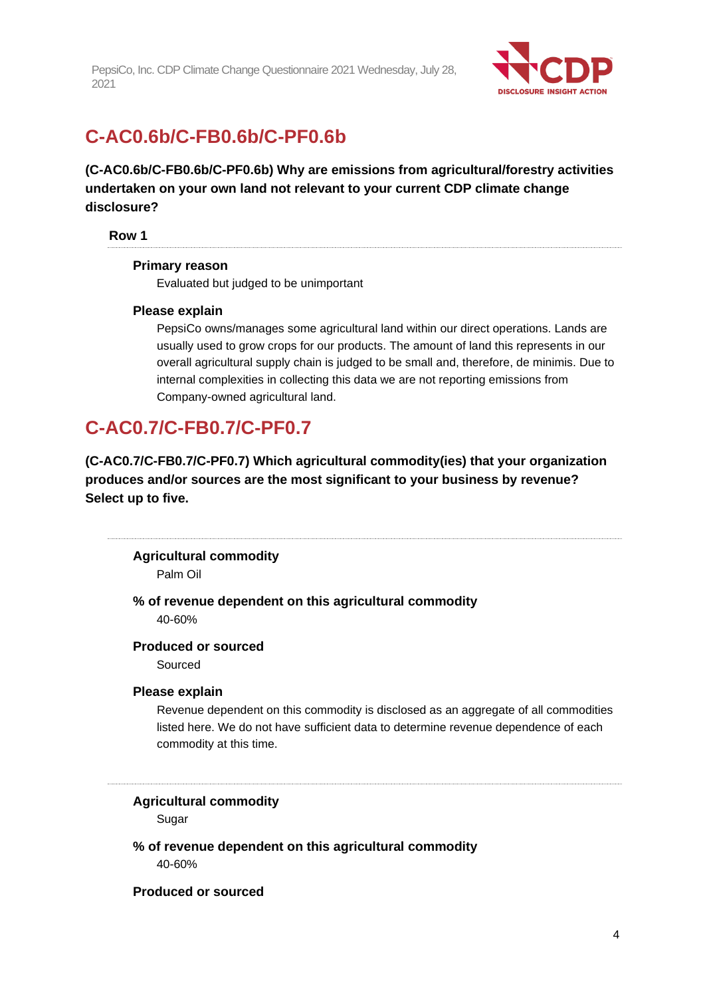

## **C-AC0.6b/C-FB0.6b/C-PF0.6b**

**(C-AC0.6b/C-FB0.6b/C-PF0.6b) Why are emissions from agricultural/forestry activities undertaken on your own land not relevant to your current CDP climate change disclosure?**

#### **Row 1**

#### **Primary reason**

Evaluated but judged to be unimportant

#### **Please explain**

PepsiCo owns/manages some agricultural land within our direct operations. Lands are usually used to grow crops for our products. The amount of land this represents in our overall agricultural supply chain is judged to be small and, therefore, de minimis. Due to internal complexities in collecting this data we are not reporting emissions from Company-owned agricultural land.

### **C-AC0.7/C-FB0.7/C-PF0.7**

**(C-AC0.7/C-FB0.7/C-PF0.7) Which agricultural commodity(ies) that your organization produces and/or sources are the most significant to your business by revenue? Select up to five.**

**Agricultural commodity**

Palm Oil

**% of revenue dependent on this agricultural commodity** 40-60%

#### **Produced or sourced**

Sourced

#### **Please explain**

Revenue dependent on this commodity is disclosed as an aggregate of all commodities listed here. We do not have sufficient data to determine revenue dependence of each commodity at this time.

## **Agricultural commodity**

Sugar

**% of revenue dependent on this agricultural commodity** 40-60%

#### **Produced or sourced**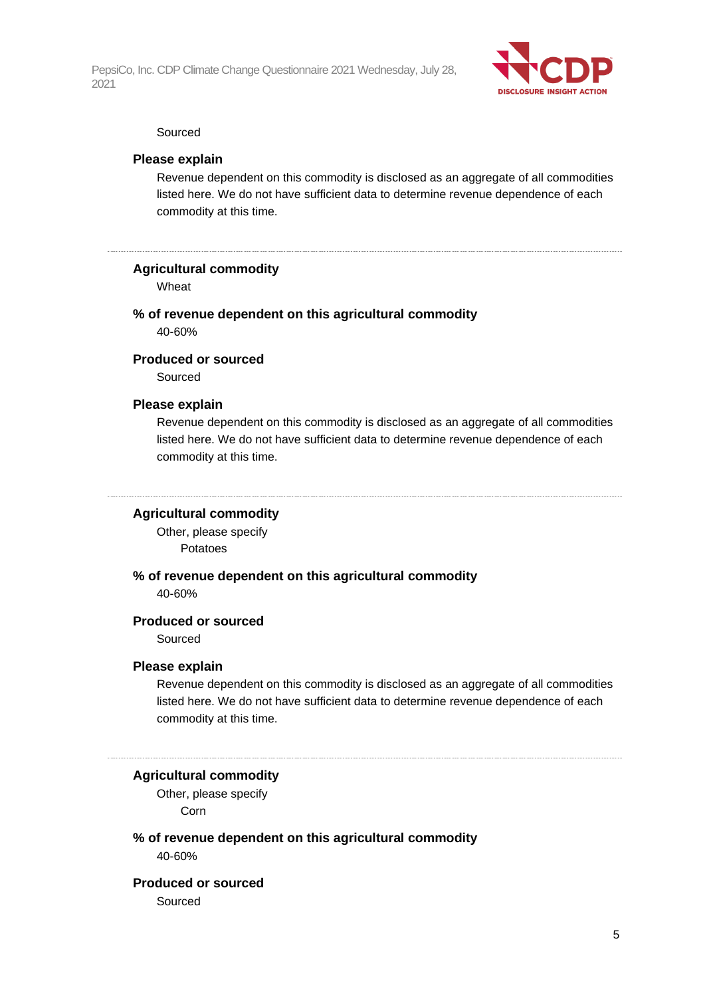

#### Sourced

#### **Please explain**

Revenue dependent on this commodity is disclosed as an aggregate of all commodities listed here. We do not have sufficient data to determine revenue dependence of each commodity at this time.

#### **Agricultural commodity**

Wheat

#### **% of revenue dependent on this agricultural commodity**

40-60%

#### **Produced or sourced**

Sourced

#### **Please explain**

Revenue dependent on this commodity is disclosed as an aggregate of all commodities listed here. We do not have sufficient data to determine revenue dependence of each commodity at this time.

#### **Agricultural commodity**

Other, please specify Potatoes

#### **% of revenue dependent on this agricultural commodity** 40-60%

#### **Produced or sourced**

Sourced

#### **Please explain**

Revenue dependent on this commodity is disclosed as an aggregate of all commodities listed here. We do not have sufficient data to determine revenue dependence of each commodity at this time.

#### **Agricultural commodity**

Other, please specify Corn

### **% of revenue dependent on this agricultural commodity**

40-60%

#### **Produced or sourced**

Sourced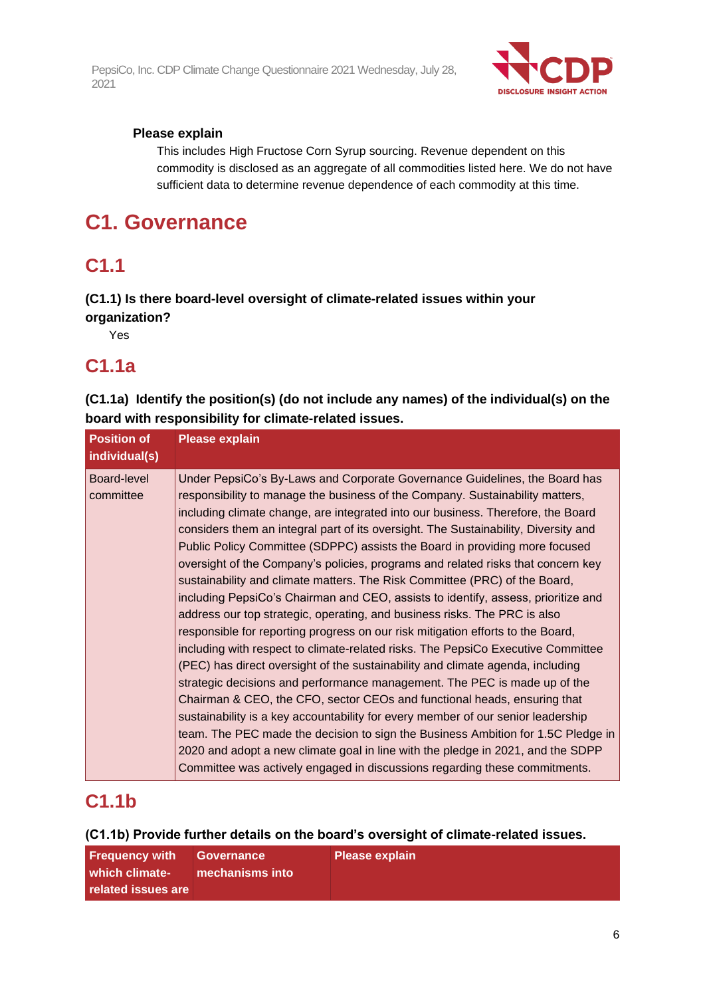

#### **Please explain**

This includes High Fructose Corn Syrup sourcing. Revenue dependent on this commodity is disclosed as an aggregate of all commodities listed here. We do not have sufficient data to determine revenue dependence of each commodity at this time.

## **C1. Governance**

### **C1.1**

#### **(C1.1) Is there board-level oversight of climate-related issues within your organization?**

Yes

### **C1.1a**

**(C1.1a) Identify the position(s) (do not include any names) of the individual(s) on the board with responsibility for climate-related issues.**

| <b>Position of</b><br>individual(s) | <b>Please explain</b>                                                                                                                                                                                                                                                                                                                                                                                                                                                                                                                                                                                                                                                                                                                                                                                                                                                                                                                                                                                                                                                                                                                                                                                                                                                                                                                                                                                                                                                                                                |
|-------------------------------------|----------------------------------------------------------------------------------------------------------------------------------------------------------------------------------------------------------------------------------------------------------------------------------------------------------------------------------------------------------------------------------------------------------------------------------------------------------------------------------------------------------------------------------------------------------------------------------------------------------------------------------------------------------------------------------------------------------------------------------------------------------------------------------------------------------------------------------------------------------------------------------------------------------------------------------------------------------------------------------------------------------------------------------------------------------------------------------------------------------------------------------------------------------------------------------------------------------------------------------------------------------------------------------------------------------------------------------------------------------------------------------------------------------------------------------------------------------------------------------------------------------------------|
| Board-level<br>committee            | Under PepsiCo's By-Laws and Corporate Governance Guidelines, the Board has<br>responsibility to manage the business of the Company. Sustainability matters,<br>including climate change, are integrated into our business. Therefore, the Board<br>considers them an integral part of its oversight. The Sustainability, Diversity and<br>Public Policy Committee (SDPPC) assists the Board in providing more focused<br>oversight of the Company's policies, programs and related risks that concern key<br>sustainability and climate matters. The Risk Committee (PRC) of the Board,<br>including PepsiCo's Chairman and CEO, assists to identify, assess, prioritize and<br>address our top strategic, operating, and business risks. The PRC is also<br>responsible for reporting progress on our risk mitigation efforts to the Board,<br>including with respect to climate-related risks. The PepsiCo Executive Committee<br>(PEC) has direct oversight of the sustainability and climate agenda, including<br>strategic decisions and performance management. The PEC is made up of the<br>Chairman & CEO, the CFO, sector CEOs and functional heads, ensuring that<br>sustainability is a key accountability for every member of our senior leadership<br>team. The PEC made the decision to sign the Business Ambition for 1.5C Pledge in<br>2020 and adopt a new climate goal in line with the pledge in 2021, and the SDPP<br>Committee was actively engaged in discussions regarding these commitments. |

### **C1.1b**

**(C1.1b) Provide further details on the board's oversight of climate-related issues.**

| Frequency with     | Governance | <b>Please explain</b> |
|--------------------|------------|-----------------------|
| which climate-     |            |                       |
| related issues are |            |                       |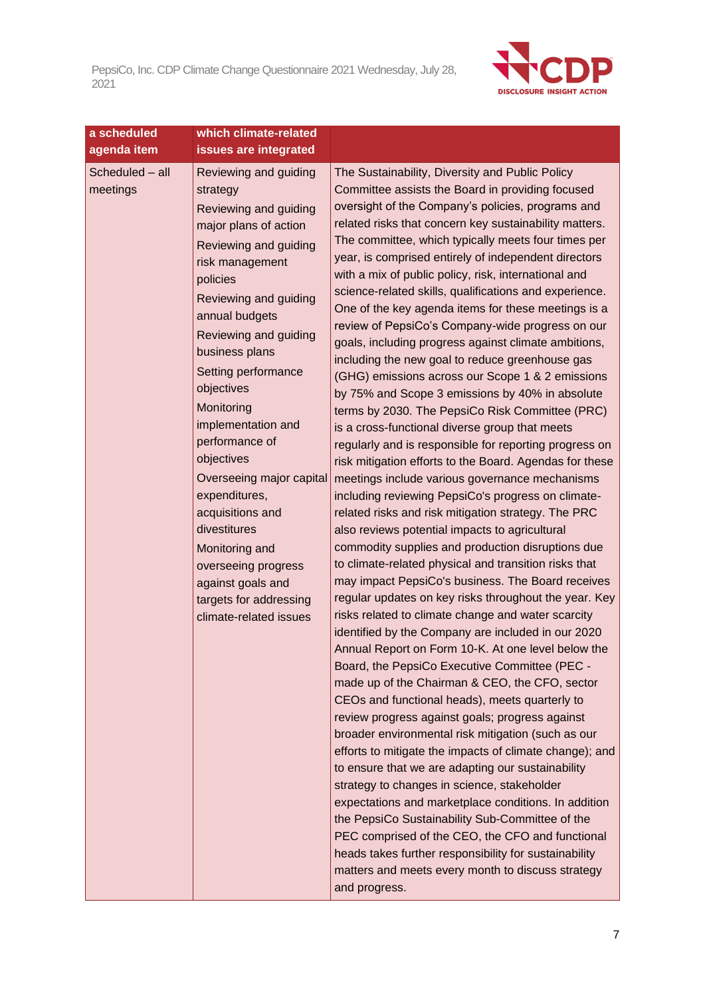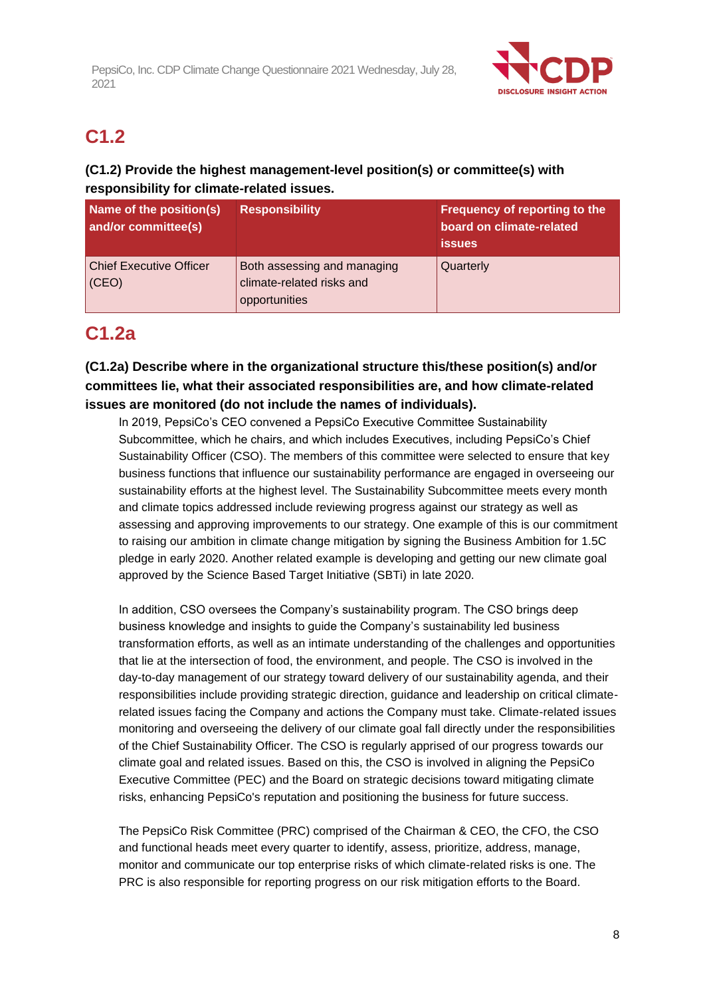

## **C1.2**

### **(C1.2) Provide the highest management-level position(s) or committee(s) with responsibility for climate-related issues.**

| Name of the position(s)<br>and/or committee(s) | <b>Responsibility</b>                                                     | Frequency of reporting to the<br>board on climate-related<br><b>issues</b> |
|------------------------------------------------|---------------------------------------------------------------------------|----------------------------------------------------------------------------|
| <b>Chief Executive Officer</b><br>(CEO)        | Both assessing and managing<br>climate-related risks and<br>opportunities | Quarterly                                                                  |

## **C1.2a**

#### **(C1.2a) Describe where in the organizational structure this/these position(s) and/or committees lie, what their associated responsibilities are, and how climate-related issues are monitored (do not include the names of individuals).**

In 2019, PepsiCo's CEO convened a PepsiCo Executive Committee Sustainability Subcommittee, which he chairs, and which includes Executives, including PepsiCo's Chief Sustainability Officer (CSO). The members of this committee were selected to ensure that key business functions that influence our sustainability performance are engaged in overseeing our sustainability efforts at the highest level. The Sustainability Subcommittee meets every month and climate topics addressed include reviewing progress against our strategy as well as assessing and approving improvements to our strategy. One example of this is our commitment to raising our ambition in climate change mitigation by signing the Business Ambition for 1.5C pledge in early 2020. Another related example is developing and getting our new climate goal approved by the Science Based Target Initiative (SBTi) in late 2020.

In addition, CSO oversees the Company's sustainability program. The CSO brings deep business knowledge and insights to guide the Company's sustainability led business transformation efforts, as well as an intimate understanding of the challenges and opportunities that lie at the intersection of food, the environment, and people. The CSO is involved in the day-to-day management of our strategy toward delivery of our sustainability agenda, and their responsibilities include providing strategic direction, guidance and leadership on critical climaterelated issues facing the Company and actions the Company must take. Climate-related issues monitoring and overseeing the delivery of our climate goal fall directly under the responsibilities of the Chief Sustainability Officer. The CSO is regularly apprised of our progress towards our climate goal and related issues. Based on this, the CSO is involved in aligning the PepsiCo Executive Committee (PEC) and the Board on strategic decisions toward mitigating climate risks, enhancing PepsiCo's reputation and positioning the business for future success.

The PepsiCo Risk Committee (PRC) comprised of the Chairman & CEO, the CFO, the CSO and functional heads meet every quarter to identify, assess, prioritize, address, manage, monitor and communicate our top enterprise risks of which climate-related risks is one. The PRC is also responsible for reporting progress on our risk mitigation efforts to the Board.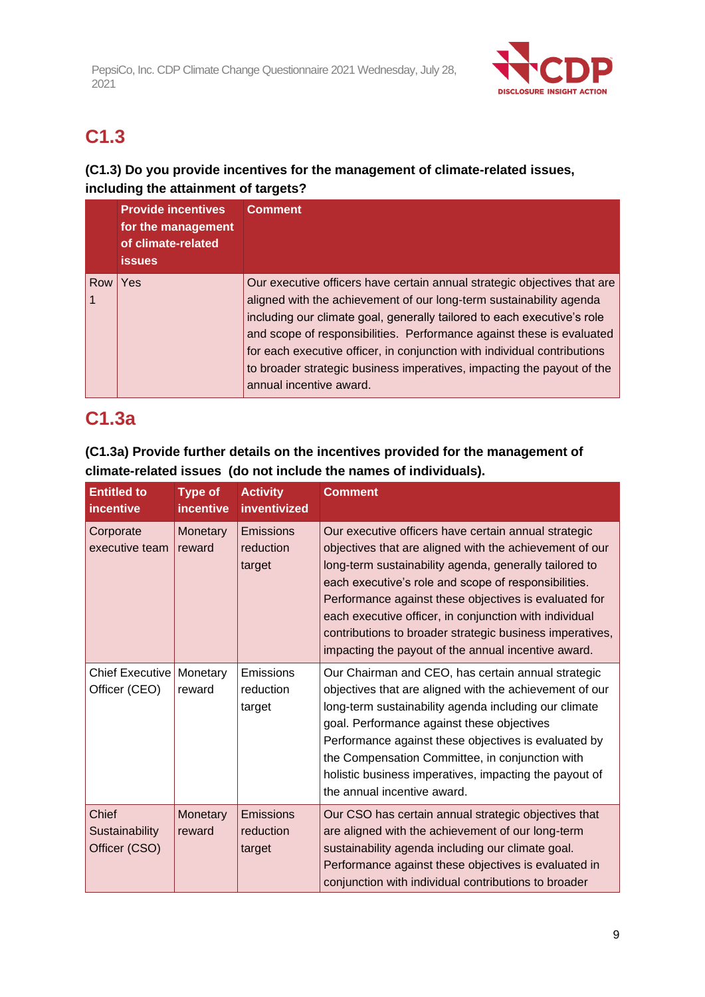

## **C1.3**

### **(C1.3) Do you provide incentives for the management of climate-related issues, including the attainment of targets?**

|     | <b>Provide incentives</b><br>for the management<br>of climate-related<br><b>issues</b> | <b>Comment</b>                                                                                                                                                                                                                                                                                                                                                                                                                                                                       |
|-----|----------------------------------------------------------------------------------------|--------------------------------------------------------------------------------------------------------------------------------------------------------------------------------------------------------------------------------------------------------------------------------------------------------------------------------------------------------------------------------------------------------------------------------------------------------------------------------------|
| Row | Yes                                                                                    | Our executive officers have certain annual strategic objectives that are<br>aligned with the achievement of our long-term sustainability agenda<br>including our climate goal, generally tailored to each executive's role<br>and scope of responsibilities. Performance against these is evaluated<br>for each executive officer, in conjunction with individual contributions<br>to broader strategic business imperatives, impacting the payout of the<br>annual incentive award. |

## **C1.3a**

### **(C1.3a) Provide further details on the incentives provided for the management of climate-related issues (do not include the names of individuals).**

| <b>Entitled to</b><br>incentive          | <b>Type of</b><br><i>incentive</i> | <b>Activity</b><br>inventivized         | <b>Comment</b>                                                                                                                                                                                                                                                                                                                                                                                                                                                          |
|------------------------------------------|------------------------------------|-----------------------------------------|-------------------------------------------------------------------------------------------------------------------------------------------------------------------------------------------------------------------------------------------------------------------------------------------------------------------------------------------------------------------------------------------------------------------------------------------------------------------------|
| Corporate<br>executive team              | Monetary<br>reward                 | <b>Emissions</b><br>reduction<br>target | Our executive officers have certain annual strategic<br>objectives that are aligned with the achievement of our<br>long-term sustainability agenda, generally tailored to<br>each executive's role and scope of responsibilities.<br>Performance against these objectives is evaluated for<br>each executive officer, in conjunction with individual<br>contributions to broader strategic business imperatives,<br>impacting the payout of the annual incentive award. |
| <b>Chief Executive</b><br>Officer (CEO)  | Monetary<br>reward                 | Emissions<br>reduction<br>target        | Our Chairman and CEO, has certain annual strategic<br>objectives that are aligned with the achievement of our<br>long-term sustainability agenda including our climate<br>goal. Performance against these objectives<br>Performance against these objectives is evaluated by<br>the Compensation Committee, in conjunction with<br>holistic business imperatives, impacting the payout of<br>the annual incentive award.                                                |
| Chief<br>Sustainability<br>Officer (CSO) | Monetary<br>reward                 | Emissions<br>reduction<br>target        | Our CSO has certain annual strategic objectives that<br>are aligned with the achievement of our long-term<br>sustainability agenda including our climate goal.<br>Performance against these objectives is evaluated in<br>conjunction with individual contributions to broader                                                                                                                                                                                          |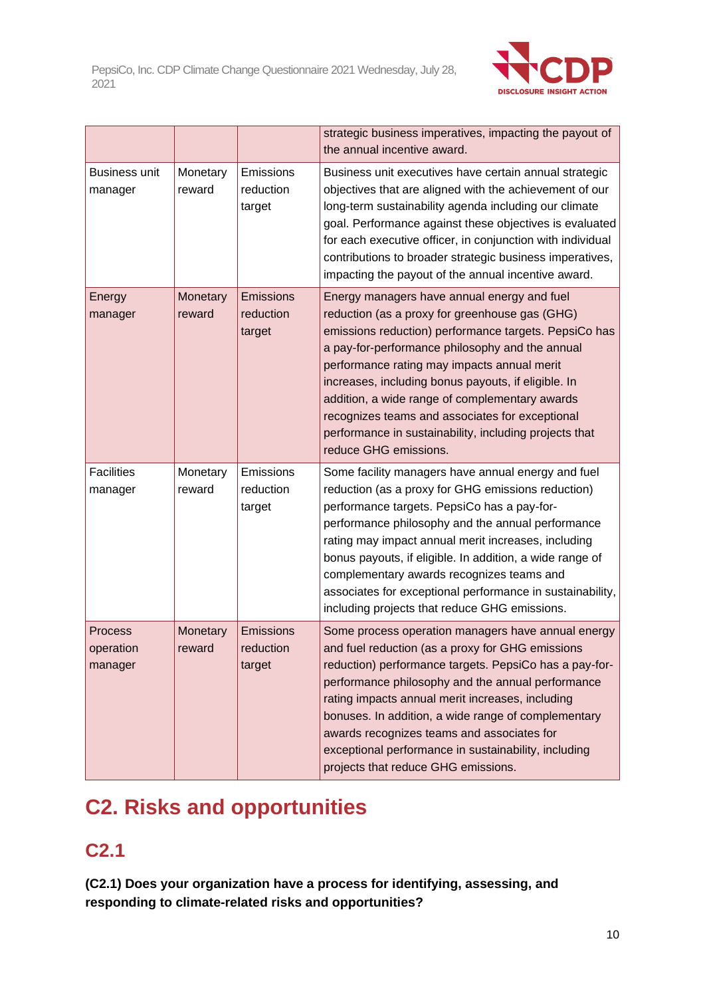

|                                        |                    |                                  | strategic business imperatives, impacting the payout of<br>the annual incentive award.                                                                                                                                                                                                                                                                                                                                                                                                                  |
|----------------------------------------|--------------------|----------------------------------|---------------------------------------------------------------------------------------------------------------------------------------------------------------------------------------------------------------------------------------------------------------------------------------------------------------------------------------------------------------------------------------------------------------------------------------------------------------------------------------------------------|
| Business unit<br>manager               | Monetary<br>reward | Emissions<br>reduction<br>target | Business unit executives have certain annual strategic<br>objectives that are aligned with the achievement of our<br>long-term sustainability agenda including our climate<br>goal. Performance against these objectives is evaluated<br>for each executive officer, in conjunction with individual<br>contributions to broader strategic business imperatives,<br>impacting the payout of the annual incentive award.                                                                                  |
| Energy<br>manager                      | Monetary<br>reward | Emissions<br>reduction<br>target | Energy managers have annual energy and fuel<br>reduction (as a proxy for greenhouse gas (GHG)<br>emissions reduction) performance targets. PepsiCo has<br>a pay-for-performance philosophy and the annual<br>performance rating may impacts annual merit<br>increases, including bonus payouts, if eligible. In<br>addition, a wide range of complementary awards<br>recognizes teams and associates for exceptional<br>performance in sustainability, including projects that<br>reduce GHG emissions. |
| <b>Facilities</b><br>manager           | Monetary<br>reward | Emissions<br>reduction<br>target | Some facility managers have annual energy and fuel<br>reduction (as a proxy for GHG emissions reduction)<br>performance targets. PepsiCo has a pay-for-<br>performance philosophy and the annual performance<br>rating may impact annual merit increases, including<br>bonus payouts, if eligible. In addition, a wide range of<br>complementary awards recognizes teams and<br>associates for exceptional performance in sustainability,<br>including projects that reduce GHG emissions.              |
| <b>Process</b><br>operation<br>manager | Monetary<br>reward | Emissions<br>reduction<br>target | Some process operation managers have annual energy<br>and fuel reduction (as a proxy for GHG emissions<br>reduction) performance targets. PepsiCo has a pay-for-<br>performance philosophy and the annual performance<br>rating impacts annual merit increases, including<br>bonuses. In addition, a wide range of complementary<br>awards recognizes teams and associates for<br>exceptional performance in sustainability, including<br>projects that reduce GHG emissions.                           |

# **C2. Risks and opportunities**

## **C2.1**

**(C2.1) Does your organization have a process for identifying, assessing, and responding to climate-related risks and opportunities?**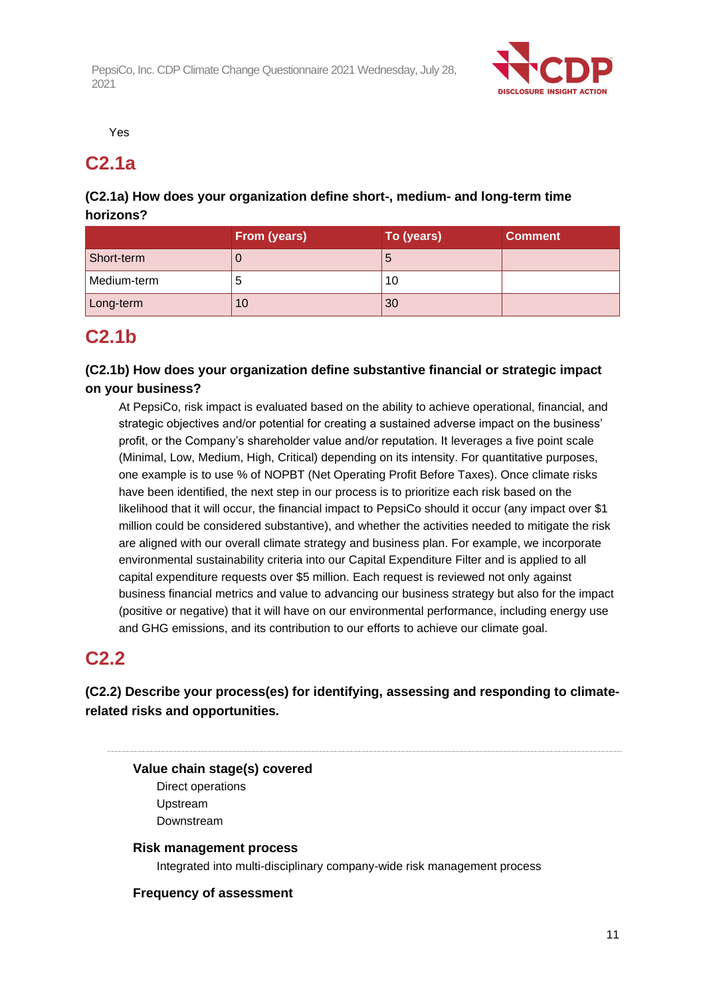

Yes

### **C2.1a**

#### **(C2.1a) How does your organization define short-, medium- and long-term time horizons?**

|             | From (years) | To (years) | <b>Comment</b> |
|-------------|--------------|------------|----------------|
| Short-term  |              | C          |                |
| Medium-term | э            | 10         |                |
| Long-term   | 10           | 30         |                |

## **C2.1b**

#### **(C2.1b) How does your organization define substantive financial or strategic impact on your business?**

At PepsiCo, risk impact is evaluated based on the ability to achieve operational, financial, and strategic objectives and/or potential for creating a sustained adverse impact on the business' profit, or the Company's shareholder value and/or reputation. It leverages a five point scale (Minimal, Low, Medium, High, Critical) depending on its intensity. For quantitative purposes, one example is to use % of NOPBT (Net Operating Profit Before Taxes). Once climate risks have been identified, the next step in our process is to prioritize each risk based on the likelihood that it will occur, the financial impact to PepsiCo should it occur (any impact over \$1 million could be considered substantive), and whether the activities needed to mitigate the risk are aligned with our overall climate strategy and business plan. For example, we incorporate environmental sustainability criteria into our Capital Expenditure Filter and is applied to all capital expenditure requests over \$5 million. Each request is reviewed not only against business financial metrics and value to advancing our business strategy but also for the impact (positive or negative) that it will have on our environmental performance, including energy use and GHG emissions, and its contribution to our efforts to achieve our climate goal.

### **C2.2**

#### **(C2.2) Describe your process(es) for identifying, assessing and responding to climaterelated risks and opportunities.**

**Value chain stage(s) covered**

Direct operations Upstream Downstream

#### **Risk management process**

Integrated into multi-disciplinary company-wide risk management process

#### **Frequency of assessment**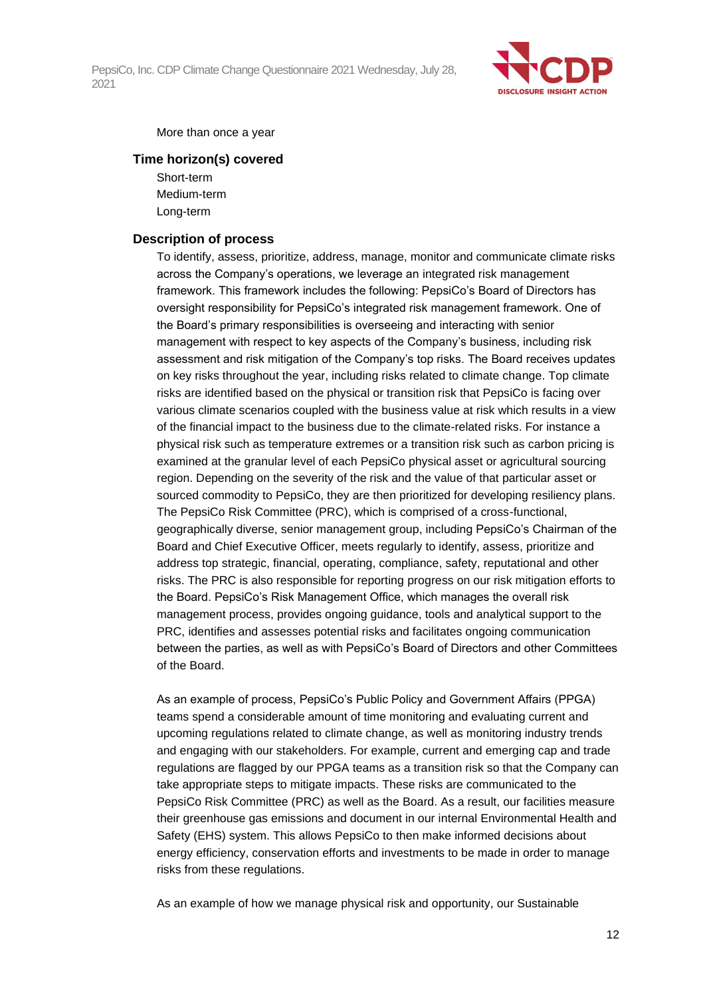

More than once a year

#### **Time horizon(s) covered**

Short-term Medium-term Long-term

#### **Description of process**

To identify, assess, prioritize, address, manage, monitor and communicate climate risks across the Company's operations, we leverage an integrated risk management framework. This framework includes the following: PepsiCo's Board of Directors has oversight responsibility for PepsiCo's integrated risk management framework. One of the Board's primary responsibilities is overseeing and interacting with senior management with respect to key aspects of the Company's business, including risk assessment and risk mitigation of the Company's top risks. The Board receives updates on key risks throughout the year, including risks related to climate change. Top climate risks are identified based on the physical or transition risk that PepsiCo is facing over various climate scenarios coupled with the business value at risk which results in a view of the financial impact to the business due to the climate-related risks. For instance a physical risk such as temperature extremes or a transition risk such as carbon pricing is examined at the granular level of each PepsiCo physical asset or agricultural sourcing region. Depending on the severity of the risk and the value of that particular asset or sourced commodity to PepsiCo, they are then prioritized for developing resiliency plans. The PepsiCo Risk Committee (PRC), which is comprised of a cross-functional, geographically diverse, senior management group, including PepsiCo's Chairman of the Board and Chief Executive Officer, meets regularly to identify, assess, prioritize and address top strategic, financial, operating, compliance, safety, reputational and other risks. The PRC is also responsible for reporting progress on our risk mitigation efforts to the Board. PepsiCo's Risk Management Office, which manages the overall risk management process, provides ongoing guidance, tools and analytical support to the PRC, identifies and assesses potential risks and facilitates ongoing communication between the parties, as well as with PepsiCo's Board of Directors and other Committees of the Board.

As an example of process, PepsiCo's Public Policy and Government Affairs (PPGA) teams spend a considerable amount of time monitoring and evaluating current and upcoming regulations related to climate change, as well as monitoring industry trends and engaging with our stakeholders. For example, current and emerging cap and trade regulations are flagged by our PPGA teams as a transition risk so that the Company can take appropriate steps to mitigate impacts. These risks are communicated to the PepsiCo Risk Committee (PRC) as well as the Board. As a result, our facilities measure their greenhouse gas emissions and document in our internal Environmental Health and Safety (EHS) system. This allows PepsiCo to then make informed decisions about energy efficiency, conservation efforts and investments to be made in order to manage risks from these regulations.

As an example of how we manage physical risk and opportunity, our Sustainable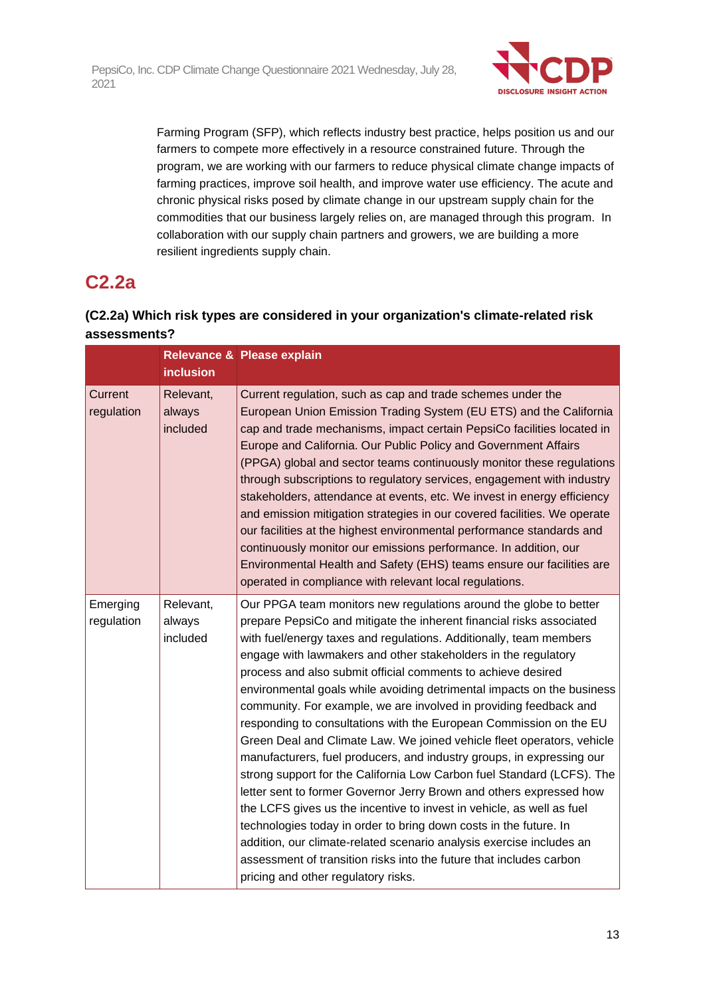

Farming Program (SFP), which reflects industry best practice, helps position us and our farmers to compete more effectively in a resource constrained future. Through the program, we are working with our farmers to reduce physical climate change impacts of farming practices, improve soil health, and improve water use efficiency. The acute and chronic physical risks posed by climate change in our upstream supply chain for the commodities that our business largely relies on, are managed through this program. In collaboration with our supply chain partners and growers, we are building a more resilient ingredients supply chain.

### **C2.2a**

### **(C2.2a) Which risk types are considered in your organization's climate-related risk assessments?**

|                        | <b>inclusion</b>                | Relevance & Please explain                                                                                                                                                                                                                                                                                                                                                                                                                                                                                                                                                                                                                                                                                                                                                                                                                                                                                                                                                                                                                                                                                                                                                                                     |
|------------------------|---------------------------------|----------------------------------------------------------------------------------------------------------------------------------------------------------------------------------------------------------------------------------------------------------------------------------------------------------------------------------------------------------------------------------------------------------------------------------------------------------------------------------------------------------------------------------------------------------------------------------------------------------------------------------------------------------------------------------------------------------------------------------------------------------------------------------------------------------------------------------------------------------------------------------------------------------------------------------------------------------------------------------------------------------------------------------------------------------------------------------------------------------------------------------------------------------------------------------------------------------------|
| Current<br>regulation  | Relevant,<br>always<br>included | Current regulation, such as cap and trade schemes under the<br>European Union Emission Trading System (EU ETS) and the California<br>cap and trade mechanisms, impact certain PepsiCo facilities located in<br>Europe and California. Our Public Policy and Government Affairs<br>(PPGA) global and sector teams continuously monitor these regulations<br>through subscriptions to regulatory services, engagement with industry<br>stakeholders, attendance at events, etc. We invest in energy efficiency<br>and emission mitigation strategies in our covered facilities. We operate<br>our facilities at the highest environmental performance standards and<br>continuously monitor our emissions performance. In addition, our<br>Environmental Health and Safety (EHS) teams ensure our facilities are<br>operated in compliance with relevant local regulations.                                                                                                                                                                                                                                                                                                                                      |
| Emerging<br>regulation | Relevant,<br>always<br>included | Our PPGA team monitors new regulations around the globe to better<br>prepare PepsiCo and mitigate the inherent financial risks associated<br>with fuel/energy taxes and regulations. Additionally, team members<br>engage with lawmakers and other stakeholders in the regulatory<br>process and also submit official comments to achieve desired<br>environmental goals while avoiding detrimental impacts on the business<br>community. For example, we are involved in providing feedback and<br>responding to consultations with the European Commission on the EU<br>Green Deal and Climate Law. We joined vehicle fleet operators, vehicle<br>manufacturers, fuel producers, and industry groups, in expressing our<br>strong support for the California Low Carbon fuel Standard (LCFS). The<br>letter sent to former Governor Jerry Brown and others expressed how<br>the LCFS gives us the incentive to invest in vehicle, as well as fuel<br>technologies today in order to bring down costs in the future. In<br>addition, our climate-related scenario analysis exercise includes an<br>assessment of transition risks into the future that includes carbon<br>pricing and other regulatory risks. |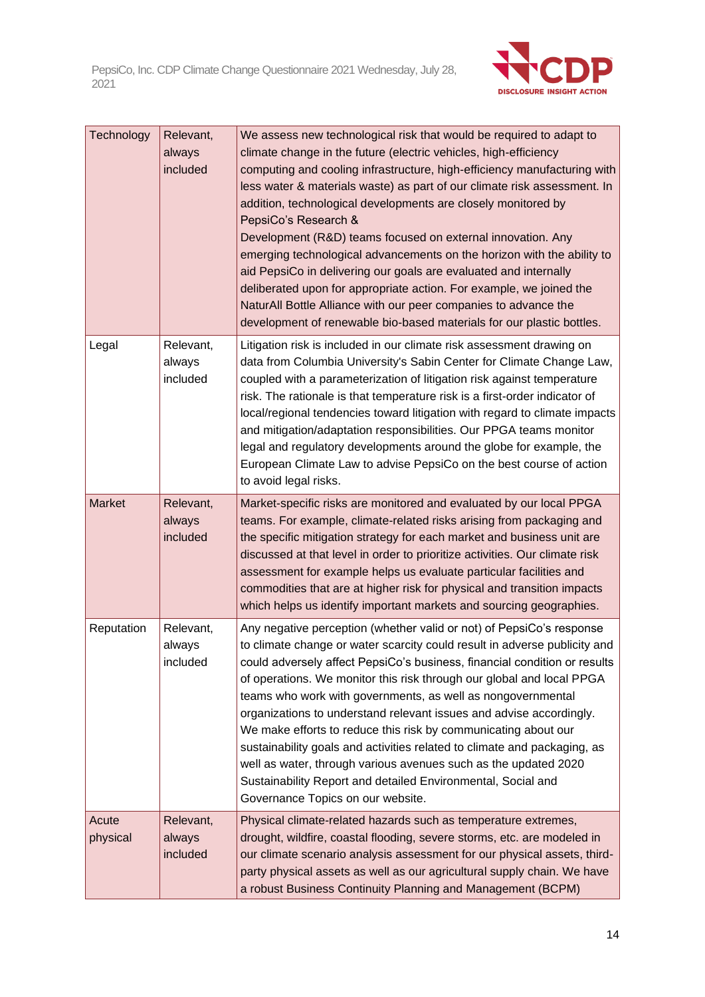

| Technology        | Relevant,<br>always<br>included | We assess new technological risk that would be required to adapt to<br>climate change in the future (electric vehicles, high-efficiency<br>computing and cooling infrastructure, high-efficiency manufacturing with<br>less water & materials waste) as part of our climate risk assessment. In<br>addition, technological developments are closely monitored by<br>PepsiCo's Research &<br>Development (R&D) teams focused on external innovation. Any<br>emerging technological advancements on the horizon with the ability to<br>aid PepsiCo in delivering our goals are evaluated and internally<br>deliberated upon for appropriate action. For example, we joined the<br>NaturAll Bottle Alliance with our peer companies to advance the<br>development of renewable bio-based materials for our plastic bottles. |
|-------------------|---------------------------------|--------------------------------------------------------------------------------------------------------------------------------------------------------------------------------------------------------------------------------------------------------------------------------------------------------------------------------------------------------------------------------------------------------------------------------------------------------------------------------------------------------------------------------------------------------------------------------------------------------------------------------------------------------------------------------------------------------------------------------------------------------------------------------------------------------------------------|
| Legal             | Relevant,<br>always<br>included | Litigation risk is included in our climate risk assessment drawing on<br>data from Columbia University's Sabin Center for Climate Change Law,<br>coupled with a parameterization of litigation risk against temperature<br>risk. The rationale is that temperature risk is a first-order indicator of<br>local/regional tendencies toward litigation with regard to climate impacts<br>and mitigation/adaptation responsibilities. Our PPGA teams monitor<br>legal and regulatory developments around the globe for example, the<br>European Climate Law to advise PepsiCo on the best course of action<br>to avoid legal risks.                                                                                                                                                                                         |
| <b>Market</b>     | Relevant,<br>always<br>included | Market-specific risks are monitored and evaluated by our local PPGA<br>teams. For example, climate-related risks arising from packaging and<br>the specific mitigation strategy for each market and business unit are<br>discussed at that level in order to prioritize activities. Our climate risk<br>assessment for example helps us evaluate particular facilities and<br>commodities that are at higher risk for physical and transition impacts<br>which helps us identify important markets and sourcing geographies.                                                                                                                                                                                                                                                                                             |
| Reputation        | Relevant,<br>always<br>included | Any negative perception (whether valid or not) of PepsiCo's response<br>to climate change or water scarcity could result in adverse publicity and<br>could adversely affect PepsiCo's business, financial condition or results<br>of operations. We monitor this risk through our global and local PPGA<br>teams who work with governments, as well as nongovernmental<br>organizations to understand relevant issues and advise accordingly.<br>We make efforts to reduce this risk by communicating about our<br>sustainability goals and activities related to climate and packaging, as<br>well as water, through various avenues such as the updated 2020<br>Sustainability Report and detailed Environmental, Social and<br>Governance Topics on our website.                                                      |
| Acute<br>physical | Relevant,<br>always<br>included | Physical climate-related hazards such as temperature extremes,<br>drought, wildfire, coastal flooding, severe storms, etc. are modeled in<br>our climate scenario analysis assessment for our physical assets, third-<br>party physical assets as well as our agricultural supply chain. We have<br>a robust Business Continuity Planning and Management (BCPM)                                                                                                                                                                                                                                                                                                                                                                                                                                                          |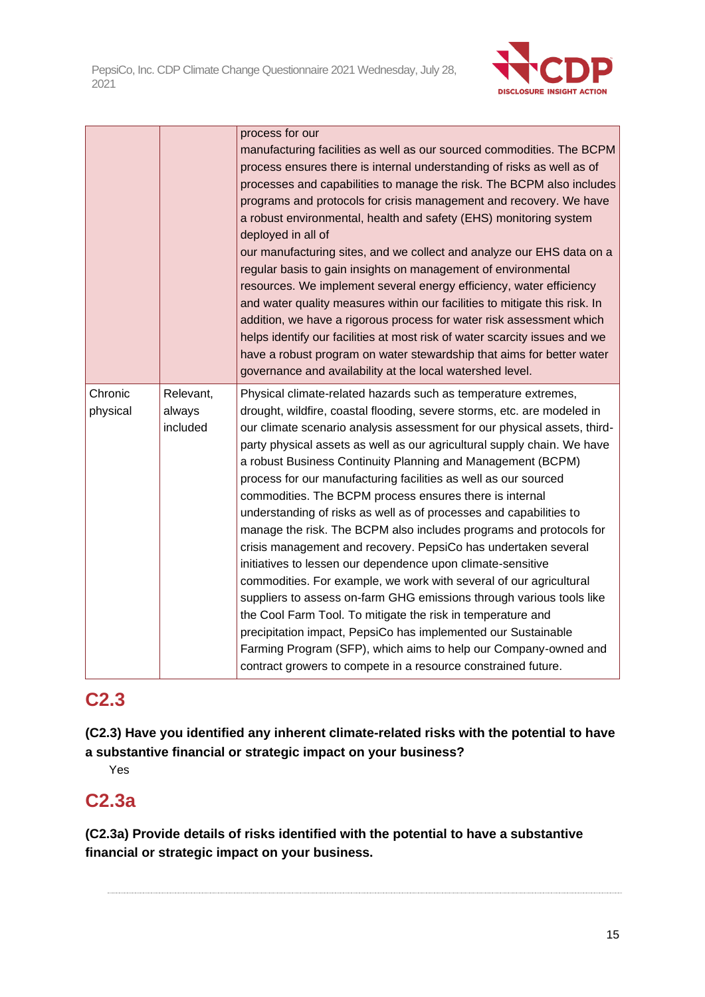

|                     |                                 | process for our<br>manufacturing facilities as well as our sourced commodities. The BCPM<br>process ensures there is internal understanding of risks as well as of<br>processes and capabilities to manage the risk. The BCPM also includes<br>programs and protocols for crisis management and recovery. We have<br>a robust environmental, health and safety (EHS) monitoring system<br>deployed in all of<br>our manufacturing sites, and we collect and analyze our EHS data on a<br>regular basis to gain insights on management of environmental<br>resources. We implement several energy efficiency, water efficiency<br>and water quality measures within our facilities to mitigate this risk. In<br>addition, we have a rigorous process for water risk assessment which<br>helps identify our facilities at most risk of water scarcity issues and we<br>have a robust program on water stewardship that aims for better water<br>governance and availability at the local watershed level.                                                                                                                                                                                      |
|---------------------|---------------------------------|----------------------------------------------------------------------------------------------------------------------------------------------------------------------------------------------------------------------------------------------------------------------------------------------------------------------------------------------------------------------------------------------------------------------------------------------------------------------------------------------------------------------------------------------------------------------------------------------------------------------------------------------------------------------------------------------------------------------------------------------------------------------------------------------------------------------------------------------------------------------------------------------------------------------------------------------------------------------------------------------------------------------------------------------------------------------------------------------------------------------------------------------------------------------------------------------|
| Chronic<br>physical | Relevant,<br>always<br>included | Physical climate-related hazards such as temperature extremes,<br>drought, wildfire, coastal flooding, severe storms, etc. are modeled in<br>our climate scenario analysis assessment for our physical assets, third-<br>party physical assets as well as our agricultural supply chain. We have<br>a robust Business Continuity Planning and Management (BCPM)<br>process for our manufacturing facilities as well as our sourced<br>commodities. The BCPM process ensures there is internal<br>understanding of risks as well as of processes and capabilities to<br>manage the risk. The BCPM also includes programs and protocols for<br>crisis management and recovery. PepsiCo has undertaken several<br>initiatives to lessen our dependence upon climate-sensitive<br>commodities. For example, we work with several of our agricultural<br>suppliers to assess on-farm GHG emissions through various tools like<br>the Cool Farm Tool. To mitigate the risk in temperature and<br>precipitation impact, PepsiCo has implemented our Sustainable<br>Farming Program (SFP), which aims to help our Company-owned and<br>contract growers to compete in a resource constrained future. |

### **C2.3**

**(C2.3) Have you identified any inherent climate-related risks with the potential to have a substantive financial or strategic impact on your business?**

Yes

### **C2.3a**

**(C2.3a) Provide details of risks identified with the potential to have a substantive financial or strategic impact on your business.**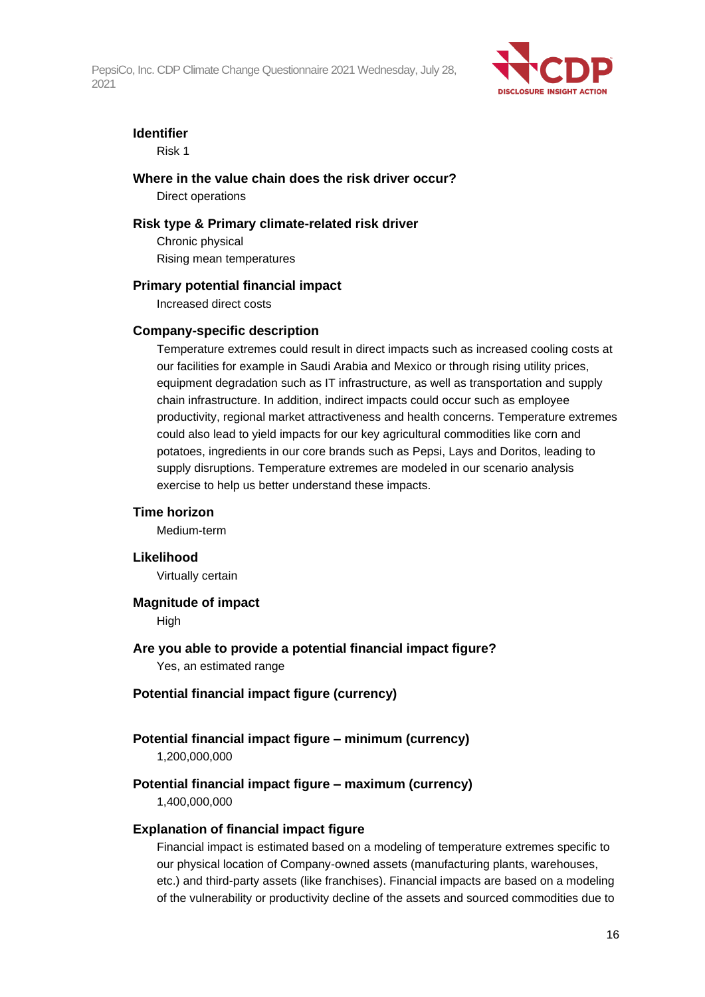

#### **Identifier**

Risk 1

#### **Where in the value chain does the risk driver occur?**

Direct operations

#### **Risk type & Primary climate-related risk driver**

Chronic physical Rising mean temperatures

#### **Primary potential financial impact**

Increased direct costs

#### **Company-specific description**

Temperature extremes could result in direct impacts such as increased cooling costs at our facilities for example in Saudi Arabia and Mexico or through rising utility prices, equipment degradation such as IT infrastructure, as well as transportation and supply chain infrastructure. In addition, indirect impacts could occur such as employee productivity, regional market attractiveness and health concerns. Temperature extremes could also lead to yield impacts for our key agricultural commodities like corn and potatoes, ingredients in our core brands such as Pepsi, Lays and Doritos, leading to supply disruptions. Temperature extremes are modeled in our scenario analysis exercise to help us better understand these impacts.

#### **Time horizon**

Medium-term

#### **Likelihood**

Virtually certain

#### **Magnitude of impact**

High

#### **Are you able to provide a potential financial impact figure?** Yes, an estimated range

#### **Potential financial impact figure (currency)**

#### **Potential financial impact figure – minimum (currency)**

1,200,000,000

### **Potential financial impact figure – maximum (currency)**

1,400,000,000

#### **Explanation of financial impact figure**

Financial impact is estimated based on a modeling of temperature extremes specific to our physical location of Company-owned assets (manufacturing plants, warehouses, etc.) and third-party assets (like franchises). Financial impacts are based on a modeling of the vulnerability or productivity decline of the assets and sourced commodities due to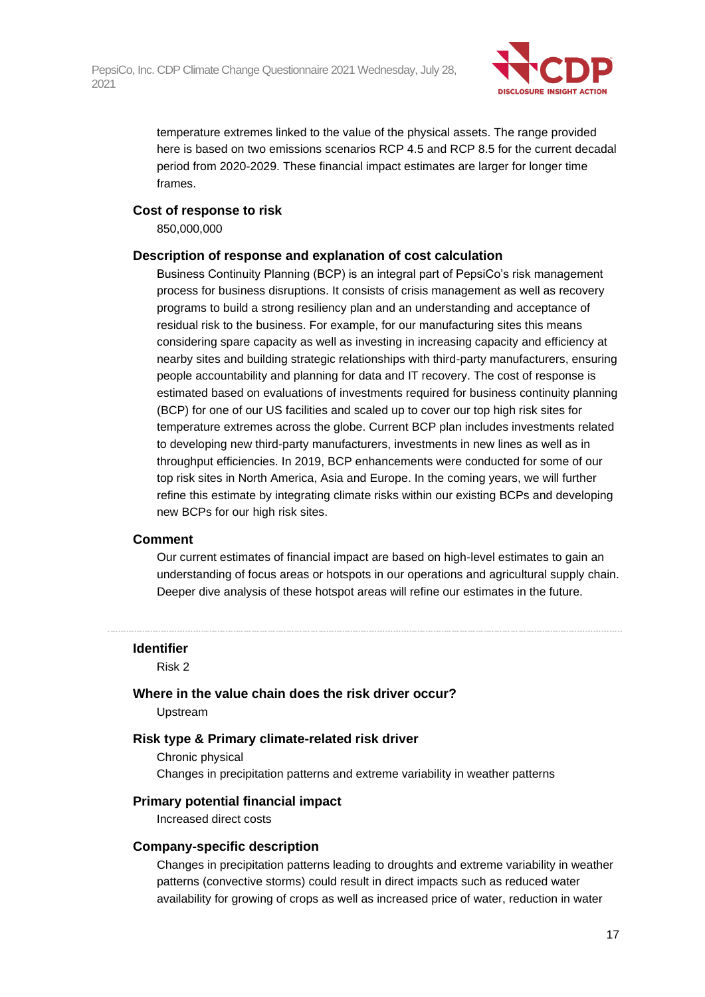

temperature extremes linked to the value of the physical assets. The range provided here is based on two emissions scenarios RCP 4.5 and RCP 8.5 for the current decadal period from 2020-2029. These financial impact estimates are larger for longer time frames.

#### **Cost of response to risk**

850,000,000

#### **Description of response and explanation of cost calculation**

Business Continuity Planning (BCP) is an integral part of PepsiCo's risk management process for business disruptions. It consists of crisis management as well as recovery programs to build a strong resiliency plan and an understanding and acceptance of residual risk to the business. For example, for our manufacturing sites this means considering spare capacity as well as investing in increasing capacity and efficiency at nearby sites and building strategic relationships with third-party manufacturers, ensuring people accountability and planning for data and IT recovery. The cost of response is estimated based on evaluations of investments required for business continuity planning (BCP) for one of our US facilities and scaled up to cover our top high risk sites for temperature extremes across the globe. Current BCP plan includes investments related to developing new third-party manufacturers, investments in new lines as well as in throughput efficiencies. In 2019, BCP enhancements were conducted for some of our top risk sites in North America, Asia and Europe. In the coming years, we will further refine this estimate by integrating climate risks within our existing BCPs and developing new BCPs for our high risk sites.

#### **Comment**

Our current estimates of financial impact are based on high-level estimates to gain an understanding of focus areas or hotspots in our operations and agricultural supply chain. Deeper dive analysis of these hotspot areas will refine our estimates in the future.

#### **Identifier**

Risk 2

### **Where in the value chain does the risk driver occur?**

Upstream

#### **Risk type & Primary climate-related risk driver**

Chronic physical Changes in precipitation patterns and extreme variability in weather patterns

#### **Primary potential financial impact**

Increased direct costs

#### **Company-specific description**

Changes in precipitation patterns leading to droughts and extreme variability in weather patterns (convective storms) could result in direct impacts such as reduced water availability for growing of crops as well as increased price of water, reduction in water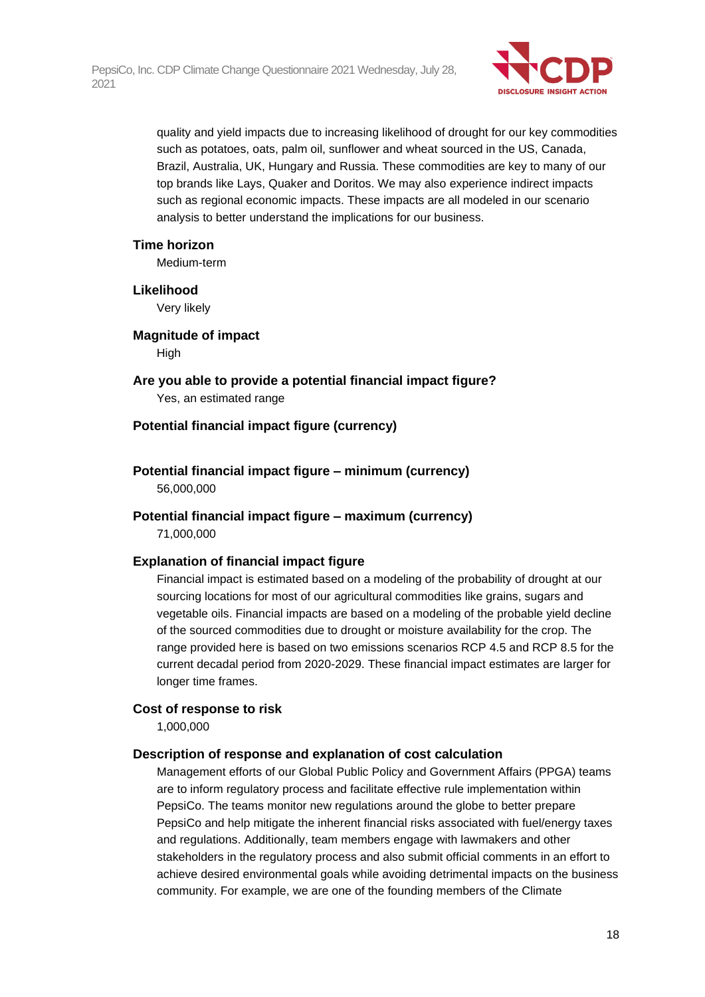

quality and yield impacts due to increasing likelihood of drought for our key commodities such as potatoes, oats, palm oil, sunflower and wheat sourced in the US, Canada, Brazil, Australia, UK, Hungary and Russia. These commodities are key to many of our top brands like Lays, Quaker and Doritos. We may also experience indirect impacts such as regional economic impacts. These impacts are all modeled in our scenario analysis to better understand the implications for our business.

#### **Time horizon**

Medium-term

#### **Likelihood**

Very likely

#### **Magnitude of impact**

High

**Are you able to provide a potential financial impact figure?** Yes, an estimated range

#### **Potential financial impact figure (currency)**

#### **Potential financial impact figure – minimum (currency)** 56,000,000

#### **Potential financial impact figure – maximum (currency)**

71,000,000

#### **Explanation of financial impact figure**

Financial impact is estimated based on a modeling of the probability of drought at our sourcing locations for most of our agricultural commodities like grains, sugars and vegetable oils. Financial impacts are based on a modeling of the probable yield decline of the sourced commodities due to drought or moisture availability for the crop. The range provided here is based on two emissions scenarios RCP 4.5 and RCP 8.5 for the current decadal period from 2020-2029. These financial impact estimates are larger for longer time frames.

#### **Cost of response to risk**

1,000,000

#### **Description of response and explanation of cost calculation**

Management efforts of our Global Public Policy and Government Affairs (PPGA) teams are to inform regulatory process and facilitate effective rule implementation within PepsiCo. The teams monitor new regulations around the globe to better prepare PepsiCo and help mitigate the inherent financial risks associated with fuel/energy taxes and regulations. Additionally, team members engage with lawmakers and other stakeholders in the regulatory process and also submit official comments in an effort to achieve desired environmental goals while avoiding detrimental impacts on the business community. For example, we are one of the founding members of the Climate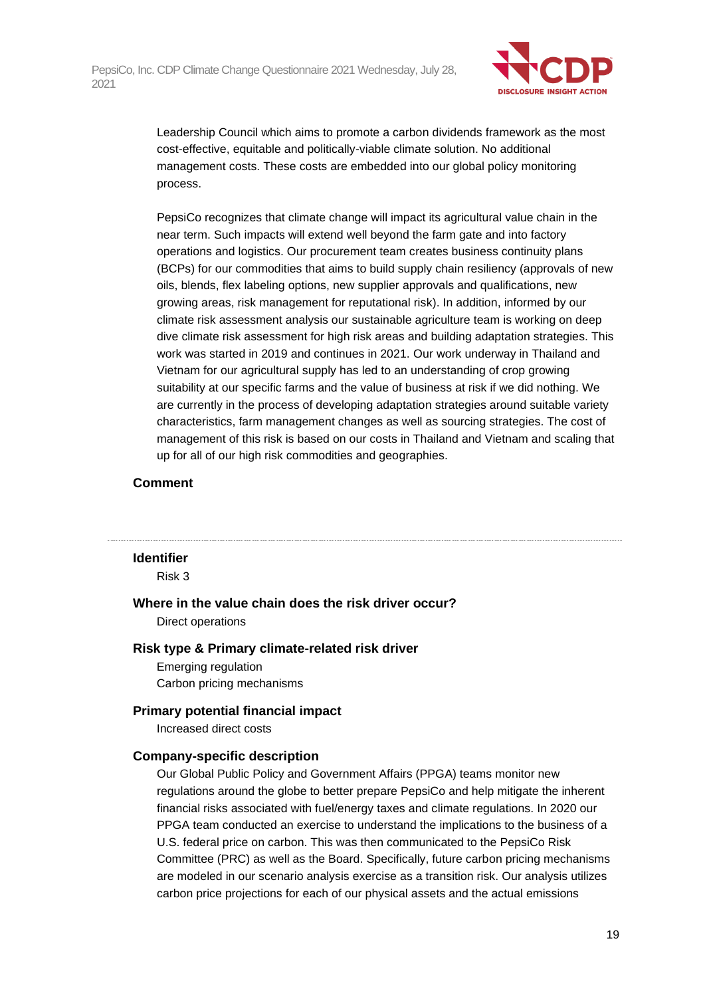

Leadership Council which aims to promote a carbon dividends framework as the most cost-effective, equitable and politically-viable climate solution. No additional management costs. These costs are embedded into our global policy monitoring process.

PepsiCo recognizes that climate change will impact its agricultural value chain in the near term. Such impacts will extend well beyond the farm gate and into factory operations and logistics. Our procurement team creates business continuity plans (BCPs) for our commodities that aims to build supply chain resiliency (approvals of new oils, blends, flex labeling options, new supplier approvals and qualifications, new growing areas, risk management for reputational risk). In addition, informed by our climate risk assessment analysis our sustainable agriculture team is working on deep dive climate risk assessment for high risk areas and building adaptation strategies. This work was started in 2019 and continues in 2021. Our work underway in Thailand and Vietnam for our agricultural supply has led to an understanding of crop growing suitability at our specific farms and the value of business at risk if we did nothing. We are currently in the process of developing adaptation strategies around suitable variety characteristics, farm management changes as well as sourcing strategies. The cost of management of this risk is based on our costs in Thailand and Vietnam and scaling that up for all of our high risk commodities and geographies.

#### **Comment**

#### **Identifier**

Risk 3

**Where in the value chain does the risk driver occur?** Direct operations

#### **Risk type & Primary climate-related risk driver**

Emerging regulation Carbon pricing mechanisms

#### **Primary potential financial impact**

Increased direct costs

#### **Company-specific description**

Our Global Public Policy and Government Affairs (PPGA) teams monitor new regulations around the globe to better prepare PepsiCo and help mitigate the inherent financial risks associated with fuel/energy taxes and climate regulations. In 2020 our PPGA team conducted an exercise to understand the implications to the business of a U.S. federal price on carbon. This was then communicated to the PepsiCo Risk Committee (PRC) as well as the Board. Specifically, future carbon pricing mechanisms are modeled in our scenario analysis exercise as a transition risk. Our analysis utilizes carbon price projections for each of our physical assets and the actual emissions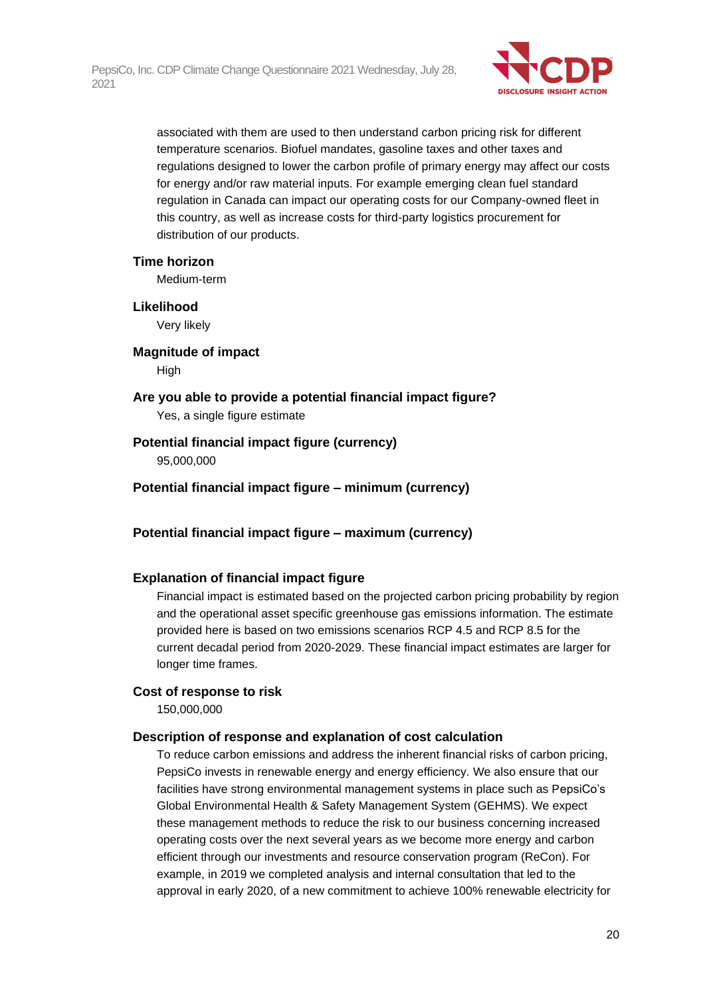

associated with them are used to then understand carbon pricing risk for different temperature scenarios. Biofuel mandates, gasoline taxes and other taxes and regulations designed to lower the carbon profile of primary energy may affect our costs for energy and/or raw material inputs. For example emerging clean fuel standard regulation in Canada can impact our operating costs for our Company-owned fleet in this country, as well as increase costs for third-party logistics procurement for distribution of our products.

#### **Time horizon**

Medium-term

#### **Likelihood**

Very likely

#### **Magnitude of impact**

High

# **Are you able to provide a potential financial impact figure?**

Yes, a single figure estimate

#### **Potential financial impact figure (currency)**

95,000,000

#### **Potential financial impact figure – minimum (currency)**

#### **Potential financial impact figure – maximum (currency)**

#### **Explanation of financial impact figure**

Financial impact is estimated based on the projected carbon pricing probability by region and the operational asset specific greenhouse gas emissions information. The estimate provided here is based on two emissions scenarios RCP 4.5 and RCP 8.5 for the current decadal period from 2020-2029. These financial impact estimates are larger for longer time frames.

#### **Cost of response to risk**

150,000,000

#### **Description of response and explanation of cost calculation**

To reduce carbon emissions and address the inherent financial risks of carbon pricing, PepsiCo invests in renewable energy and energy efficiency. We also ensure that our facilities have strong environmental management systems in place such as PepsiCo's Global Environmental Health & Safety Management System (GEHMS). We expect these management methods to reduce the risk to our business concerning increased operating costs over the next several years as we become more energy and carbon efficient through our investments and resource conservation program (ReCon). For example, in 2019 we completed analysis and internal consultation that led to the approval in early 2020, of a new commitment to achieve 100% renewable electricity for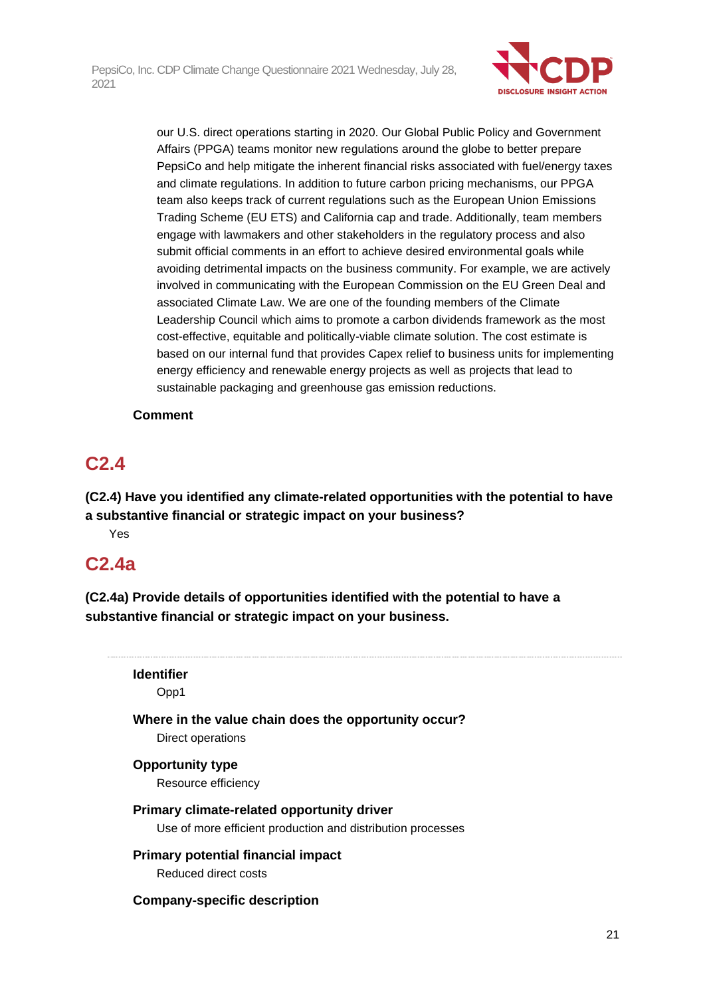

our U.S. direct operations starting in 2020. Our Global Public Policy and Government Affairs (PPGA) teams monitor new regulations around the globe to better prepare PepsiCo and help mitigate the inherent financial risks associated with fuel/energy taxes and climate regulations. In addition to future carbon pricing mechanisms, our PPGA team also keeps track of current regulations such as the European Union Emissions Trading Scheme (EU ETS) and California cap and trade. Additionally, team members engage with lawmakers and other stakeholders in the regulatory process and also submit official comments in an effort to achieve desired environmental goals while avoiding detrimental impacts on the business community. For example, we are actively involved in communicating with the European Commission on the EU Green Deal and associated Climate Law. We are one of the founding members of the Climate Leadership Council which aims to promote a carbon dividends framework as the most cost-effective, equitable and politically-viable climate solution. The cost estimate is based on our internal fund that provides Capex relief to business units for implementing energy efficiency and renewable energy projects as well as projects that lead to sustainable packaging and greenhouse gas emission reductions.

#### **Comment**

## **C2.4**

**(C2.4) Have you identified any climate-related opportunities with the potential to have a substantive financial or strategic impact on your business?**

Yes

### **C2.4a**

**(C2.4a) Provide details of opportunities identified with the potential to have a substantive financial or strategic impact on your business.**

## **Identifier**

Opp1

#### **Where in the value chain does the opportunity occur?**

Direct operations

#### **Opportunity type**

Resource efficiency

#### **Primary climate-related opportunity driver**

Use of more efficient production and distribution processes

## **Primary potential financial impact**

Reduced direct costs

#### **Company-specific description**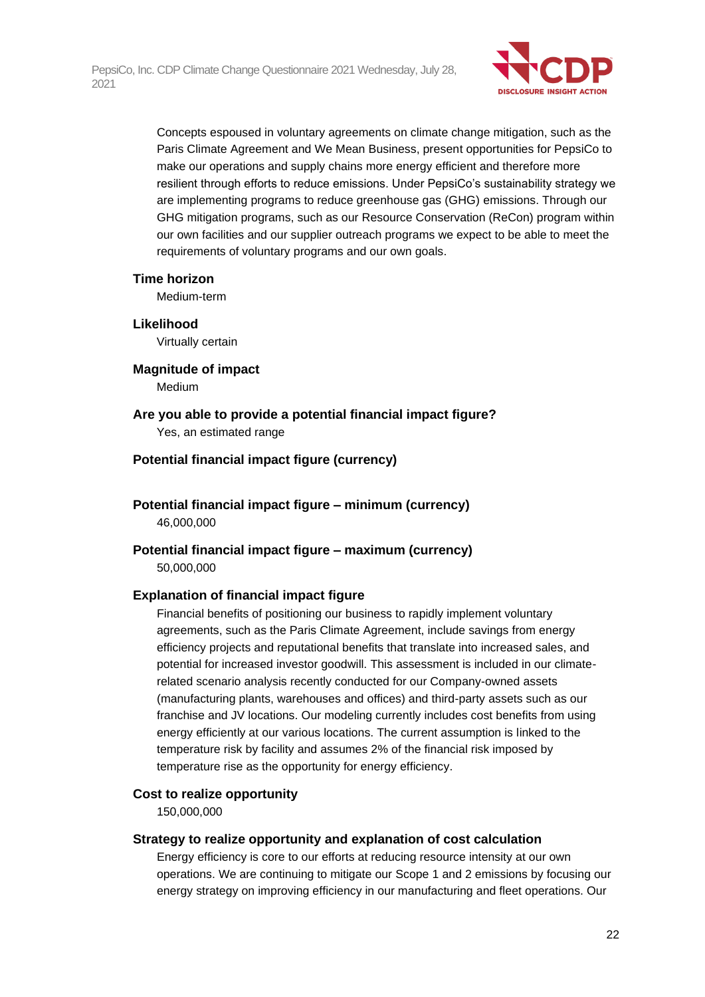

Concepts espoused in voluntary agreements on climate change mitigation, such as the Paris Climate Agreement and We Mean Business, present opportunities for PepsiCo to make our operations and supply chains more energy efficient and therefore more resilient through efforts to reduce emissions. Under PepsiCo's sustainability strategy we are implementing programs to reduce greenhouse gas (GHG) emissions. Through our GHG mitigation programs, such as our Resource Conservation (ReCon) program within our own facilities and our supplier outreach programs we expect to be able to meet the requirements of voluntary programs and our own goals.

#### **Time horizon**

Medium-term

**Likelihood** Virtually certain

**Magnitude of impact** Medium

#### **Are you able to provide a potential financial impact figure?**

Yes, an estimated range

#### **Potential financial impact figure (currency)**

**Potential financial impact figure – minimum (currency)** 46,000,000

**Potential financial impact figure – maximum (currency)** 50,000,000

#### **Explanation of financial impact figure**

Financial benefits of positioning our business to rapidly implement voluntary agreements, such as the Paris Climate Agreement, include savings from energy efficiency projects and reputational benefits that translate into increased sales, and potential for increased investor goodwill. This assessment is included in our climaterelated scenario analysis recently conducted for our Company-owned assets (manufacturing plants, warehouses and offices) and third-party assets such as our franchise and JV locations. Our modeling currently includes cost benefits from using energy efficiently at our various locations. The current assumption is linked to the temperature risk by facility and assumes 2% of the financial risk imposed by temperature rise as the opportunity for energy efficiency.

#### **Cost to realize opportunity**

150,000,000

#### **Strategy to realize opportunity and explanation of cost calculation**

Energy efficiency is core to our efforts at reducing resource intensity at our own operations. We are continuing to mitigate our Scope 1 and 2 emissions by focusing our energy strategy on improving efficiency in our manufacturing and fleet operations. Our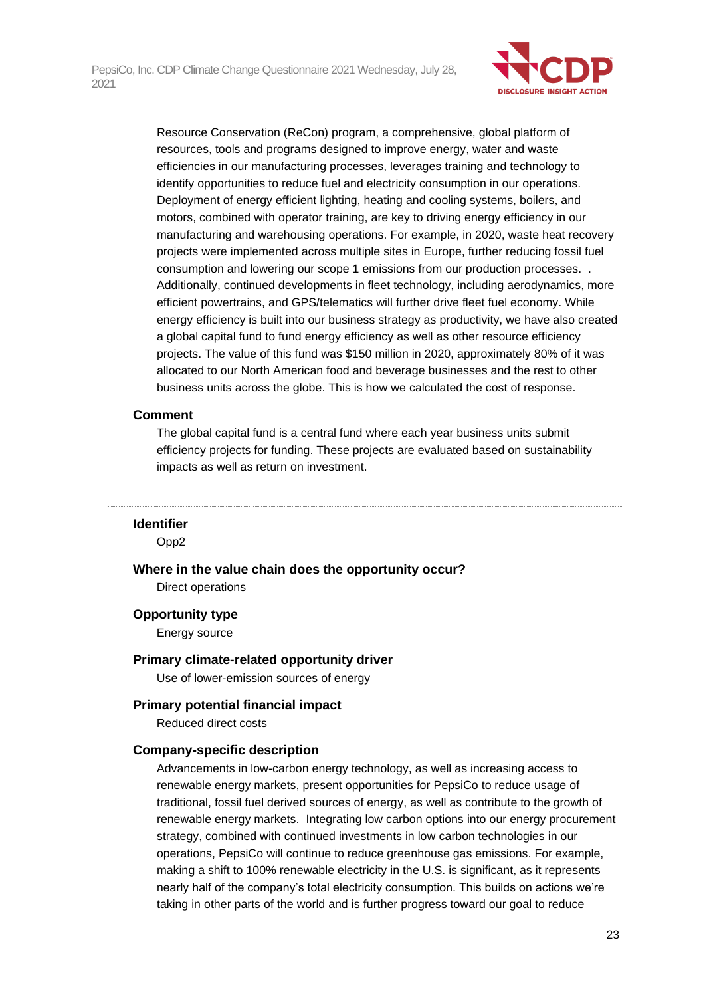

Resource Conservation (ReCon) program, a comprehensive, global platform of resources, tools and programs designed to improve energy, water and waste efficiencies in our manufacturing processes, leverages training and technology to identify opportunities to reduce fuel and electricity consumption in our operations. Deployment of energy efficient lighting, heating and cooling systems, boilers, and motors, combined with operator training, are key to driving energy efficiency in our manufacturing and warehousing operations. For example, in 2020, waste heat recovery projects were implemented across multiple sites in Europe, further reducing fossil fuel consumption and lowering our scope 1 emissions from our production processes. . Additionally, continued developments in fleet technology, including aerodynamics, more efficient powertrains, and GPS/telematics will further drive fleet fuel economy. While energy efficiency is built into our business strategy as productivity, we have also created a global capital fund to fund energy efficiency as well as other resource efficiency projects. The value of this fund was \$150 million in 2020, approximately 80% of it was allocated to our North American food and beverage businesses and the rest to other business units across the globe. This is how we calculated the cost of response.

#### **Comment**

The global capital fund is a central fund where each year business units submit efficiency projects for funding. These projects are evaluated based on sustainability impacts as well as return on investment.

#### **Identifier**

Opp2

**Where in the value chain does the opportunity occur?** Direct operations

#### **Opportunity type**

Energy source

#### **Primary climate-related opportunity driver**

Use of lower-emission sources of energy

#### **Primary potential financial impact**

Reduced direct costs

#### **Company-specific description**

Advancements in low-carbon energy technology, as well as increasing access to renewable energy markets, present opportunities for PepsiCo to reduce usage of traditional, fossil fuel derived sources of energy, as well as contribute to the growth of renewable energy markets. Integrating low carbon options into our energy procurement strategy, combined with continued investments in low carbon technologies in our operations, PepsiCo will continue to reduce greenhouse gas emissions. For example, making a shift to 100% renewable electricity in the U.S. is significant, as it represents nearly half of the company's total electricity consumption. This builds on actions we're taking in other parts of the world and is further progress toward our goal to reduce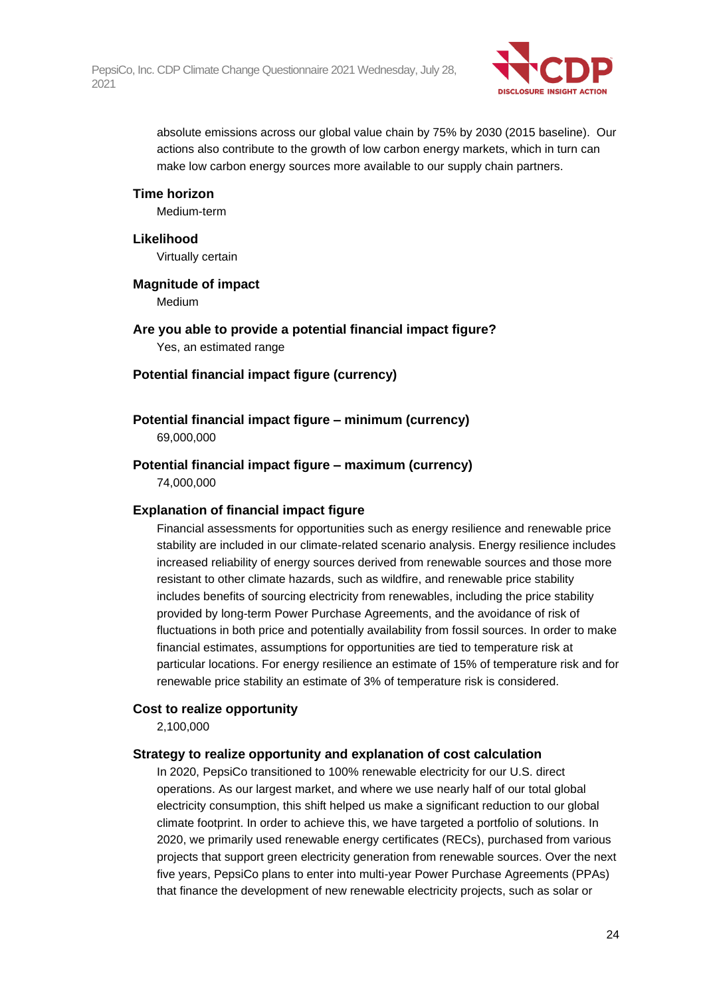

absolute emissions across our global value chain by 75% by 2030 (2015 baseline). Our actions also contribute to the growth of low carbon energy markets, which in turn can make low carbon energy sources more available to our supply chain partners.

#### **Time horizon**

Medium-term

#### **Likelihood**

Virtually certain

#### **Magnitude of impact**

Medium

**Are you able to provide a potential financial impact figure?** Yes, an estimated range

#### **Potential financial impact figure (currency)**

#### **Potential financial impact figure – minimum (currency)**

69,000,000

### **Potential financial impact figure – maximum (currency)**

74,000,000

#### **Explanation of financial impact figure**

Financial assessments for opportunities such as energy resilience and renewable price stability are included in our climate-related scenario analysis. Energy resilience includes increased reliability of energy sources derived from renewable sources and those more resistant to other climate hazards, such as wildfire, and renewable price stability includes benefits of sourcing electricity from renewables, including the price stability provided by long-term Power Purchase Agreements, and the avoidance of risk of fluctuations in both price and potentially availability from fossil sources. In order to make financial estimates, assumptions for opportunities are tied to temperature risk at particular locations. For energy resilience an estimate of 15% of temperature risk and for renewable price stability an estimate of 3% of temperature risk is considered.

#### **Cost to realize opportunity**

2,100,000

#### **Strategy to realize opportunity and explanation of cost calculation**

In 2020, PepsiCo transitioned to 100% renewable electricity for our U.S. direct operations. As our largest market, and where we use nearly half of our total global electricity consumption, this shift helped us make a significant reduction to our global climate footprint. In order to achieve this, we have targeted a portfolio of solutions. In 2020, we primarily used renewable energy certificates (RECs), purchased from various projects that support green electricity generation from renewable sources. Over the next five years, PepsiCo plans to enter into multi-year Power Purchase Agreements (PPAs) that finance the development of new renewable electricity projects, such as solar or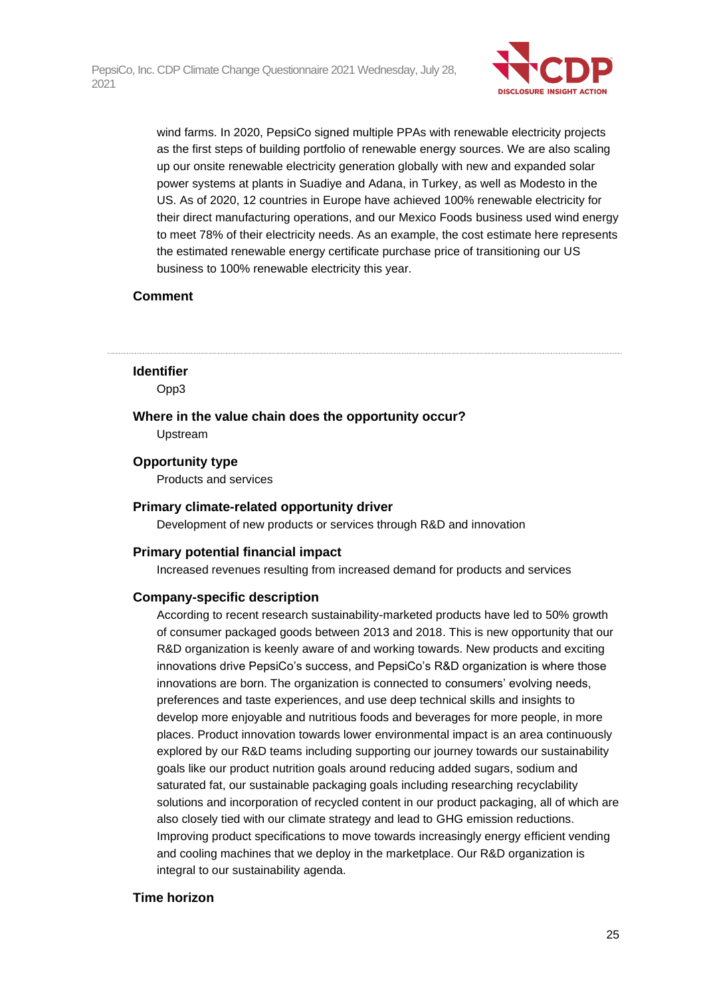

wind farms. In 2020, PepsiCo signed multiple PPAs with renewable electricity projects as the first steps of building portfolio of renewable energy sources. We are also scaling up our onsite renewable electricity generation globally with new and expanded solar power systems at plants in Suadiye and Adana, in Turkey, as well as Modesto in the US. As of 2020, 12 countries in Europe have achieved 100% renewable electricity for their direct manufacturing operations, and our Mexico Foods business used wind energy to meet 78% of their electricity needs. As an example, the cost estimate here represents the estimated renewable energy certificate purchase price of transitioning our US business to 100% renewable electricity this year.

#### **Comment**

#### **Identifier**

Opp3

#### **Where in the value chain does the opportunity occur?**

Upstream

#### **Opportunity type**

Products and services

#### **Primary climate-related opportunity driver**

Development of new products or services through R&D and innovation

#### **Primary potential financial impact**

Increased revenues resulting from increased demand for products and services

#### **Company-specific description**

According to recent research sustainability-marketed products have led to 50% growth of consumer packaged goods between 2013 and 2018. This is new opportunity that our R&D organization is keenly aware of and working towards. New products and exciting innovations drive PepsiCo's success, and PepsiCo's R&D organization is where those innovations are born. The organization is connected to consumers' evolving needs, preferences and taste experiences, and use deep technical skills and insights to develop more enjoyable and nutritious foods and beverages for more people, in more places. Product innovation towards lower environmental impact is an area continuously explored by our R&D teams including supporting our journey towards our sustainability goals like our product nutrition goals around reducing added sugars, sodium and saturated fat, our sustainable packaging goals including researching recyclability solutions and incorporation of recycled content in our product packaging, all of which are also closely tied with our climate strategy and lead to GHG emission reductions. Improving product specifications to move towards increasingly energy efficient vending and cooling machines that we deploy in the marketplace. Our R&D organization is integral to our sustainability agenda.

#### **Time horizon**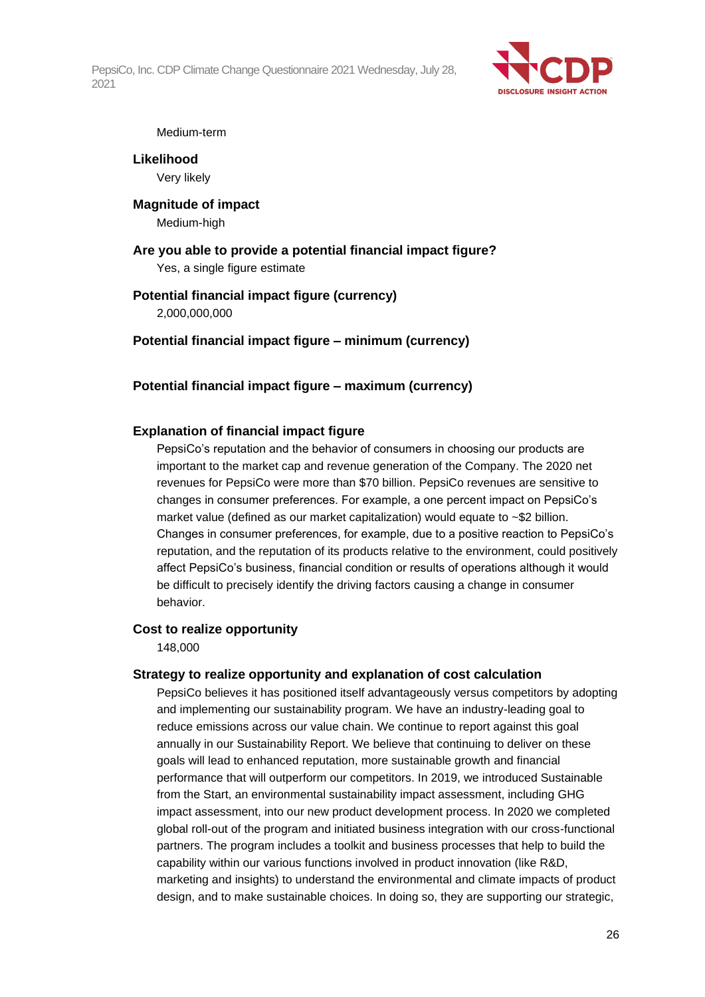

#### Medium-term

#### **Likelihood** Very likely

#### **Magnitude of impact** Medium-high

**Are you able to provide a potential financial impact figure?** Yes, a single figure estimate

#### **Potential financial impact figure (currency)** 2,000,000,000

#### **Potential financial impact figure – minimum (currency)**

#### **Potential financial impact figure – maximum (currency)**

#### **Explanation of financial impact figure**

PepsiCo's reputation and the behavior of consumers in choosing our products are important to the market cap and revenue generation of the Company. The 2020 net revenues for PepsiCo were more than \$70 billion. PepsiCo revenues are sensitive to changes in consumer preferences. For example, a one percent impact on PepsiCo's market value (defined as our market capitalization) would equate to ~\$2 billion. Changes in consumer preferences, for example, due to a positive reaction to PepsiCo's reputation, and the reputation of its products relative to the environment, could positively affect PepsiCo's business, financial condition or results of operations although it would be difficult to precisely identify the driving factors causing a change in consumer behavior.

#### **Cost to realize opportunity**

148,000

#### **Strategy to realize opportunity and explanation of cost calculation**

PepsiCo believes it has positioned itself advantageously versus competitors by adopting and implementing our sustainability program. We have an industry-leading goal to reduce emissions across our value chain. We continue to report against this goal annually in our Sustainability Report. We believe that continuing to deliver on these goals will lead to enhanced reputation, more sustainable growth and financial performance that will outperform our competitors. In 2019, we introduced Sustainable from the Start, an environmental sustainability impact assessment, including GHG impact assessment, into our new product development process. In 2020 we completed global roll-out of the program and initiated business integration with our cross-functional partners. The program includes a toolkit and business processes that help to build the capability within our various functions involved in product innovation (like R&D, marketing and insights) to understand the environmental and climate impacts of product design, and to make sustainable choices. In doing so, they are supporting our strategic,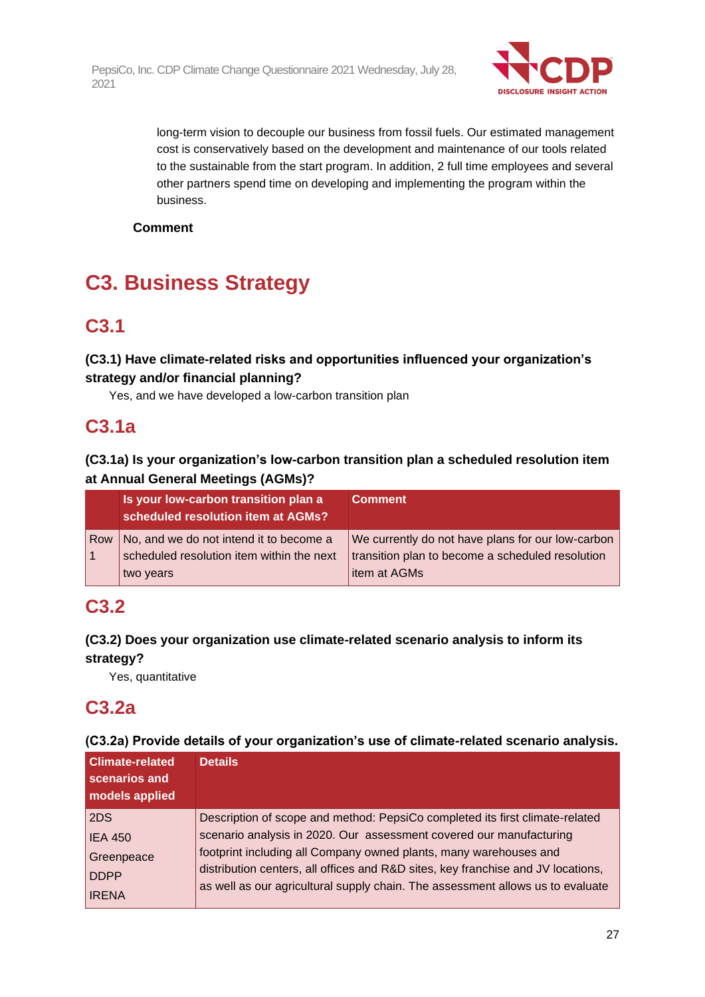

long-term vision to decouple our business from fossil fuels. Our estimated management cost is conservatively based on the development and maintenance of our tools related to the sustainable from the start program. In addition, 2 full time employees and several other partners spend time on developing and implementing the program within the business.

#### **Comment**

## **C3. Business Strategy**

### **C3.1**

#### **(C3.1) Have climate-related risks and opportunities influenced your organization's strategy and/or financial planning?**

Yes, and we have developed a low-carbon transition plan

### **C3.1a**

#### **(C3.1a) Is your organization's low-carbon transition plan a scheduled resolution item at Annual General Meetings (AGMs)?**

| Is your low-carbon transition plan a<br>scheduled resolution item at AGMs? | <b>Comment</b>                                    |
|----------------------------------------------------------------------------|---------------------------------------------------|
| Row   No, and we do not intend it to become a                              | We currently do not have plans for our low-carbon |
| scheduled resolution item within the next                                  | transition plan to become a scheduled resolution  |
| two years                                                                  | litem at AGMs                                     |

### **C3.2**

### **(C3.2) Does your organization use climate-related scenario analysis to inform its strategy?**

Yes, quantitative

### **C3.2a**

#### **(C3.2a) Provide details of your organization's use of climate-related scenario analysis.**

| <b>Climate-related</b><br>scenarios and<br>models applied | <b>Details</b>                                                                   |
|-----------------------------------------------------------|----------------------------------------------------------------------------------|
| 2DS                                                       | Description of scope and method: PepsiCo completed its first climate-related     |
| <b>IEA 450</b>                                            | scenario analysis in 2020. Our assessment covered our manufacturing              |
| Greenpeace                                                | footprint including all Company owned plants, many warehouses and                |
| <b>DDPP</b>                                               | distribution centers, all offices and R&D sites, key franchise and JV locations, |
| <b>IRENA</b>                                              | as well as our agricultural supply chain. The assessment allows us to evaluate   |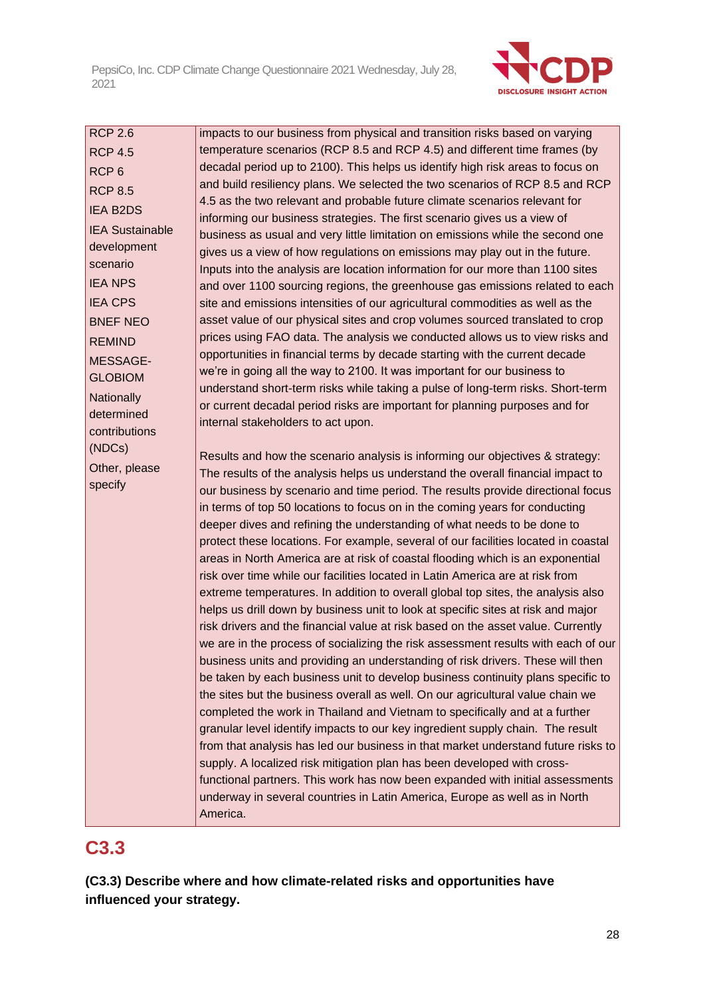

RCP 2.6 RCP 4.5 RCP 6 RCP 8.5 IEA B2DS IEA Sustainable development scenario IEA NPS IEA CPS BNEF NEO REMIND MESSAGE-GLOBIOM **Nationally** determined contributions (NDCs) Other, please specify

impacts to our business from physical and transition risks based on varying temperature scenarios (RCP 8.5 and RCP 4.5) and different time frames (by decadal period up to 2100). This helps us identify high risk areas to focus on and build resiliency plans. We selected the two scenarios of RCP 8.5 and RCP 4.5 as the two relevant and probable future climate scenarios relevant for informing our business strategies. The first scenario gives us a view of business as usual and very little limitation on emissions while the second one gives us a view of how regulations on emissions may play out in the future. Inputs into the analysis are location information for our more than 1100 sites and over 1100 sourcing regions, the greenhouse gas emissions related to each site and emissions intensities of our agricultural commodities as well as the asset value of our physical sites and crop volumes sourced translated to crop prices using FAO data. The analysis we conducted allows us to view risks and opportunities in financial terms by decade starting with the current decade we're in going all the way to 2100. It was important for our business to understand short-term risks while taking a pulse of long-term risks. Short-term or current decadal period risks are important for planning purposes and for internal stakeholders to act upon.

Results and how the scenario analysis is informing our objectives & strategy: The results of the analysis helps us understand the overall financial impact to our business by scenario and time period. The results provide directional focus in terms of top 50 locations to focus on in the coming years for conducting deeper dives and refining the understanding of what needs to be done to protect these locations. For example, several of our facilities located in coastal areas in North America are at risk of coastal flooding which is an exponential risk over time while our facilities located in Latin America are at risk from extreme temperatures. In addition to overall global top sites, the analysis also helps us drill down by business unit to look at specific sites at risk and major risk drivers and the financial value at risk based on the asset value. Currently we are in the process of socializing the risk assessment results with each of our business units and providing an understanding of risk drivers. These will then be taken by each business unit to develop business continuity plans specific to the sites but the business overall as well. On our agricultural value chain we completed the work in Thailand and Vietnam to specifically and at a further granular level identify impacts to our key ingredient supply chain. The result from that analysis has led our business in that market understand future risks to supply. A localized risk mitigation plan has been developed with crossfunctional partners. This work has now been expanded with initial assessments underway in several countries in Latin America, Europe as well as in North America.

### **C3.3**

**(C3.3) Describe where and how climate-related risks and opportunities have influenced your strategy.**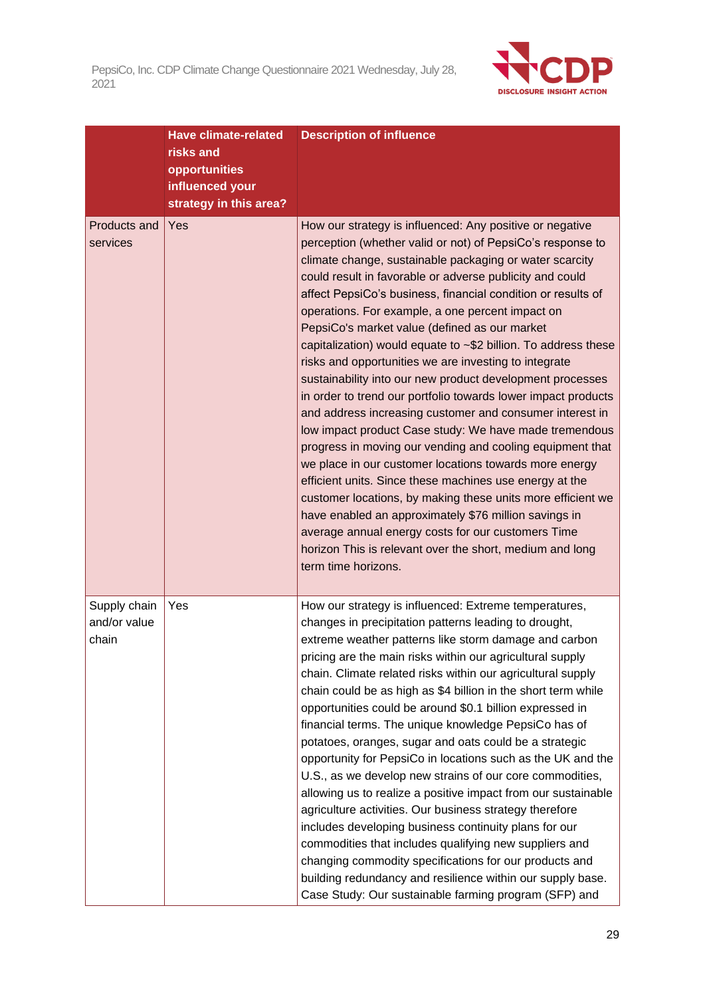

|                                       | <b>Have climate-related</b><br>risks and<br>opportunities<br>influenced your<br>strategy in this area? | <b>Description of influence</b>                                                                                                                                                                                                                                                                                                                                                                                                                                                                                                                                                                                                                                                                                                                                                                                                                                                                                                                                                                                                                                                                                                                                                                                                                      |
|---------------------------------------|--------------------------------------------------------------------------------------------------------|------------------------------------------------------------------------------------------------------------------------------------------------------------------------------------------------------------------------------------------------------------------------------------------------------------------------------------------------------------------------------------------------------------------------------------------------------------------------------------------------------------------------------------------------------------------------------------------------------------------------------------------------------------------------------------------------------------------------------------------------------------------------------------------------------------------------------------------------------------------------------------------------------------------------------------------------------------------------------------------------------------------------------------------------------------------------------------------------------------------------------------------------------------------------------------------------------------------------------------------------------|
| Products and<br>services              | Yes                                                                                                    | How our strategy is influenced: Any positive or negative<br>perception (whether valid or not) of PepsiCo's response to<br>climate change, sustainable packaging or water scarcity<br>could result in favorable or adverse publicity and could<br>affect PepsiCo's business, financial condition or results of<br>operations. For example, a one percent impact on<br>PepsiCo's market value (defined as our market<br>capitalization) would equate to ~\$2 billion. To address these<br>risks and opportunities we are investing to integrate<br>sustainability into our new product development processes<br>in order to trend our portfolio towards lower impact products<br>and address increasing customer and consumer interest in<br>low impact product Case study: We have made tremendous<br>progress in moving our vending and cooling equipment that<br>we place in our customer locations towards more energy<br>efficient units. Since these machines use energy at the<br>customer locations, by making these units more efficient we<br>have enabled an approximately \$76 million savings in<br>average annual energy costs for our customers Time<br>horizon This is relevant over the short, medium and long<br>term time horizons. |
| Supply chain<br>and/or value<br>chain | Yes                                                                                                    | How our strategy is influenced: Extreme temperatures,<br>changes in precipitation patterns leading to drought,<br>extreme weather patterns like storm damage and carbon<br>pricing are the main risks within our agricultural supply<br>chain. Climate related risks within our agricultural supply<br>chain could be as high as \$4 billion in the short term while<br>opportunities could be around \$0.1 billion expressed in<br>financial terms. The unique knowledge PepsiCo has of<br>potatoes, oranges, sugar and oats could be a strategic<br>opportunity for PepsiCo in locations such as the UK and the<br>U.S., as we develop new strains of our core commodities,<br>allowing us to realize a positive impact from our sustainable<br>agriculture activities. Our business strategy therefore<br>includes developing business continuity plans for our<br>commodities that includes qualifying new suppliers and<br>changing commodity specifications for our products and<br>building redundancy and resilience within our supply base.<br>Case Study: Our sustainable farming program (SFP) and                                                                                                                                        |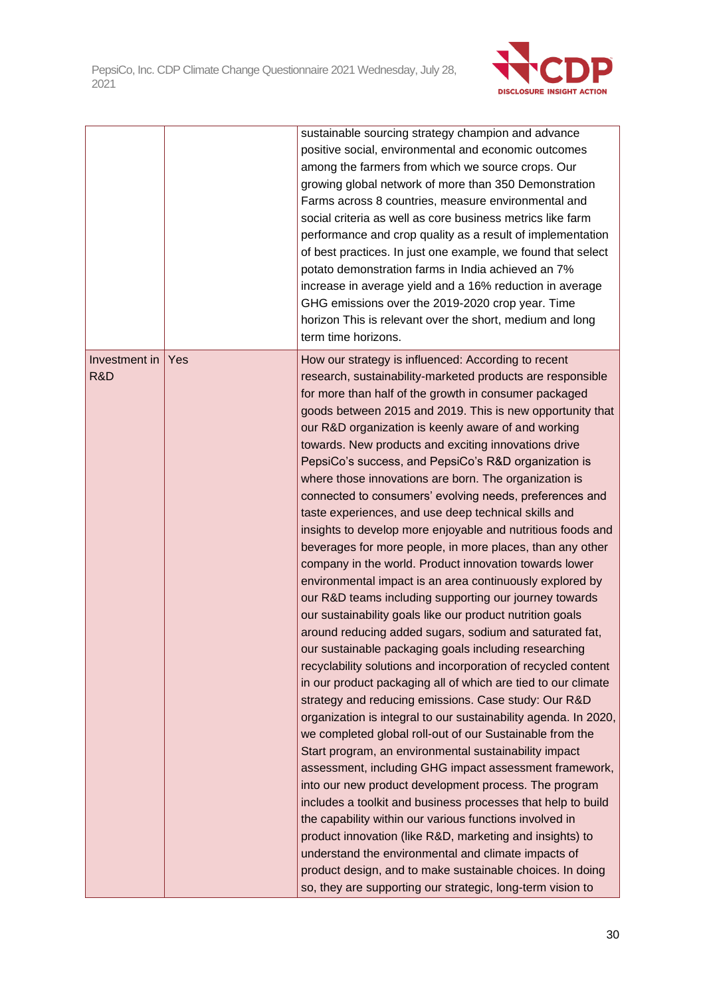

|                      |     | sustainable sourcing strategy champion and advance<br>positive social, environmental and economic outcomes<br>among the farmers from which we source crops. Our<br>growing global network of more than 350 Demonstration<br>Farms across 8 countries, measure environmental and<br>social criteria as well as core business metrics like farm<br>performance and crop quality as a result of implementation<br>of best practices. In just one example, we found that select<br>potato demonstration farms in India achieved an 7%<br>increase in average yield and a 16% reduction in average<br>GHG emissions over the 2019-2020 crop year. Time<br>horizon This is relevant over the short, medium and long<br>term time horizons.                                                                                                                                                                                                                                                                                                                                                                                                                                                                                                                                                                                                                                                                                                                                                                                                                                                                                                                                                                                                                                                                                                                                                                                                                                  |
|----------------------|-----|-----------------------------------------------------------------------------------------------------------------------------------------------------------------------------------------------------------------------------------------------------------------------------------------------------------------------------------------------------------------------------------------------------------------------------------------------------------------------------------------------------------------------------------------------------------------------------------------------------------------------------------------------------------------------------------------------------------------------------------------------------------------------------------------------------------------------------------------------------------------------------------------------------------------------------------------------------------------------------------------------------------------------------------------------------------------------------------------------------------------------------------------------------------------------------------------------------------------------------------------------------------------------------------------------------------------------------------------------------------------------------------------------------------------------------------------------------------------------------------------------------------------------------------------------------------------------------------------------------------------------------------------------------------------------------------------------------------------------------------------------------------------------------------------------------------------------------------------------------------------------------------------------------------------------------------------------------------------------|
| Investment in<br>R&D | Yes | How our strategy is influenced: According to recent<br>research, sustainability-marketed products are responsible<br>for more than half of the growth in consumer packaged<br>goods between 2015 and 2019. This is new opportunity that<br>our R&D organization is keenly aware of and working<br>towards. New products and exciting innovations drive<br>PepsiCo's success, and PepsiCo's R&D organization is<br>where those innovations are born. The organization is<br>connected to consumers' evolving needs, preferences and<br>taste experiences, and use deep technical skills and<br>insights to develop more enjoyable and nutritious foods and<br>beverages for more people, in more places, than any other<br>company in the world. Product innovation towards lower<br>environmental impact is an area continuously explored by<br>our R&D teams including supporting our journey towards<br>our sustainability goals like our product nutrition goals<br>around reducing added sugars, sodium and saturated fat,<br>our sustainable packaging goals including researching<br>recyclability solutions and incorporation of recycled content<br>in our product packaging all of which are tied to our climate<br>strategy and reducing emissions. Case study: Our R&D<br>organization is integral to our sustainability agenda. In 2020,<br>we completed global roll-out of our Sustainable from the<br>Start program, an environmental sustainability impact<br>assessment, including GHG impact assessment framework,<br>into our new product development process. The program<br>includes a toolkit and business processes that help to build<br>the capability within our various functions involved in<br>product innovation (like R&D, marketing and insights) to<br>understand the environmental and climate impacts of<br>product design, and to make sustainable choices. In doing<br>so, they are supporting our strategic, long-term vision to |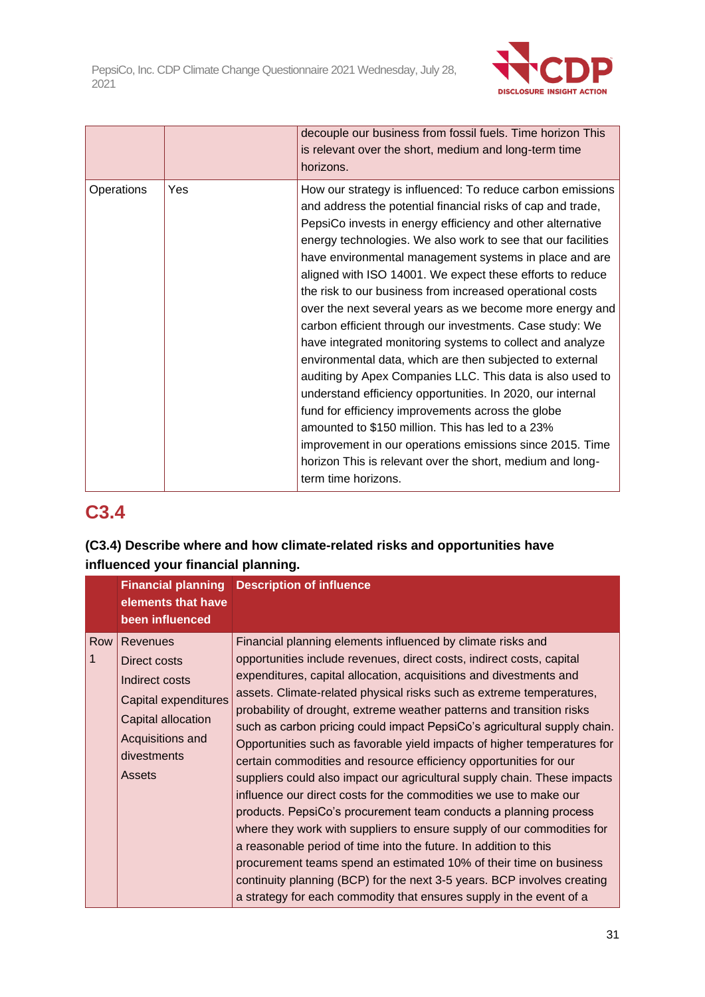

|            |     | decouple our business from fossil fuels. Time horizon This<br>is relevant over the short, medium and long-term time<br>horizons.                                                                                                                                                                                                                                                                                                                                                                                                                                                                                                                                                                                                                                                                                                                                                                                                                                                                                                                                                 |
|------------|-----|----------------------------------------------------------------------------------------------------------------------------------------------------------------------------------------------------------------------------------------------------------------------------------------------------------------------------------------------------------------------------------------------------------------------------------------------------------------------------------------------------------------------------------------------------------------------------------------------------------------------------------------------------------------------------------------------------------------------------------------------------------------------------------------------------------------------------------------------------------------------------------------------------------------------------------------------------------------------------------------------------------------------------------------------------------------------------------|
| Operations | Yes | How our strategy is influenced: To reduce carbon emissions<br>and address the potential financial risks of cap and trade,<br>PepsiCo invests in energy efficiency and other alternative<br>energy technologies. We also work to see that our facilities<br>have environmental management systems in place and are<br>aligned with ISO 14001. We expect these efforts to reduce<br>the risk to our business from increased operational costs<br>over the next several years as we become more energy and<br>carbon efficient through our investments. Case study: We<br>have integrated monitoring systems to collect and analyze<br>environmental data, which are then subjected to external<br>auditing by Apex Companies LLC. This data is also used to<br>understand efficiency opportunities. In 2020, our internal<br>fund for efficiency improvements across the globe<br>amounted to \$150 million. This has led to a 23%<br>improvement in our operations emissions since 2015. Time<br>horizon This is relevant over the short, medium and long-<br>term time horizons. |

### **C3.4**

### **(C3.4) Describe where and how climate-related risks and opportunities have influenced your financial planning.**

|       | elements that have<br>been influenced                                                                                                        | <b>Financial planning Description of influence</b>                                                                                                                                                                                                                                                                                                                                                                                                                                                                                                                                                                                                                                                                                                                                                                                                                                                                                                                                                                                                                                                                                                                                  |
|-------|----------------------------------------------------------------------------------------------------------------------------------------------|-------------------------------------------------------------------------------------------------------------------------------------------------------------------------------------------------------------------------------------------------------------------------------------------------------------------------------------------------------------------------------------------------------------------------------------------------------------------------------------------------------------------------------------------------------------------------------------------------------------------------------------------------------------------------------------------------------------------------------------------------------------------------------------------------------------------------------------------------------------------------------------------------------------------------------------------------------------------------------------------------------------------------------------------------------------------------------------------------------------------------------------------------------------------------------------|
| Row I | Revenues<br>Direct costs<br>Indirect costs<br>Capital expenditures<br>Capital allocation<br>Acquisitions and<br>divestments<br><b>Assets</b> | Financial planning elements influenced by climate risks and<br>opportunities include revenues, direct costs, indirect costs, capital<br>expenditures, capital allocation, acquisitions and divestments and<br>assets. Climate-related physical risks such as extreme temperatures,<br>probability of drought, extreme weather patterns and transition risks<br>such as carbon pricing could impact PepsiCo's agricultural supply chain.<br>Opportunities such as favorable yield impacts of higher temperatures for<br>certain commodities and resource efficiency opportunities for our<br>suppliers could also impact our agricultural supply chain. These impacts<br>influence our direct costs for the commodities we use to make our<br>products. PepsiCo's procurement team conducts a planning process<br>where they work with suppliers to ensure supply of our commodities for<br>a reasonable period of time into the future. In addition to this<br>procurement teams spend an estimated 10% of their time on business<br>continuity planning (BCP) for the next 3-5 years. BCP involves creating<br>a strategy for each commodity that ensures supply in the event of a |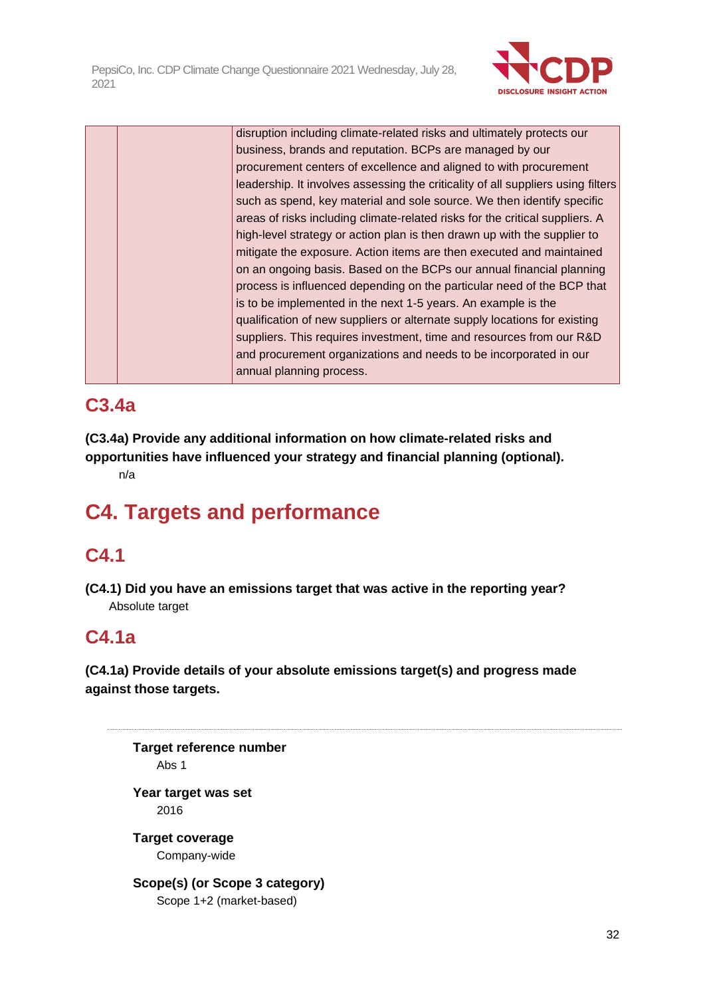

disruption including climate-related risks and ultimately protects our business, brands and reputation. BCPs are managed by our procurement centers of excellence and aligned to with procurement leadership. It involves assessing the criticality of all suppliers using filters such as spend, key material and sole source. We then identify specific areas of risks including climate-related risks for the critical suppliers. A high-level strategy or action plan is then drawn up with the supplier to mitigate the exposure. Action items are then executed and maintained on an ongoing basis. Based on the BCPs our annual financial planning process is influenced depending on the particular need of the BCP that is to be implemented in the next 1-5 years. An example is the qualification of new suppliers or alternate supply locations for existing suppliers. This requires investment, time and resources from our R&D and procurement organizations and needs to be incorporated in our annual planning process.

## **C3.4a**

**(C3.4a) Provide any additional information on how climate-related risks and opportunities have influenced your strategy and financial planning (optional).** n/a

## **C4. Targets and performance**

### **C4.1**

**(C4.1) Did you have an emissions target that was active in the reporting year?** Absolute target

### **C4.1a**

**(C4.1a) Provide details of your absolute emissions target(s) and progress made against those targets.**

**Target reference number** Abs 1 **Year target was set** 2016 **Target coverage** Company-wide **Scope(s) (or Scope 3 category)** Scope 1+2 (market-based)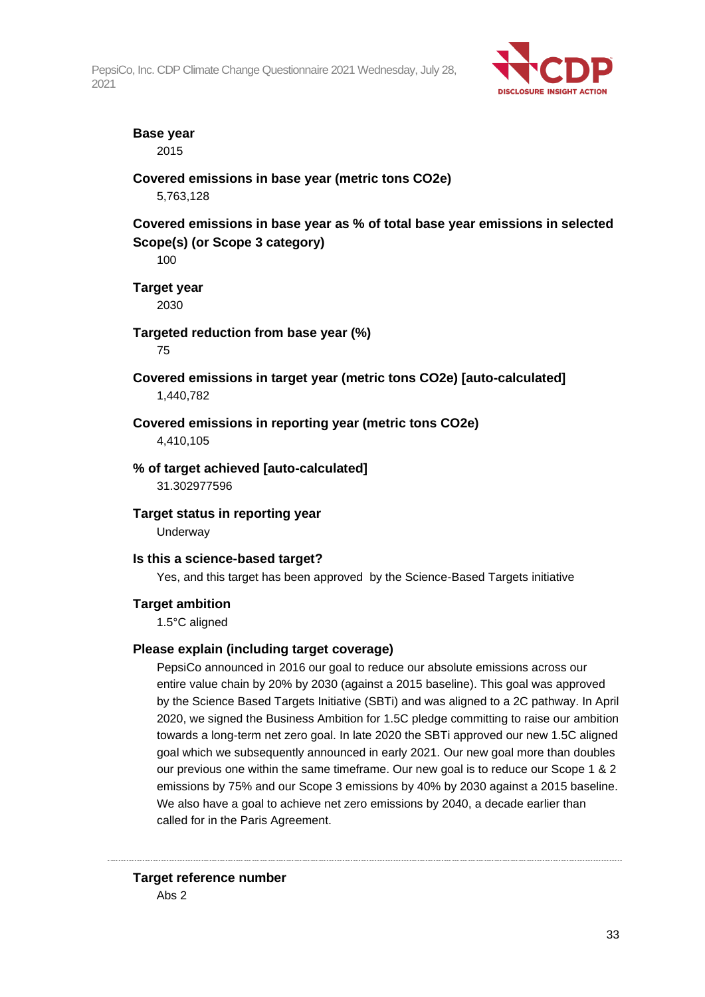

#### **Base year**

2015

#### **Covered emissions in base year (metric tons CO2e)**

5,763,128

**Covered emissions in base year as % of total base year emissions in selected Scope(s) (or Scope 3 category)**

100

**Target year**

2030

**Targeted reduction from base year (%)**

75

- **Covered emissions in target year (metric tons CO2e) [auto-calculated]** 1,440,782
- **Covered emissions in reporting year (metric tons CO2e)**

4,410,105

#### **% of target achieved [auto-calculated]**

31.302977596

**Target status in reporting year** Underway

#### **Is this a science-based target?**

Yes, and this target has been approved by the Science-Based Targets initiative

#### **Target ambition**

1.5°C aligned

#### **Please explain (including target coverage)**

PepsiCo announced in 2016 our goal to reduce our absolute emissions across our entire value chain by 20% by 2030 (against a 2015 baseline). This goal was approved by the Science Based Targets Initiative (SBTi) and was aligned to a 2C pathway. In April 2020, we signed the Business Ambition for 1.5C pledge committing to raise our ambition towards a long-term net zero goal. In late 2020 the SBTi approved our new 1.5C aligned goal which we subsequently announced in early 2021. Our new goal more than doubles our previous one within the same timeframe. Our new goal is to reduce our Scope 1 & 2 emissions by 75% and our Scope 3 emissions by 40% by 2030 against a 2015 baseline. We also have a goal to achieve net zero emissions by 2040, a decade earlier than called for in the Paris Agreement.

#### **Target reference number** Abs 2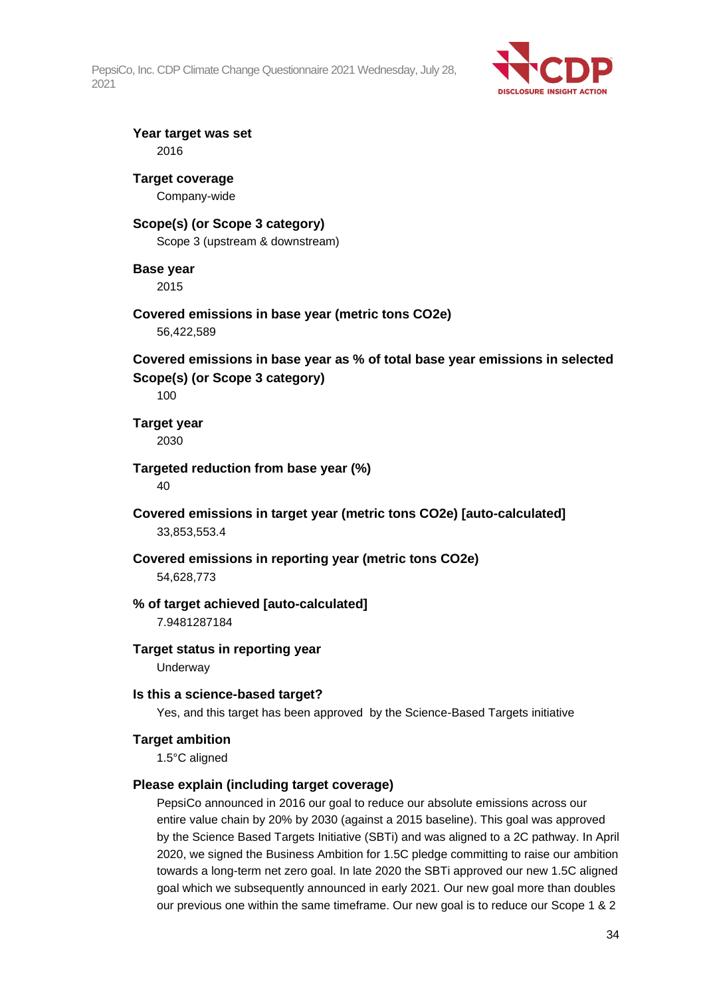

**Year target was set** 2016

### **Target coverage**

Company-wide

#### **Scope(s) (or Scope 3 category)**

Scope 3 (upstream & downstream)

#### **Base year**

2015

#### **Covered emissions in base year (metric tons CO2e)**

56,422,589

#### **Covered emissions in base year as % of total base year emissions in selected Scope(s) (or Scope 3 category)**

100

#### **Target year** 2030

**Targeted reduction from base year (%)** 40

**Covered emissions in target year (metric tons CO2e) [auto-calculated]** 33,853,553.4

#### **Covered emissions in reporting year (metric tons CO2e)** 54,628,773

#### **% of target achieved [auto-calculated]**

7.9481287184

### **Target status in reporting year**

Underway

#### **Is this a science-based target?**

Yes, and this target has been approved by the Science-Based Targets initiative

#### **Target ambition**

1.5°C aligned

#### **Please explain (including target coverage)**

PepsiCo announced in 2016 our goal to reduce our absolute emissions across our entire value chain by 20% by 2030 (against a 2015 baseline). This goal was approved by the Science Based Targets Initiative (SBTi) and was aligned to a 2C pathway. In April 2020, we signed the Business Ambition for 1.5C pledge committing to raise our ambition towards a long-term net zero goal. In late 2020 the SBTi approved our new 1.5C aligned goal which we subsequently announced in early 2021. Our new goal more than doubles our previous one within the same timeframe. Our new goal is to reduce our Scope 1 & 2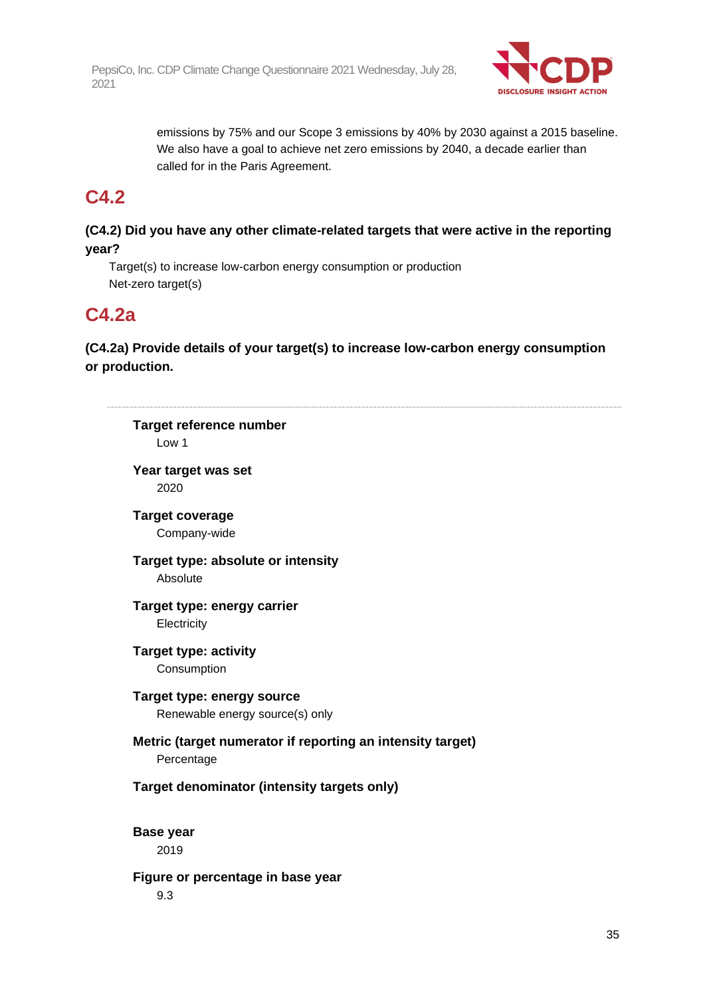

emissions by 75% and our Scope 3 emissions by 40% by 2030 against a 2015 baseline. We also have a goal to achieve net zero emissions by 2040, a decade earlier than called for in the Paris Agreement.

### **C4.2**

#### **(C4.2) Did you have any other climate-related targets that were active in the reporting year?**

Target(s) to increase low-carbon energy consumption or production Net-zero target(s)

### **C4.2a**

**(C4.2a) Provide details of your target(s) to increase low-carbon energy consumption or production.**

|                  | Target reference number<br>Low 1                           |
|------------------|------------------------------------------------------------|
|                  | Year target was set                                        |
|                  | 2020                                                       |
|                  | <b>Target coverage</b>                                     |
|                  | Company-wide                                               |
|                  | Target type: absolute or intensity                         |
|                  | Absolute                                                   |
|                  | Target type: energy carrier                                |
|                  | Electricity                                                |
|                  | <b>Target type: activity</b>                               |
|                  | Consumption                                                |
|                  | Target type: energy source                                 |
|                  | Renewable energy source(s) only                            |
|                  | Metric (target numerator if reporting an intensity target) |
|                  | Percentage                                                 |
|                  | Target denominator (intensity targets only)                |
| <b>Base year</b> |                                                            |
|                  | 2019                                                       |
|                  | Figure or percentage in base year                          |
|                  | 9.3                                                        |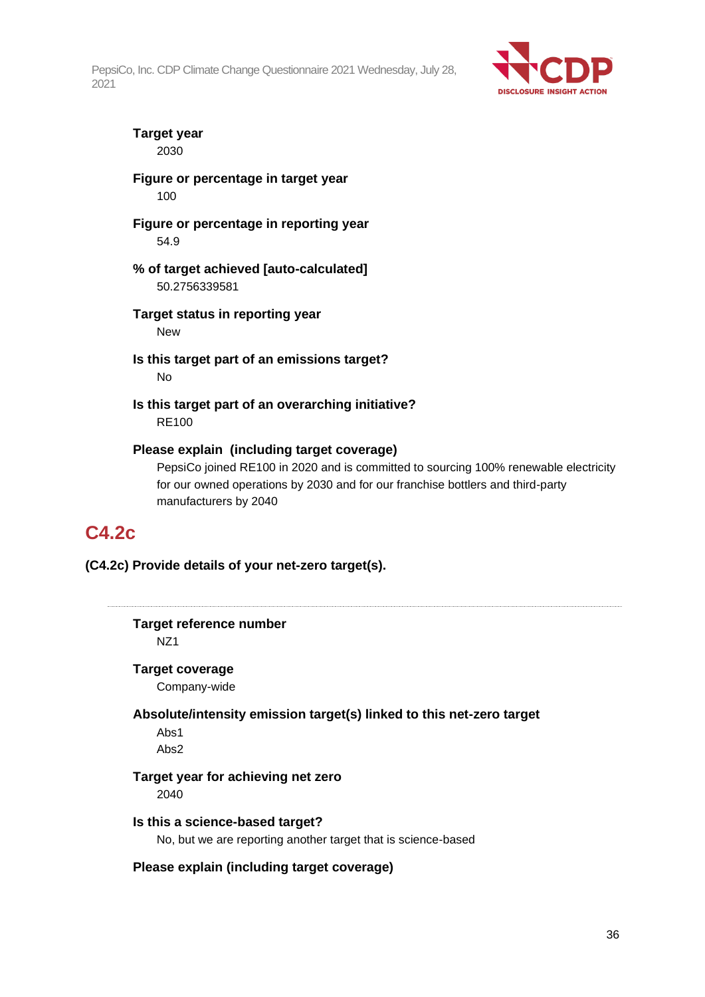

#### **Target year** 2030

#### **Figure or percentage in target year** 100

**Figure or percentage in reporting year** 54.9

**% of target achieved [auto-calculated]** 50.2756339581

- **Target status in reporting year** New
- **Is this target part of an emissions target?** No
- **Is this target part of an overarching initiative?** RE100

#### **Please explain (including target coverage)**

PepsiCo joined RE100 in 2020 and is committed to sourcing 100% renewable electricity for our owned operations by 2030 and for our franchise bottlers and third-party manufacturers by 2040

### **C4.2c**

**(C4.2c) Provide details of your net-zero target(s).**

**Target reference number** NZ1 **Target coverage** Company-wide **Absolute/intensity emission target(s) linked to this net-zero target** Abs1 Abs2 **Target year for achieving net zero** 2040 **Is this a science-based target?** No, but we are reporting another target that is science-based **Please explain (including target coverage)**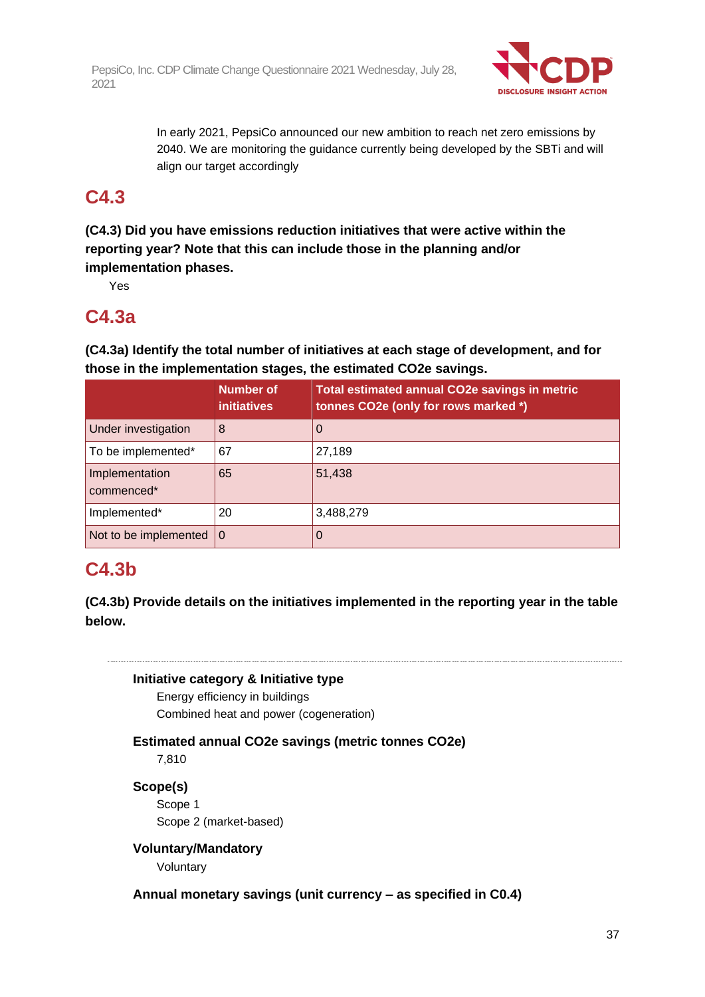

In early 2021, PepsiCo announced our new ambition to reach net zero emissions by 2040. We are monitoring the guidance currently being developed by the SBTi and will align our target accordingly

## **C4.3**

**(C4.3) Did you have emissions reduction initiatives that were active within the reporting year? Note that this can include those in the planning and/or implementation phases.**

Yes

## **C4.3a**

**(C4.3a) Identify the total number of initiatives at each stage of development, and for those in the implementation stages, the estimated CO2e savings.**

|                              | <b>Number of</b><br><b>initiatives</b> | Total estimated annual CO2e savings in metric<br>tonnes CO2e (only for rows marked *) |
|------------------------------|----------------------------------------|---------------------------------------------------------------------------------------|
| Under investigation          | 8                                      | 0                                                                                     |
| To be implemented*           | 67                                     | 27,189                                                                                |
| Implementation<br>commenced* | 65                                     | 51,438                                                                                |
| Implemented*                 | 20                                     | 3,488,279                                                                             |
| Not to be implemented        | $\Omega$                               | 0                                                                                     |

## **C4.3b**

**(C4.3b) Provide details on the initiatives implemented in the reporting year in the table below.**



Energy efficiency in buildings Combined heat and power (cogeneration)

**Estimated annual CO2e savings (metric tonnes CO2e)**

7,810

**Scope(s)** Scope 1

Scope 2 (market-based)

**Voluntary/Mandatory**

Voluntary

**Annual monetary savings (unit currency – as specified in C0.4)**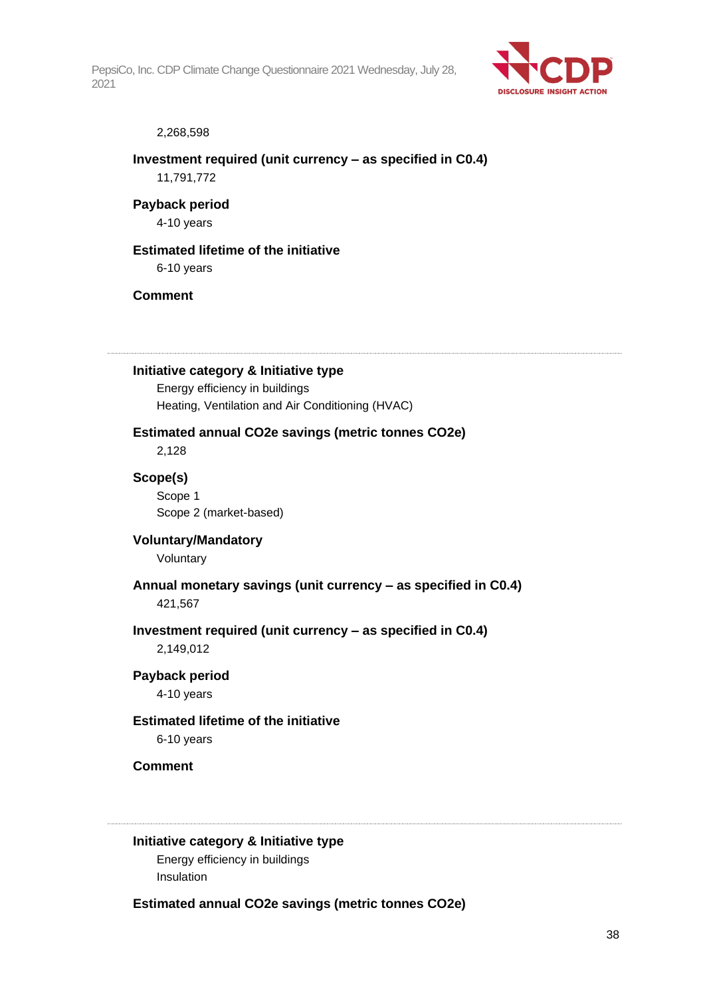

#### 2,268,598

## **Investment required (unit currency – as specified in C0.4)** 11,791,772

**Payback period** 4-10 years

## **Estimated lifetime of the initiative**

6-10 years

## **Comment**

**Initiative category & Initiative type**

Energy efficiency in buildings Heating, Ventilation and Air Conditioning (HVAC)

## **Estimated annual CO2e savings (metric tonnes CO2e)**

2,128

**Scope(s)** Scope 1

Scope 2 (market-based)

## **Voluntary/Mandatory** Voluntary

**Annual monetary savings (unit currency – as specified in C0.4)** 421,567

## **Investment required (unit currency – as specified in C0.4)** 2,149,012

## **Payback period**

4-10 years

## **Estimated lifetime of the initiative**

6-10 years

**Comment**

## **Initiative category & Initiative type**

Energy efficiency in buildings Insulation

**Estimated annual CO2e savings (metric tonnes CO2e)**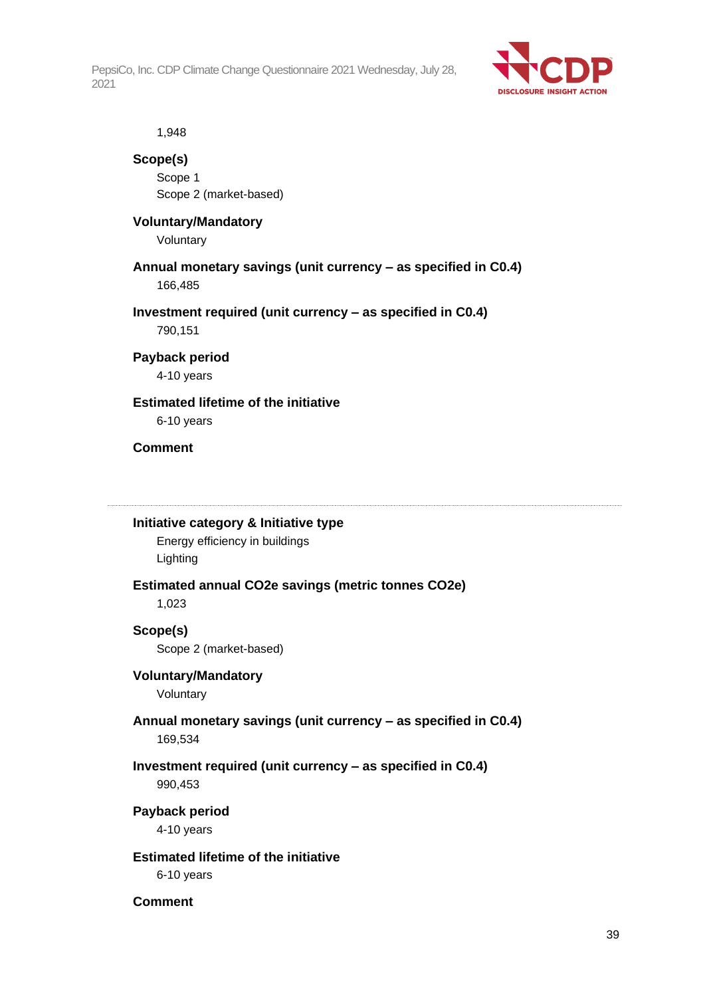

1,948

## **Scope(s)**

Scope 1 Scope 2 (market-based)

## **Voluntary/Mandatory**

Voluntary

## **Annual monetary savings (unit currency – as specified in C0.4)** 166,485

**Investment required (unit currency – as specified in C0.4)**

790,151

## **Payback period**

4-10 years

## **Estimated lifetime of the initiative**

6-10 years

## **Comment**

### **Initiative category & Initiative type**

Energy efficiency in buildings Lighting

## **Estimated annual CO2e savings (metric tonnes CO2e)**

1,023

## **Scope(s)**

Scope 2 (market-based)

## **Voluntary/Mandatory**

Voluntary

## **Annual monetary savings (unit currency – as specified in C0.4)** 169,534

## **Investment required (unit currency – as specified in C0.4)** 990,453

**Payback period**

4-10 years

## **Estimated lifetime of the initiative**

6-10 years

## **Comment**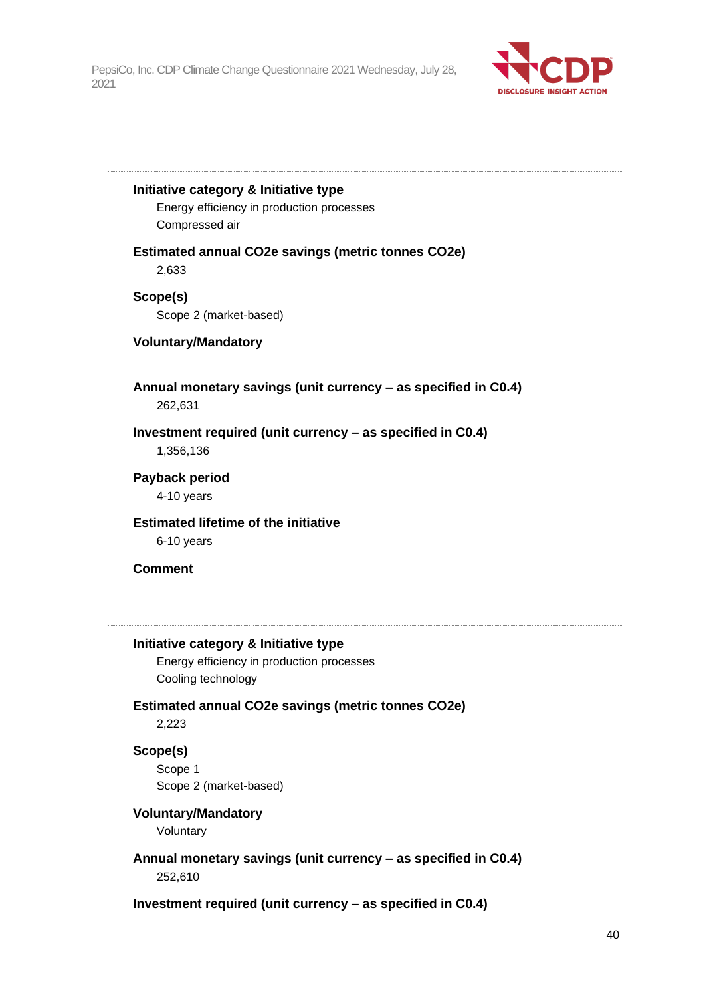

**Initiative category & Initiative type**

Energy efficiency in production processes Compressed air

**Estimated annual CO2e savings (metric tonnes CO2e)** 2,633

**Scope(s)** Scope 2 (market-based)

## **Voluntary/Mandatory**

**Annual monetary savings (unit currency – as specified in C0.4)** 262,631

**Investment required (unit currency – as specified in C0.4)** 1,356,136

**Payback period**

4-10 years

**Estimated lifetime of the initiative**

6-10 years

## **Comment**

## **Initiative category & Initiative type**

Energy efficiency in production processes Cooling technology

## **Estimated annual CO2e savings (metric tonnes CO2e)**

2,223

### **Scope(s)**

Scope 1 Scope 2 (market-based)

## **Voluntary/Mandatory**

Voluntary

**Annual monetary savings (unit currency – as specified in C0.4)** 252,610

**Investment required (unit currency – as specified in C0.4)**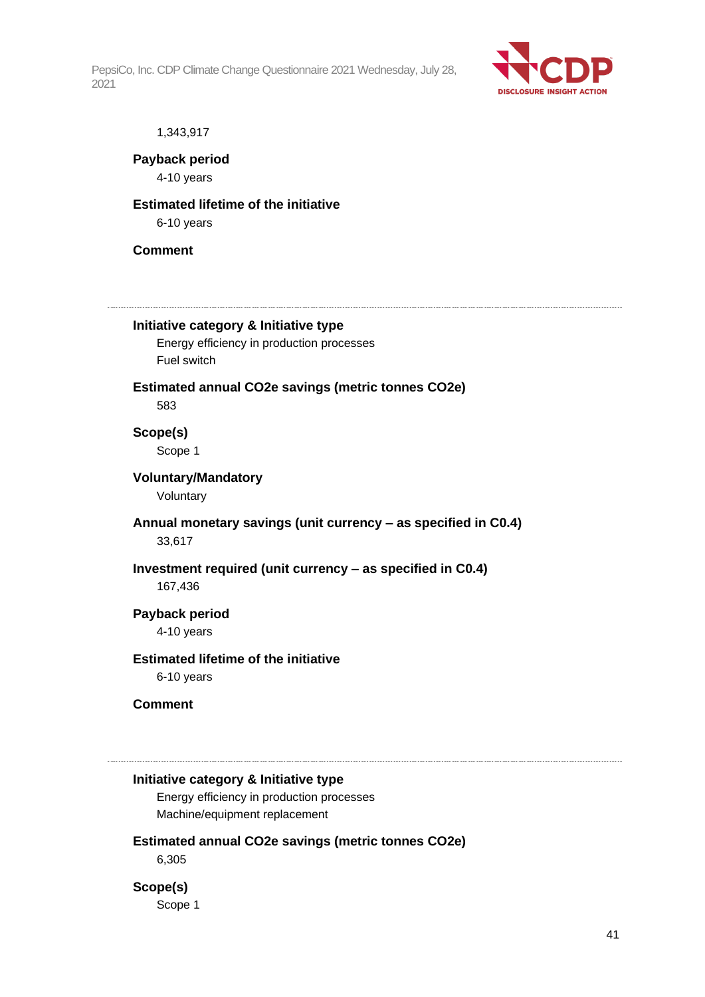

#### 1,343,917

**Payback period** 4-10 years

## **Estimated lifetime of the initiative**

6-10 years

## **Comment**

## **Initiative category & Initiative type**

Energy efficiency in production processes Fuel switch

### **Estimated annual CO2e savings (metric tonnes CO2e)** 583

## **Scope(s)** Scope 1

#### **Voluntary/Mandatory**

Voluntary

## **Annual monetary savings (unit currency – as specified in C0.4)** 33,617

## **Investment required (unit currency – as specified in C0.4)** 167,436

## **Payback period**

4-10 years

## **Estimated lifetime of the initiative**

6-10 years

## **Comment**

## **Initiative category & Initiative type**

Energy efficiency in production processes Machine/equipment replacement

## **Estimated annual CO2e savings (metric tonnes CO2e)**

6,305

## **Scope(s)**

Scope 1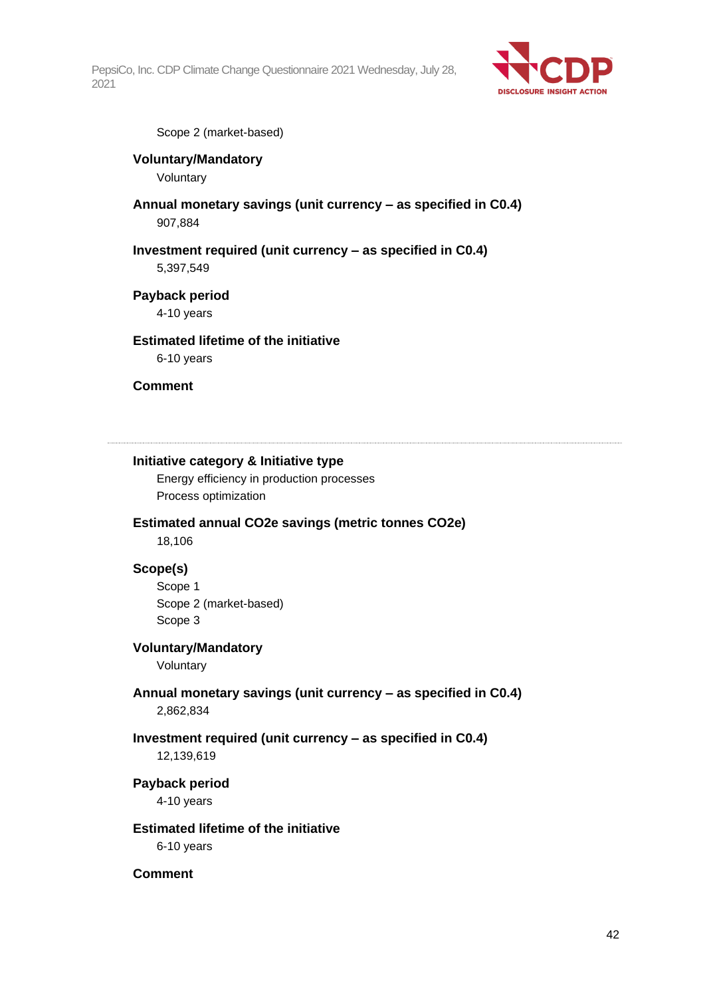

Scope 2 (market-based)

## **Voluntary/Mandatory**

Voluntary

**Annual monetary savings (unit currency – as specified in C0.4)** 907,884

## **Investment required (unit currency – as specified in C0.4)**

5,397,549

## **Payback period**

4-10 years

## **Estimated lifetime of the initiative**

6-10 years

## **Comment**

## **Initiative category & Initiative type**

Energy efficiency in production processes Process optimization

## **Estimated annual CO2e savings (metric tonnes CO2e)**

18,106

## **Scope(s)**

Scope 1 Scope 2 (market-based) Scope 3

### **Voluntary/Mandatory**

Voluntary

## **Annual monetary savings (unit currency – as specified in C0.4)** 2,862,834

## **Investment required (unit currency – as specified in C0.4)**

12,139,619

## **Payback period**

4-10 years

## **Estimated lifetime of the initiative**

6-10 years

### **Comment**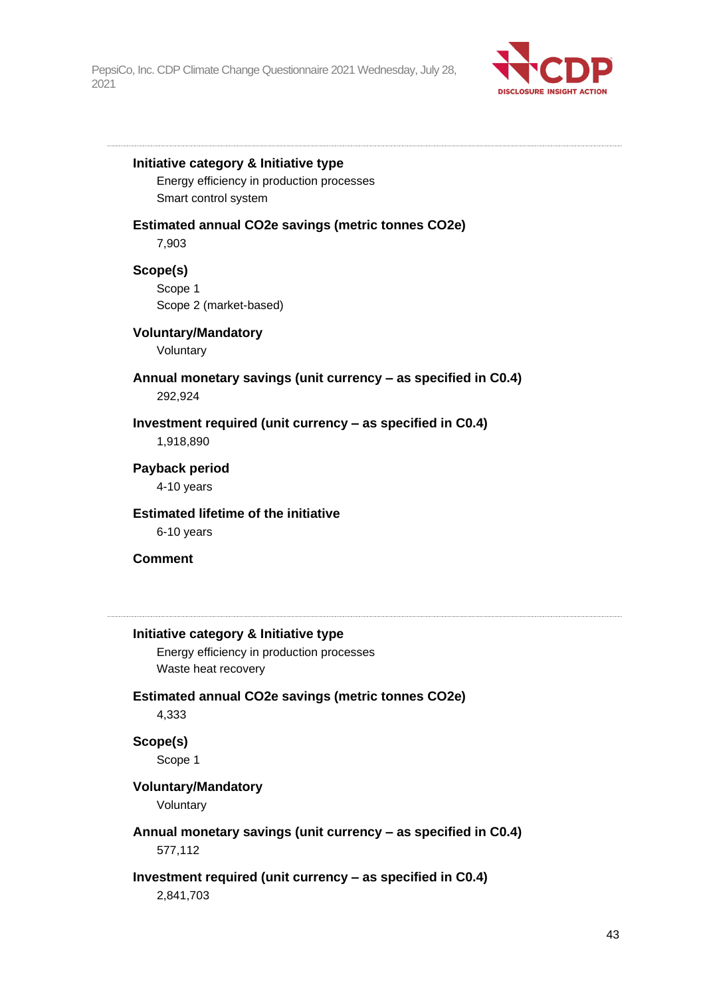

#### **Initiative category & Initiative type**

Energy efficiency in production processes Smart control system

#### **Estimated annual CO2e savings (metric tonnes CO2e)**

7,903

## **Scope(s)**

Scope 1 Scope 2 (market-based)

### **Voluntary/Mandatory**

Voluntary

## **Annual monetary savings (unit currency – as specified in C0.4)** 292,924

## **Investment required (unit currency – as specified in C0.4)** 1,918,890

## **Payback period**

4-10 years

## **Estimated lifetime of the initiative**

6-10 years

### **Comment**

### **Initiative category & Initiative type**

Energy efficiency in production processes Waste heat recovery

## **Estimated annual CO2e savings (metric tonnes CO2e)** 4,333

## **Scope(s)** Scope 1

## **Voluntary/Mandatory**

Voluntary

## **Annual monetary savings (unit currency – as specified in C0.4)**

577,112

### **Investment required (unit currency – as specified in C0.4)**

2,841,703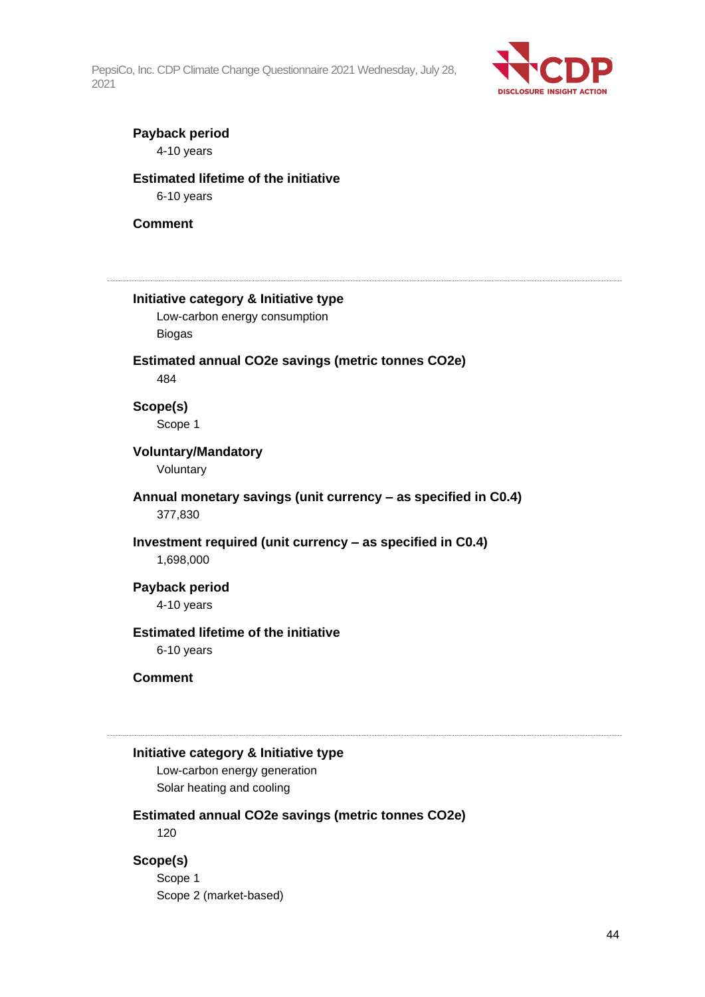

## **Payback period**

4-10 years

## **Estimated lifetime of the initiative**

6-10 years

#### **Comment**

# **Initiative category & Initiative type** Low-carbon energy consumption Biogas **Estimated annual CO2e savings (metric tonnes CO2e)** 484 **Scope(s)** Scope 1 **Voluntary/Mandatory** Voluntary **Annual monetary savings (unit currency – as specified in C0.4)** 377,830 **Investment required (unit currency – as specified in C0.4)** 1,698,000 **Payback period** 4-10 years **Estimated lifetime of the initiative** 6-10 years **Comment**

## **Initiative category & Initiative type**

Low-carbon energy generation Solar heating and cooling

### **Estimated annual CO2e savings (metric tonnes CO2e)**

120

## **Scope(s)**

Scope 1 Scope 2 (market-based)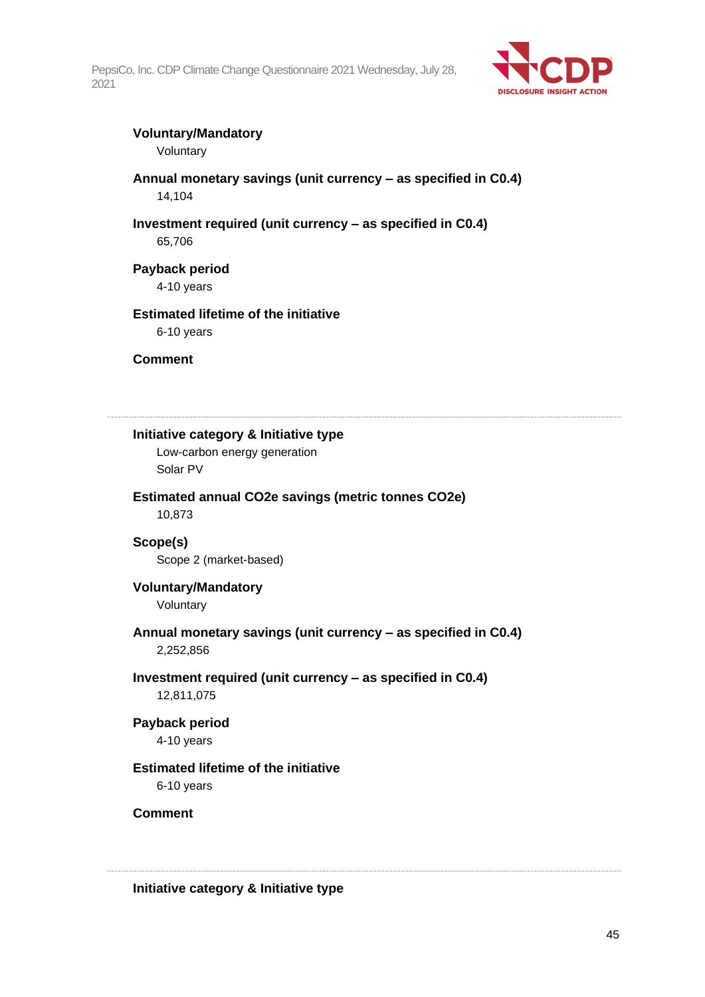

## **Voluntary/Mandatory**

Voluntary

## **Annual monetary savings (unit currency – as specified in C0.4)** 14,104

## **Investment required (unit currency – as specified in C0.4)**

65,706

## **Payback period**

4-10 years

## **Estimated lifetime of the initiative**

6-10 years

## **Comment**

## **Initiative category & Initiative type**

Low-carbon energy generation Solar PV

## **Estimated annual CO2e savings (metric tonnes CO2e)**

10,873

## **Scope(s)** Scope 2 (market-based)

## **Voluntary/Mandatory**

Voluntary

## **Annual monetary savings (unit currency – as specified in C0.4)** 2,252,856

## **Investment required (unit currency – as specified in C0.4)**

12,811,075

## **Payback period**

4-10 years

## **Estimated lifetime of the initiative**

6-10 years

## **Comment**

## **Initiative category & Initiative type**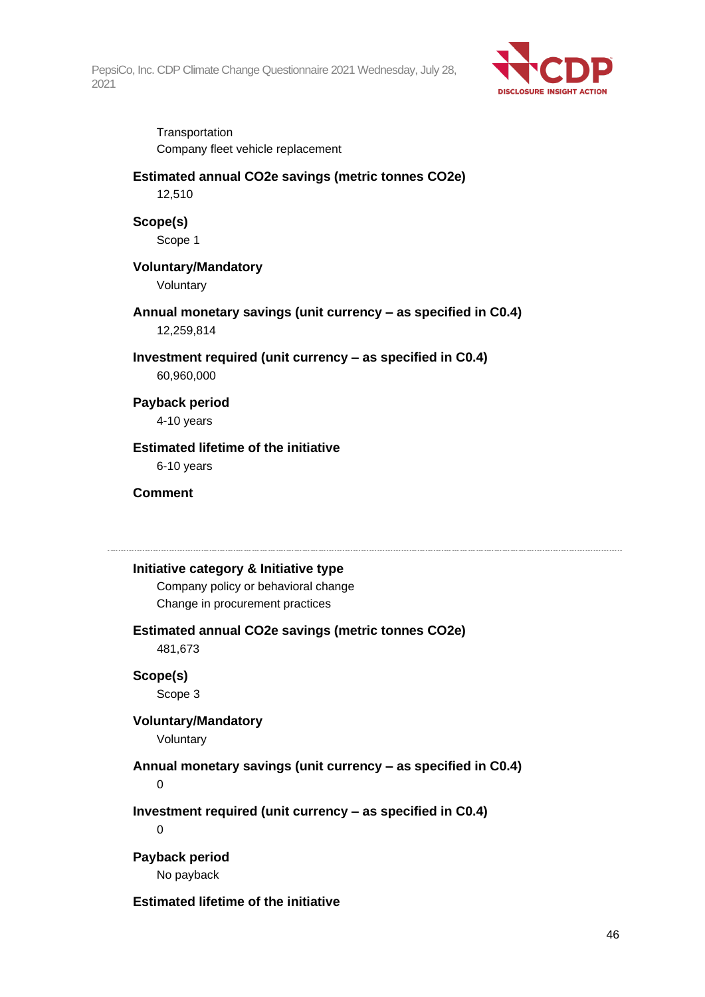

**Transportation** Company fleet vehicle replacement

## **Estimated annual CO2e savings (metric tonnes CO2e)**

12,510

## **Scope(s)**

Scope 1

## **Voluntary/Mandatory**

Voluntary

## **Annual monetary savings (unit currency – as specified in C0.4)** 12,259,814

**Investment required (unit currency – as specified in C0.4)**

60,960,000

## **Payback period**

4-10 years

## **Estimated lifetime of the initiative**

6-10 years

## **Comment**

## **Initiative category & Initiative type**

Company policy or behavioral change Change in procurement practices

## **Estimated annual CO2e savings (metric tonnes CO2e)**

481,673

## **Scope(s)**

Scope 3

## **Voluntary/Mandatory**

Voluntary

## **Annual monetary savings (unit currency – as specified in C0.4)**

0

**Investment required (unit currency – as specified in C0.4)**

0

## **Payback period**

No payback

## **Estimated lifetime of the initiative**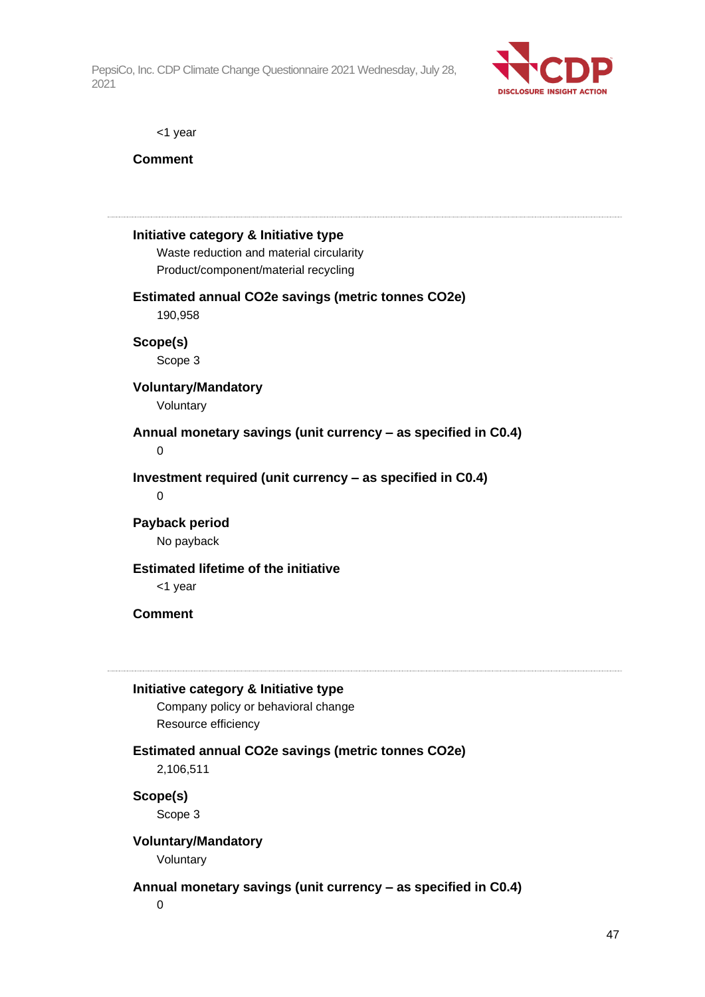

<1 year

**Comment**

## **Initiative category & Initiative type** Waste reduction and material circularity Product/component/material recycling **Estimated annual CO2e savings (metric tonnes CO2e)** 190,958 **Scope(s)** Scope 3 **Voluntary/Mandatory** Voluntary **Annual monetary savings (unit currency – as specified in C0.4)**  $\Omega$ **Investment required (unit currency – as specified in C0.4)**  $\Omega$ **Payback period** No payback **Estimated lifetime of the initiative** <1 year **Comment Initiative category & Initiative type** Company policy or behavioral change Resource efficiency **Estimated annual CO2e savings (metric tonnes CO2e)** 2,106,511 **Scope(s)** Scope 3 **Voluntary/Mandatory** Voluntary **Annual monetary savings (unit currency – as specified in C0.4)** 0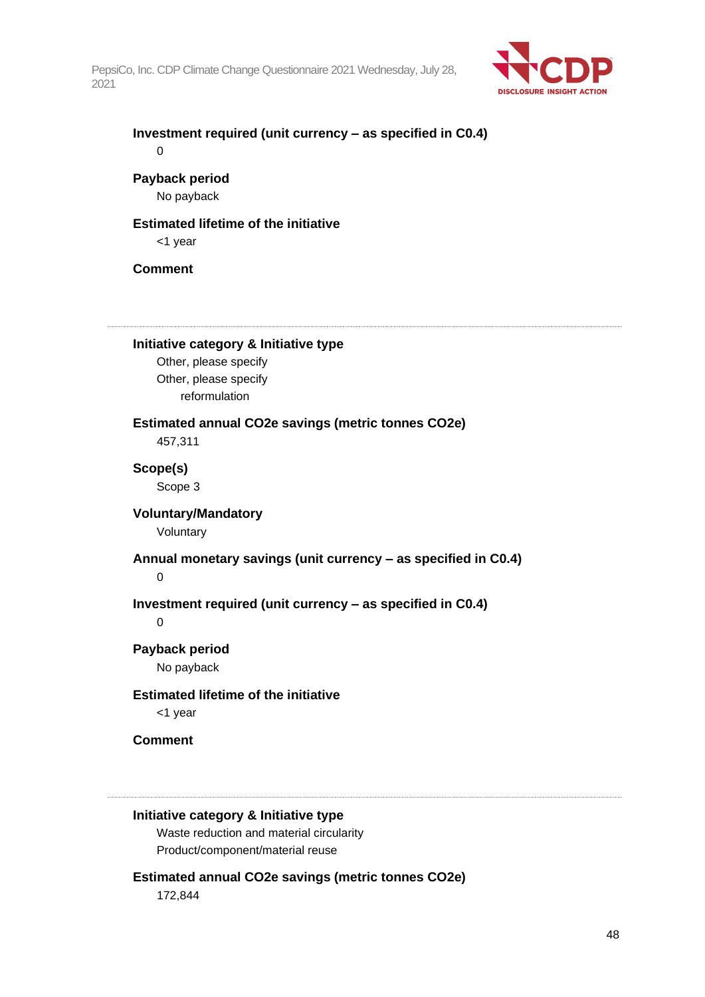

| Investment required (unit currency – as specified in C0.4) |  |
|------------------------------------------------------------|--|
|                                                            |  |

## **Payback period**

No payback

## **Estimated lifetime of the initiative**

<1 year

## **Comment**

**Initiative category & Initiative type**

Other, please specify Other, please specify reformulation

**Estimated annual CO2e savings (metric tonnes CO2e)**

457,311

**Scope(s)** Scope 3

## **Voluntary/Mandatory**

Voluntary

### **Annual monetary savings (unit currency – as specified in C0.4)**

 $\Omega$ 

**Investment required (unit currency – as specified in C0.4)**

0

## **Payback period** No payback

## **Estimated lifetime of the initiative**

<1 year

## **Comment**

### **Initiative category & Initiative type**

Waste reduction and material circularity Product/component/material reuse

## **Estimated annual CO2e savings (metric tonnes CO2e)**

172,844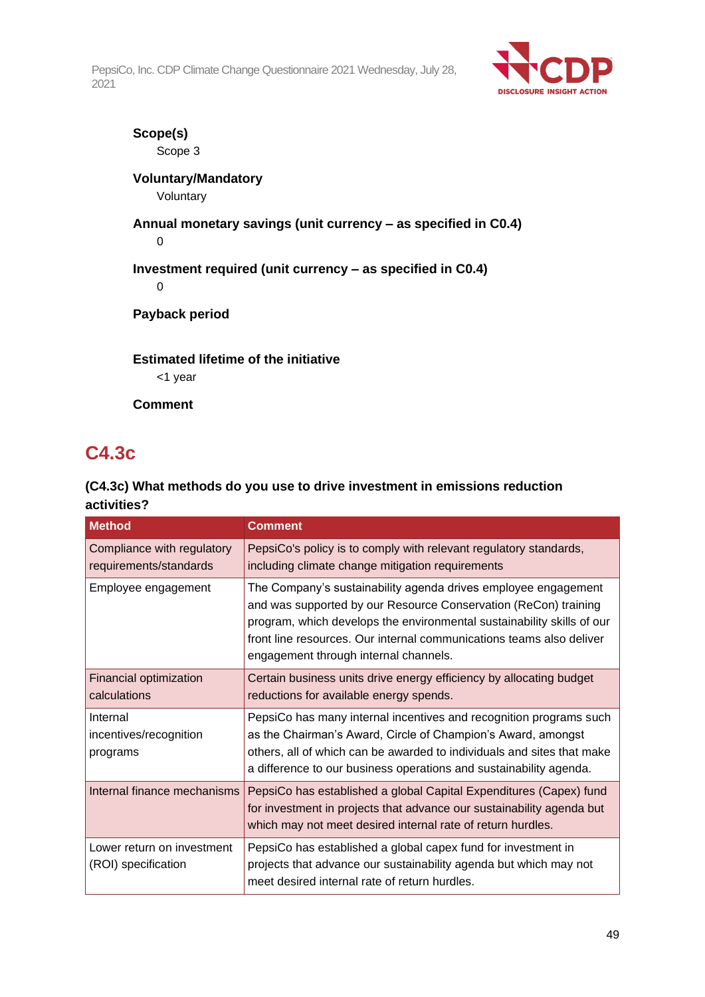

## **Scope(s)**

Scope 3

## **Voluntary/Mandatory**

Voluntary

## **Annual monetary savings (unit currency – as specified in C0.4)** 0

**Investment required (unit currency – as specified in C0.4)**

0

**Payback period**

## **Estimated lifetime of the initiative**

<1 year

**Comment**

## **C4.3c**

## **(C4.3c) What methods do you use to drive investment in emissions reduction activities?**

| <b>Method</b>                                        | <b>Comment</b>                                                                                                                                                                                                                                                                                                               |
|------------------------------------------------------|------------------------------------------------------------------------------------------------------------------------------------------------------------------------------------------------------------------------------------------------------------------------------------------------------------------------------|
| Compliance with regulatory<br>requirements/standards | PepsiCo's policy is to comply with relevant regulatory standards,<br>including climate change mitigation requirements                                                                                                                                                                                                        |
| Employee engagement                                  | The Company's sustainability agenda drives employee engagement<br>and was supported by our Resource Conservation (ReCon) training<br>program, which develops the environmental sustainability skills of our<br>front line resources. Our internal communications teams also deliver<br>engagement through internal channels. |
| Financial optimization<br>calculations               | Certain business units drive energy efficiency by allocating budget<br>reductions for available energy spends.                                                                                                                                                                                                               |
| Internal<br>incentives/recognition<br>programs       | PepsiCo has many internal incentives and recognition programs such<br>as the Chairman's Award, Circle of Champion's Award, amongst<br>others, all of which can be awarded to individuals and sites that make<br>a difference to our business operations and sustainability agenda.                                           |
| Internal finance mechanisms                          | PepsiCo has established a global Capital Expenditures (Capex) fund<br>for investment in projects that advance our sustainability agenda but<br>which may not meet desired internal rate of return hurdles.                                                                                                                   |
| Lower return on investment<br>(ROI) specification    | PepsiCo has established a global capex fund for investment in<br>projects that advance our sustainability agenda but which may not<br>meet desired internal rate of return hurdles.                                                                                                                                          |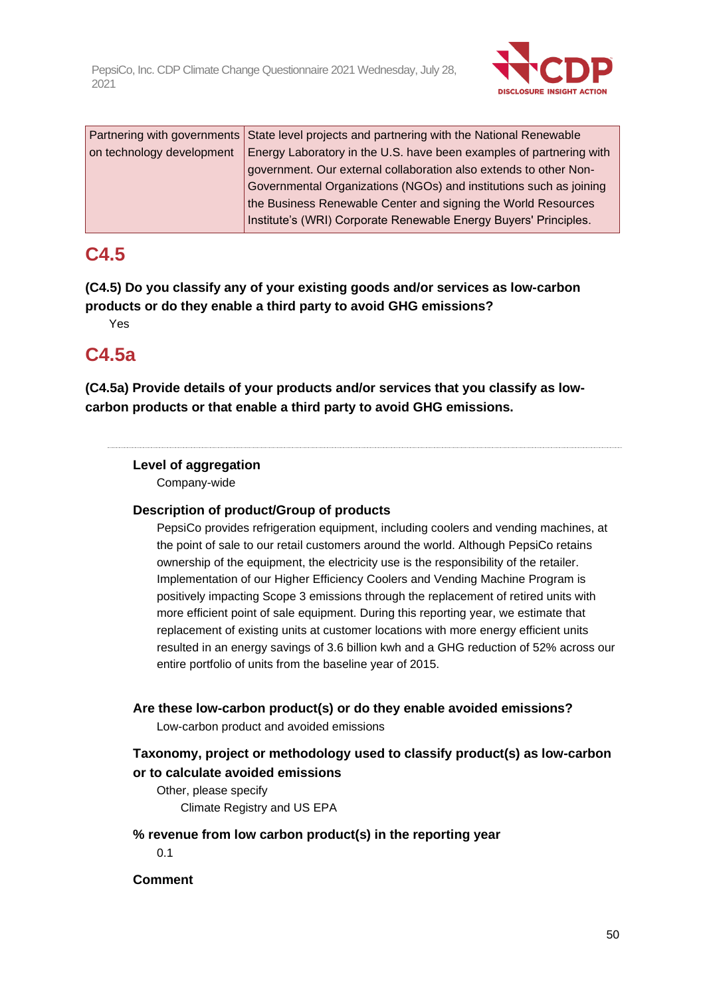

|                           | Partnering with governments State level projects and partnering with the National Renewable |
|---------------------------|---------------------------------------------------------------------------------------------|
| on technology development | Energy Laboratory in the U.S. have been examples of partnering with                         |
|                           | government. Our external collaboration also extends to other Non-                           |
|                           | Governmental Organizations (NGOs) and institutions such as joining                          |
|                           | the Business Renewable Center and signing the World Resources                               |
|                           | Institute's (WRI) Corporate Renewable Energy Buyers' Principles.                            |

## **C4.5**

**(C4.5) Do you classify any of your existing goods and/or services as low-carbon products or do they enable a third party to avoid GHG emissions?**

Yes

## **C4.5a**

**(C4.5a) Provide details of your products and/or services that you classify as lowcarbon products or that enable a third party to avoid GHG emissions.**

## **Level of aggregation**

Company-wide

## **Description of product/Group of products**

PepsiCo provides refrigeration equipment, including coolers and vending machines, at the point of sale to our retail customers around the world. Although PepsiCo retains ownership of the equipment, the electricity use is the responsibility of the retailer. Implementation of our Higher Efficiency Coolers and Vending Machine Program is positively impacting Scope 3 emissions through the replacement of retired units with more efficient point of sale equipment. During this reporting year, we estimate that replacement of existing units at customer locations with more energy efficient units resulted in an energy savings of 3.6 billion kwh and a GHG reduction of 52% across our entire portfolio of units from the baseline year of 2015.

## **Are these low-carbon product(s) or do they enable avoided emissions?**

Low-carbon product and avoided emissions

## **Taxonomy, project or methodology used to classify product(s) as low-carbon or to calculate avoided emissions**

Other, please specify Climate Registry and US EPA

## **% revenue from low carbon product(s) in the reporting year**

0.1

## **Comment**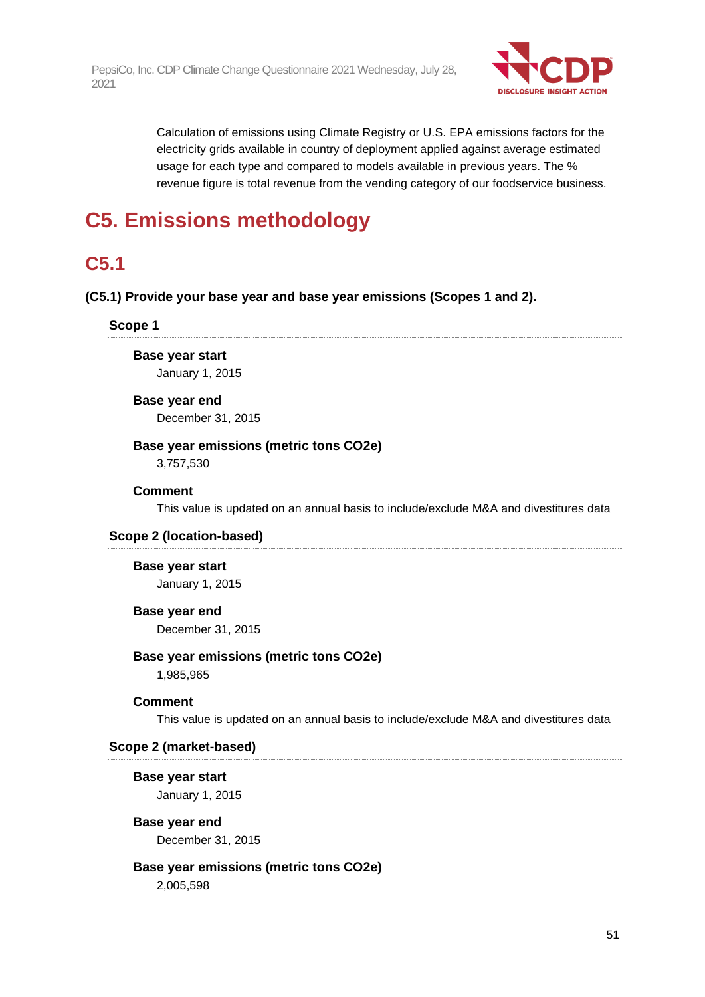

Calculation of emissions using Climate Registry or U.S. EPA emissions factors for the electricity grids available in country of deployment applied against average estimated usage for each type and compared to models available in previous years. The % revenue figure is total revenue from the vending category of our foodservice business.

## **C5. Emissions methodology**

## **C5.1**

**(C5.1) Provide your base year and base year emissions (Scopes 1 and 2).**

**Scope 1**

**Base year start**

January 1, 2015

### **Base year end**

December 31, 2015

## **Base year emissions (metric tons CO2e)**

3,757,530

## **Comment**

This value is updated on an annual basis to include/exclude M&A and divestitures data

## **Scope 2 (location-based)**

## **Base year start**

January 1, 2015

### **Base year end**

December 31, 2015

## **Base year emissions (metric tons CO2e)**

1,985,965

## **Comment**

This value is updated on an annual basis to include/exclude M&A and divestitures data

### **Scope 2 (market-based)**

**Base year start** January 1, 2015

## **Base year end** December 31, 2015

## **Base year emissions (metric tons CO2e)**

2,005,598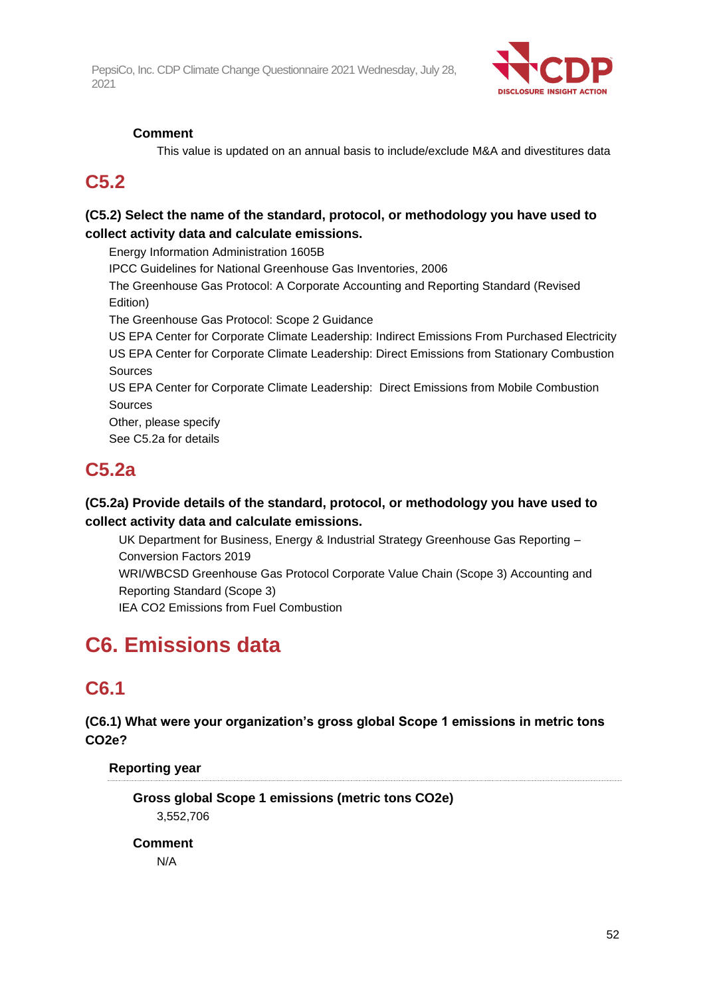

## **Comment**

This value is updated on an annual basis to include/exclude M&A and divestitures data

## **C5.2**

## **(C5.2) Select the name of the standard, protocol, or methodology you have used to collect activity data and calculate emissions.**

Energy Information Administration 1605B IPCC Guidelines for National Greenhouse Gas Inventories, 2006 The Greenhouse Gas Protocol: A Corporate Accounting and Reporting Standard (Revised Edition) The Greenhouse Gas Protocol: Scope 2 Guidance US EPA Center for Corporate Climate Leadership: Indirect Emissions From Purchased Electricity US EPA Center for Corporate Climate Leadership: Direct Emissions from Stationary Combustion Sources US EPA Center for Corporate Climate Leadership: Direct Emissions from Mobile Combustion Sources Other, please specify See C5.2a for details

## **C5.2a**

## **(C5.2a) Provide details of the standard, protocol, or methodology you have used to collect activity data and calculate emissions.**

UK Department for Business, Energy & Industrial Strategy Greenhouse Gas Reporting – Conversion Factors 2019 WRI/WBCSD Greenhouse Gas Protocol Corporate Value Chain (Scope 3) Accounting and Reporting Standard (Scope 3) IEA CO2 Emissions from Fuel Combustion

# **C6. Emissions data**

## **C6.1**

**(C6.1) What were your organization's gross global Scope 1 emissions in metric tons CO2e?**

**Reporting year**

**Gross global Scope 1 emissions (metric tons CO2e)** 3,552,706

**Comment**

N/A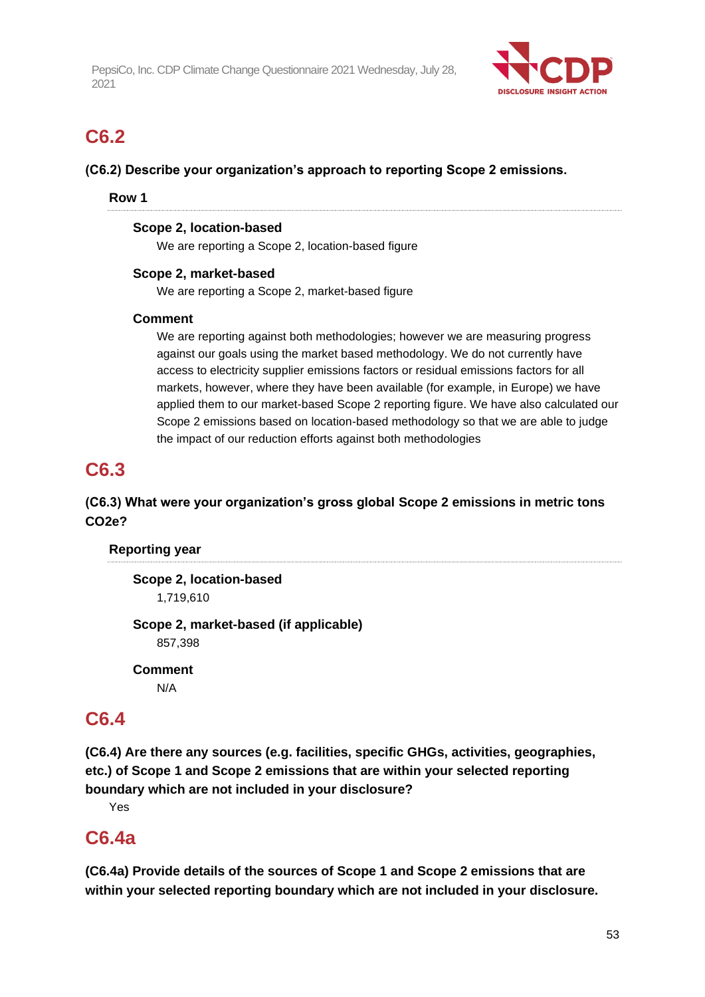

## **C6.2**

**(C6.2) Describe your organization's approach to reporting Scope 2 emissions.**

## **Row 1**

## **Scope 2, location-based**

We are reporting a Scope 2, location-based figure

## **Scope 2, market-based**

We are reporting a Scope 2, market-based figure

## **Comment**

We are reporting against both methodologies; however we are measuring progress against our goals using the market based methodology. We do not currently have access to electricity supplier emissions factors or residual emissions factors for all markets, however, where they have been available (for example, in Europe) we have applied them to our market-based Scope 2 reporting figure. We have also calculated our Scope 2 emissions based on location-based methodology so that we are able to judge the impact of our reduction efforts against both methodologies

## **C6.3**

## **(C6.3) What were your organization's gross global Scope 2 emissions in metric tons CO2e?**

## **Reporting year**

**Scope 2, location-based** 1,719,610 **Scope 2, market-based (if applicable)** 857,398

**Comment** N/A

## **C6.4**

**(C6.4) Are there any sources (e.g. facilities, specific GHGs, activities, geographies, etc.) of Scope 1 and Scope 2 emissions that are within your selected reporting boundary which are not included in your disclosure?**

Yes

## **C6.4a**

**(C6.4a) Provide details of the sources of Scope 1 and Scope 2 emissions that are within your selected reporting boundary which are not included in your disclosure.**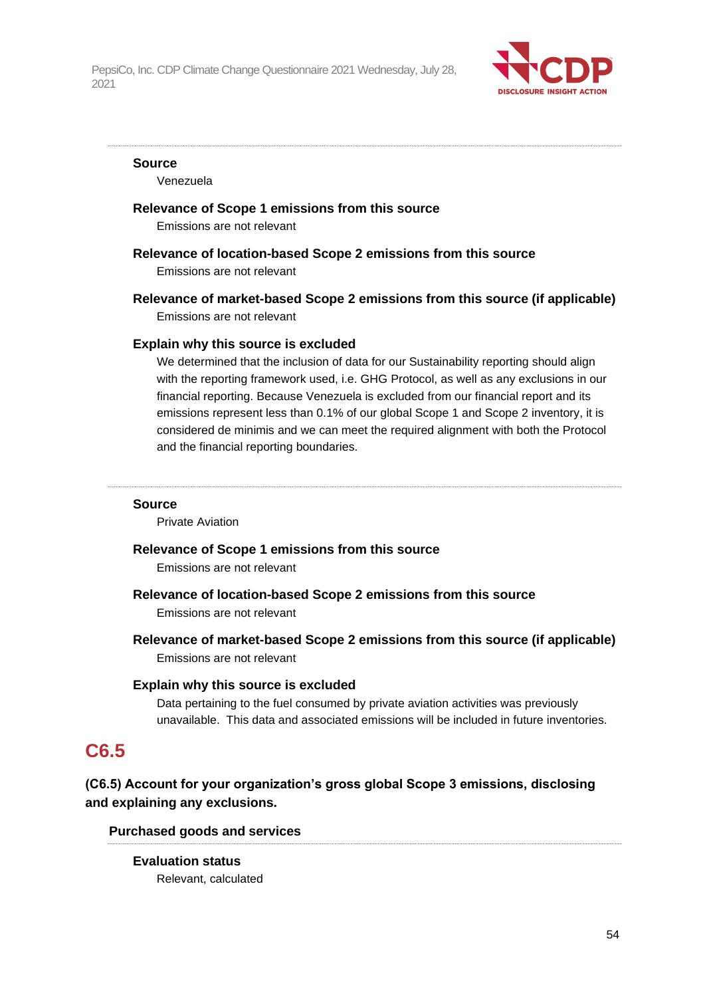

#### **Source**

Venezuela

## **Relevance of Scope 1 emissions from this source**

Emissions are not relevant

## **Relevance of location-based Scope 2 emissions from this source**

Emissions are not relevant

**Relevance of market-based Scope 2 emissions from this source (if applicable)** Emissions are not relevant

### **Explain why this source is excluded**

We determined that the inclusion of data for our Sustainability reporting should align with the reporting framework used, i.e. GHG Protocol, as well as any exclusions in our financial reporting. Because Venezuela is excluded from our financial report and its emissions represent less than 0.1% of our global Scope 1 and Scope 2 inventory, it is considered de minimis and we can meet the required alignment with both the Protocol and the financial reporting boundaries.

#### **Source**

Private Aviation

### **Relevance of Scope 1 emissions from this source**

Emissions are not relevant

**Relevance of location-based Scope 2 emissions from this source**

Emissions are not relevant

**Relevance of market-based Scope 2 emissions from this source (if applicable)** Emissions are not relevant

## **Explain why this source is excluded**

Data pertaining to the fuel consumed by private aviation activities was previously unavailable. This data and associated emissions will be included in future inventories.

## **C6.5**

**(C6.5) Account for your organization's gross global Scope 3 emissions, disclosing and explaining any exclusions.**

### **Purchased goods and services**

**Evaluation status** Relevant, calculated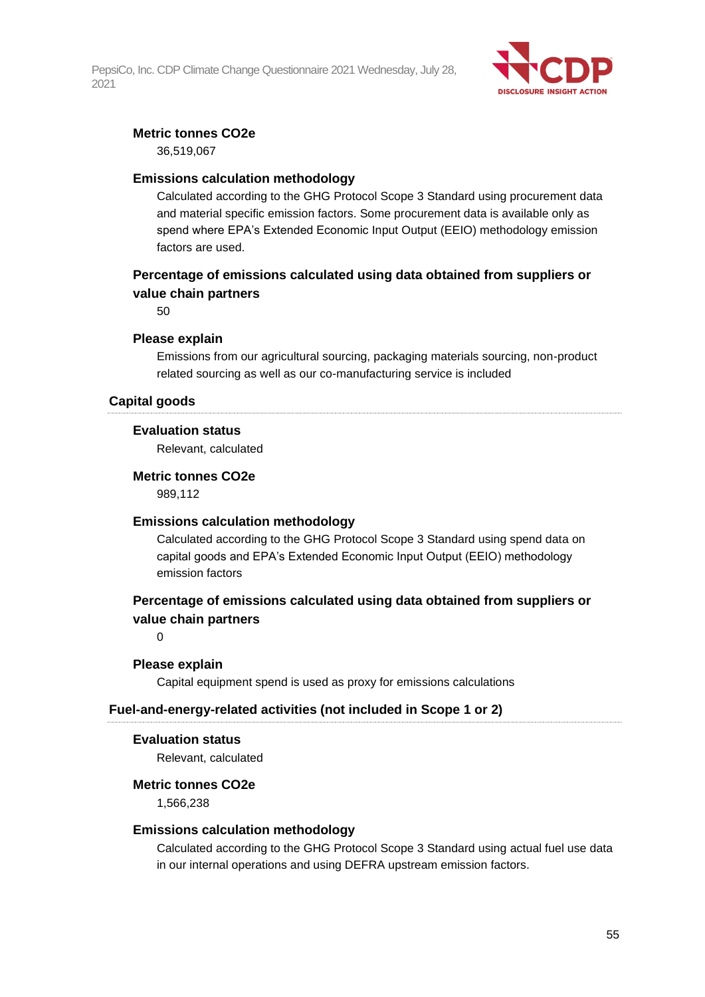

## **Metric tonnes CO2e**

36,519,067

## **Emissions calculation methodology**

Calculated according to the GHG Protocol Scope 3 Standard using procurement data and material specific emission factors. Some procurement data is available only as spend where EPA's Extended Economic Input Output (EEIO) methodology emission factors are used.

## **Percentage of emissions calculated using data obtained from suppliers or value chain partners**

50

### **Please explain**

Emissions from our agricultural sourcing, packaging materials sourcing, non-product related sourcing as well as our co-manufacturing service is included

## **Capital goods**

### **Evaluation status**

Relevant, calculated

### **Metric tonnes CO2e**

989,112

### **Emissions calculation methodology**

Calculated according to the GHG Protocol Scope 3 Standard using spend data on capital goods and EPA's Extended Economic Input Output (EEIO) methodology emission factors

## **Percentage of emissions calculated using data obtained from suppliers or value chain partners**

 $\Omega$ 

### **Please explain**

Capital equipment spend is used as proxy for emissions calculations

### **Fuel-and-energy-related activities (not included in Scope 1 or 2)**

#### **Evaluation status**

Relevant, calculated

#### **Metric tonnes CO2e**

1,566,238

### **Emissions calculation methodology**

Calculated according to the GHG Protocol Scope 3 Standard using actual fuel use data in our internal operations and using DEFRA upstream emission factors.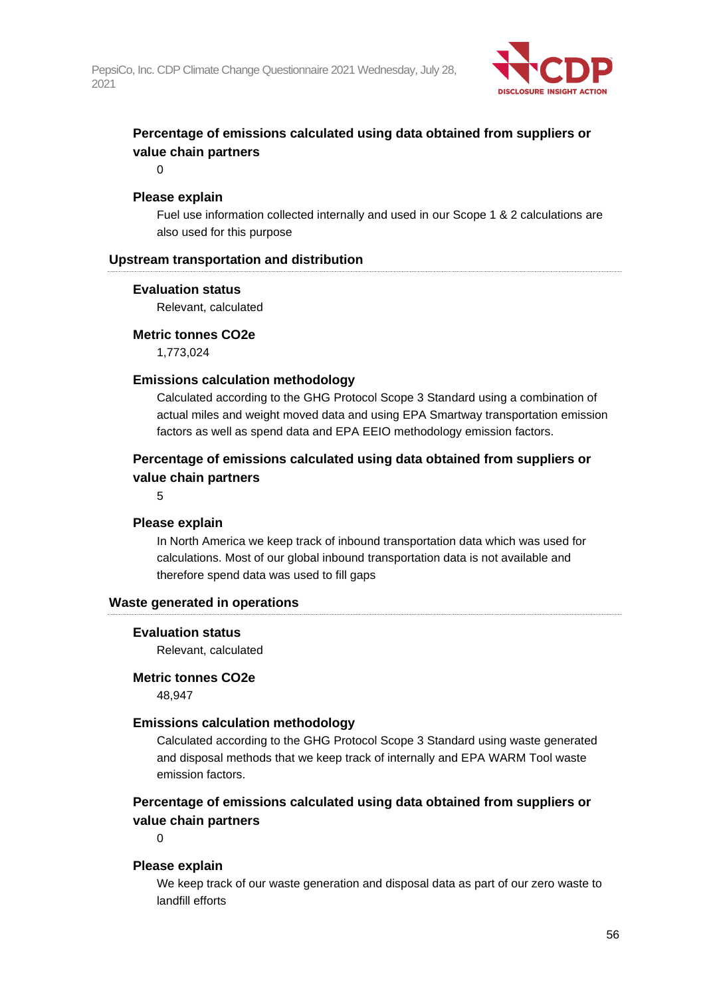

## **Percentage of emissions calculated using data obtained from suppliers or value chain partners**

 $\Omega$ 

## **Please explain**

Fuel use information collected internally and used in our Scope 1 & 2 calculations are also used for this purpose

## **Upstream transportation and distribution**

### **Evaluation status**

Relevant, calculated

### **Metric tonnes CO2e**

1,773,024

### **Emissions calculation methodology**

Calculated according to the GHG Protocol Scope 3 Standard using a combination of actual miles and weight moved data and using EPA Smartway transportation emission factors as well as spend data and EPA EEIO methodology emission factors.

## **Percentage of emissions calculated using data obtained from suppliers or value chain partners**

5

### **Please explain**

In North America we keep track of inbound transportation data which was used for calculations. Most of our global inbound transportation data is not available and therefore spend data was used to fill gaps

### **Waste generated in operations**

#### **Evaluation status**

Relevant, calculated

#### **Metric tonnes CO2e**

48,947

### **Emissions calculation methodology**

Calculated according to the GHG Protocol Scope 3 Standard using waste generated and disposal methods that we keep track of internally and EPA WARM Tool waste emission factors.

## **Percentage of emissions calculated using data obtained from suppliers or value chain partners**

 $\Omega$ 

### **Please explain**

We keep track of our waste generation and disposal data as part of our zero waste to landfill efforts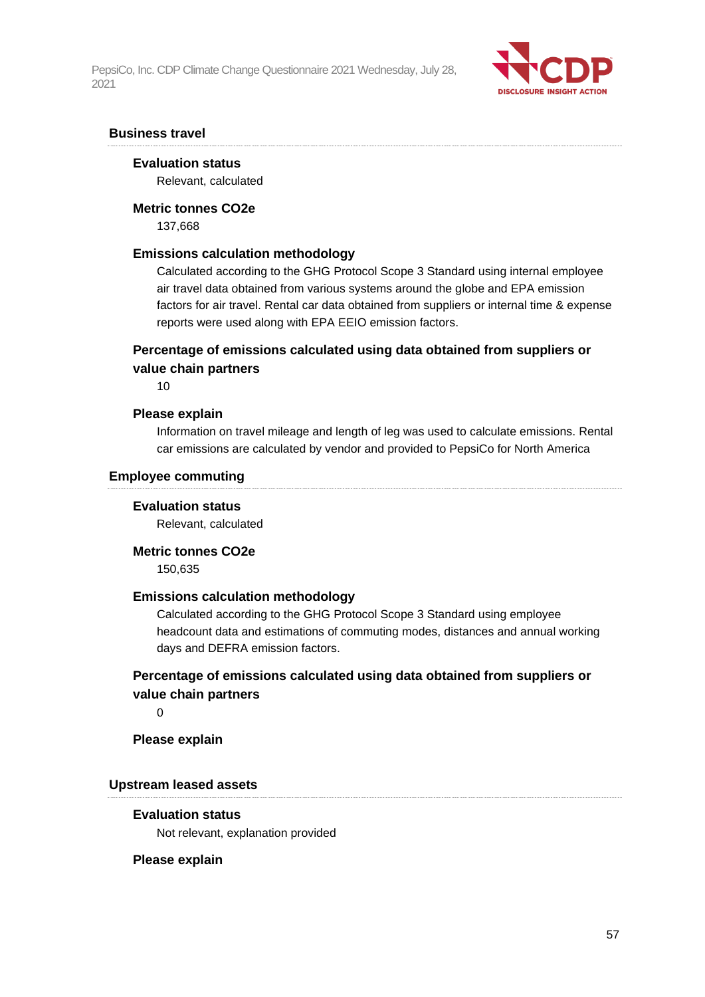

### **Business travel**

#### **Evaluation status**

Relevant, calculated

#### **Metric tonnes CO2e**

137,668

### **Emissions calculation methodology**

Calculated according to the GHG Protocol Scope 3 Standard using internal employee air travel data obtained from various systems around the globe and EPA emission factors for air travel. Rental car data obtained from suppliers or internal time & expense reports were used along with EPA EEIO emission factors.

## **Percentage of emissions calculated using data obtained from suppliers or value chain partners**

10

#### **Please explain**

Information on travel mileage and length of leg was used to calculate emissions. Rental car emissions are calculated by vendor and provided to PepsiCo for North America

#### **Employee commuting**

#### **Evaluation status**

Relevant, calculated

#### **Metric tonnes CO2e**

150,635

### **Emissions calculation methodology**

Calculated according to the GHG Protocol Scope 3 Standard using employee headcount data and estimations of commuting modes, distances and annual working days and DEFRA emission factors.

## **Percentage of emissions calculated using data obtained from suppliers or value chain partners**

 $\Omega$ 

**Please explain**

## **Upstream leased assets**

#### **Evaluation status**

Not relevant, explanation provided

#### **Please explain**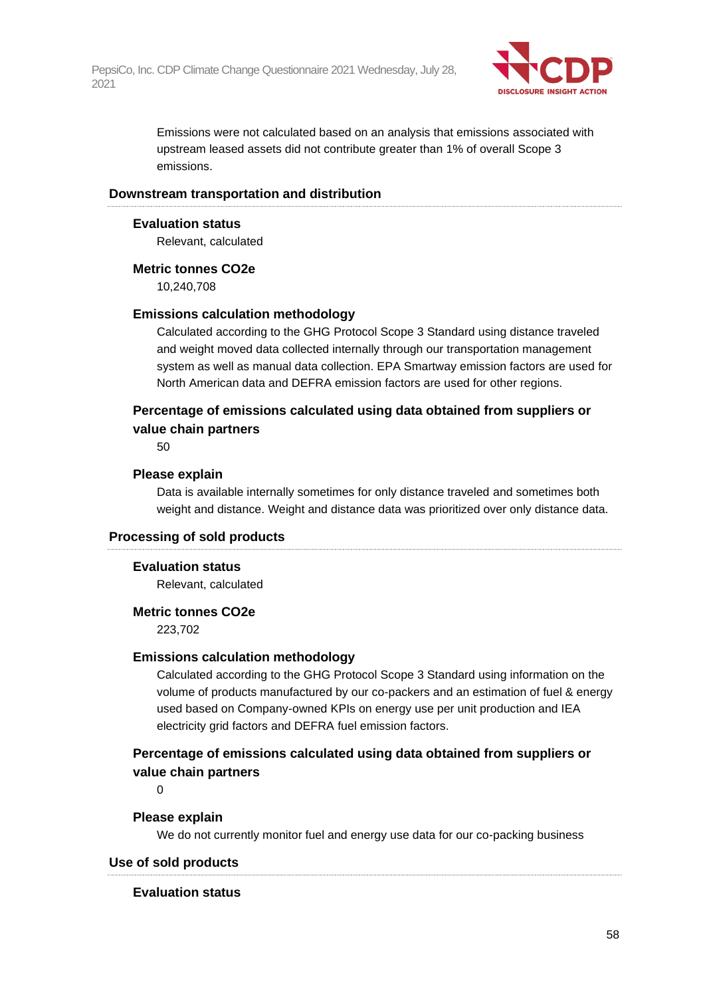

Emissions were not calculated based on an analysis that emissions associated with upstream leased assets did not contribute greater than 1% of overall Scope 3 emissions.

#### **Downstream transportation and distribution**

#### **Evaluation status**

Relevant, calculated

#### **Metric tonnes CO2e**

10,240,708

#### **Emissions calculation methodology**

Calculated according to the GHG Protocol Scope 3 Standard using distance traveled and weight moved data collected internally through our transportation management system as well as manual data collection. EPA Smartway emission factors are used for North American data and DEFRA emission factors are used for other regions.

## **Percentage of emissions calculated using data obtained from suppliers or value chain partners**

50

#### **Please explain**

Data is available internally sometimes for only distance traveled and sometimes both weight and distance. Weight and distance data was prioritized over only distance data.

### **Processing of sold products**

#### **Evaluation status**

Relevant, calculated

#### **Metric tonnes CO2e**

223,702

### **Emissions calculation methodology**

Calculated according to the GHG Protocol Scope 3 Standard using information on the volume of products manufactured by our co-packers and an estimation of fuel & energy used based on Company-owned KPIs on energy use per unit production and IEA electricity grid factors and DEFRA fuel emission factors.

## **Percentage of emissions calculated using data obtained from suppliers or value chain partners**

 $\Omega$ 

#### **Please explain**

We do not currently monitor fuel and energy use data for our co-packing business

### **Use of sold products**

#### **Evaluation status**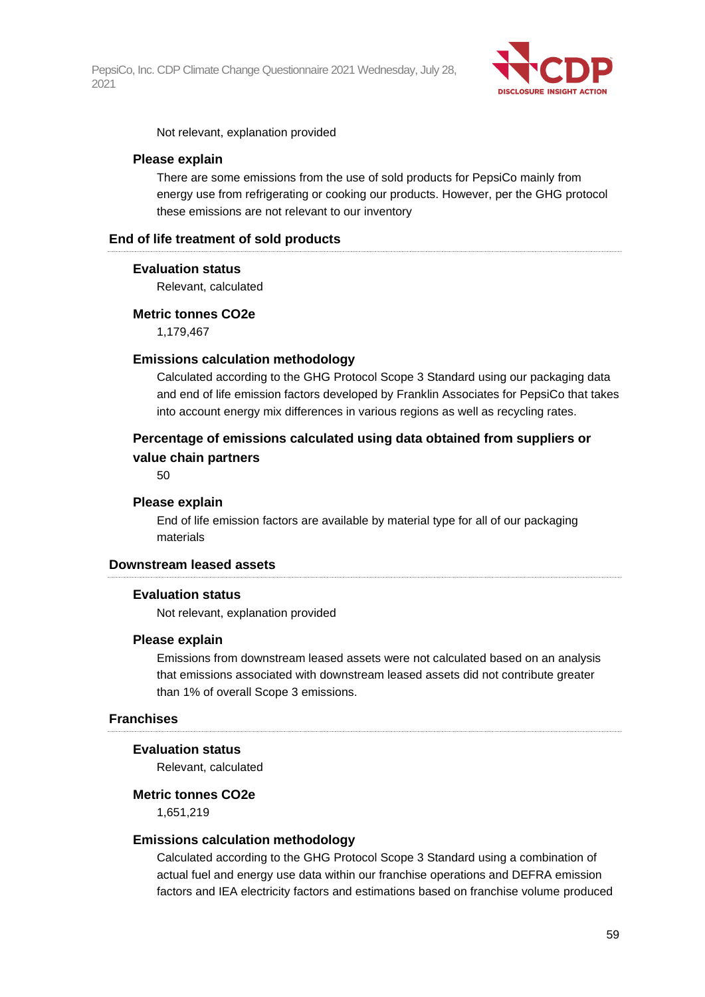

Not relevant, explanation provided

#### **Please explain**

There are some emissions from the use of sold products for PepsiCo mainly from energy use from refrigerating or cooking our products. However, per the GHG protocol these emissions are not relevant to our inventory

### **End of life treatment of sold products**

#### **Evaluation status**

Relevant, calculated

#### **Metric tonnes CO2e**

1,179,467

#### **Emissions calculation methodology**

Calculated according to the GHG Protocol Scope 3 Standard using our packaging data and end of life emission factors developed by Franklin Associates for PepsiCo that takes into account energy mix differences in various regions as well as recycling rates.

## **Percentage of emissions calculated using data obtained from suppliers or value chain partners**

50

#### **Please explain**

End of life emission factors are available by material type for all of our packaging materials

## **Downstream leased assets**

#### **Evaluation status**

Not relevant, explanation provided

#### **Please explain**

Emissions from downstream leased assets were not calculated based on an analysis that emissions associated with downstream leased assets did not contribute greater than 1% of overall Scope 3 emissions.

## **Franchises**

#### **Evaluation status**

Relevant, calculated

#### **Metric tonnes CO2e**

1,651,219

#### **Emissions calculation methodology**

Calculated according to the GHG Protocol Scope 3 Standard using a combination of actual fuel and energy use data within our franchise operations and DEFRA emission factors and IEA electricity factors and estimations based on franchise volume produced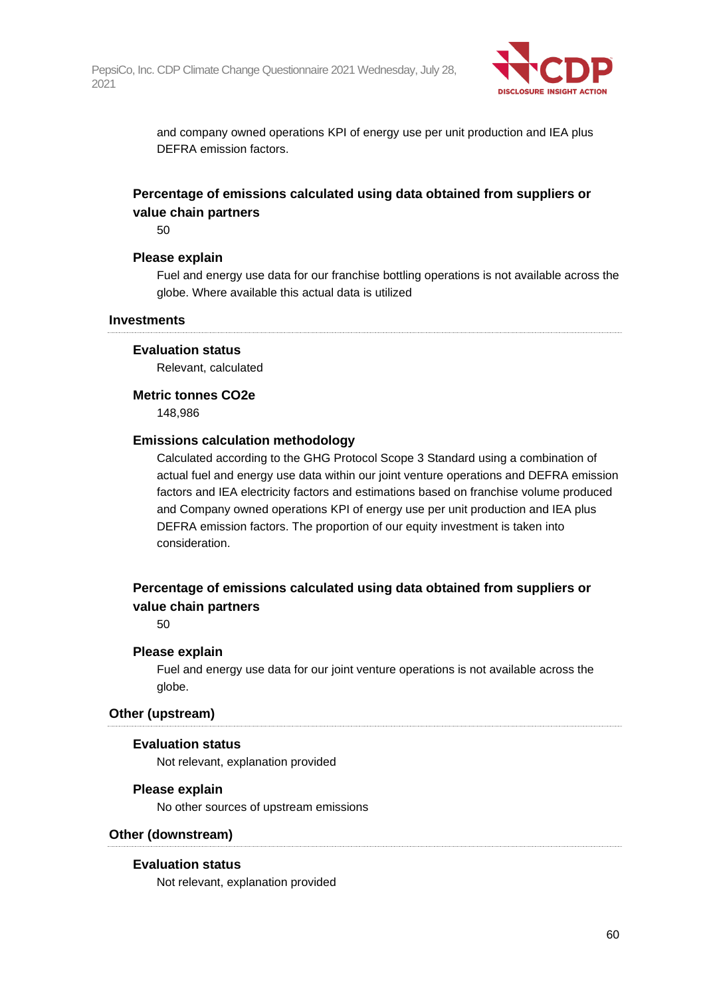

and company owned operations KPI of energy use per unit production and IEA plus DEFRA emission factors.

## **Percentage of emissions calculated using data obtained from suppliers or value chain partners**

50

#### **Please explain**

Fuel and energy use data for our franchise bottling operations is not available across the globe. Where available this actual data is utilized

#### **Investments**

#### **Evaluation status**

Relevant, calculated

#### **Metric tonnes CO2e**

148,986

### **Emissions calculation methodology**

Calculated according to the GHG Protocol Scope 3 Standard using a combination of actual fuel and energy use data within our joint venture operations and DEFRA emission factors and IEA electricity factors and estimations based on franchise volume produced and Company owned operations KPI of energy use per unit production and IEA plus DEFRA emission factors. The proportion of our equity investment is taken into consideration.

## **Percentage of emissions calculated using data obtained from suppliers or value chain partners**

50

#### **Please explain**

Fuel and energy use data for our joint venture operations is not available across the globe.

#### **Other (upstream)**

#### **Evaluation status**

Not relevant, explanation provided

#### **Please explain**

No other sources of upstream emissions

### **Other (downstream)**

### **Evaluation status**

Not relevant, explanation provided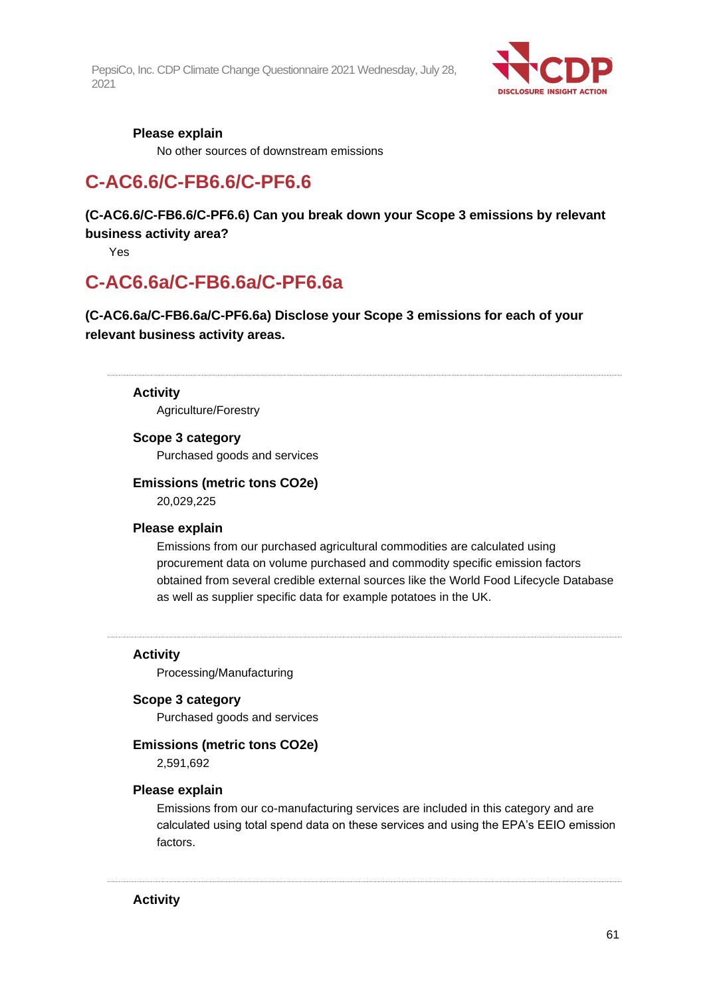

## **Please explain**

No other sources of downstream emissions

## **C-AC6.6/C-FB6.6/C-PF6.6**

**(C-AC6.6/C-FB6.6/C-PF6.6) Can you break down your Scope 3 emissions by relevant business activity area?**

Yes

## **C-AC6.6a/C-FB6.6a/C-PF6.6a**

**(C-AC6.6a/C-FB6.6a/C-PF6.6a) Disclose your Scope 3 emissions for each of your relevant business activity areas.**

#### **Activity**

Agriculture/Forestry

#### **Scope 3 category**

Purchased goods and services

### **Emissions (metric tons CO2e)**

20,029,225

### **Please explain**

Emissions from our purchased agricultural commodities are calculated using procurement data on volume purchased and commodity specific emission factors obtained from several credible external sources like the World Food Lifecycle Database as well as supplier specific data for example potatoes in the UK.

**Activity**

Processing/Manufacturing

#### **Scope 3 category**

Purchased goods and services

#### **Emissions (metric tons CO2e)**

2,591,692

#### **Please explain**

Emissions from our co-manufacturing services are included in this category and are calculated using total spend data on these services and using the EPA's EEIO emission factors.

**Activity**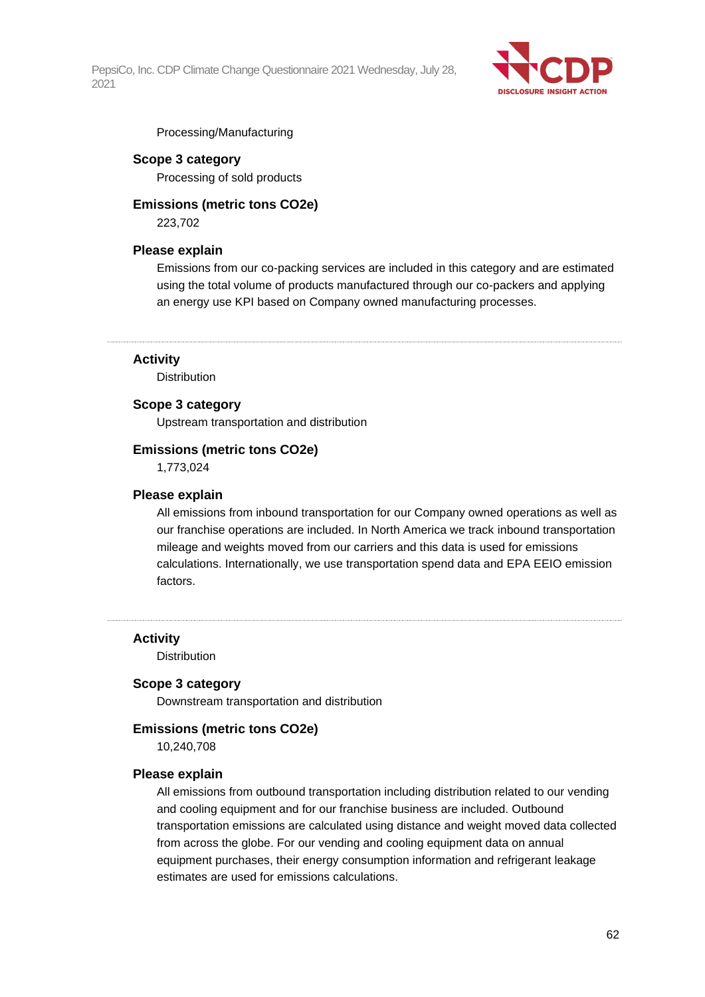

Processing/Manufacturing

### **Scope 3 category**

Processing of sold products

## **Emissions (metric tons CO2e)**

223,702

### **Please explain**

Emissions from our co-packing services are included in this category and are estimated using the total volume of products manufactured through our co-packers and applying an energy use KPI based on Company owned manufacturing processes.

## **Activity**

**Distribution** 

### **Scope 3 category**

Upstream transportation and distribution

#### **Emissions (metric tons CO2e)**

1,773,024

#### **Please explain**

All emissions from inbound transportation for our Company owned operations as well as our franchise operations are included. In North America we track inbound transportation mileage and weights moved from our carriers and this data is used for emissions calculations. Internationally, we use transportation spend data and EPA EEIO emission factors.

**Activity**

Distribution

#### **Scope 3 category**

Downstream transportation and distribution

#### **Emissions (metric tons CO2e)**

10,240,708

#### **Please explain**

All emissions from outbound transportation including distribution related to our vending and cooling equipment and for our franchise business are included. Outbound transportation emissions are calculated using distance and weight moved data collected from across the globe. For our vending and cooling equipment data on annual equipment purchases, their energy consumption information and refrigerant leakage estimates are used for emissions calculations.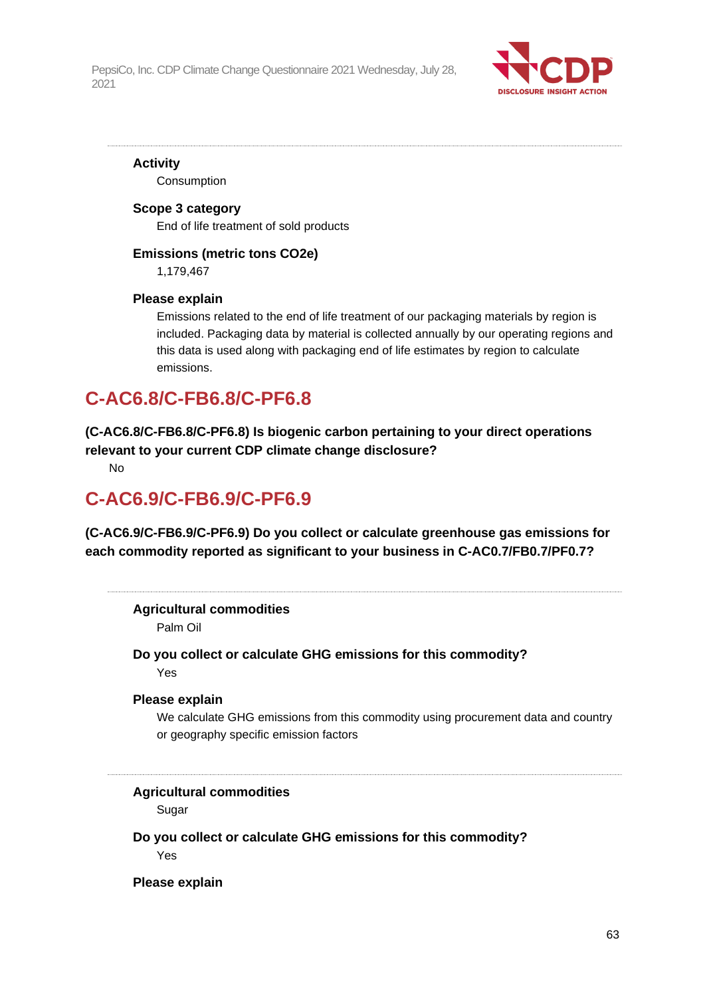

**Activity** Consumption

## **Scope 3 category** End of life treatment of sold products

## **Emissions (metric tons CO2e)**

1,179,467

## **Please explain**

Emissions related to the end of life treatment of our packaging materials by region is included. Packaging data by material is collected annually by our operating regions and this data is used along with packaging end of life estimates by region to calculate emissions.

## **C-AC6.8/C-FB6.8/C-PF6.8**

**(C-AC6.8/C-FB6.8/C-PF6.8) Is biogenic carbon pertaining to your direct operations relevant to your current CDP climate change disclosure?**

No

## **C-AC6.9/C-FB6.9/C-PF6.9**

**(C-AC6.9/C-FB6.9/C-PF6.9) Do you collect or calculate greenhouse gas emissions for each commodity reported as significant to your business in C-AC0.7/FB0.7/PF0.7?**

## **Agricultural commodities**

Palm Oil

## **Do you collect or calculate GHG emissions for this commodity?** Yes

## **Please explain**

We calculate GHG emissions from this commodity using procurement data and country or geography specific emission factors

## **Agricultural commodities**

Sugar

**Do you collect or calculate GHG emissions for this commodity?** Yes

**Please explain**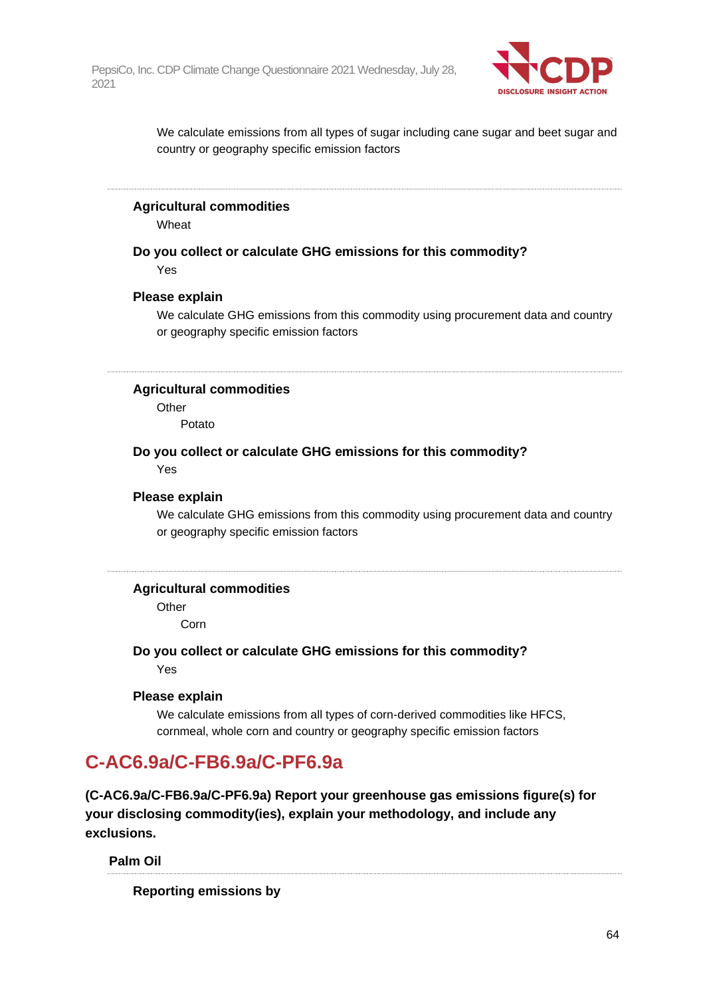

We calculate emissions from all types of sugar including cane sugar and beet sugar and country or geography specific emission factors

#### **Agricultural commodities**

Wheat

**Do you collect or calculate GHG emissions for this commodity?** Yes

#### **Please explain**

We calculate GHG emissions from this commodity using procurement data and country or geography specific emission factors

## **Agricultural commodities**

**Other** 

Potato

## **Do you collect or calculate GHG emissions for this commodity?**

Yes

### **Please explain**

We calculate GHG emissions from this commodity using procurement data and country or geography specific emission factors

### **Agricultural commodities**

**Other** 

Corn

**Do you collect or calculate GHG emissions for this commodity?** Yes

#### **Please explain**

We calculate emissions from all types of corn-derived commodities like HFCS, cornmeal, whole corn and country or geography specific emission factors

## **C-AC6.9a/C-FB6.9a/C-PF6.9a**

**(C-AC6.9a/C-FB6.9a/C-PF6.9a) Report your greenhouse gas emissions figure(s) for your disclosing commodity(ies), explain your methodology, and include any exclusions.**

#### **Palm Oil**

**Reporting emissions by**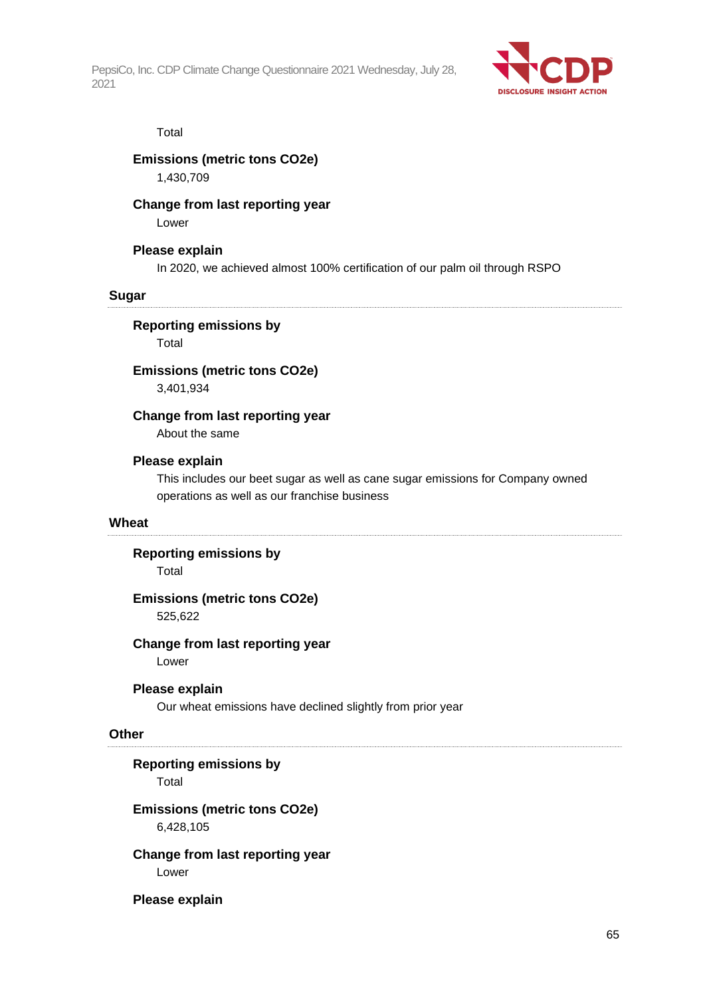

#### Total

### **Emissions (metric tons CO2e)**

1,430,709

## **Change from last reporting year**

Lower

### **Please explain**

In 2020, we achieved almost 100% certification of our palm oil through RSPO

#### **Sugar**

**Reporting emissions by**

Total

## **Emissions (metric tons CO2e)**

3,401,934

### **Change from last reporting year**

About the same

## **Please explain**

This includes our beet sugar as well as cane sugar emissions for Company owned operations as well as our franchise business

#### **Wheat**

#### **Reporting emissions by**

Total

## **Emissions (metric tons CO2e)** 525,622

### **Change from last reporting year**

Lower

#### **Please explain**

Our wheat emissions have declined slightly from prior year

#### **Other**

## **Reporting emissions by**

Total

## **Emissions (metric tons CO2e)**

6,428,105

#### **Change from last reporting year** Lower

#### **Please explain**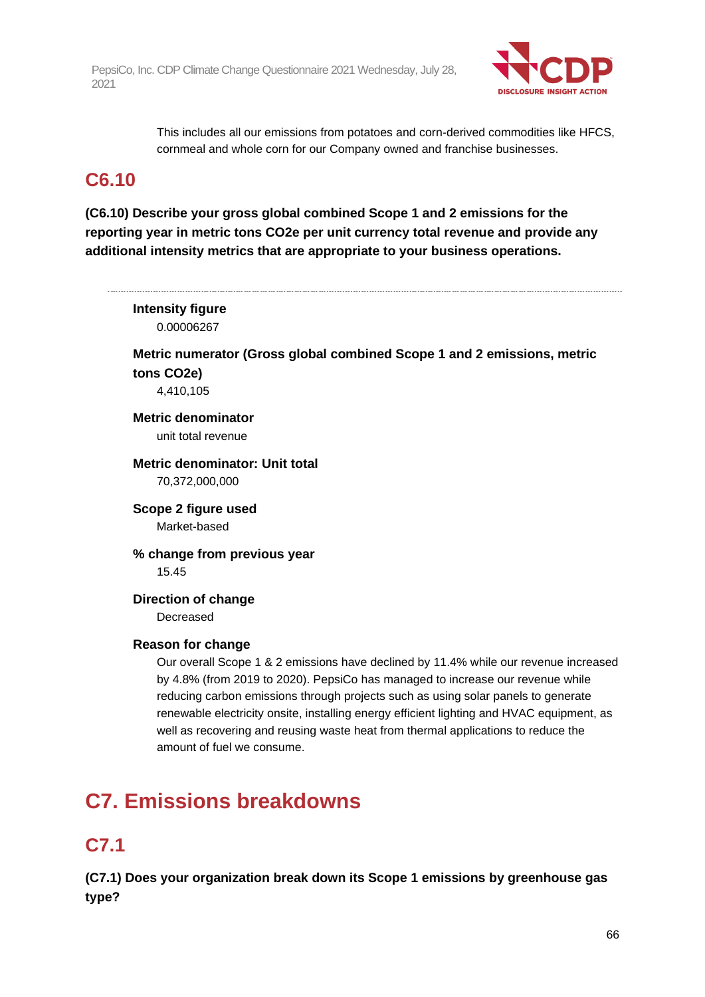

This includes all our emissions from potatoes and corn-derived commodities like HFCS, cornmeal and whole corn for our Company owned and franchise businesses.

## **C6.10**

**(C6.10) Describe your gross global combined Scope 1 and 2 emissions for the reporting year in metric tons CO2e per unit currency total revenue and provide any additional intensity metrics that are appropriate to your business operations.**

| <b>Intensity figure</b><br>0.00006267           |                                                                                                                                                                                                                                                                                                                                                                                                                                                                             |
|-------------------------------------------------|-----------------------------------------------------------------------------------------------------------------------------------------------------------------------------------------------------------------------------------------------------------------------------------------------------------------------------------------------------------------------------------------------------------------------------------------------------------------------------|
| tons CO <sub>2</sub> e)<br>4,410,105            | Metric numerator (Gross global combined Scope 1 and 2 emissions, metric                                                                                                                                                                                                                                                                                                                                                                                                     |
| <b>Metric denominator</b><br>unit total revenue |                                                                                                                                                                                                                                                                                                                                                                                                                                                                             |
| 70,372,000,000                                  | Metric denominator: Unit total                                                                                                                                                                                                                                                                                                                                                                                                                                              |
| Scope 2 figure used<br>Market-based             |                                                                                                                                                                                                                                                                                                                                                                                                                                                                             |
| 15.45                                           | % change from previous year                                                                                                                                                                                                                                                                                                                                                                                                                                                 |
| <b>Direction of change</b><br>Decreased         |                                                                                                                                                                                                                                                                                                                                                                                                                                                                             |
| <b>Reason for change</b>                        | Our overall Scope 1 & 2 emissions have declined by 11.4% while our revenue increased<br>by 4.8% (from 2019 to 2020). PepsiCo has managed to increase our revenue while<br>reducing carbon emissions through projects such as using solar panels to generate<br>renewable electricity onsite, installing energy efficient lighting and HVAC equipment, as<br>well as recovering and reusing waste heat from thermal applications to reduce the<br>amount of fuel we consume. |

# **C7. Emissions breakdowns**

## **C7.1**

**(C7.1) Does your organization break down its Scope 1 emissions by greenhouse gas type?**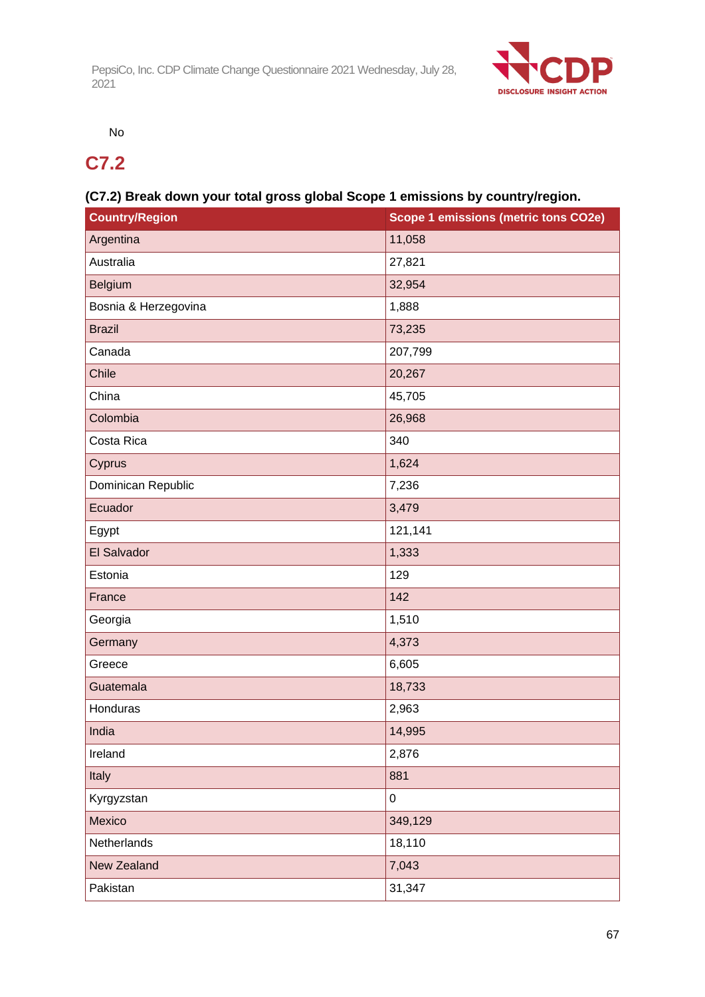

No

## **C7.2**

## **(C7.2) Break down your total gross global Scope 1 emissions by country/region.**

| <b>Country/Region</b> | Scope 1 emissions (metric tons CO2e) |
|-----------------------|--------------------------------------|
| Argentina             | 11,058                               |
| Australia             | 27,821                               |
| Belgium               | 32,954                               |
| Bosnia & Herzegovina  | 1,888                                |
| <b>Brazil</b>         | 73,235                               |
| Canada                | 207,799                              |
| Chile                 | 20,267                               |
| China                 | 45,705                               |
| Colombia              | 26,968                               |
| Costa Rica            | 340                                  |
| Cyprus                | 1,624                                |
| Dominican Republic    | 7,236                                |
| Ecuador               | 3,479                                |
| Egypt                 | 121,141                              |
| El Salvador           | 1,333                                |
| Estonia               | 129                                  |
| France                | 142                                  |
| Georgia               | 1,510                                |
| Germany               | 4,373                                |
| Greece                | 6,605                                |
| Guatemala             | 18,733                               |
| Honduras              | 2,963                                |
| India                 | 14,995                               |
| Ireland               | 2,876                                |
| Italy                 | 881                                  |
| Kyrgyzstan            | $\pmb{0}$                            |
| Mexico                | 349,129                              |
| Netherlands           | 18,110                               |
| <b>New Zealand</b>    | 7,043                                |
| Pakistan              | 31,347                               |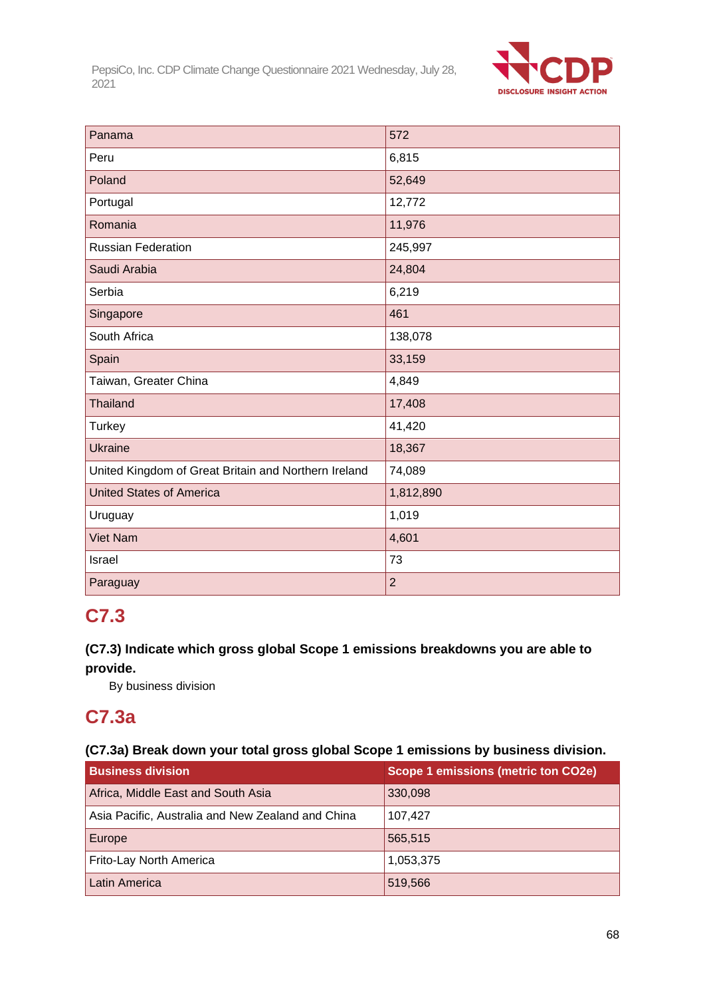

| Panama                                               | 572            |
|------------------------------------------------------|----------------|
| Peru                                                 | 6,815          |
| Poland                                               | 52,649         |
| Portugal                                             | 12,772         |
| Romania                                              | 11,976         |
| <b>Russian Federation</b>                            | 245,997        |
| Saudi Arabia                                         | 24,804         |
| Serbia                                               | 6,219          |
| Singapore                                            | 461            |
| South Africa                                         | 138,078        |
| Spain                                                | 33,159         |
| Taiwan, Greater China                                | 4,849          |
| <b>Thailand</b>                                      | 17,408         |
| <b>Turkey</b>                                        | 41,420         |
| <b>Ukraine</b>                                       | 18,367         |
| United Kingdom of Great Britain and Northern Ireland | 74,089         |
| <b>United States of America</b>                      | 1,812,890      |
| Uruguay                                              | 1,019          |
| <b>Viet Nam</b>                                      | 4,601          |
| Israel                                               | 73             |
| Paraguay                                             | $\overline{2}$ |

## **C7.3**

## **(C7.3) Indicate which gross global Scope 1 emissions breakdowns you are able to provide.**

By business division

## **C7.3a**

## **(C7.3a) Break down your total gross global Scope 1 emissions by business division.**

| <b>Business division</b>                          | <b>Scope 1 emissions (metric ton CO2e)</b> |
|---------------------------------------------------|--------------------------------------------|
| Africa, Middle East and South Asia                | 330,098                                    |
| Asia Pacific, Australia and New Zealand and China | 107,427                                    |
| Europe                                            | 565,515                                    |
| Frito-Lay North America                           | 1,053,375                                  |
| Latin America                                     | 519,566                                    |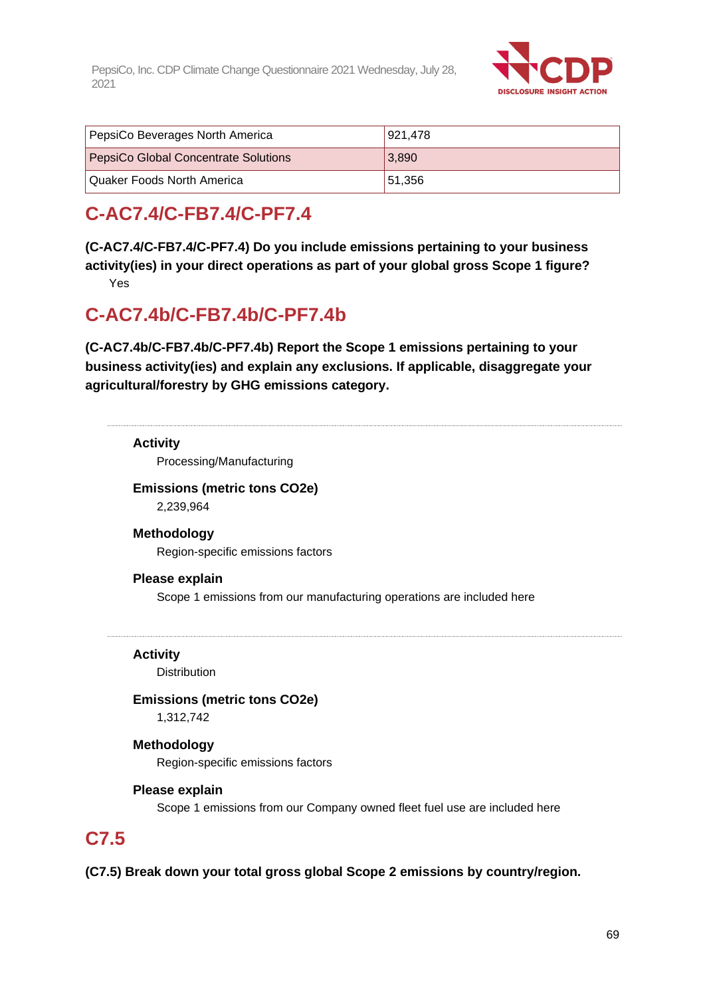

| PepsiCo Beverages North America             | 921.478 |
|---------------------------------------------|---------|
| <b>PepsiCo Global Concentrate Solutions</b> | 3,890   |
| l Quaker Foods North America                | 51,356  |

## **C-AC7.4/C-FB7.4/C-PF7.4**

**(C-AC7.4/C-FB7.4/C-PF7.4) Do you include emissions pertaining to your business activity(ies) in your direct operations as part of your global gross Scope 1 figure?**

Yes

## **C-AC7.4b/C-FB7.4b/C-PF7.4b**

**(C-AC7.4b/C-FB7.4b/C-PF7.4b) Report the Scope 1 emissions pertaining to your business activity(ies) and explain any exclusions. If applicable, disaggregate your agricultural/forestry by GHG emissions category.**

## **Activity**

Processing/Manufacturing

## **Emissions (metric tons CO2e)** 2,239,964

**Methodology**

Region-specific emissions factors

## **Please explain**

Scope 1 emissions from our manufacturing operations are included here

**Activity**

**Distribution** 

**Emissions (metric tons CO2e)** 1,312,742

## **Methodology** Region-specific emissions factors

## **Please explain**

Scope 1 emissions from our Company owned fleet fuel use are included here

## **C7.5**

**(C7.5) Break down your total gross global Scope 2 emissions by country/region.**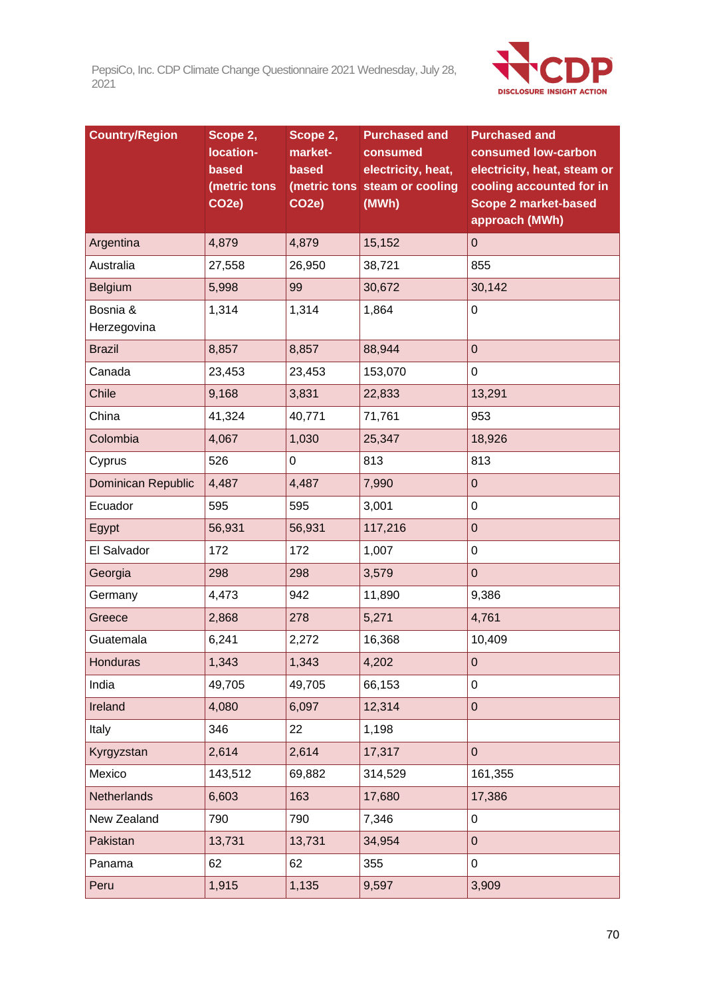

| <b>Country/Region</b> | Scope 2,<br>location- | Scope 2,<br>market- | <b>Purchased and</b><br>consumed | <b>Purchased and</b><br>consumed low-carbon   |
|-----------------------|-----------------------|---------------------|----------------------------------|-----------------------------------------------|
|                       | based                 | based               | electricity, heat,               | electricity, heat, steam or                   |
|                       | (metric tons          |                     | (metric tons steam or cooling    | cooling accounted for in                      |
|                       | CO <sub>2</sub> e)    | CO <sub>2</sub> e)  | (MWh)                            | <b>Scope 2 market-based</b><br>approach (MWh) |
| Argentina             | 4,879                 | 4,879               | 15,152                           | $\mathbf 0$                                   |
| Australia             | 27,558                | 26,950              | 38,721                           | 855                                           |
| Belgium               | 5,998                 | 99                  | 30,672                           | 30,142                                        |
| Bosnia &              | 1,314                 | 1,314               | 1,864                            | $\pmb{0}$                                     |
| Herzegovina           |                       |                     |                                  |                                               |
| <b>Brazil</b>         | 8,857                 | 8,857               | 88,944                           | $\mathbf 0$                                   |
| Canada                | 23,453                | 23,453              | 153,070                          | $\pmb{0}$                                     |
| Chile                 | 9,168                 | 3,831               | 22,833                           | 13,291                                        |
| China                 | 41,324                | 40,771              | 71,761                           | 953                                           |
| Colombia              | 4,067                 | 1,030               | 25,347                           | 18,926                                        |
| Cyprus                | 526                   | 0                   | 813                              | 813                                           |
| Dominican Republic    | 4,487                 | 4,487               | 7,990                            | $\mathbf 0$                                   |
| Ecuador               | 595                   | 595                 | 3,001                            | $\mathbf 0$                                   |
| Egypt                 | 56,931                | 56,931              | 117,216                          | $\pmb{0}$                                     |
| El Salvador           | 172                   | 172                 | 1,007                            | $\mathbf 0$                                   |
| Georgia               | 298                   | 298                 | 3,579                            | $\pmb{0}$                                     |
| Germany               | 4,473                 | 942                 | 11,890                           | 9,386                                         |
| Greece                | 2,868                 | 278                 | 5,271                            | 4,761                                         |
| Guatemala             | 6,241                 | 2,272               | 16,368                           | 10,409                                        |
| <b>Honduras</b>       | 1,343                 | 1,343               | 4,202                            | $\pmb{0}$                                     |
| India                 | 49,705                | 49,705              | 66,153                           | $\pmb{0}$                                     |
| Ireland               | 4,080                 | 6,097               | 12,314                           | $\pmb{0}$                                     |
| Italy                 | 346                   | 22                  | 1,198                            |                                               |
| Kyrgyzstan            | 2,614                 | 2,614               | 17,317                           | $\mathbf 0$                                   |
| Mexico                | 143,512               | 69,882              | 314,529                          | 161,355                                       |
| Netherlands           | 6,603                 | 163                 | 17,680                           | 17,386                                        |
| New Zealand           | 790                   | 790                 | 7,346                            | $\pmb{0}$                                     |
| Pakistan              | 13,731                | 13,731              | 34,954                           | $\pmb{0}$                                     |
| Panama                | 62                    | 62                  | 355                              | $\mathbf 0$                                   |
| Peru                  | 1,915                 | 1,135               | 9,597                            | 3,909                                         |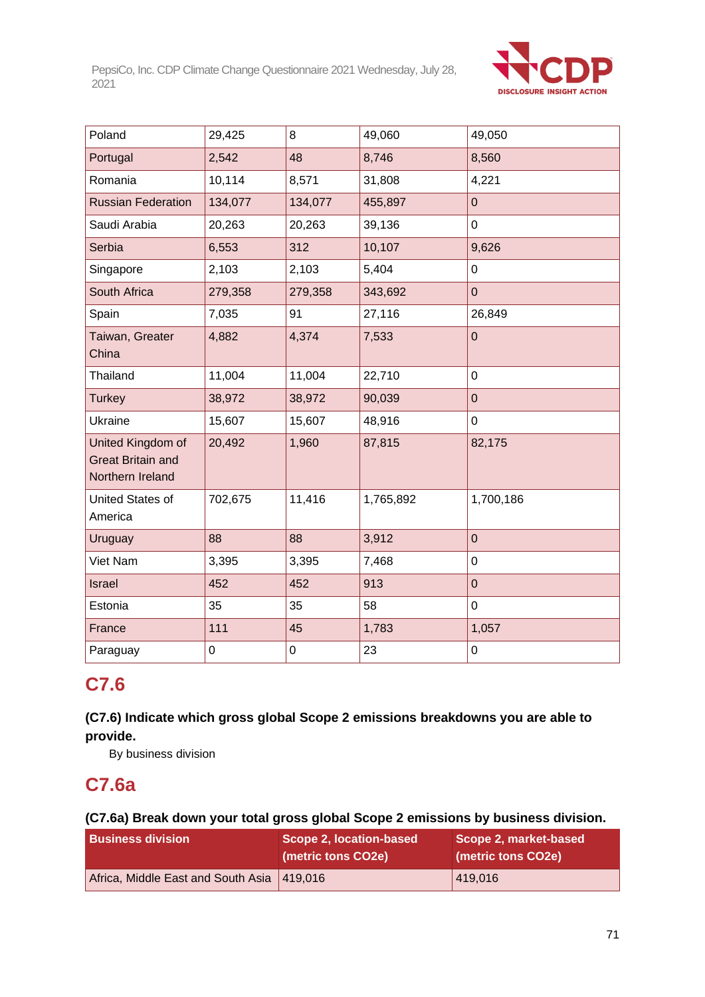

| Poland                                                            | 29,425  | 8       | 49,060    | 49,050         |
|-------------------------------------------------------------------|---------|---------|-----------|----------------|
| Portugal                                                          | 2,542   | 48      | 8,746     | 8,560          |
| Romania                                                           | 10,114  | 8,571   | 31,808    | 4,221          |
| <b>Russian Federation</b>                                         | 134,077 | 134,077 | 455,897   | $\overline{0}$ |
| Saudi Arabia                                                      | 20,263  | 20,263  | 39,136    | $\pmb{0}$      |
| Serbia                                                            | 6,553   | 312     | 10,107    | 9,626          |
| Singapore                                                         | 2,103   | 2,103   | 5,404     | $\mathbf 0$    |
| South Africa                                                      | 279,358 | 279,358 | 343,692   | $\mathbf 0$    |
| Spain                                                             | 7,035   | 91      | 27,116    | 26,849         |
| Taiwan, Greater<br>China                                          | 4,882   | 4,374   | 7,533     | $\mathbf 0$    |
| Thailand                                                          | 11,004  | 11,004  | 22,710    | $\mathbf 0$    |
| <b>Turkey</b>                                                     | 38,972  | 38,972  | 90,039    | $\mathbf 0$    |
| Ukraine                                                           | 15,607  | 15,607  | 48,916    | 0              |
| United Kingdom of<br><b>Great Britain and</b><br>Northern Ireland | 20,492  | 1,960   | 87,815    | 82,175         |
| United States of<br>America                                       | 702,675 | 11,416  | 1,765,892 | 1,700,186      |
| Uruguay                                                           | 88      | 88      | 3,912     | $\overline{0}$ |
| Viet Nam                                                          | 3,395   | 3,395   | 7,468     | $\mathbf 0$    |
| <b>Israel</b>                                                     | 452     | 452     | 913       | $\mathbf 0$    |
| Estonia                                                           | 35      | 35      | 58        | 0              |
| France                                                            | 111     | 45      | 1,783     | 1,057          |
| Paraguay                                                          | 0       | 0       | 23        | $\mathsf 0$    |

## **C7.6**

## **(C7.6) Indicate which gross global Scope 2 emissions breakdowns you are able to provide.**

By business division

## **C7.6a**

## **(C7.6a) Break down your total gross global Scope 2 emissions by business division.**

| <b>Business division</b>                     | Scope 2, location-based<br>(metric tons CO2e) | Scope 2, market-based<br>(metric tons CO2e) |
|----------------------------------------------|-----------------------------------------------|---------------------------------------------|
| Africa, Middle East and South Asia   419,016 |                                               | 419,016                                     |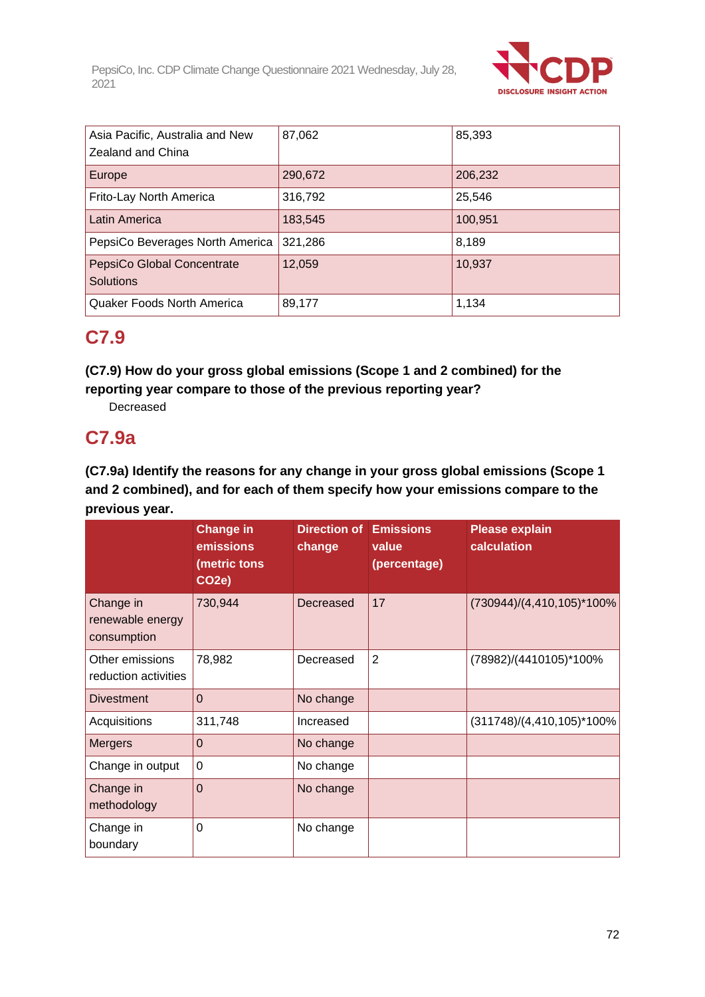

| Asia Pacific, Australia and New<br>Zealand and China | 87,062  | 85,393  |
|------------------------------------------------------|---------|---------|
| Europe                                               | 290,672 | 206,232 |
| Frito-Lay North America                              | 316,792 | 25,546  |
| Latin America                                        | 183,545 | 100,951 |
| PepsiCo Beverages North America                      | 321,286 | 8,189   |
| PepsiCo Global Concentrate<br><b>Solutions</b>       | 12,059  | 10,937  |
| Quaker Foods North America                           | 89,177  | 1,134   |

## **C7.9**

## **(C7.9) How do your gross global emissions (Scope 1 and 2 combined) for the reporting year compare to those of the previous reporting year?**

Decreased

## **C7.9a**

## **(C7.9a) Identify the reasons for any change in your gross global emissions (Scope 1 and 2 combined), and for each of them specify how your emissions compare to the previous year.**

|                                              | <b>Change in</b><br>emissions<br>(metric tons<br>CO <sub>2e</sub> | <b>Direction of Emissions</b><br>change | value<br>(percentage) | <b>Please explain</b><br>calculation |
|----------------------------------------------|-------------------------------------------------------------------|-----------------------------------------|-----------------------|--------------------------------------|
| Change in<br>renewable energy<br>consumption | 730,944                                                           | Decreased                               | 17                    | (730944)/(4,410,105)*100%            |
| Other emissions<br>reduction activities      | 78,982                                                            | Decreased                               | $\overline{2}$        | (78982)/(4410105)*100%               |
| <b>Divestment</b>                            | $\Omega$                                                          | No change                               |                       |                                      |
| Acquisitions                                 | 311,748                                                           | Increased                               |                       | $(311748)/(4,410,105)^*100\%$        |
| <b>Mergers</b>                               | 0                                                                 | No change                               |                       |                                      |
| Change in output                             | $\Omega$                                                          | No change                               |                       |                                      |
| Change in<br>methodology                     | $\mathbf 0$                                                       | No change                               |                       |                                      |
| Change in<br>boundary                        | 0                                                                 | No change                               |                       |                                      |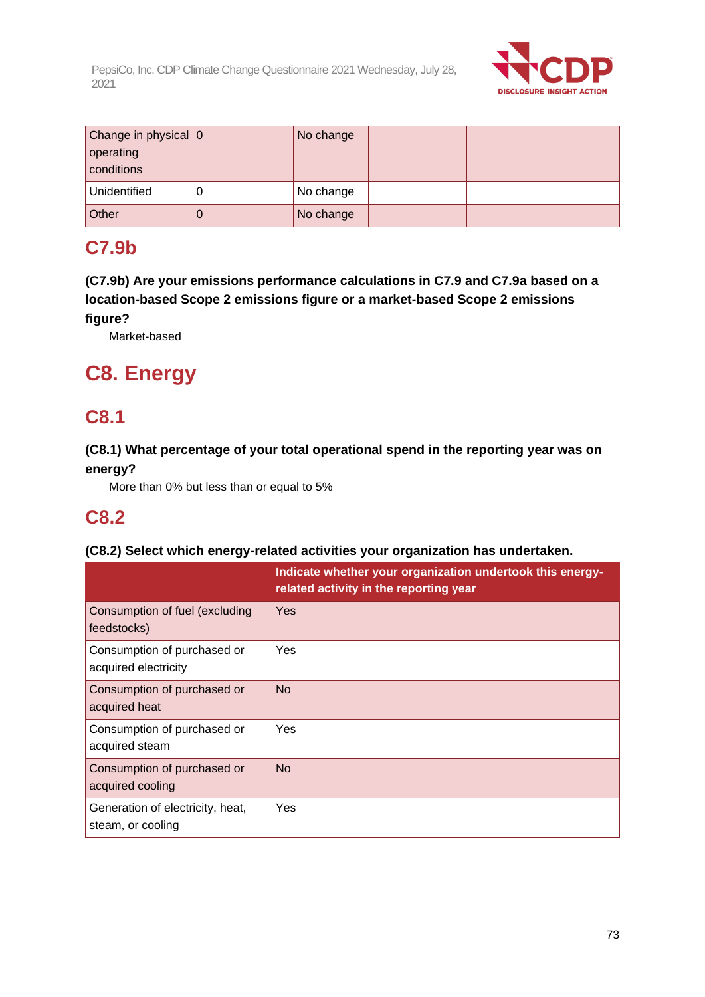

| Change in physical 0 | No change |  |
|----------------------|-----------|--|
| operating            |           |  |
| conditions           |           |  |
| Unidentified         | No change |  |
| Other                | No change |  |

# **C7.9b**

**(C7.9b) Are your emissions performance calculations in C7.9 and C7.9a based on a location-based Scope 2 emissions figure or a market-based Scope 2 emissions figure?**

Market-based

# **C8. Energy**

# **C8.1**

# **(C8.1) What percentage of your total operational spend in the reporting year was on energy?**

More than 0% but less than or equal to 5%

# **C8.2**

# **(C8.2) Select which energy-related activities your organization has undertaken.**

|                                                       | Indicate whether your organization undertook this energy-<br>related activity in the reporting year |
|-------------------------------------------------------|-----------------------------------------------------------------------------------------------------|
| Consumption of fuel (excluding<br>feedstocks)         | Yes                                                                                                 |
| Consumption of purchased or<br>acquired electricity   | Yes                                                                                                 |
| Consumption of purchased or<br>acquired heat          | No.                                                                                                 |
| Consumption of purchased or<br>acquired steam         | Yes                                                                                                 |
| Consumption of purchased or<br>acquired cooling       | <b>No</b>                                                                                           |
| Generation of electricity, heat,<br>steam, or cooling | Yes                                                                                                 |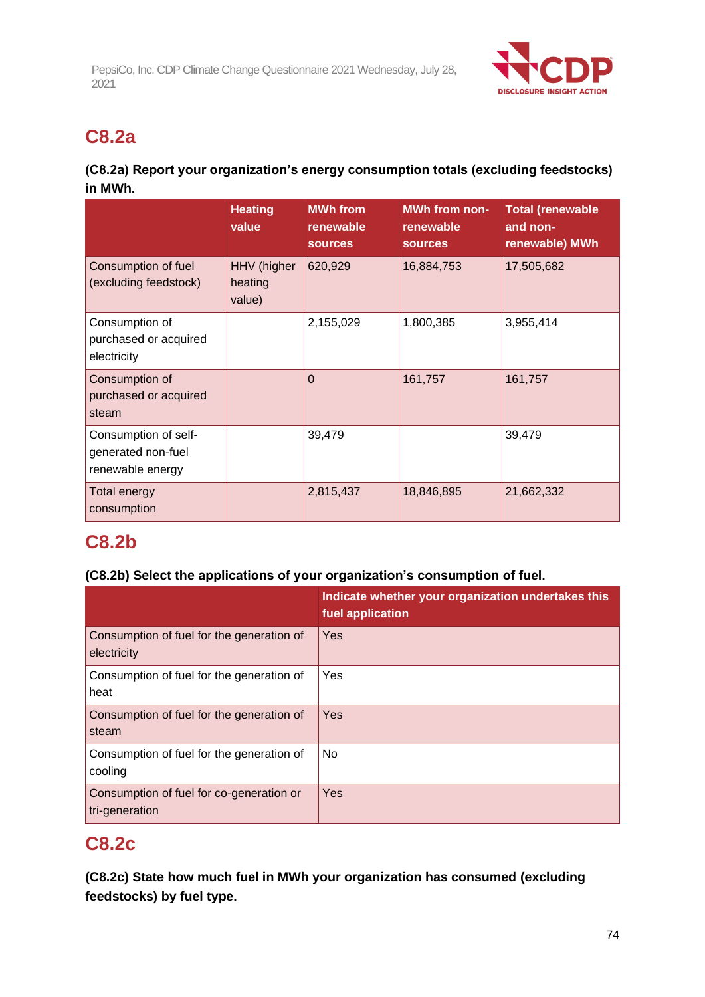

# **C8.2a**

# **(C8.2a) Report your organization's energy consumption totals (excluding feedstocks) in MWh.**

|                                                                | <b>Heating</b><br>value          | <b>MWh</b> from<br>renewable<br><b>sources</b> | <b>MWh from non-</b><br>renewable<br><b>sources</b> | <b>Total (renewable</b><br>and non-<br>renewable) MWh |
|----------------------------------------------------------------|----------------------------------|------------------------------------------------|-----------------------------------------------------|-------------------------------------------------------|
| Consumption of fuel<br>(excluding feedstock)                   | HHV (higher<br>heating<br>value) | 620,929                                        | 16,884,753                                          | 17,505,682                                            |
| Consumption of<br>purchased or acquired<br>electricity         |                                  | 2,155,029                                      | 1,800,385                                           | 3,955,414                                             |
| Consumption of<br>purchased or acquired<br>steam               |                                  | $\Omega$                                       | 161,757                                             | 161,757                                               |
| Consumption of self-<br>generated non-fuel<br>renewable energy |                                  | 39,479                                         |                                                     | 39,479                                                |
| Total energy<br>consumption                                    |                                  | 2,815,437                                      | 18,846,895                                          | 21,662,332                                            |

# **C8.2b**

# **(C8.2b) Select the applications of your organization's consumption of fuel.**

|                                                            | Indicate whether your organization undertakes this<br>fuel application |
|------------------------------------------------------------|------------------------------------------------------------------------|
| Consumption of fuel for the generation of<br>electricity   | Yes                                                                    |
| Consumption of fuel for the generation of<br>heat          | Yes                                                                    |
| Consumption of fuel for the generation of<br>steam         | Yes                                                                    |
| Consumption of fuel for the generation of<br>cooling       | No                                                                     |
| Consumption of fuel for co-generation or<br>tri-generation | Yes                                                                    |

# **C8.2c**

**(C8.2c) State how much fuel in MWh your organization has consumed (excluding feedstocks) by fuel type.**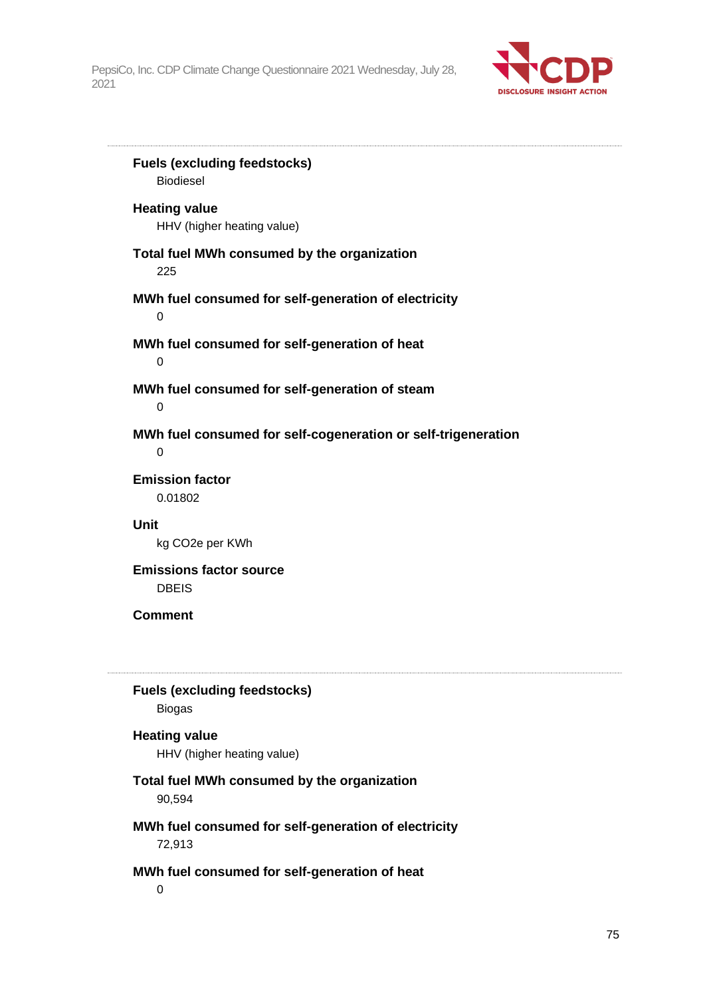

**Fuels (excluding feedstocks)** Biodiesel **Heating value** HHV (higher heating value) **Total fuel MWh consumed by the organization** 225 **MWh fuel consumed for self-generation of electricity** 0 **MWh fuel consumed for self-generation of heat**  $\Omega$ **MWh fuel consumed for self-generation of steam**  $\Omega$ **MWh fuel consumed for self-cogeneration or self-trigeneration** 0 **Emission factor** 0.01802 **Unit** kg CO2e per KWh **Emissions factor source** DBEIS **Comment Fuels (excluding feedstocks)** Biogas **Heating value** HHV (higher heating value) **Total fuel MWh consumed by the organization** 90,594 **MWh fuel consumed for self-generation of electricity** 72,913 **MWh fuel consumed for self-generation of heat**  $\Omega$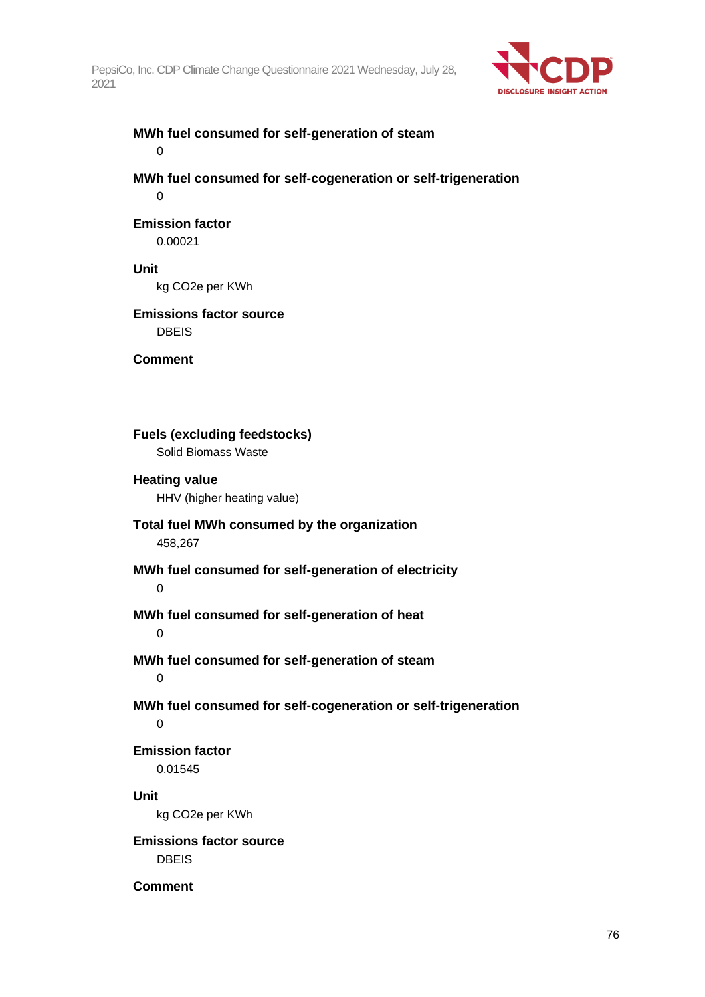

### **MWh fuel consumed for self-generation of steam**  $\overline{0}$

**MWh fuel consumed for self-cogeneration or self-trigeneration**  $\Omega$ 

# **Emission factor**

0.00021

# **Unit**

kg CO2e per KWh

# **Emissions factor source**

DBEIS

**Comment**

**Fuels (excluding feedstocks)** Solid Biomass Waste **Heating value** HHV (higher heating value) **Total fuel MWh consumed by the organization** 458,267 **MWh fuel consumed for self-generation of electricity** 0 **MWh fuel consumed for self-generation of heat**  $\Omega$ **MWh fuel consumed for self-generation of steam** 0 **MWh fuel consumed for self-cogeneration or self-trigeneration**  $\Omega$ **Emission factor** 0.01545 **Unit** kg CO2e per KWh **Emissions factor source** DBEIS **Comment**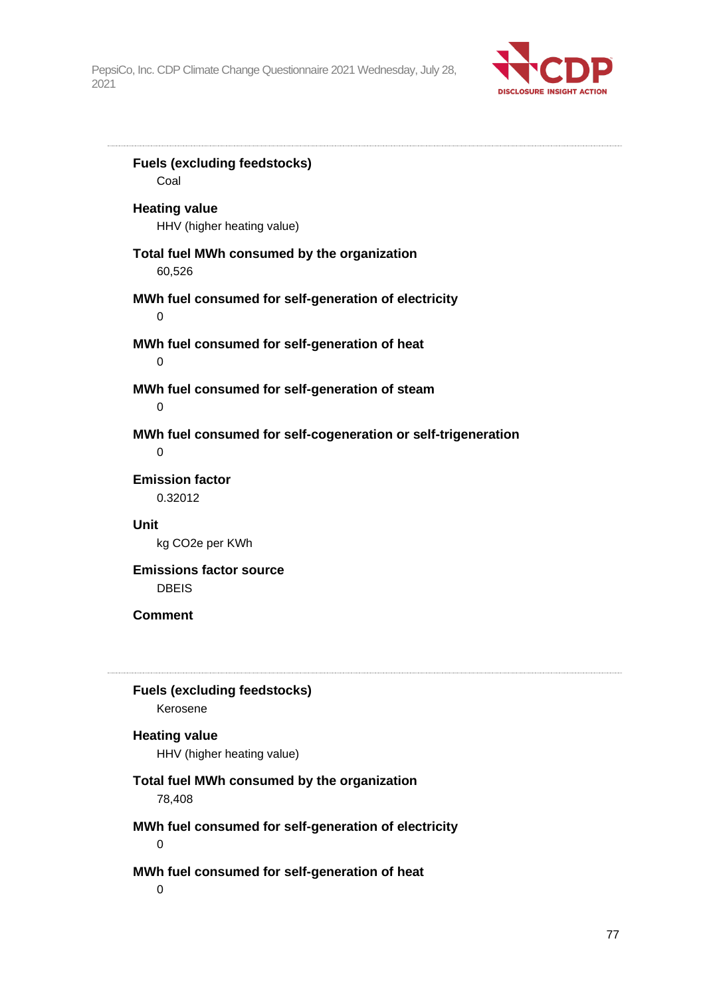

**Fuels (excluding feedstocks)** Coal **Heating value** HHV (higher heating value) **Total fuel MWh consumed by the organization** 60,526 **MWh fuel consumed for self-generation of electricity** 0 **MWh fuel consumed for self-generation of heat**  $\Omega$ **MWh fuel consumed for self-generation of steam**  $\Omega$ **MWh fuel consumed for self-cogeneration or self-trigeneration** 0 **Emission factor** 0.32012 **Unit** kg CO2e per KWh **Emissions factor source** DBEIS **Comment Fuels (excluding feedstocks)** Kerosene **Heating value** HHV (higher heating value) **Total fuel MWh consumed by the organization** 78,408 **MWh fuel consumed for self-generation of electricity** 0 **MWh fuel consumed for self-generation of heat**  $\Omega$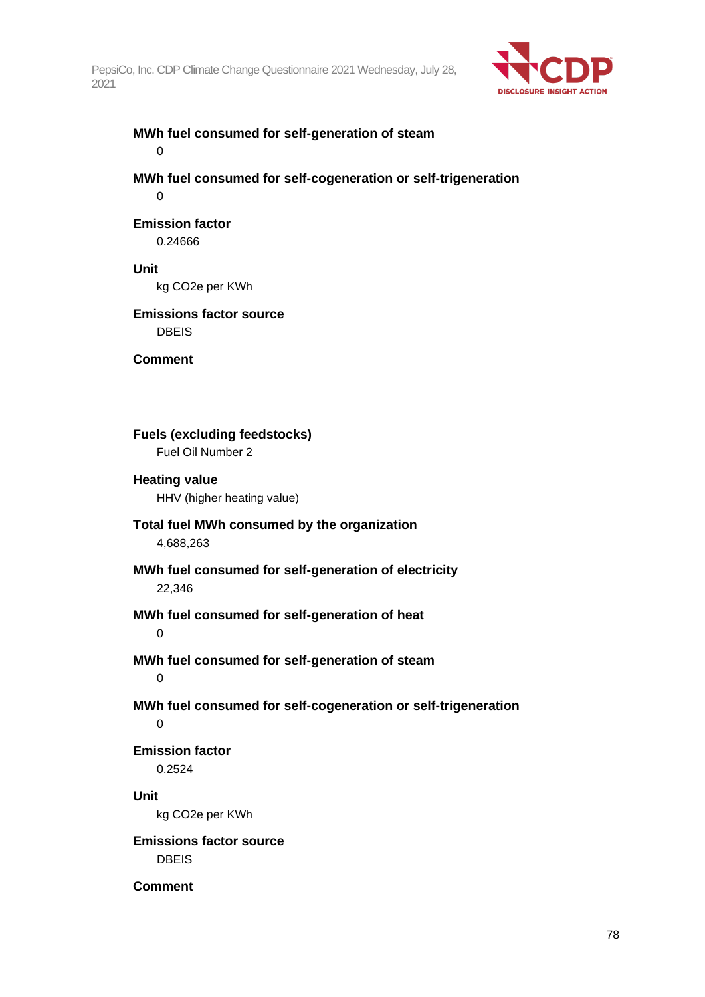

# **MWh fuel consumed for self-generation of steam**  $\overline{0}$

**MWh fuel consumed for self-cogeneration or self-trigeneration**  $\Omega$ 

### **Emission factor** 0.24666

# **Unit**

kg CO2e per KWh

# **Emissions factor source**

DBEIS

**Comment**

**Fuels (excluding feedstocks)** Fuel Oil Number 2 **Heating value** HHV (higher heating value) **Total fuel MWh consumed by the organization** 4,688,263 **MWh fuel consumed for self-generation of electricity** 22,346 **MWh fuel consumed for self-generation of heat**  $\Omega$ **MWh fuel consumed for self-generation of steam** 0 **MWh fuel consumed for self-cogeneration or self-trigeneration**  $\Omega$ **Emission factor** 0.2524 **Unit** kg CO2e per KWh **Emissions factor source** DBEIS **Comment**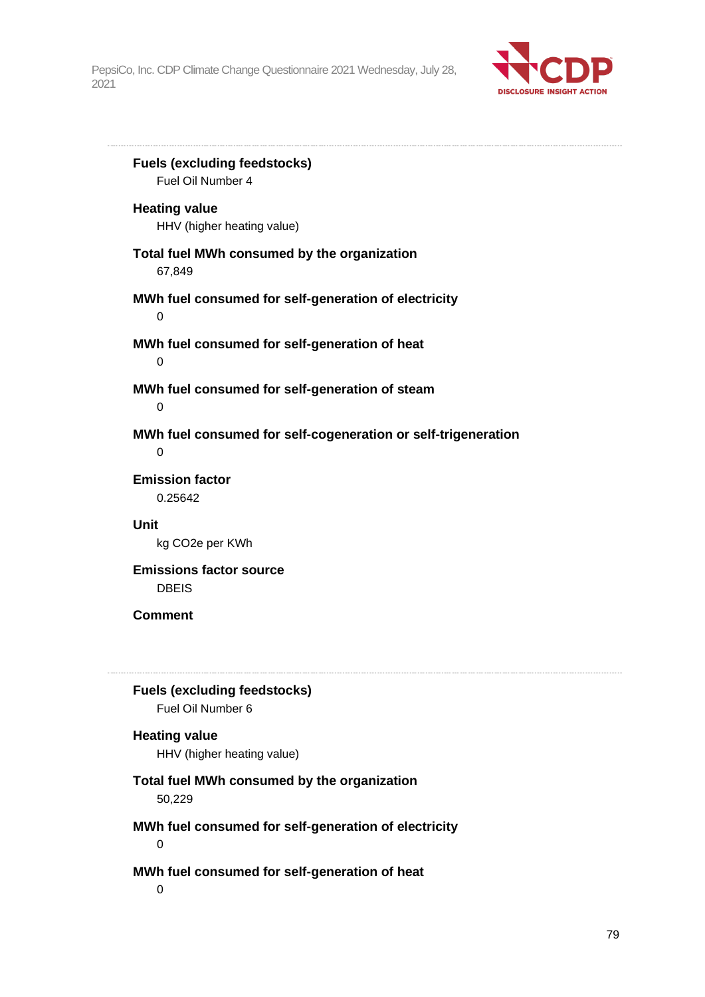

**Fuels (excluding feedstocks)** Fuel Oil Number 4 **Heating value** HHV (higher heating value) **Total fuel MWh consumed by the organization** 67,849 **MWh fuel consumed for self-generation of electricity** 0 **MWh fuel consumed for self-generation of heat**  $\Omega$ **MWh fuel consumed for self-generation of steam**  $\Omega$ **MWh fuel consumed for self-cogeneration or self-trigeneration** 0 **Emission factor** 0.25642 **Unit** kg CO2e per KWh **Emissions factor source** DBEIS **Comment Fuels (excluding feedstocks)** Fuel Oil Number 6 **Heating value** HHV (higher heating value) **Total fuel MWh consumed by the organization** 50,229 **MWh fuel consumed for self-generation of electricity** 0 **MWh fuel consumed for self-generation of heat**  $\Omega$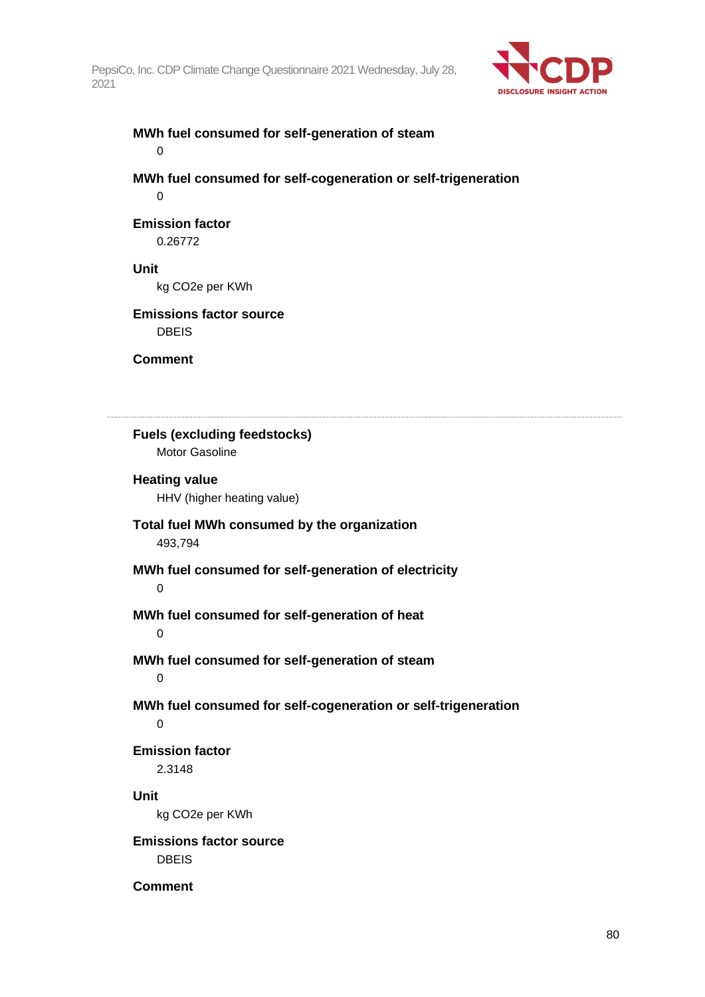

### **MWh fuel consumed for self-generation of steam**  $\overline{0}$

**MWh fuel consumed for self-cogeneration or self-trigeneration**  $\Omega$ 

# **Emission factor**

0.26772

### **Unit**

kg CO2e per KWh

# **Emissions factor source**

DBEIS

**Comment**

**Fuels (excluding feedstocks)** Motor Gasoline **Heating value** HHV (higher heating value) **Total fuel MWh consumed by the organization** 493,794 **MWh fuel consumed for self-generation of electricity** 0 **MWh fuel consumed for self-generation of heat**  $\Omega$ **MWh fuel consumed for self-generation of steam** 0 **MWh fuel consumed for self-cogeneration or self-trigeneration**  $\Omega$ **Emission factor** 2.3148 **Unit** kg CO2e per KWh **Emissions factor source** DBEIS **Comment**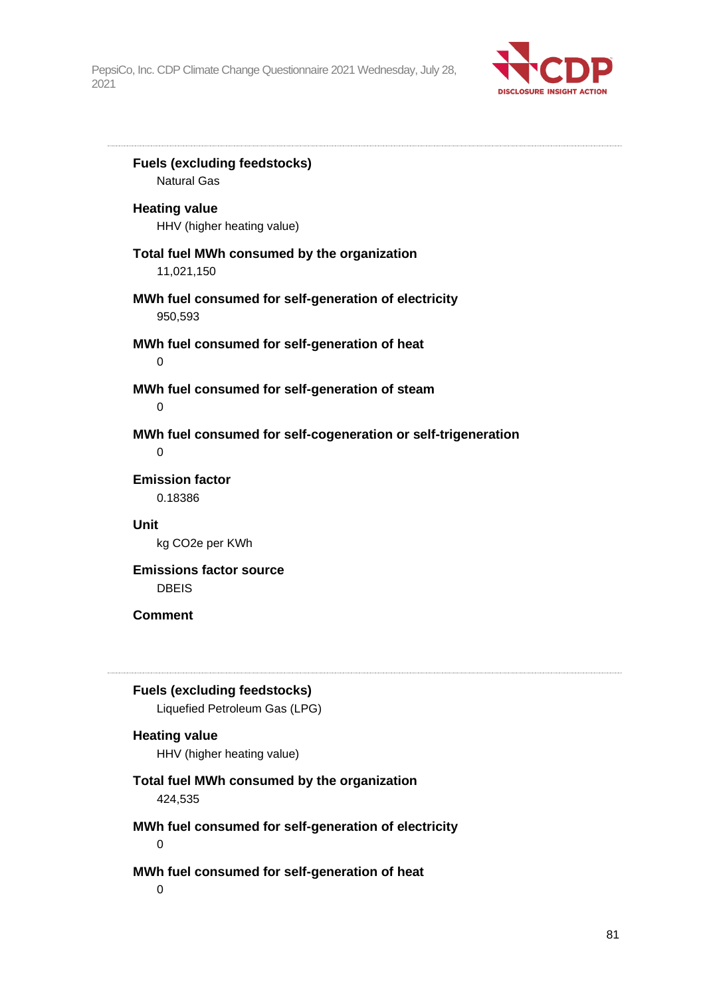

**Fuels (excluding feedstocks)** Natural Gas **Heating value** HHV (higher heating value) **Total fuel MWh consumed by the organization** 11,021,150 **MWh fuel consumed for self-generation of electricity** 950,593 **MWh fuel consumed for self-generation of heat**  $\Omega$ **MWh fuel consumed for self-generation of steam**  $\Omega$ **MWh fuel consumed for self-cogeneration or self-trigeneration** 0 **Emission factor** 0.18386 **Unit** kg CO2e per KWh **Emissions factor source** DBEIS **Comment Fuels (excluding feedstocks)** Liquefied Petroleum Gas (LPG) **Heating value** HHV (higher heating value) **Total fuel MWh consumed by the organization** 424,535 **MWh fuel consumed for self-generation of electricity** 0 **MWh fuel consumed for self-generation of heat**

 $\Omega$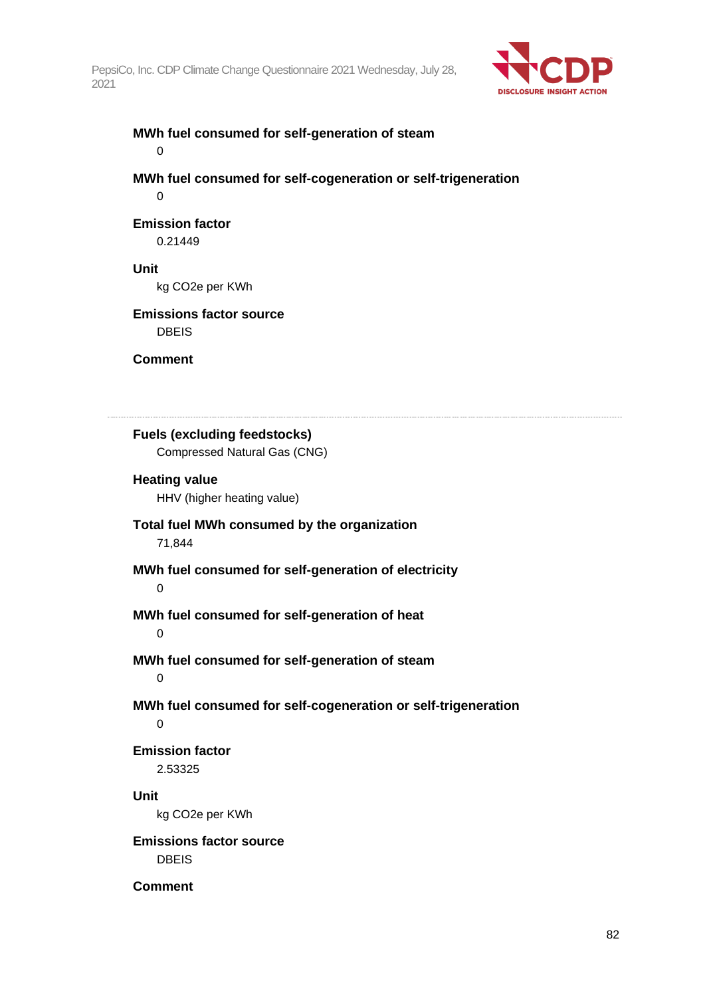

# **MWh fuel consumed for self-generation of steam**  $\overline{0}$

**MWh fuel consumed for self-cogeneration or self-trigeneration**  $\Omega$ 

# **Emission factor**

0.21449

# **Unit**

kg CO2e per KWh

# **Emissions factor source**

DBEIS

**Comment**

**Fuels (excluding feedstocks)** Compressed Natural Gas (CNG) **Heating value** HHV (higher heating value) **Total fuel MWh consumed by the organization** 71,844 **MWh fuel consumed for self-generation of electricity** 0 **MWh fuel consumed for self-generation of heat**  $\Omega$ **MWh fuel consumed for self-generation of steam** 0 **MWh fuel consumed for self-cogeneration or self-trigeneration**  $\Omega$ **Emission factor** 2.53325 **Unit** kg CO2e per KWh **Emissions factor source** DBEIS **Comment**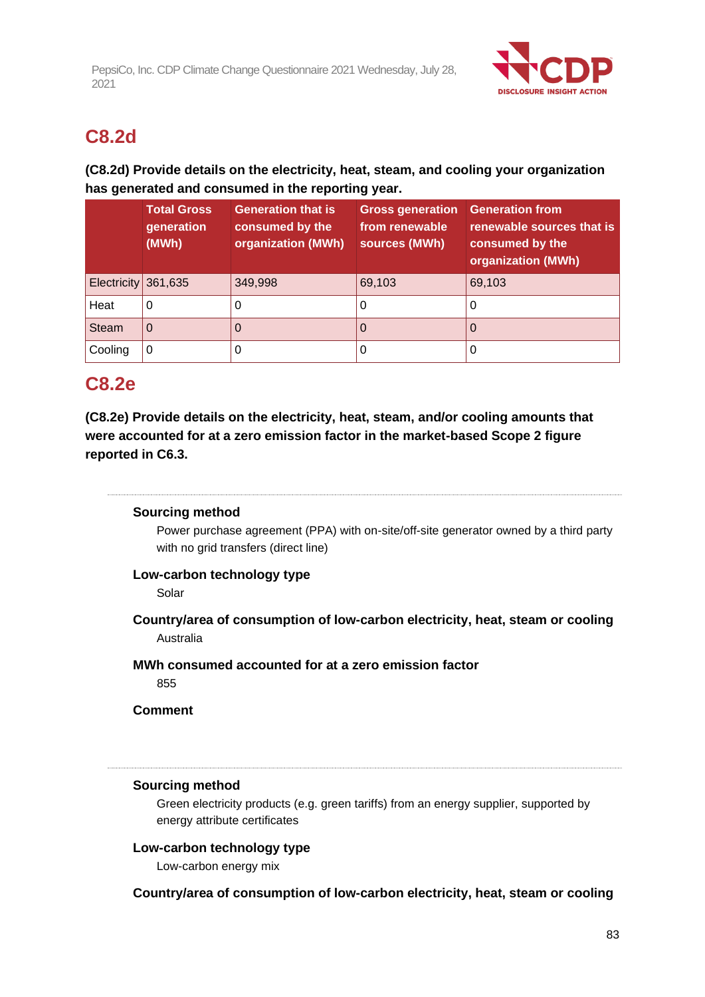

# **C8.2d**

# **(C8.2d) Provide details on the electricity, heat, steam, and cooling your organization has generated and consumed in the reporting year.**

|                     | <b>Total Gross</b><br>generation<br>(MWh) | <b>Generation that is</b><br>consumed by the<br>organization (MWh) | <b>Gross generation</b><br>from renewable<br>sources (MWh) | <b>Generation from</b><br>renewable sources that is<br>consumed by the<br>organization (MWh) |
|---------------------|-------------------------------------------|--------------------------------------------------------------------|------------------------------------------------------------|----------------------------------------------------------------------------------------------|
| Electricity 361,635 |                                           | 349,998                                                            | 69,103                                                     | 69,103                                                                                       |
| Heat                | 0                                         | 0                                                                  | υ                                                          | O                                                                                            |
| <b>Steam</b>        | 0                                         | Ő                                                                  | Ü                                                          |                                                                                              |
| Cooling             | 0                                         | O                                                                  |                                                            | O                                                                                            |

# **C8.2e**

**(C8.2e) Provide details on the electricity, heat, steam, and/or cooling amounts that were accounted for at a zero emission factor in the market-based Scope 2 figure reported in C6.3.**

# **Sourcing method**

Power purchase agreement (PPA) with on-site/off-site generator owned by a third party with no grid transfers (direct line)

# **Low-carbon technology type**

Solar

**Country/area of consumption of low-carbon electricity, heat, steam or cooling** Australia

**MWh consumed accounted for at a zero emission factor**

855

# **Comment**

# **Sourcing method**

Green electricity products (e.g. green tariffs) from an energy supplier, supported by energy attribute certificates

# **Low-carbon technology type**

Low-carbon energy mix

# **Country/area of consumption of low-carbon electricity, heat, steam or cooling**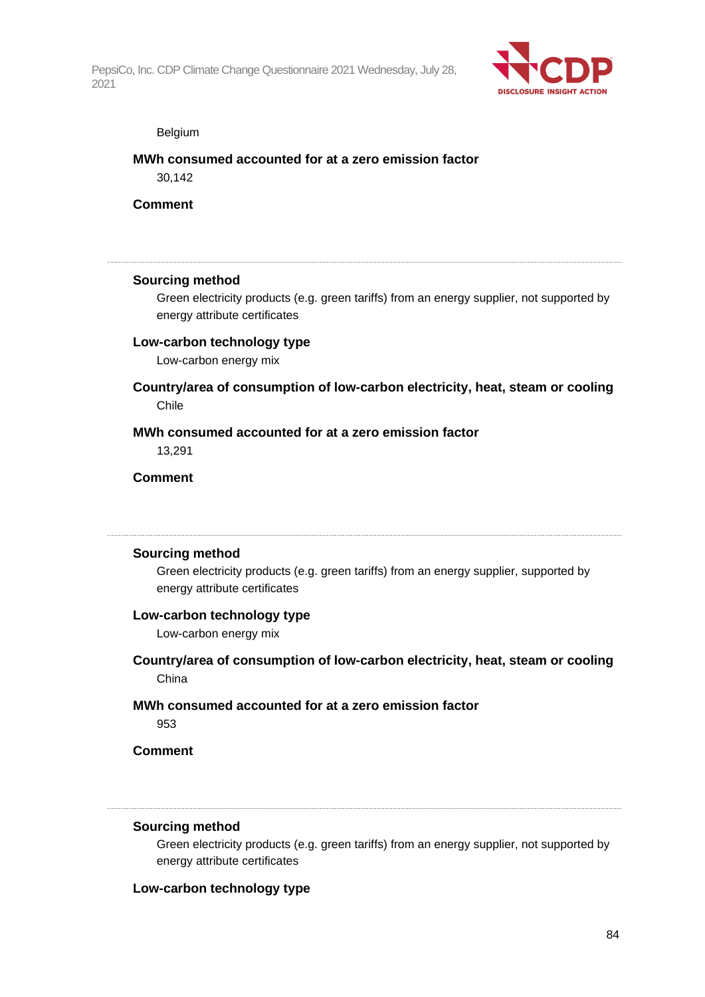

#### Belgium

#### **MWh consumed accounted for at a zero emission factor**

30,142

**Comment**

#### **Sourcing method**

Green electricity products (e.g. green tariffs) from an energy supplier, not supported by energy attribute certificates

#### **Low-carbon technology type**

Low-carbon energy mix

# **Country/area of consumption of low-carbon electricity, heat, steam or cooling** Chile

#### **MWh consumed accounted for at a zero emission factor**

13,291

# **Comment**

### **Sourcing method**

Green electricity products (e.g. green tariffs) from an energy supplier, supported by energy attribute certificates

#### **Low-carbon technology type**

Low-carbon energy mix

- **Country/area of consumption of low-carbon electricity, heat, steam or cooling** China
- **MWh consumed accounted for at a zero emission factor**

953

# **Comment**

#### **Sourcing method**

Green electricity products (e.g. green tariffs) from an energy supplier, not supported by energy attribute certificates

#### **Low-carbon technology type**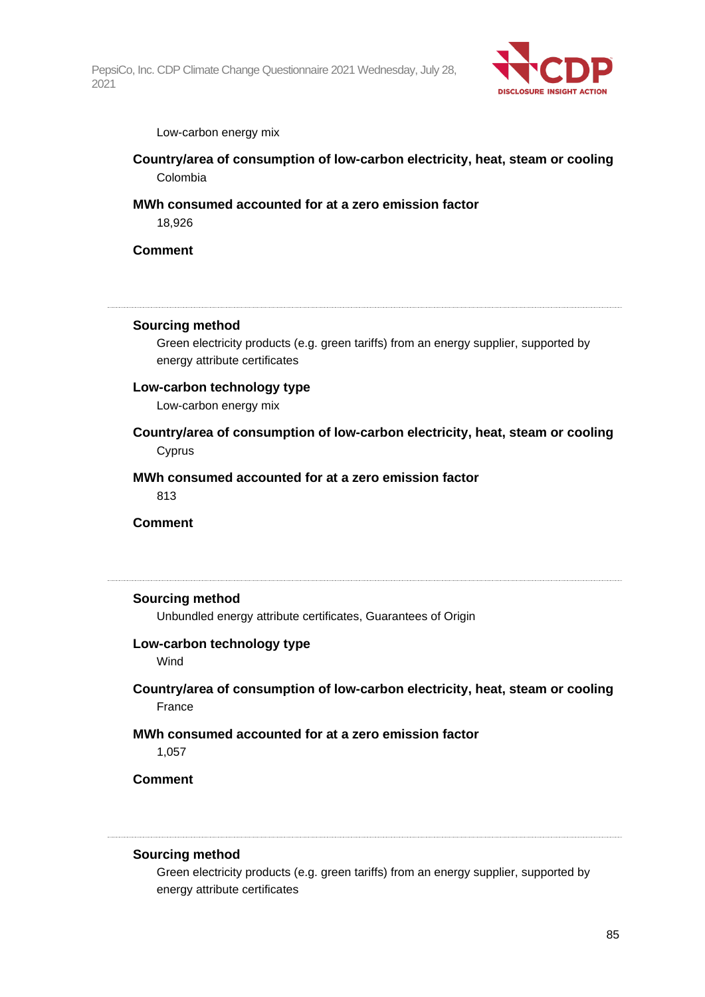

#### Low-carbon energy mix

**Country/area of consumption of low-carbon electricity, heat, steam or cooling** Colombia

# **MWh consumed accounted for at a zero emission factor**

18,926

### **Comment**

#### **Sourcing method**

Green electricity products (e.g. green tariffs) from an energy supplier, supported by energy attribute certificates

#### **Low-carbon technology type**

Low-carbon energy mix

**Country/area of consumption of low-carbon electricity, heat, steam or cooling** Cyprus

### **MWh consumed accounted for at a zero emission factor**

813

### **Comment**

#### **Sourcing method**

Unbundled energy attribute certificates, Guarantees of Origin

#### **Low-carbon technology type**

Wind

# **Country/area of consumption of low-carbon electricity, heat, steam or cooling** France

# **MWh consumed accounted for at a zero emission factor**

1,057

# **Comment**

#### **Sourcing method**

Green electricity products (e.g. green tariffs) from an energy supplier, supported by energy attribute certificates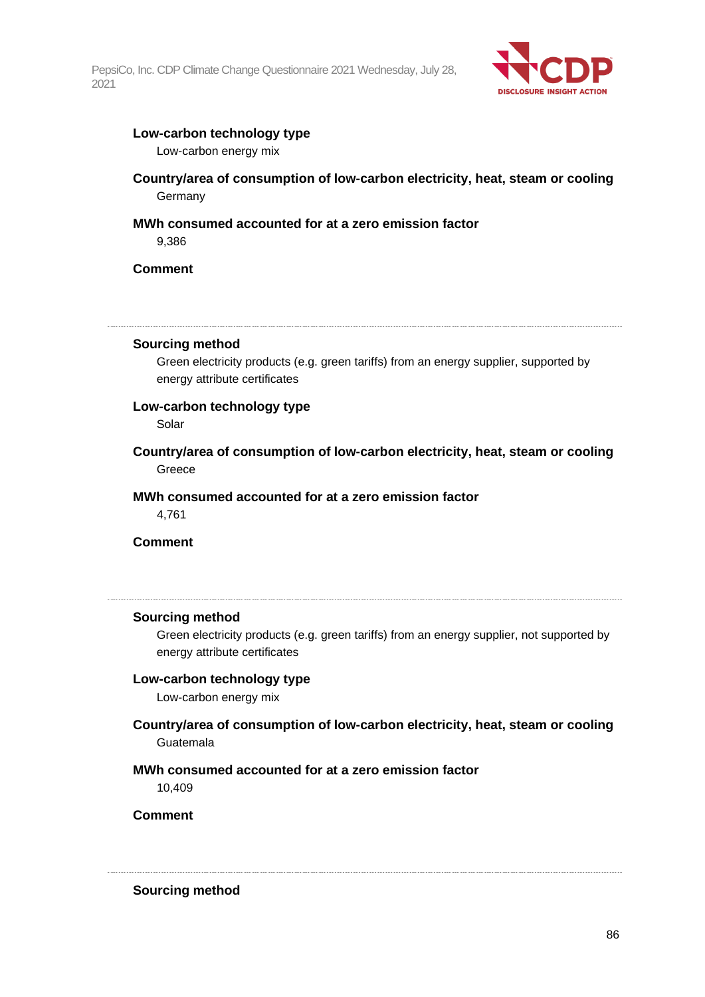

### **Low-carbon technology type**

Low-carbon energy mix

# **Country/area of consumption of low-carbon electricity, heat, steam or cooling Germany**

# **MWh consumed accounted for at a zero emission factor**

9,386

**Comment**

#### **Sourcing method**

Green electricity products (e.g. green tariffs) from an energy supplier, supported by energy attribute certificates

### **Low-carbon technology type**

Solar

**Country/area of consumption of low-carbon electricity, heat, steam or cooling** Greece

**MWh consumed accounted for at a zero emission factor** 4,761

**Comment**

#### **Sourcing method**

Green electricity products (e.g. green tariffs) from an energy supplier, not supported by energy attribute certificates

### **Low-carbon technology type**

Low-carbon energy mix

# **Country/area of consumption of low-carbon electricity, heat, steam or cooling** Guatemala

### **MWh consumed accounted for at a zero emission factor**

10,409

**Comment**

**Sourcing method**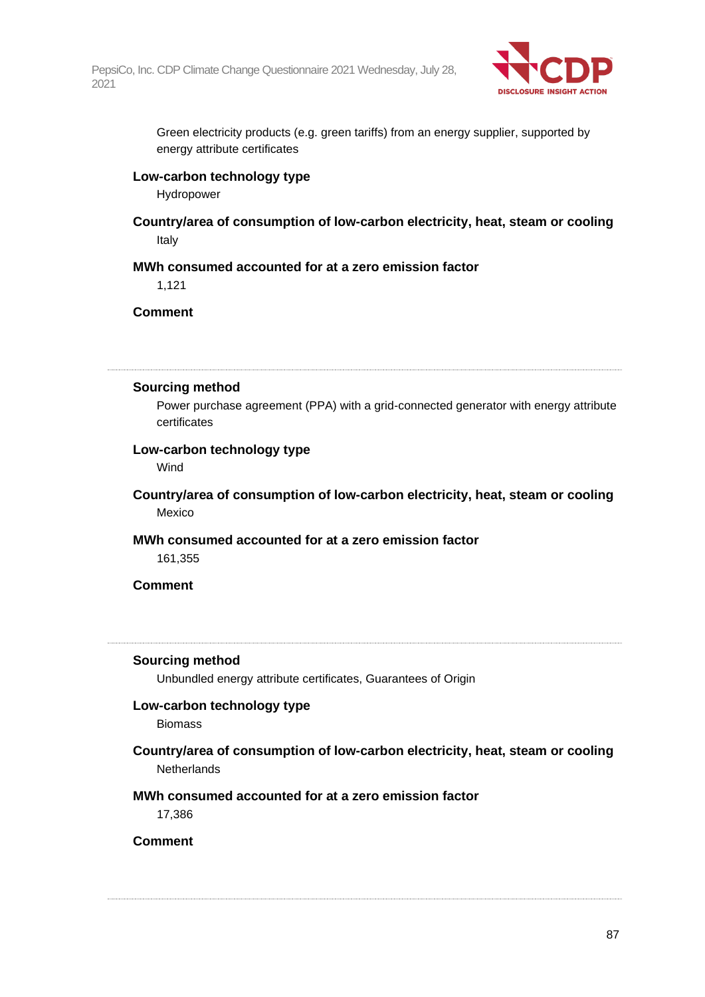

Green electricity products (e.g. green tariffs) from an energy supplier, supported by energy attribute certificates

#### **Low-carbon technology type**

Hydropower

**Country/area of consumption of low-carbon electricity, heat, steam or cooling** Italy

# **MWh consumed accounted for at a zero emission factor**

1,121

**Comment**

#### **Sourcing method**

Power purchase agreement (PPA) with a grid-connected generator with energy attribute certificates

# **Low-carbon technology type**

Wind

**Country/area of consumption of low-carbon electricity, heat, steam or cooling** Mexico

# **MWh consumed accounted for at a zero emission factor**

161,355

### **Comment**

#### **Sourcing method**

Unbundled energy attribute certificates, Guarantees of Origin

#### **Low-carbon technology type**

Biomass

**Country/area of consumption of low-carbon electricity, heat, steam or cooling Netherlands** 

# **MWh consumed accounted for at a zero emission factor**

17,386

**Comment**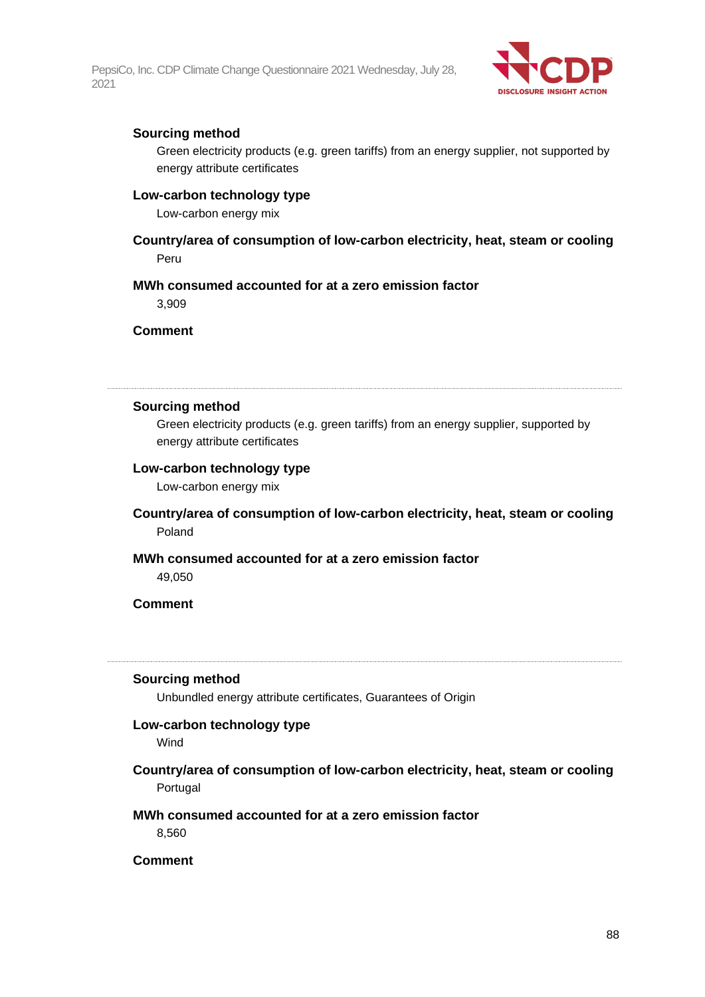

# **Sourcing method**

Green electricity products (e.g. green tariffs) from an energy supplier, not supported by energy attribute certificates

### **Low-carbon technology type**

Low-carbon energy mix

# **Country/area of consumption of low-carbon electricity, heat, steam or cooling** Peru

#### **MWh consumed accounted for at a zero emission factor**

3,909

**Comment**

#### **Sourcing method**

Green electricity products (e.g. green tariffs) from an energy supplier, supported by energy attribute certificates

#### **Low-carbon technology type**

Low-carbon energy mix

**Country/area of consumption of low-carbon electricity, heat, steam or cooling** Poland

#### **MWh consumed accounted for at a zero emission factor**

49,050

### **Comment**

#### **Sourcing method**

Unbundled energy attribute certificates, Guarantees of Origin

#### **Low-carbon technology type**

**Wind** 

**Country/area of consumption of low-carbon electricity, heat, steam or cooling** Portugal

### **MWh consumed accounted for at a zero emission factor**

8,560

### **Comment**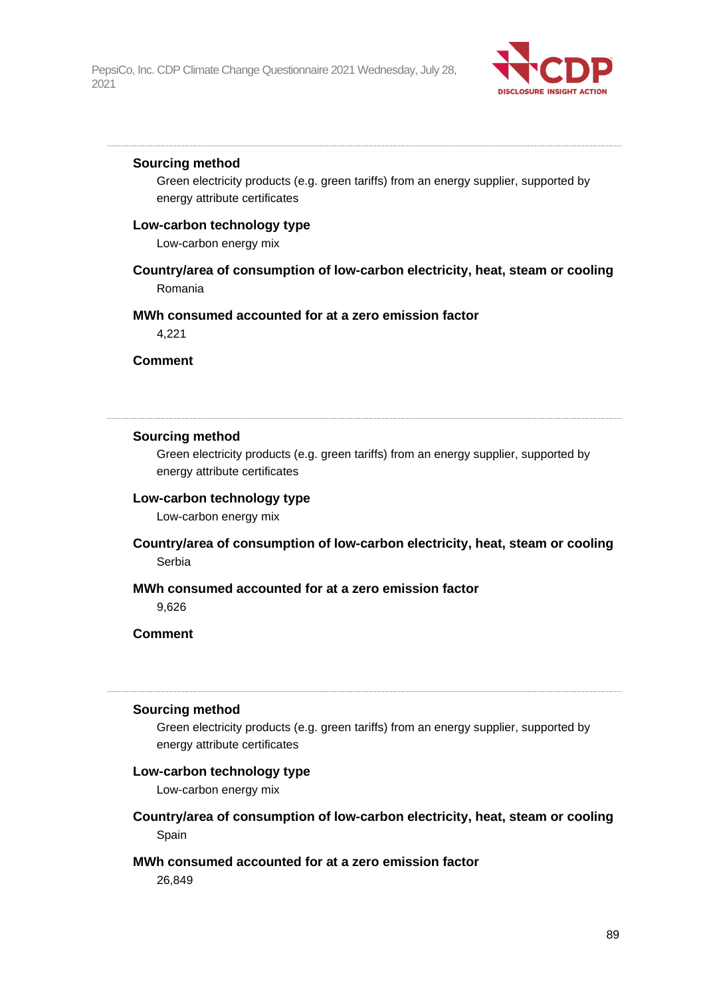

#### **Sourcing method**

Green electricity products (e.g. green tariffs) from an energy supplier, supported by energy attribute certificates

### **Low-carbon technology type**

Low-carbon energy mix

# **Country/area of consumption of low-carbon electricity, heat, steam or cooling** Romania

#### **MWh consumed accounted for at a zero emission factor**

4,221

**Comment**

# **Sourcing method**

Green electricity products (e.g. green tariffs) from an energy supplier, supported by energy attribute certificates

# **Low-carbon technology type**

Low-carbon energy mix

**Country/area of consumption of low-carbon electricity, heat, steam or cooling** Serbia

# **MWh consumed accounted for at a zero emission factor**

9,626

# **Comment**

#### **Sourcing method**

Green electricity products (e.g. green tariffs) from an energy supplier, supported by energy attribute certificates

### **Low-carbon technology type**

Low-carbon energy mix

**Country/area of consumption of low-carbon electricity, heat, steam or cooling** Spain

### **MWh consumed accounted for at a zero emission factor**

26,849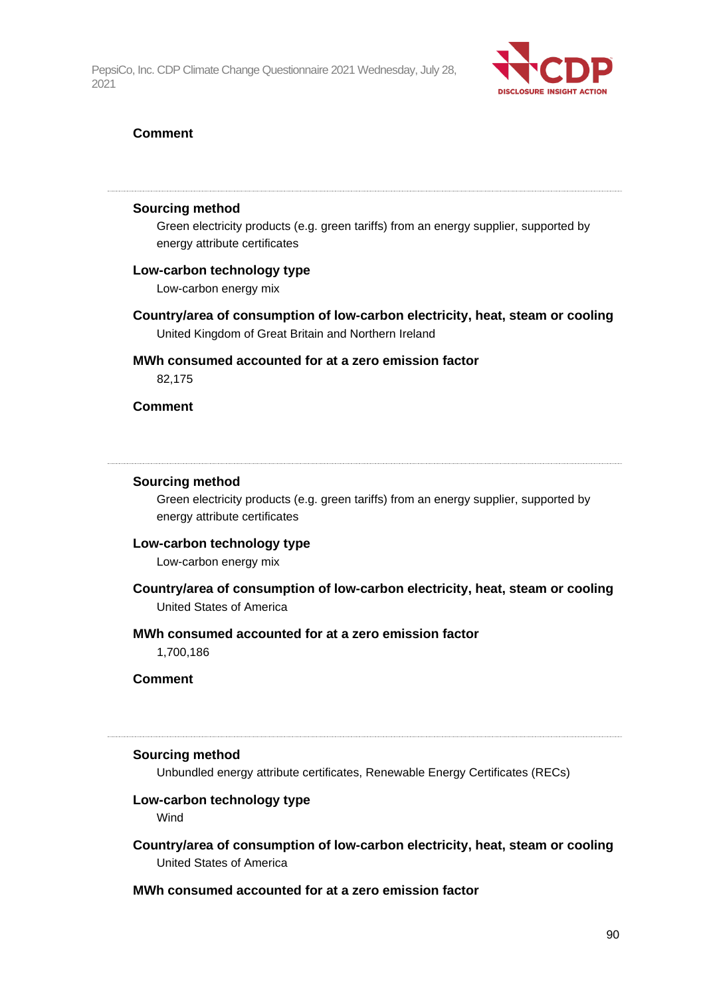

### **Comment**

#### **Sourcing method**

Green electricity products (e.g. green tariffs) from an energy supplier, supported by energy attribute certificates

#### **Low-carbon technology type**

Low-carbon energy mix

**Country/area of consumption of low-carbon electricity, heat, steam or cooling** United Kingdom of Great Britain and Northern Ireland

# **MWh consumed accounted for at a zero emission factor**

82,175

### **Comment**

#### **Sourcing method**

Green electricity products (e.g. green tariffs) from an energy supplier, supported by energy attribute certificates

#### **Low-carbon technology type**

Low-carbon energy mix

**Country/area of consumption of low-carbon electricity, heat, steam or cooling** United States of America

### **MWh consumed accounted for at a zero emission factor**

1,700,186

**Comment**

#### **Sourcing method**

Unbundled energy attribute certificates, Renewable Energy Certificates (RECs)

#### **Low-carbon technology type**

Wind

# **Country/area of consumption of low-carbon electricity, heat, steam or cooling** United States of America

# **MWh consumed accounted for at a zero emission factor**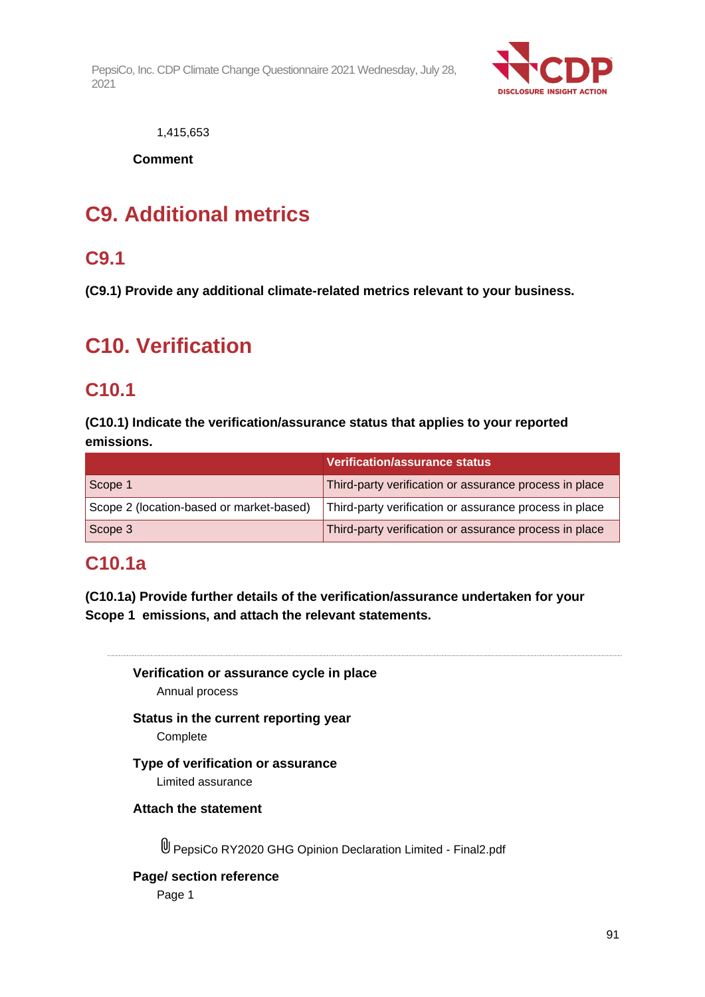

1,415,653

**Comment**

# **C9. Additional metrics**

# **C9.1**

**(C9.1) Provide any additional climate-related metrics relevant to your business.**

# **C10. Verification**

# **C10.1**

**(C10.1) Indicate the verification/assurance status that applies to your reported emissions.**

|                                          | Verification/assurance status                          |
|------------------------------------------|--------------------------------------------------------|
| Scope 1                                  | Third-party verification or assurance process in place |
| Scope 2 (location-based or market-based) | Third-party verification or assurance process in place |
| Scope 3                                  | Third-party verification or assurance process in place |

# **C10.1a**

**(C10.1a) Provide further details of the verification/assurance undertaken for your Scope 1 emissions, and attach the relevant statements.**

**Verification or assurance cycle in place** Annual process

**Status in the current reporting year Complete** 

# **Type of verification or assurance** Limited assurance

**Attach the statement**

PepsiCo RY2020 GHG Opinion Declaration Limited - Final2.pdf

**Page/ section reference**

Page 1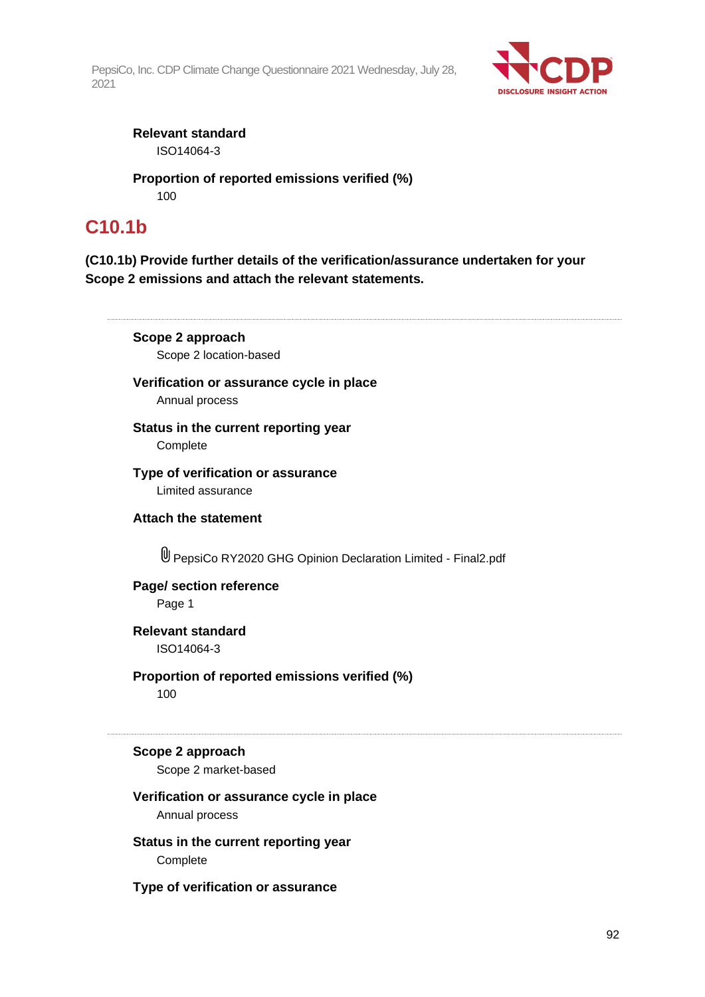

**Relevant standard** ISO14064-3

**Proportion of reported emissions verified (%)** 100

# **C10.1b**

**(C10.1b) Provide further details of the verification/assurance undertaken for your Scope 2 emissions and attach the relevant statements.**

**Scope 2 approach** Scope 2 location-based

**Verification or assurance cycle in place** Annual process

**Status in the current reporting year** Complete

**Type of verification or assurance** Limited assurance

**Attach the statement**

PepsiCo RY2020 GHG Opinion Declaration Limited - Final2.pdf

# **Page/ section reference**

Page 1

**Relevant standard** ISO14064-3

**Proportion of reported emissions verified (%)** 100

# **Scope 2 approach**

Scope 2 market-based

### **Verification or assurance cycle in place** Annual process

**Status in the current reporting year** Complete

**Type of verification or assurance**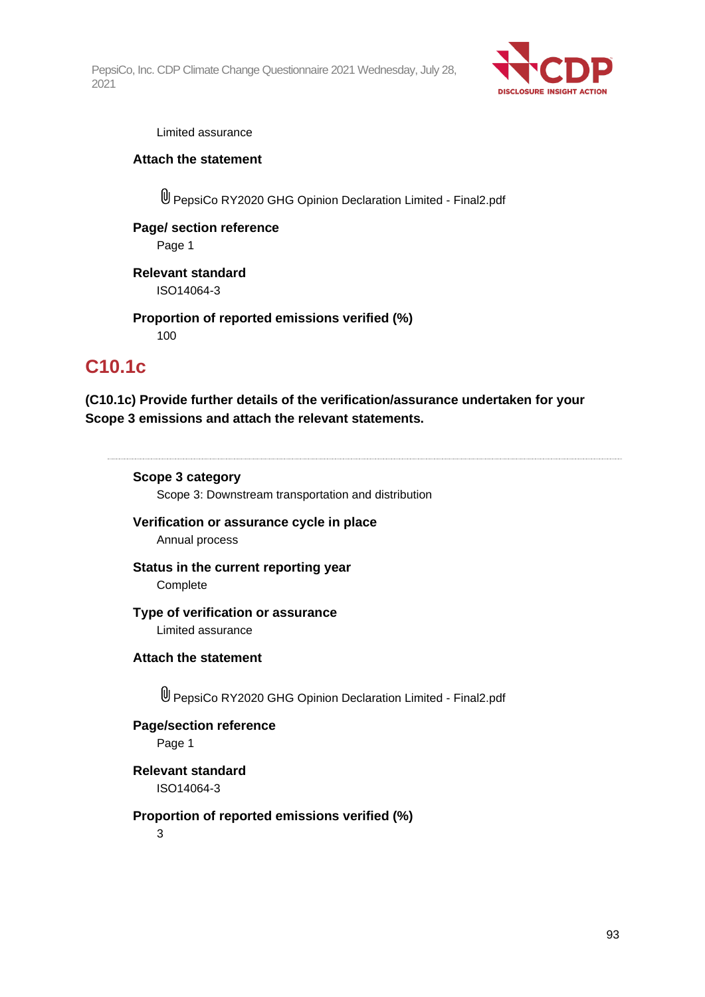

#### Limited assurance

### **Attach the statement**

PepsiCo RY2020 GHG Opinion Declaration Limited - Final2.pdf

# **Page/ section reference** Page 1

**Relevant standard** ISO14064-3

**Proportion of reported emissions verified (%)** 100

# **C10.1c**

**(C10.1c) Provide further details of the verification/assurance undertaken for your Scope 3 emissions and attach the relevant statements.**

### **Scope 3 category**

Scope 3: Downstream transportation and distribution

**Verification or assurance cycle in place** Annual process

**Status in the current reporting year Complete** 

#### **Type of verification or assurance** Limited assurance

**Attach the statement**

PepsiCo RY2020 GHG Opinion Declaration Limited - Final2.pdf

**Page/section reference** Page 1

**Relevant standard** ISO14064-3

# **Proportion of reported emissions verified (%)**

3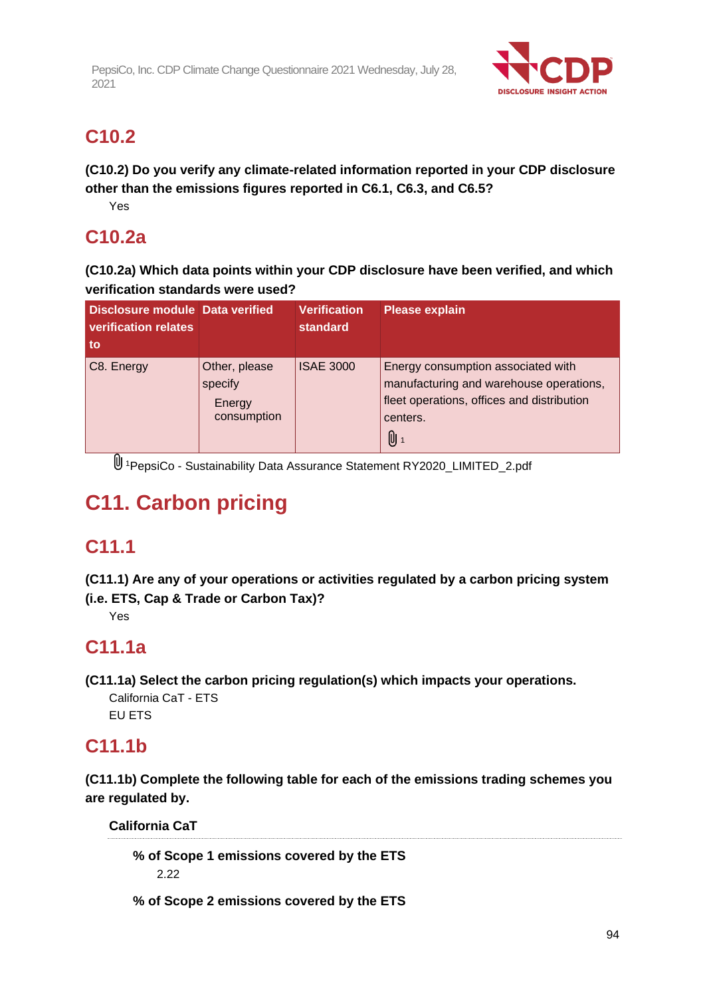

# **C10.2**

**(C10.2) Do you verify any climate-related information reported in your CDP disclosure other than the emissions figures reported in C6.1, C6.3, and C6.5?**

Yes

# **C10.2a**

**(C10.2a) Which data points within your CDP disclosure have been verified, and which verification standards were used?**

| Disclosure module Data verified<br>verification relates<br>to |                                                   | <b>Verification</b><br><b>standard</b> | <b>Please explain</b>                                                                                                                               |
|---------------------------------------------------------------|---------------------------------------------------|----------------------------------------|-----------------------------------------------------------------------------------------------------------------------------------------------------|
| C8. Energy                                                    | Other, please<br>specify<br>Energy<br>consumption | <b>ISAE 3000</b>                       | Energy consumption associated with<br>manufacturing and warehouse operations,<br>fleet operations, offices and distribution<br>centers.<br><b>D</b> |

<sup>1</sup>PepsiCo - Sustainability Data Assurance Statement RY2020\_LIMITED\_2.pdf

# **C11. Carbon pricing**

# **C11.1**

**(C11.1) Are any of your operations or activities regulated by a carbon pricing system (i.e. ETS, Cap & Trade or Carbon Tax)?**

Yes

# **C11.1a**

**(C11.1a) Select the carbon pricing regulation(s) which impacts your operations.**

California CaT - ETS EU ETS

# **C11.1b**

**(C11.1b) Complete the following table for each of the emissions trading schemes you are regulated by.**

**California CaT**

**% of Scope 1 emissions covered by the ETS** 2.22

**% of Scope 2 emissions covered by the ETS**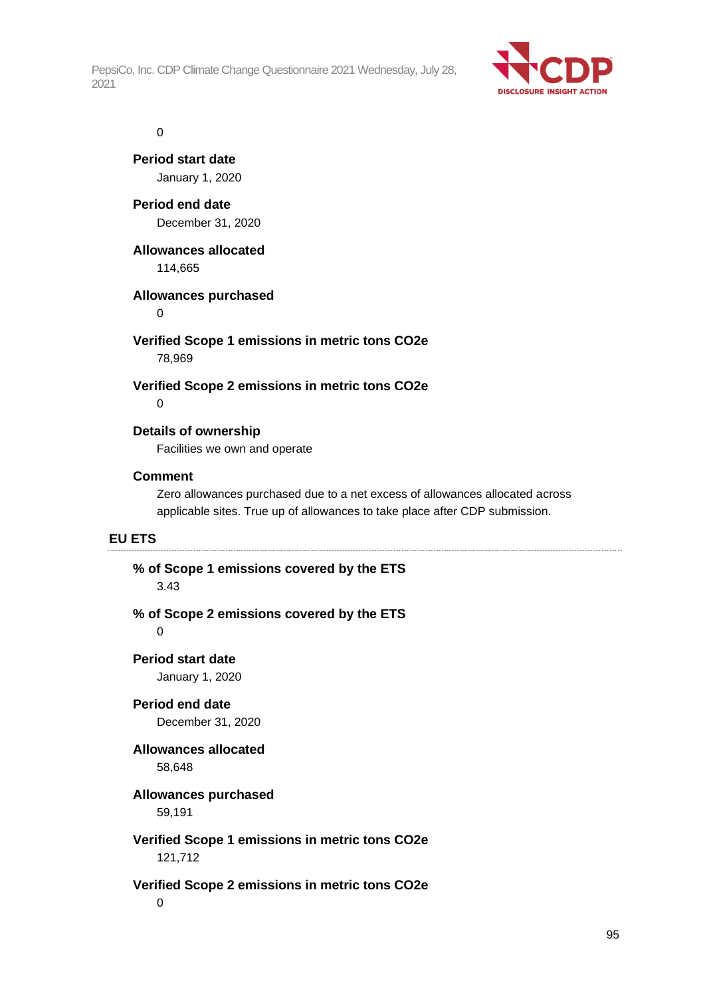

#### 0

**Period start date** January 1, 2020

**Period end date** December 31, 2020

### **Allowances allocated**

114,665

# **Allowances purchased**

 $\Omega$ 

# **Verified Scope 1 emissions in metric tons CO2e** 78,969

#### **Verified Scope 2 emissions in metric tons CO2e**  $\Omega$

# **Details of ownership**

Facilities we own and operate

### **Comment**

Zero allowances purchased due to a net excess of allowances allocated across applicable sites. True up of allowances to take place after CDP submission.

# **EU ETS**

# **% of Scope 1 emissions covered by the ETS**

3.43

# **% of Scope 2 emissions covered by the ETS**

 $\Omega$ 

# **Period start date**

January 1, 2020

# **Period end date**

December 31, 2020

# **Allowances allocated**

58,648

# **Allowances purchased**

59,191

# **Verified Scope 1 emissions in metric tons CO2e** 121,712

# **Verified Scope 2 emissions in metric tons CO2e**

0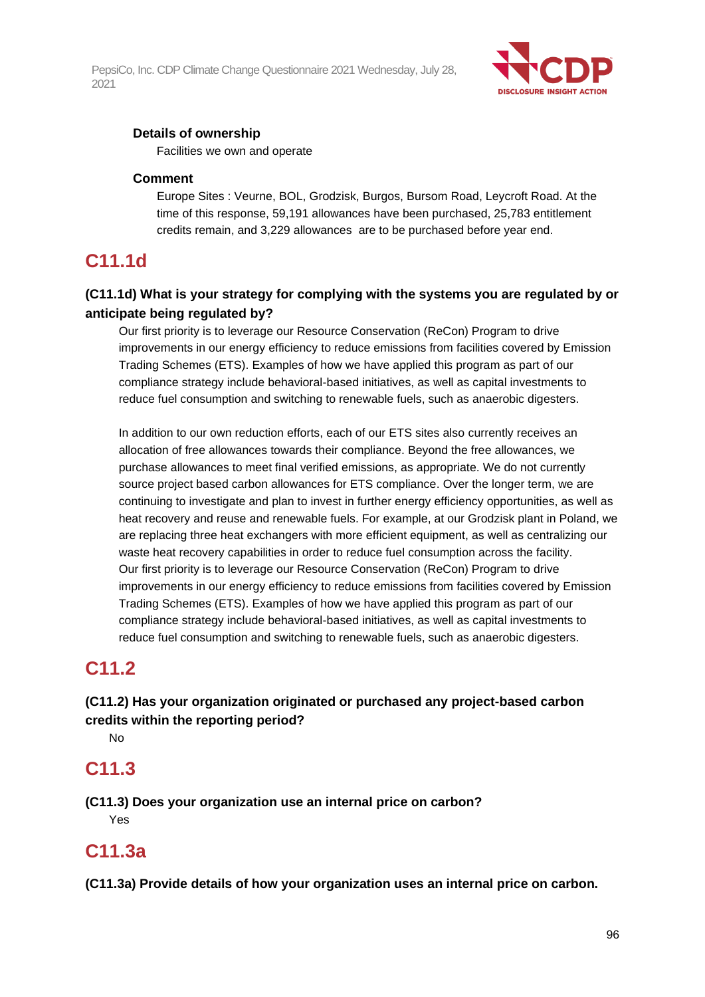

# **Details of ownership**

Facilities we own and operate

### **Comment**

Europe Sites : Veurne, BOL, Grodzisk, Burgos, Bursom Road, Leycroft Road. At the time of this response, 59,191 allowances have been purchased, 25,783 entitlement credits remain, and 3,229 allowances are to be purchased before year end.

# **C11.1d**

# **(C11.1d) What is your strategy for complying with the systems you are regulated by or anticipate being regulated by?**

Our first priority is to leverage our Resource Conservation (ReCon) Program to drive improvements in our energy efficiency to reduce emissions from facilities covered by Emission Trading Schemes (ETS). Examples of how we have applied this program as part of our compliance strategy include behavioral-based initiatives, as well as capital investments to reduce fuel consumption and switching to renewable fuels, such as anaerobic digesters.

In addition to our own reduction efforts, each of our ETS sites also currently receives an allocation of free allowances towards their compliance. Beyond the free allowances, we purchase allowances to meet final verified emissions, as appropriate. We do not currently source project based carbon allowances for ETS compliance. Over the longer term, we are continuing to investigate and plan to invest in further energy efficiency opportunities, as well as heat recovery and reuse and renewable fuels. For example, at our Grodzisk plant in Poland, we are replacing three heat exchangers with more efficient equipment, as well as centralizing our waste heat recovery capabilities in order to reduce fuel consumption across the facility. Our first priority is to leverage our Resource Conservation (ReCon) Program to drive improvements in our energy efficiency to reduce emissions from facilities covered by Emission Trading Schemes (ETS). Examples of how we have applied this program as part of our compliance strategy include behavioral-based initiatives, as well as capital investments to reduce fuel consumption and switching to renewable fuels, such as anaerobic digesters.

# **C11.2**

# **(C11.2) Has your organization originated or purchased any project-based carbon credits within the reporting period?**

No

# **C11.3**

**(C11.3) Does your organization use an internal price on carbon?** Yes

# **C11.3a**

**(C11.3a) Provide details of how your organization uses an internal price on carbon.**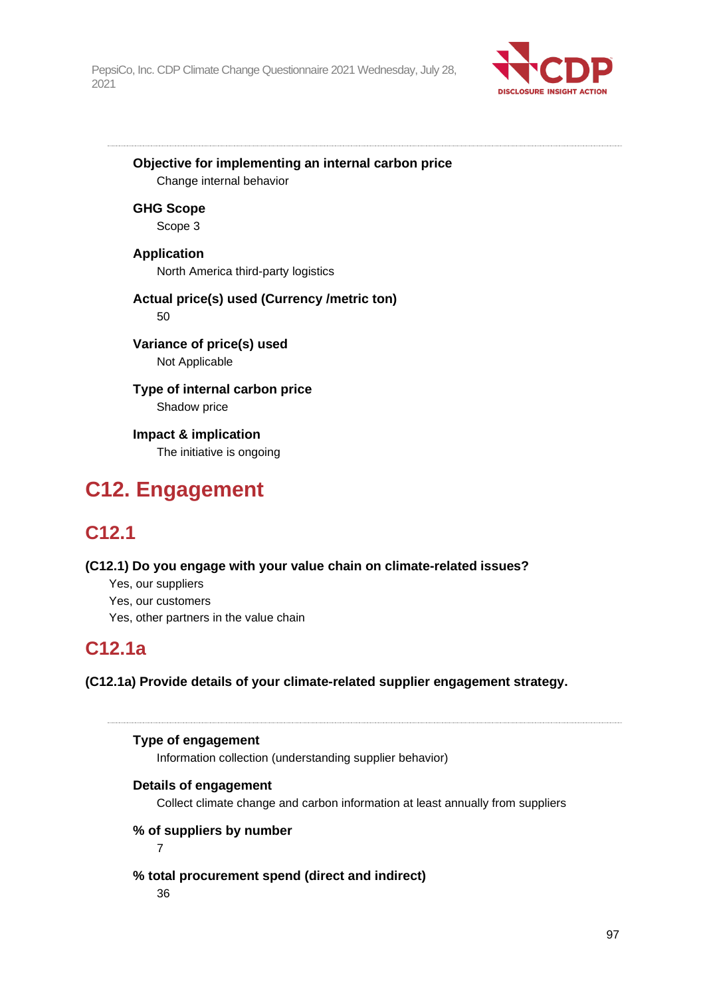

**Objective for implementing an internal carbon price** Change internal behavior

**GHG Scope** Scope 3

**Application** North America third-party logistics

**Actual price(s) used (Currency /metric ton)** 50

**Variance of price(s) used** Not Applicable

**Type of internal carbon price** Shadow price

**Impact & implication** The initiative is ongoing

# **C12. Engagement**

# **C12.1**

**(C12.1) Do you engage with your value chain on climate-related issues?**

- Yes, our suppliers
- Yes, our customers
- Yes, other partners in the value chain

# **C12.1a**

**(C12.1a) Provide details of your climate-related supplier engagement strategy.**

**Type of engagement**

Information collection (understanding supplier behavior)

# **Details of engagement**

Collect climate change and carbon information at least annually from suppliers

**% of suppliers by number**

7

**% total procurement spend (direct and indirect)** 36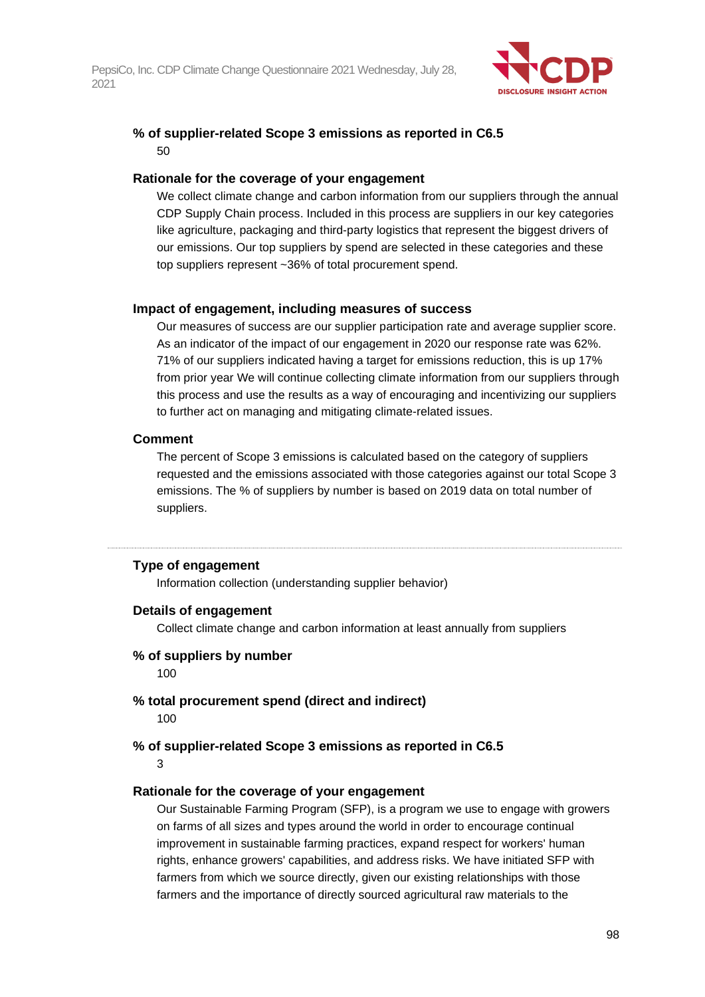

# **% of supplier-related Scope 3 emissions as reported in C6.5** 50

### **Rationale for the coverage of your engagement**

We collect climate change and carbon information from our suppliers through the annual CDP Supply Chain process. Included in this process are suppliers in our key categories like agriculture, packaging and third-party logistics that represent the biggest drivers of our emissions. Our top suppliers by spend are selected in these categories and these top suppliers represent ~36% of total procurement spend.

### **Impact of engagement, including measures of success**

Our measures of success are our supplier participation rate and average supplier score. As an indicator of the impact of our engagement in 2020 our response rate was 62%. 71% of our suppliers indicated having a target for emissions reduction, this is up 17% from prior year We will continue collecting climate information from our suppliers through this process and use the results as a way of encouraging and incentivizing our suppliers to further act on managing and mitigating climate-related issues.

### **Comment**

The percent of Scope 3 emissions is calculated based on the category of suppliers requested and the emissions associated with those categories against our total Scope 3 emissions. The % of suppliers by number is based on 2019 data on total number of suppliers.

# **Type of engagement**

Information collection (understanding supplier behavior)

#### **Details of engagement**

Collect climate change and carbon information at least annually from suppliers

#### **% of suppliers by number**

100

# **% total procurement spend (direct and indirect)**

100

# **% of supplier-related Scope 3 emissions as reported in C6.5**

3

# **Rationale for the coverage of your engagement**

Our Sustainable Farming Program (SFP), is a program we use to engage with growers on farms of all sizes and types around the world in order to encourage continual improvement in sustainable farming practices, expand respect for workers' human rights, enhance growers' capabilities, and address risks. We have initiated SFP with farmers from which we source directly, given our existing relationships with those farmers and the importance of directly sourced agricultural raw materials to the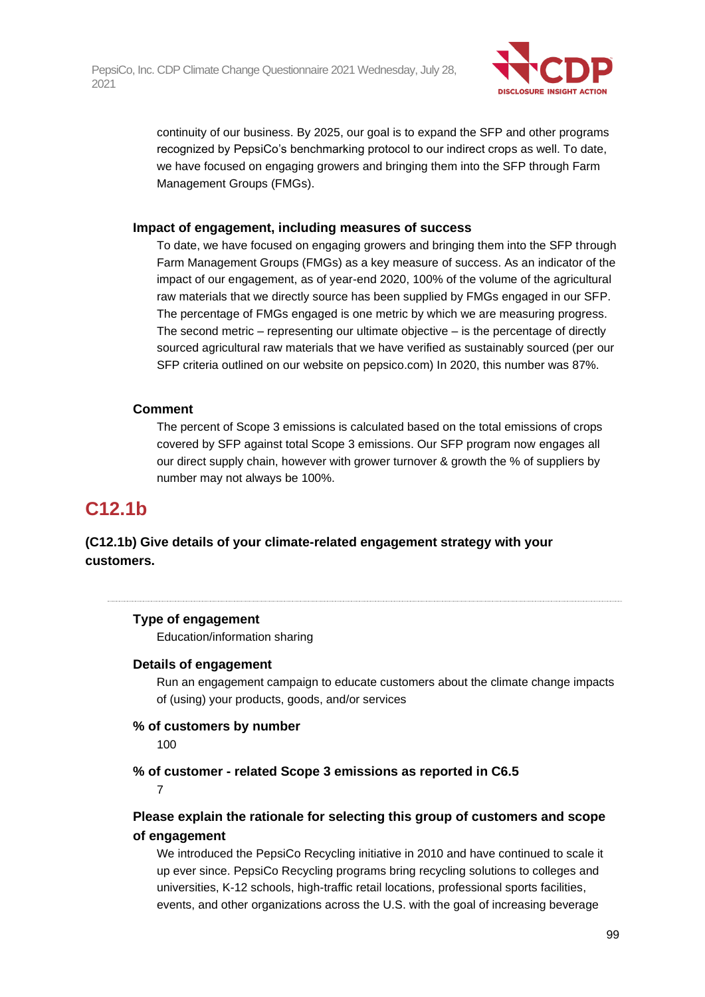

continuity of our business. By 2025, our goal is to expand the SFP and other programs recognized by PepsiCo's benchmarking protocol to our indirect crops as well. To date, we have focused on engaging growers and bringing them into the SFP through Farm Management Groups (FMGs).

### **Impact of engagement, including measures of success**

To date, we have focused on engaging growers and bringing them into the SFP through Farm Management Groups (FMGs) as a key measure of success. As an indicator of the impact of our engagement, as of year-end 2020, 100% of the volume of the agricultural raw materials that we directly source has been supplied by FMGs engaged in our SFP. The percentage of FMGs engaged is one metric by which we are measuring progress. The second metric – representing our ultimate objective – is the percentage of directly sourced agricultural raw materials that we have verified as sustainably sourced (per our SFP criteria outlined on our website on pepsico.com) In 2020, this number was 87%.

# **Comment**

The percent of Scope 3 emissions is calculated based on the total emissions of crops covered by SFP against total Scope 3 emissions. Our SFP program now engages all our direct supply chain, however with grower turnover & growth the % of suppliers by number may not always be 100%.

# **C12.1b**

# **(C12.1b) Give details of your climate-related engagement strategy with your customers.**

# **Type of engagement**

Education/information sharing

# **Details of engagement**

Run an engagement campaign to educate customers about the climate change impacts of (using) your products, goods, and/or services

# **% of customers by number**

100

**% of customer - related Scope 3 emissions as reported in C6.5**

7

# **Please explain the rationale for selecting this group of customers and scope of engagement**

We introduced the PepsiCo Recycling initiative in 2010 and have continued to scale it up ever since. PepsiCo Recycling programs bring recycling solutions to colleges and universities, K-12 schools, high-traffic retail locations, professional sports facilities, events, and other organizations across the U.S. with the goal of increasing beverage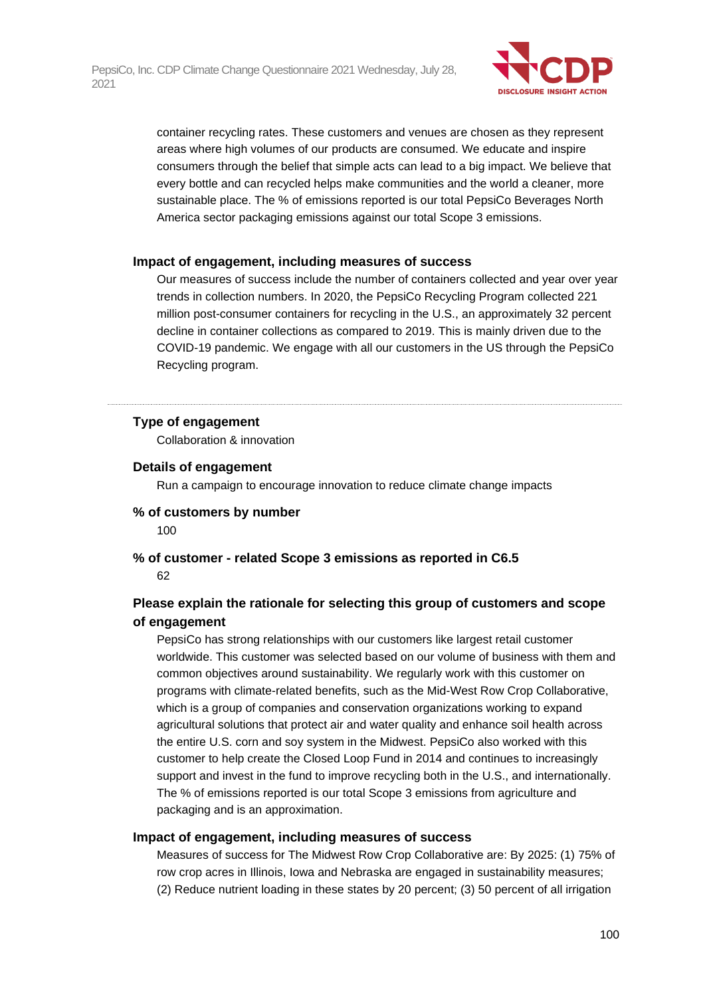

container recycling rates. These customers and venues are chosen as they represent areas where high volumes of our products are consumed. We educate and inspire consumers through the belief that simple acts can lead to a big impact. We believe that every bottle and can recycled helps make communities and the world a cleaner, more sustainable place. The % of emissions reported is our total PepsiCo Beverages North America sector packaging emissions against our total Scope 3 emissions.

#### **Impact of engagement, including measures of success**

Our measures of success include the number of containers collected and year over year trends in collection numbers. In 2020, the PepsiCo Recycling Program collected 221 million post-consumer containers for recycling in the U.S., an approximately 32 percent decline in container collections as compared to 2019. This is mainly driven due to the COVID-19 pandemic. We engage with all our customers in the US through the PepsiCo Recycling program.

# **Type of engagement**

Collaboration & innovation

### **Details of engagement**

Run a campaign to encourage innovation to reduce climate change impacts

#### **% of customers by number**

100

# **% of customer - related Scope 3 emissions as reported in C6.5** 62

# **Please explain the rationale for selecting this group of customers and scope of engagement**

PepsiCo has strong relationships with our customers like largest retail customer worldwide. This customer was selected based on our volume of business with them and common objectives around sustainability. We regularly work with this customer on programs with climate-related benefits, such as the Mid-West Row Crop Collaborative, which is a group of companies and conservation organizations working to expand agricultural solutions that protect air and water quality and enhance soil health across the entire U.S. corn and soy system in the Midwest. PepsiCo also worked with this customer to help create the Closed Loop Fund in 2014 and continues to increasingly support and invest in the fund to improve recycling both in the U.S., and internationally. The % of emissions reported is our total Scope 3 emissions from agriculture and packaging and is an approximation.

#### **Impact of engagement, including measures of success**

Measures of success for The Midwest Row Crop Collaborative are: By 2025: (1) 75% of row crop acres in Illinois, Iowa and Nebraska are engaged in sustainability measures; (2) Reduce nutrient loading in these states by 20 percent; (3) 50 percent of all irrigation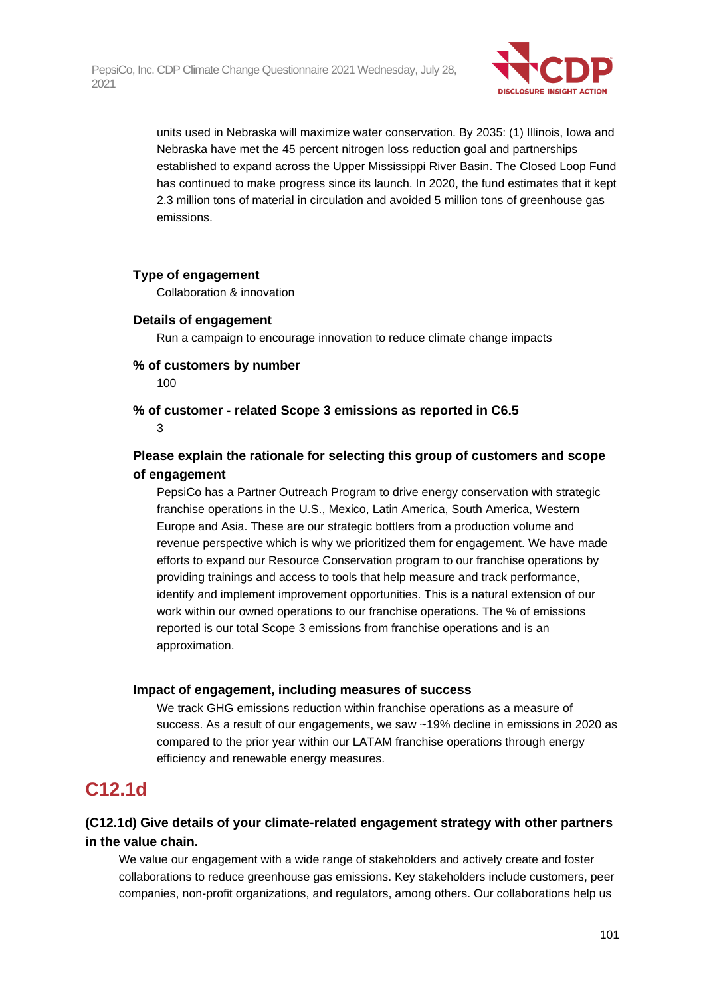

units used in Nebraska will maximize water conservation. By 2035: (1) Illinois, Iowa and Nebraska have met the 45 percent nitrogen loss reduction goal and partnerships established to expand across the Upper Mississippi River Basin. The Closed Loop Fund has continued to make progress since its launch. In 2020, the fund estimates that it kept 2.3 million tons of material in circulation and avoided 5 million tons of greenhouse gas emissions.

#### **Type of engagement**

Collaboration & innovation

#### **Details of engagement**

Run a campaign to encourage innovation to reduce climate change impacts

#### **% of customers by number**

100

#### **% of customer - related Scope 3 emissions as reported in C6.5** 3

# **Please explain the rationale for selecting this group of customers and scope of engagement**

PepsiCo has a Partner Outreach Program to drive energy conservation with strategic franchise operations in the U.S., Mexico, Latin America, South America, Western Europe and Asia. These are our strategic bottlers from a production volume and revenue perspective which is why we prioritized them for engagement. We have made efforts to expand our Resource Conservation program to our franchise operations by providing trainings and access to tools that help measure and track performance, identify and implement improvement opportunities. This is a natural extension of our work within our owned operations to our franchise operations. The % of emissions reported is our total Scope 3 emissions from franchise operations and is an approximation.

#### **Impact of engagement, including measures of success**

We track GHG emissions reduction within franchise operations as a measure of success. As a result of our engagements, we saw ~19% decline in emissions in 2020 as compared to the prior year within our LATAM franchise operations through energy efficiency and renewable energy measures.

# **C12.1d**

# **(C12.1d) Give details of your climate-related engagement strategy with other partners in the value chain.**

We value our engagement with a wide range of stakeholders and actively create and foster collaborations to reduce greenhouse gas emissions. Key stakeholders include customers, peer companies, non-profit organizations, and regulators, among others. Our collaborations help us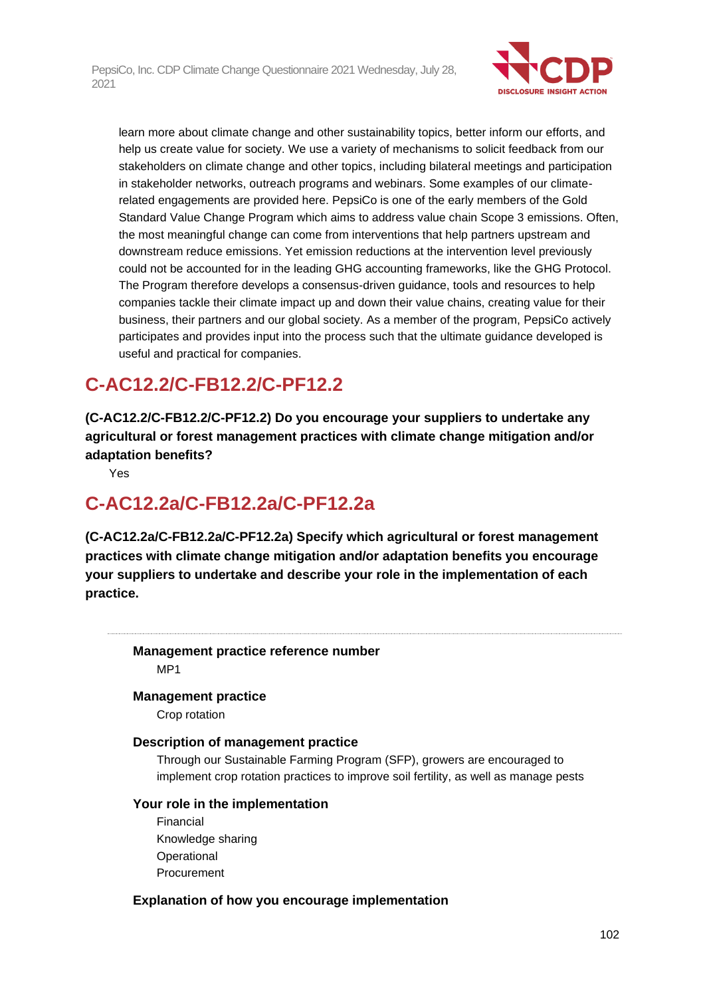

learn more about climate change and other sustainability topics, better inform our efforts, and help us create value for society. We use a variety of mechanisms to solicit feedback from our stakeholders on climate change and other topics, including bilateral meetings and participation in stakeholder networks, outreach programs and webinars. Some examples of our climaterelated engagements are provided here. PepsiCo is one of the early members of the Gold Standard Value Change Program which aims to address value chain Scope 3 emissions. Often, the most meaningful change can come from interventions that help partners upstream and downstream reduce emissions. Yet emission reductions at the intervention level previously could not be accounted for in the leading GHG accounting frameworks, like the GHG Protocol. The Program therefore develops a consensus-driven guidance, tools and resources to help companies tackle their climate impact up and down their value chains, creating value for their business, their partners and our global society. As a member of the program, PepsiCo actively participates and provides input into the process such that the ultimate guidance developed is useful and practical for companies.

# **C-AC12.2/C-FB12.2/C-PF12.2**

**(C-AC12.2/C-FB12.2/C-PF12.2) Do you encourage your suppliers to undertake any agricultural or forest management practices with climate change mitigation and/or adaptation benefits?**

Yes

# **C-AC12.2a/C-FB12.2a/C-PF12.2a**

**(C-AC12.2a/C-FB12.2a/C-PF12.2a) Specify which agricultural or forest management practices with climate change mitigation and/or adaptation benefits you encourage your suppliers to undertake and describe your role in the implementation of each practice.**

**Management practice reference number** MP1

# **Management practice**

Crop rotation

# **Description of management practice**

Through our Sustainable Farming Program (SFP), growers are encouraged to implement crop rotation practices to improve soil fertility, as well as manage pests

#### **Your role in the implementation**

Financial Knowledge sharing **Operational** Procurement

# **Explanation of how you encourage implementation**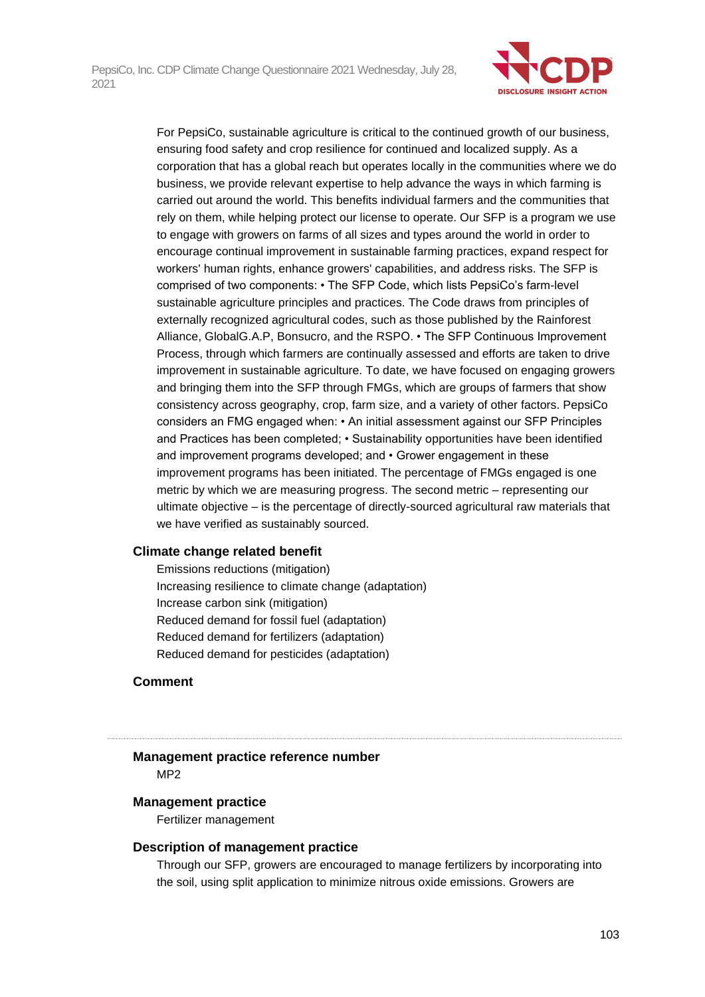

For PepsiCo, sustainable agriculture is critical to the continued growth of our business, ensuring food safety and crop resilience for continued and localized supply. As a corporation that has a global reach but operates locally in the communities where we do business, we provide relevant expertise to help advance the ways in which farming is carried out around the world. This benefits individual farmers and the communities that rely on them, while helping protect our license to operate. Our SFP is a program we use to engage with growers on farms of all sizes and types around the world in order to encourage continual improvement in sustainable farming practices, expand respect for workers' human rights, enhance growers' capabilities, and address risks. The SFP is comprised of two components: • The SFP Code, which lists PepsiCo's farm-level sustainable agriculture principles and practices. The Code draws from principles of externally recognized agricultural codes, such as those published by the Rainforest Alliance, GlobalG.A.P, Bonsucro, and the RSPO. • The SFP Continuous Improvement Process, through which farmers are continually assessed and efforts are taken to drive improvement in sustainable agriculture. To date, we have focused on engaging growers and bringing them into the SFP through FMGs, which are groups of farmers that show consistency across geography, crop, farm size, and a variety of other factors. PepsiCo considers an FMG engaged when: • An initial assessment against our SFP Principles and Practices has been completed; • Sustainability opportunities have been identified and improvement programs developed; and • Grower engagement in these improvement programs has been initiated. The percentage of FMGs engaged is one metric by which we are measuring progress. The second metric – representing our ultimate objective – is the percentage of directly-sourced agricultural raw materials that we have verified as sustainably sourced.

#### **Climate change related benefit**

Emissions reductions (mitigation) Increasing resilience to climate change (adaptation) Increase carbon sink (mitigation) Reduced demand for fossil fuel (adaptation) Reduced demand for fertilizers (adaptation) Reduced demand for pesticides (adaptation)

# **Comment**

# **Management practice reference number**

MP2

#### **Management practice**

Fertilizer management

#### **Description of management practice**

Through our SFP, growers are encouraged to manage fertilizers by incorporating into the soil, using split application to minimize nitrous oxide emissions. Growers are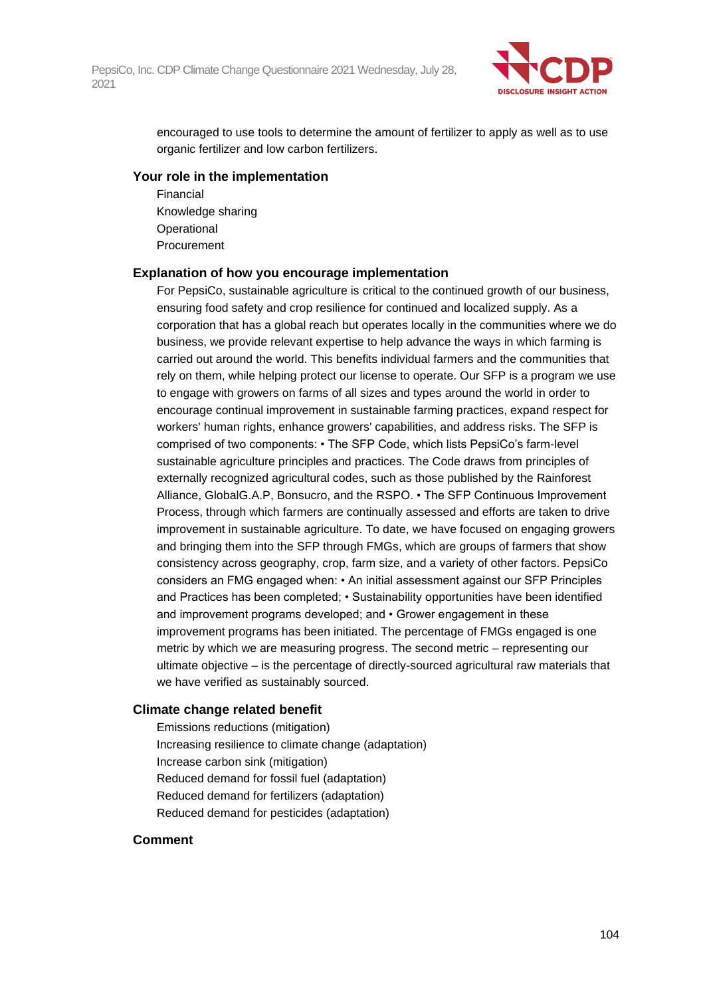

encouraged to use tools to determine the amount of fertilizer to apply as well as to use organic fertilizer and low carbon fertilizers.

#### **Your role in the implementation**

Financial Knowledge sharing **Operational** Procurement

#### **Explanation of how you encourage implementation**

For PepsiCo, sustainable agriculture is critical to the continued growth of our business, ensuring food safety and crop resilience for continued and localized supply. As a corporation that has a global reach but operates locally in the communities where we do business, we provide relevant expertise to help advance the ways in which farming is carried out around the world. This benefits individual farmers and the communities that rely on them, while helping protect our license to operate. Our SFP is a program we use to engage with growers on farms of all sizes and types around the world in order to encourage continual improvement in sustainable farming practices, expand respect for workers' human rights, enhance growers' capabilities, and address risks. The SFP is comprised of two components: • The SFP Code, which lists PepsiCo's farm-level sustainable agriculture principles and practices. The Code draws from principles of externally recognized agricultural codes, such as those published by the Rainforest Alliance, GlobalG.A.P, Bonsucro, and the RSPO. • The SFP Continuous Improvement Process, through which farmers are continually assessed and efforts are taken to drive improvement in sustainable agriculture. To date, we have focused on engaging growers and bringing them into the SFP through FMGs, which are groups of farmers that show consistency across geography, crop, farm size, and a variety of other factors. PepsiCo considers an FMG engaged when: • An initial assessment against our SFP Principles and Practices has been completed; • Sustainability opportunities have been identified and improvement programs developed; and • Grower engagement in these improvement programs has been initiated. The percentage of FMGs engaged is one metric by which we are measuring progress. The second metric – representing our ultimate objective – is the percentage of directly-sourced agricultural raw materials that we have verified as sustainably sourced.

# **Climate change related benefit**

Emissions reductions (mitigation) Increasing resilience to climate change (adaptation) Increase carbon sink (mitigation) Reduced demand for fossil fuel (adaptation) Reduced demand for fertilizers (adaptation) Reduced demand for pesticides (adaptation)

#### **Comment**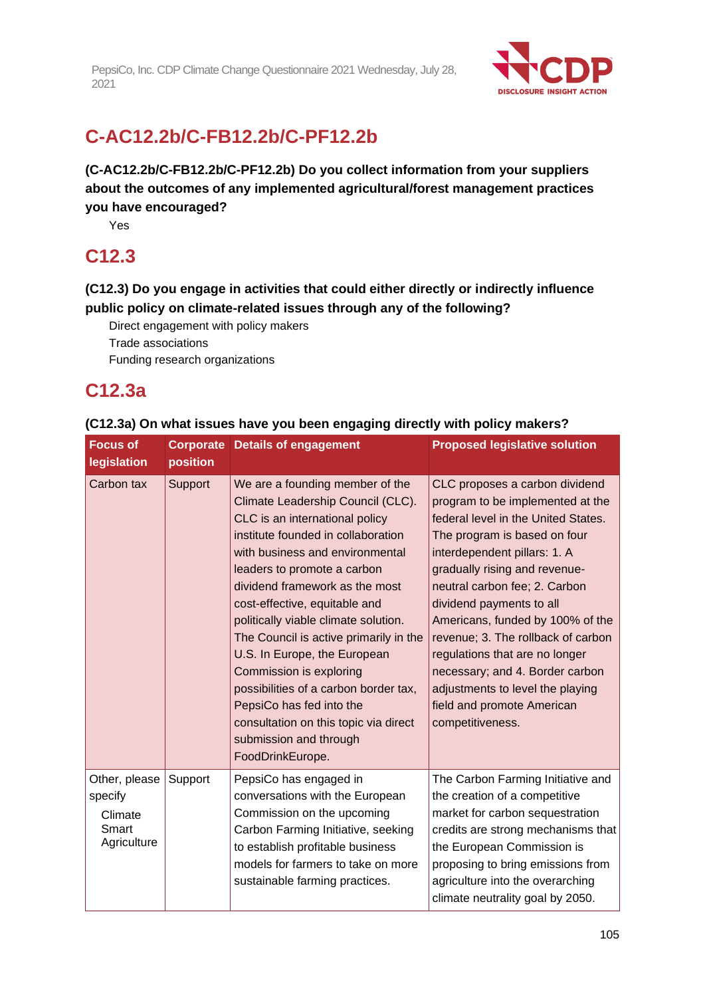

# **C-AC12.2b/C-FB12.2b/C-PF12.2b**

**(C-AC12.2b/C-FB12.2b/C-PF12.2b) Do you collect information from your suppliers about the outcomes of any implemented agricultural/forest management practices you have encouraged?**

Yes

# **C12.3**

**(C12.3) Do you engage in activities that could either directly or indirectly influence public policy on climate-related issues through any of the following?**

Direct engagement with policy makers

Trade associations

Funding research organizations

# **C12.3a**

| (CTZ.3a) On what issues have you been engaging directly with policy makers? |          |                                                                                                                                                                                                                                                                                                                                                                                                                                                                                                                                                                                                   |                                                                                                                                                                                                                                                                                                                                                                                                                                                                                                              |  |
|-----------------------------------------------------------------------------|----------|---------------------------------------------------------------------------------------------------------------------------------------------------------------------------------------------------------------------------------------------------------------------------------------------------------------------------------------------------------------------------------------------------------------------------------------------------------------------------------------------------------------------------------------------------------------------------------------------------|--------------------------------------------------------------------------------------------------------------------------------------------------------------------------------------------------------------------------------------------------------------------------------------------------------------------------------------------------------------------------------------------------------------------------------------------------------------------------------------------------------------|--|
| <b>Focus of</b><br>legislation                                              | position | <b>Corporate Details of engagement</b>                                                                                                                                                                                                                                                                                                                                                                                                                                                                                                                                                            | <b>Proposed legislative solution</b>                                                                                                                                                                                                                                                                                                                                                                                                                                                                         |  |
| Carbon tax                                                                  | Support  | We are a founding member of the<br>Climate Leadership Council (CLC).<br>CLC is an international policy<br>institute founded in collaboration<br>with business and environmental<br>leaders to promote a carbon<br>dividend framework as the most<br>cost-effective, equitable and<br>politically viable climate solution.<br>The Council is active primarily in the<br>U.S. In Europe, the European<br><b>Commission is exploring</b><br>possibilities of a carbon border tax,<br>PepsiCo has fed into the<br>consultation on this topic via direct<br>submission and through<br>FoodDrinkEurope. | CLC proposes a carbon dividend<br>program to be implemented at the<br>federal level in the United States.<br>The program is based on four<br>interdependent pillars: 1. A<br>gradually rising and revenue-<br>neutral carbon fee; 2. Carbon<br>dividend payments to all<br>Americans, funded by 100% of the<br>revenue; 3. The rollback of carbon<br>regulations that are no longer<br>necessary; and 4. Border carbon<br>adjustments to level the playing<br>field and promote American<br>competitiveness. |  |
| Other, please<br>specify<br>Climate<br>Smart<br>Agriculture                 | Support  | PepsiCo has engaged in<br>conversations with the European<br>Commission on the upcoming<br>Carbon Farming Initiative, seeking<br>to establish profitable business<br>models for farmers to take on more<br>sustainable farming practices.                                                                                                                                                                                                                                                                                                                                                         | The Carbon Farming Initiative and<br>the creation of a competitive<br>market for carbon sequestration<br>credits are strong mechanisms that<br>the European Commission is<br>proposing to bring emissions from<br>agriculture into the overarching<br>climate neutrality goal by 2050.                                                                                                                                                                                                                       |  |

# **(C12.3a) On what issues have you been engaging directly with policy makers?**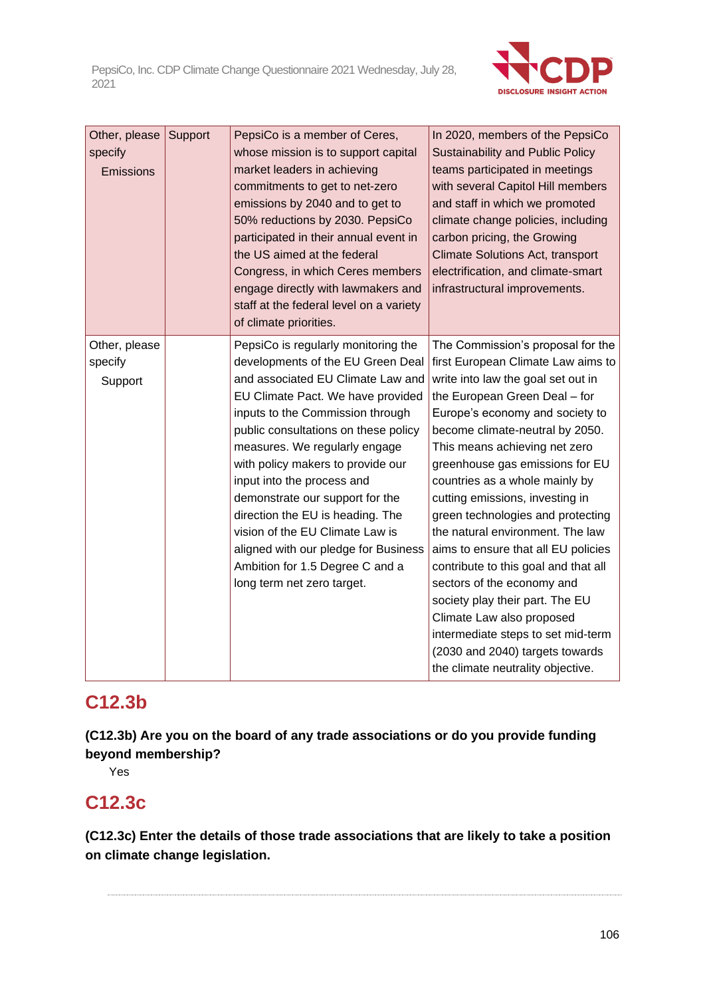

| Other, please<br>specify<br>Emissions | Support | PepsiCo is a member of Ceres,<br>whose mission is to support capital<br>market leaders in achieving<br>commitments to get to net-zero<br>emissions by 2040 and to get to<br>50% reductions by 2030. PepsiCo<br>participated in their annual event in<br>the US aimed at the federal<br>Congress, in which Ceres members<br>engage directly with lawmakers and<br>staff at the federal level on a variety<br>of climate priorities.                                                                                                                    | In 2020, members of the PepsiCo<br><b>Sustainability and Public Policy</b><br>teams participated in meetings<br>with several Capitol Hill members<br>and staff in which we promoted<br>climate change policies, including<br>carbon pricing, the Growing<br><b>Climate Solutions Act, transport</b><br>electrification, and climate-smart<br>infrastructural improvements.                                                                                                                                                                                                                                                                                                                                                        |
|---------------------------------------|---------|-------------------------------------------------------------------------------------------------------------------------------------------------------------------------------------------------------------------------------------------------------------------------------------------------------------------------------------------------------------------------------------------------------------------------------------------------------------------------------------------------------------------------------------------------------|-----------------------------------------------------------------------------------------------------------------------------------------------------------------------------------------------------------------------------------------------------------------------------------------------------------------------------------------------------------------------------------------------------------------------------------------------------------------------------------------------------------------------------------------------------------------------------------------------------------------------------------------------------------------------------------------------------------------------------------|
| Other, please<br>specify<br>Support   |         | PepsiCo is regularly monitoring the<br>developments of the EU Green Deal<br>and associated EU Climate Law and<br>EU Climate Pact. We have provided<br>inputs to the Commission through<br>public consultations on these policy<br>measures. We regularly engage<br>with policy makers to provide our<br>input into the process and<br>demonstrate our support for the<br>direction the EU is heading. The<br>vision of the EU Climate Law is<br>aligned with our pledge for Business<br>Ambition for 1.5 Degree C and a<br>long term net zero target. | The Commission's proposal for the<br>first European Climate Law aims to<br>write into law the goal set out in<br>the European Green Deal - for<br>Europe's economy and society to<br>become climate-neutral by 2050.<br>This means achieving net zero<br>greenhouse gas emissions for EU<br>countries as a whole mainly by<br>cutting emissions, investing in<br>green technologies and protecting<br>the natural environment. The law<br>aims to ensure that all EU policies<br>contribute to this goal and that all<br>sectors of the economy and<br>society play their part. The EU<br>Climate Law also proposed<br>intermediate steps to set mid-term<br>(2030 and 2040) targets towards<br>the climate neutrality objective. |

# **C12.3b**

**(C12.3b) Are you on the board of any trade associations or do you provide funding beyond membership?**

Yes

# **C12.3c**

**(C12.3c) Enter the details of those trade associations that are likely to take a position on climate change legislation.**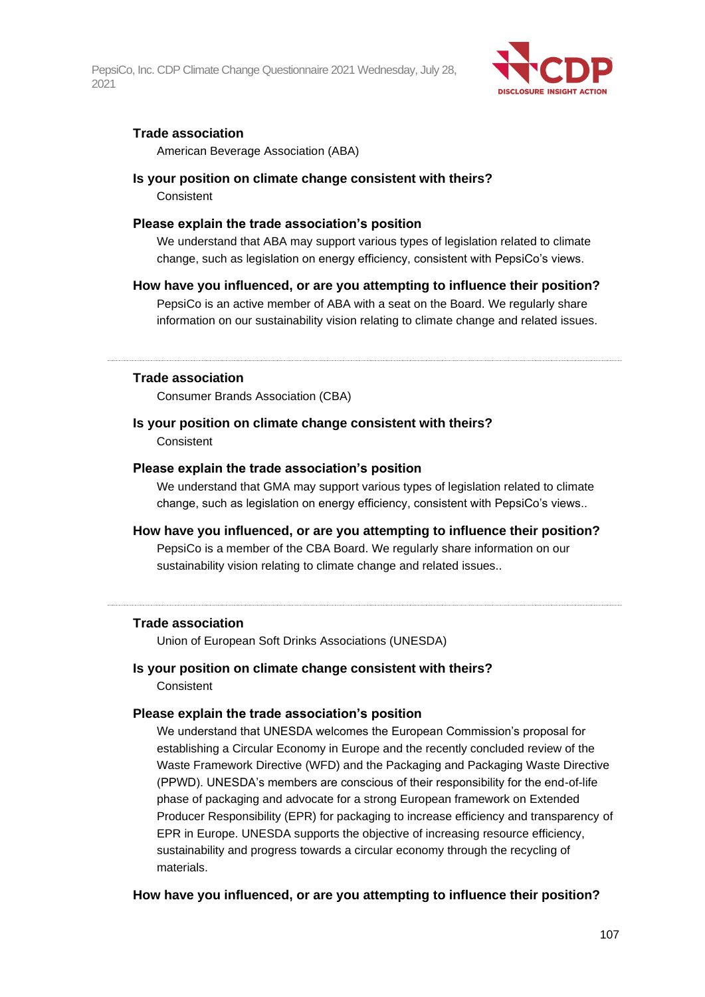

### **Trade association**

American Beverage Association (ABA)

#### **Is your position on climate change consistent with theirs?**

**Consistent** 

#### **Please explain the trade association's position**

We understand that ABA may support various types of legislation related to climate change, such as legislation on energy efficiency, consistent with PepsiCo's views.

#### **How have you influenced, or are you attempting to influence their position?**

PepsiCo is an active member of ABA with a seat on the Board. We regularly share information on our sustainability vision relating to climate change and related issues.

#### **Trade association**

Consumer Brands Association (CBA)

### **Is your position on climate change consistent with theirs? Consistent**

#### **Please explain the trade association's position**

We understand that GMA may support various types of legislation related to climate change, such as legislation on energy efficiency, consistent with PepsiCo's views..

# **How have you influenced, or are you attempting to influence their position?** PepsiCo is a member of the CBA Board. We regularly share information on our sustainability vision relating to climate change and related issues..

#### **Trade association**

Union of European Soft Drinks Associations (UNESDA)

# **Is your position on climate change consistent with theirs?**

**Consistent** 

#### **Please explain the trade association's position**

We understand that UNESDA welcomes the European Commission's proposal for establishing a Circular Economy in Europe and the recently concluded review of the Waste Framework Directive (WFD) and the Packaging and Packaging Waste Directive (PPWD). UNESDA's members are conscious of their responsibility for the end-of-life phase of packaging and advocate for a strong European framework on Extended Producer Responsibility (EPR) for packaging to increase efficiency and transparency of EPR in Europe. UNESDA supports the objective of increasing resource efficiency, sustainability and progress towards a circular economy through the recycling of materials.

#### **How have you influenced, or are you attempting to influence their position?**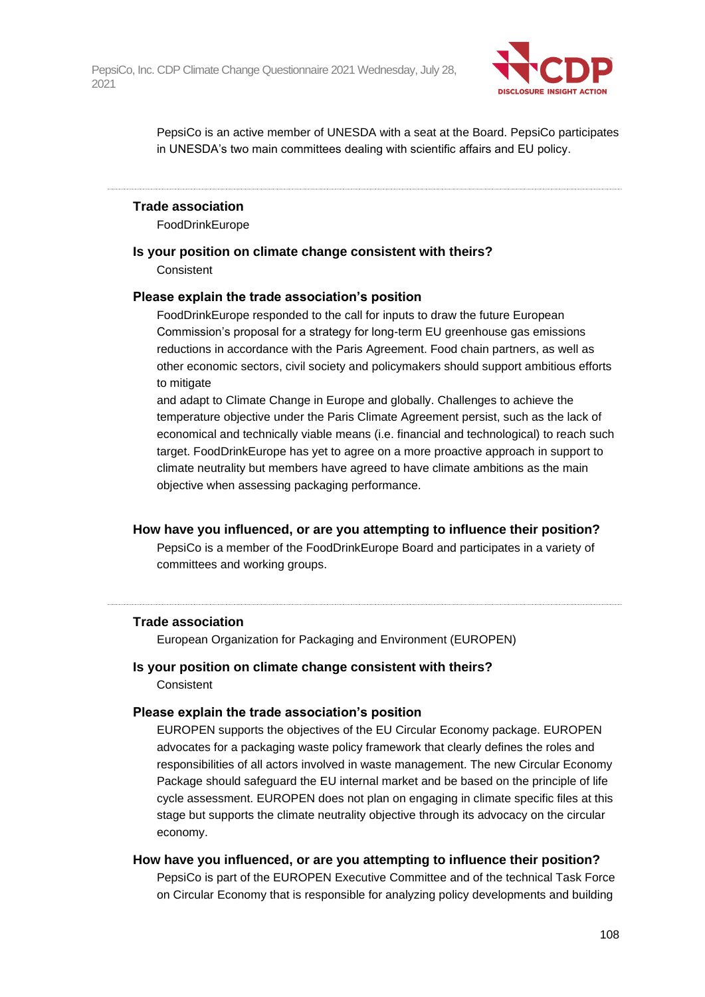

PepsiCo is an active member of UNESDA with a seat at the Board. PepsiCo participates in UNESDA's two main committees dealing with scientific affairs and EU policy.

#### **Trade association**

FoodDrinkEurope

### **Is your position on climate change consistent with theirs?**

**Consistent** 

#### **Please explain the trade association's position**

FoodDrinkEurope responded to the call for inputs to draw the future European Commission's proposal for a strategy for long-term EU greenhouse gas emissions reductions in accordance with the Paris Agreement. Food chain partners, as well as other economic sectors, civil society and policymakers should support ambitious efforts to mitigate

and adapt to Climate Change in Europe and globally. Challenges to achieve the temperature objective under the Paris Climate Agreement persist, such as the lack of economical and technically viable means (i.e. financial and technological) to reach such target. FoodDrinkEurope has yet to agree on a more proactive approach in support to climate neutrality but members have agreed to have climate ambitions as the main objective when assessing packaging performance.

#### **How have you influenced, or are you attempting to influence their position?**

PepsiCo is a member of the FoodDrinkEurope Board and participates in a variety of committees and working groups.

#### **Trade association**

European Organization for Packaging and Environment (EUROPEN)

# **Is your position on climate change consistent with theirs?**

**Consistent** 

#### **Please explain the trade association's position**

EUROPEN supports the objectives of the EU Circular Economy package. EUROPEN advocates for a packaging waste policy framework that clearly defines the roles and responsibilities of all actors involved in waste management. The new Circular Economy Package should safeguard the EU internal market and be based on the principle of life cycle assessment. EUROPEN does not plan on engaging in climate specific files at this stage but supports the climate neutrality objective through its advocacy on the circular economy.

#### **How have you influenced, or are you attempting to influence their position?**

PepsiCo is part of the EUROPEN Executive Committee and of the technical Task Force on Circular Economy that is responsible for analyzing policy developments and building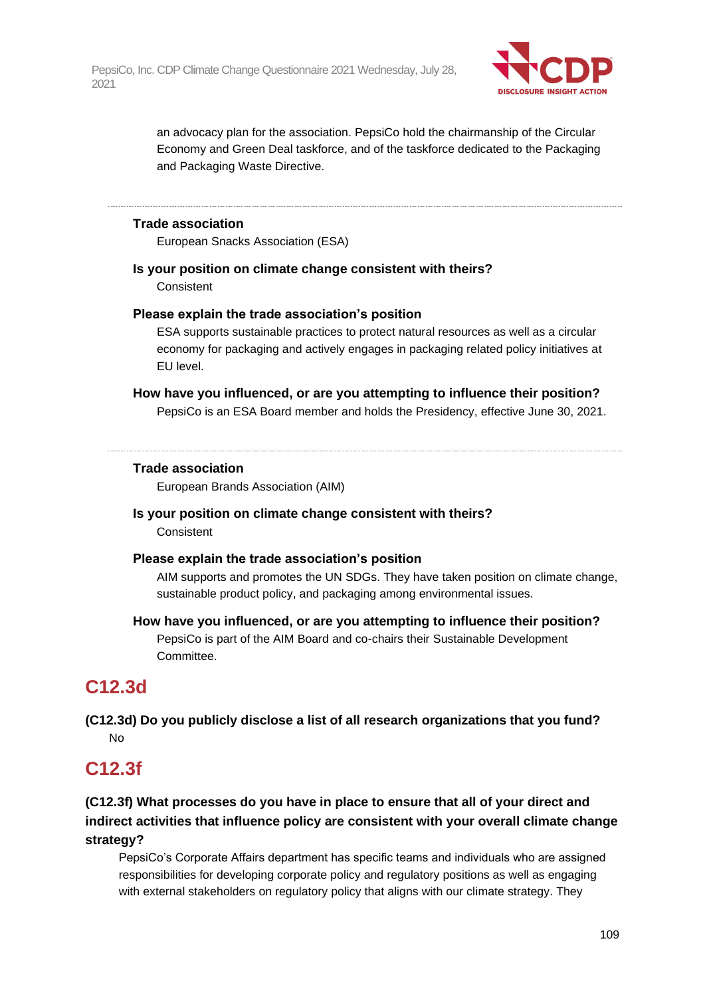

an advocacy plan for the association. PepsiCo hold the chairmanship of the Circular Economy and Green Deal taskforce, and of the taskforce dedicated to the Packaging and Packaging Waste Directive.

#### **Trade association**

European Snacks Association (ESA)

### **Is your position on climate change consistent with theirs?**

**Consistent** 

#### **Please explain the trade association's position**

ESA supports sustainable practices to protect natural resources as well as a circular economy for packaging and actively engages in packaging related policy initiatives at EU level.

#### **How have you influenced, or are you attempting to influence their position?**

PepsiCo is an ESA Board member and holds the Presidency, effective June 30, 2021.

#### **Trade association**

European Brands Association (AIM)

#### **Is your position on climate change consistent with theirs? Consistent**

#### **Please explain the trade association's position**

AIM supports and promotes the UN SDGs. They have taken position on climate change, sustainable product policy, and packaging among environmental issues.

### **How have you influenced, or are you attempting to influence their position?**

PepsiCo is part of the AIM Board and co-chairs their Sustainable Development Committee.

## **C12.3d**

**(C12.3d) Do you publicly disclose a list of all research organizations that you fund?** No

## **C12.3f**

### **(C12.3f) What processes do you have in place to ensure that all of your direct and indirect activities that influence policy are consistent with your overall climate change strategy?**

PepsiCo's Corporate Affairs department has specific teams and individuals who are assigned responsibilities for developing corporate policy and regulatory positions as well as engaging with external stakeholders on regulatory policy that aligns with our climate strategy. They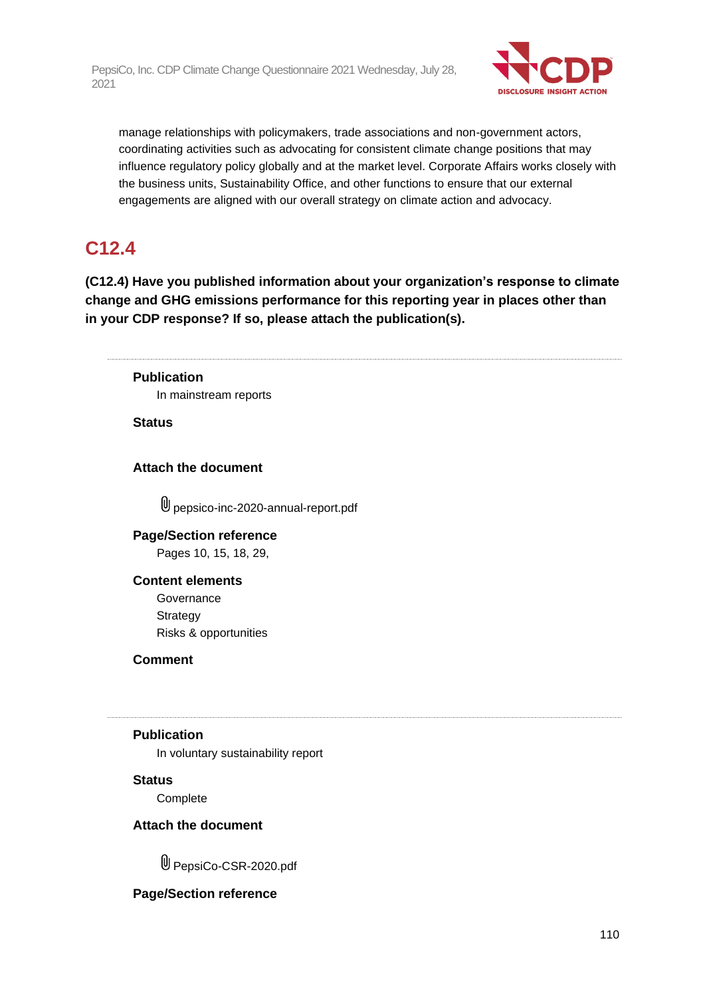

manage relationships with policymakers, trade associations and non-government actors, coordinating activities such as advocating for consistent climate change positions that may influence regulatory policy globally and at the market level. Corporate Affairs works closely with the business units, Sustainability Office, and other functions to ensure that our external engagements are aligned with our overall strategy on climate action and advocacy.

## **C12.4**

**(C12.4) Have you published information about your organization's response to climate change and GHG emissions performance for this reporting year in places other than in your CDP response? If so, please attach the publication(s).**

### **Publication**

In mainstream reports

**Status**

### **Attach the document**

pepsico-inc-2020-annual-report.pdf

### **Page/Section reference**

Pages 10, 15, 18, 29,

### **Content elements**

**Governance Strategy** Risks & opportunities

**Comment**

#### **Publication**

In voluntary sustainability report

#### **Status**

**Complete** 

### **Attach the document**

U PepsiCo-CSR-2020.pdf

### **Page/Section reference**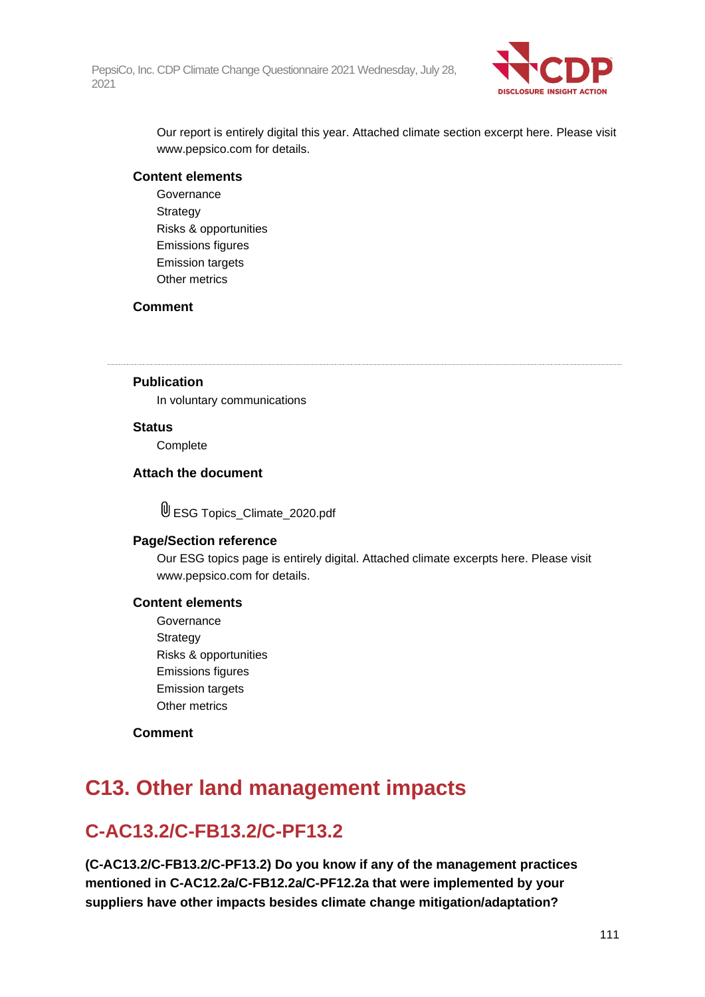

Our report is entirely digital this year. Attached climate section excerpt here. Please visit www.pepsico.com for details.

#### **Content elements**

Governance Strategy Risks & opportunities Emissions figures Emission targets Other metrics

#### **Comment**

### **Publication**

In voluntary communications

#### **Status**

**Complete** 

### **Attach the document**

ESG Topics\_Climate\_2020.pdf

#### **Page/Section reference**

Our ESG topics page is entirely digital. Attached climate excerpts here. Please visit www.pepsico.com for details.

#### **Content elements**

Governance Strategy Risks & opportunities Emissions figures Emission targets Other metrics

#### **Comment**

## **C13. Other land management impacts**

## **C-AC13.2/C-FB13.2/C-PF13.2**

**(C-AC13.2/C-FB13.2/C-PF13.2) Do you know if any of the management practices mentioned in C-AC12.2a/C-FB12.2a/C-PF12.2a that were implemented by your suppliers have other impacts besides climate change mitigation/adaptation?**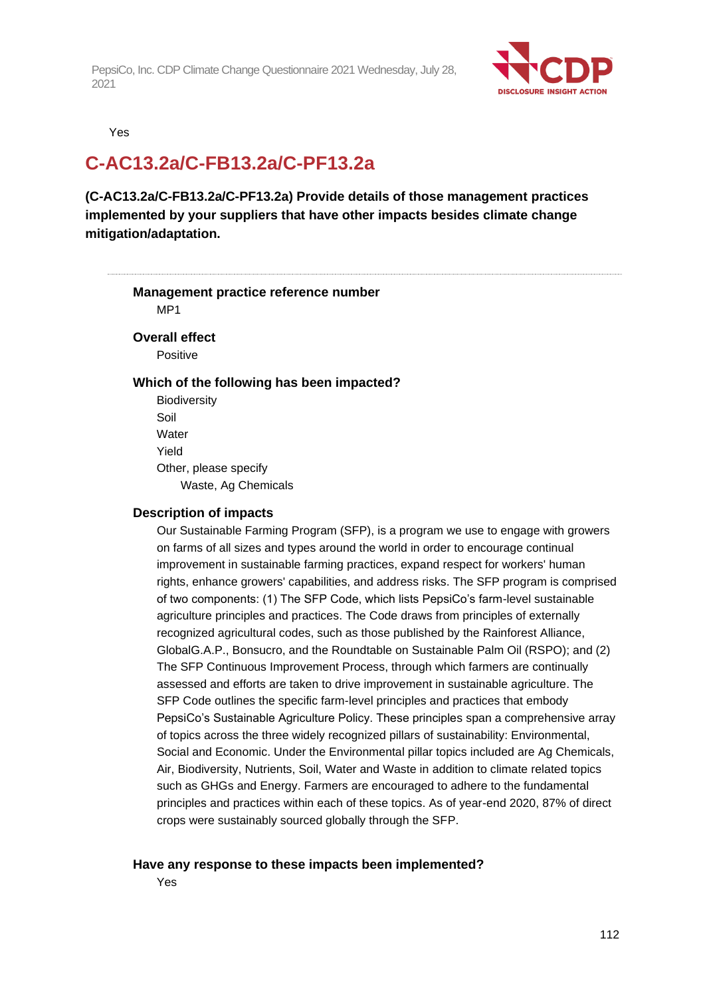

Yes

## **C-AC13.2a/C-FB13.2a/C-PF13.2a**

**(C-AC13.2a/C-FB13.2a/C-PF13.2a) Provide details of those management practices implemented by your suppliers that have other impacts besides climate change mitigation/adaptation.**

## **Management practice reference number**

MP1

#### **Overall effect**

Positive

#### **Which of the following has been impacted?**

**Biodiversity** Soil **Water** Yield Other, please specify Waste, Ag Chemicals

#### **Description of impacts**

Our Sustainable Farming Program (SFP), is a program we use to engage with growers on farms of all sizes and types around the world in order to encourage continual improvement in sustainable farming practices, expand respect for workers' human rights, enhance growers' capabilities, and address risks. The SFP program is comprised of two components: (1) The SFP Code, which lists PepsiCo's farm-level sustainable agriculture principles and practices. The Code draws from principles of externally recognized agricultural codes, such as those published by the Rainforest Alliance, GlobalG.A.P., Bonsucro, and the Roundtable on Sustainable Palm Oil (RSPO); and (2) The SFP Continuous Improvement Process, through which farmers are continually assessed and efforts are taken to drive improvement in sustainable agriculture. The SFP Code outlines the specific farm-level principles and practices that embody PepsiCo's Sustainable Agriculture Policy. These principles span a comprehensive array of topics across the three widely recognized pillars of sustainability: Environmental, Social and Economic. Under the Environmental pillar topics included are Ag Chemicals, Air, Biodiversity, Nutrients, Soil, Water and Waste in addition to climate related topics such as GHGs and Energy. Farmers are encouraged to adhere to the fundamental principles and practices within each of these topics. As of year-end 2020, 87% of direct crops were sustainably sourced globally through the SFP.

#### **Have any response to these impacts been implemented?**

Yes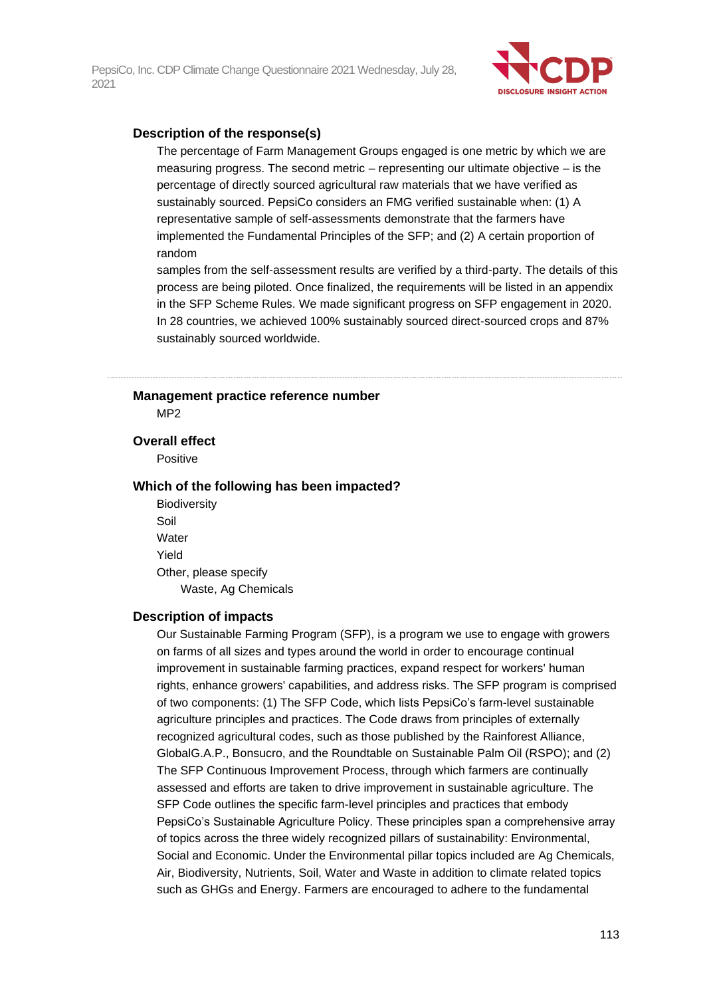

#### **Description of the response(s)**

The percentage of Farm Management Groups engaged is one metric by which we are measuring progress. The second metric – representing our ultimate objective – is the percentage of directly sourced agricultural raw materials that we have verified as sustainably sourced. PepsiCo considers an FMG verified sustainable when: (1) A representative sample of self-assessments demonstrate that the farmers have implemented the Fundamental Principles of the SFP; and (2) A certain proportion of random

samples from the self-assessment results are verified by a third-party. The details of this process are being piloted. Once finalized, the requirements will be listed in an appendix in the SFP Scheme Rules. We made significant progress on SFP engagement in 2020. In 28 countries, we achieved 100% sustainably sourced direct-sourced crops and 87% sustainably sourced worldwide.

### **Management practice reference number**

M<sub>P2</sub>

#### **Overall effect**

Positive

#### **Which of the following has been impacted?**

**Biodiversity** Soil **Water** Yield Other, please specify Waste, Ag Chemicals

#### **Description of impacts**

Our Sustainable Farming Program (SFP), is a program we use to engage with growers on farms of all sizes and types around the world in order to encourage continual improvement in sustainable farming practices, expand respect for workers' human rights, enhance growers' capabilities, and address risks. The SFP program is comprised of two components: (1) The SFP Code, which lists PepsiCo's farm-level sustainable agriculture principles and practices. The Code draws from principles of externally recognized agricultural codes, such as those published by the Rainforest Alliance, GlobalG.A.P., Bonsucro, and the Roundtable on Sustainable Palm Oil (RSPO); and (2) The SFP Continuous Improvement Process, through which farmers are continually assessed and efforts are taken to drive improvement in sustainable agriculture. The SFP Code outlines the specific farm-level principles and practices that embody PepsiCo's Sustainable Agriculture Policy. These principles span a comprehensive array of topics across the three widely recognized pillars of sustainability: Environmental, Social and Economic. Under the Environmental pillar topics included are Ag Chemicals, Air, Biodiversity, Nutrients, Soil, Water and Waste in addition to climate related topics such as GHGs and Energy. Farmers are encouraged to adhere to the fundamental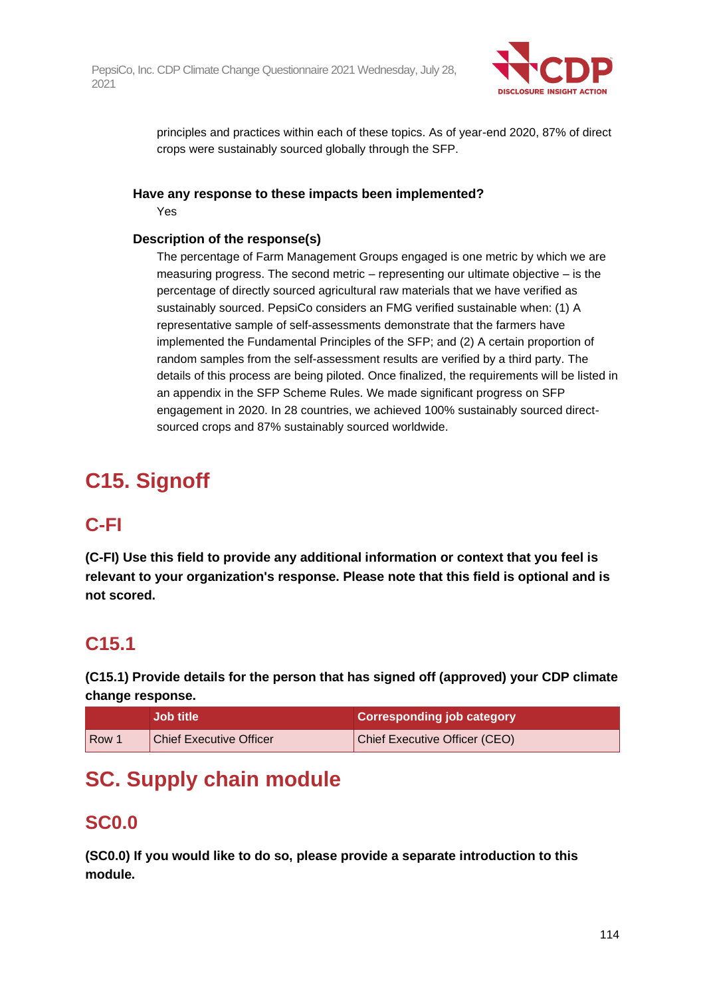

principles and practices within each of these topics. As of year-end 2020, 87% of direct crops were sustainably sourced globally through the SFP.

### **Have any response to these impacts been implemented?**

Yes

### **Description of the response(s)**

The percentage of Farm Management Groups engaged is one metric by which we are measuring progress. The second metric – representing our ultimate objective – is the percentage of directly sourced agricultural raw materials that we have verified as sustainably sourced. PepsiCo considers an FMG verified sustainable when: (1) A representative sample of self-assessments demonstrate that the farmers have implemented the Fundamental Principles of the SFP; and (2) A certain proportion of random samples from the self-assessment results are verified by a third party. The details of this process are being piloted. Once finalized, the requirements will be listed in an appendix in the SFP Scheme Rules. We made significant progress on SFP engagement in 2020. In 28 countries, we achieved 100% sustainably sourced directsourced crops and 87% sustainably sourced worldwide.

# **C15. Signoff**

## **C-FI**

**(C-FI) Use this field to provide any additional information or context that you feel is relevant to your organization's response. Please note that this field is optional and is not scored.**

## **C15.1**

**(C15.1) Provide details for the person that has signed off (approved) your CDP climate change response.**

|       | <b>Job title</b>               | <b>Corresponding job category</b> |
|-------|--------------------------------|-----------------------------------|
| l Row | <b>Chief Executive Officer</b> | Chief Executive Officer (CEO)     |

## **SC. Supply chain module**

## **SC0.0**

**(SC0.0) If you would like to do so, please provide a separate introduction to this module.**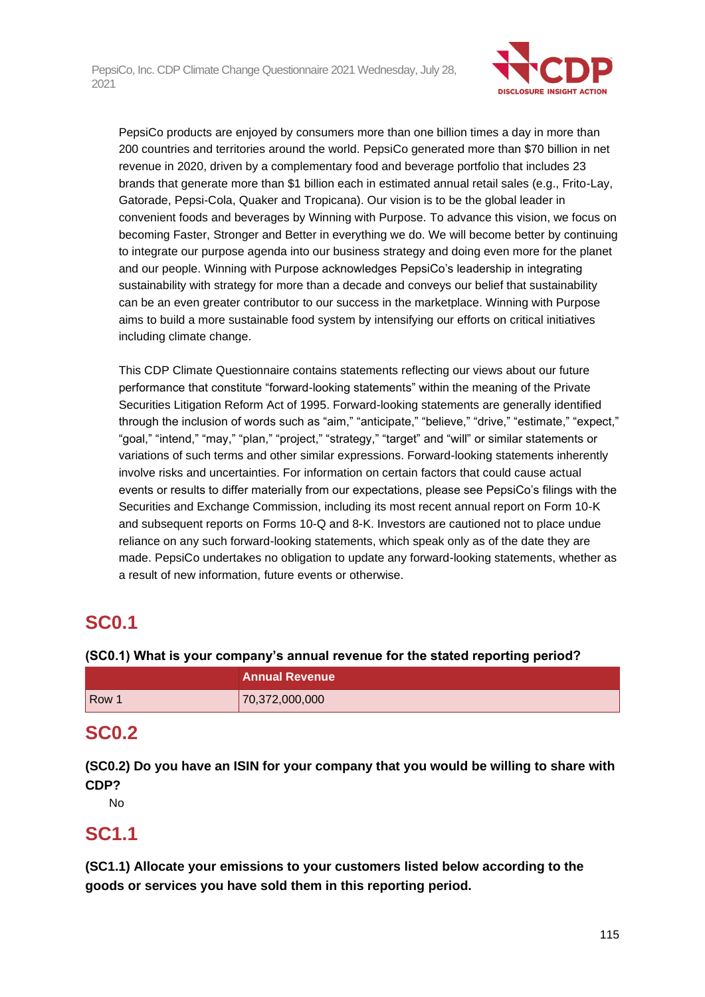

PepsiCo products are enjoyed by consumers more than one billion times a day in more than 200 countries and territories around the world. PepsiCo generated more than \$70 billion in net revenue in 2020, driven by a complementary food and beverage portfolio that includes 23 brands that generate more than \$1 billion each in estimated annual retail sales (e.g., Frito-Lay, Gatorade, Pepsi-Cola, Quaker and Tropicana). Our vision is to be the global leader in convenient foods and beverages by Winning with Purpose. To advance this vision, we focus on becoming Faster, Stronger and Better in everything we do. We will become better by continuing to integrate our purpose agenda into our business strategy and doing even more for the planet and our people. Winning with Purpose acknowledges PepsiCo's leadership in integrating sustainability with strategy for more than a decade and conveys our belief that sustainability can be an even greater contributor to our success in the marketplace. Winning with Purpose aims to build a more sustainable food system by intensifying our efforts on critical initiatives including climate change.

This CDP Climate Questionnaire contains statements reflecting our views about our future performance that constitute "forward-looking statements" within the meaning of the Private Securities Litigation Reform Act of 1995. Forward-looking statements are generally identified through the inclusion of words such as "aim," "anticipate," "believe," "drive," "estimate," "expect," "goal," "intend," "may," "plan," "project," "strategy," "target" and "will" or similar statements or variations of such terms and other similar expressions. Forward-looking statements inherently involve risks and uncertainties. For information on certain factors that could cause actual events or results to differ materially from our expectations, please see PepsiCo's filings with the Securities and Exchange Commission, including its most recent annual report on Form 10-K and subsequent reports on Forms 10-Q and 8-K. Investors are cautioned not to place undue reliance on any such forward-looking statements, which speak only as of the date they are made. PepsiCo undertakes no obligation to update any forward-looking statements, whether as a result of new information, future events or otherwise.

## **SC0.1**

### **(SC0.1) What is your company's annual revenue for the stated reporting period?**

|       | <b>Annual Revenue</b> |
|-------|-----------------------|
| Row 1 | 70,372,000,000        |

## **SC0.2**

**(SC0.2) Do you have an ISIN for your company that you would be willing to share with CDP?**

No

## **SC1.1**

**(SC1.1) Allocate your emissions to your customers listed below according to the goods or services you have sold them in this reporting period.**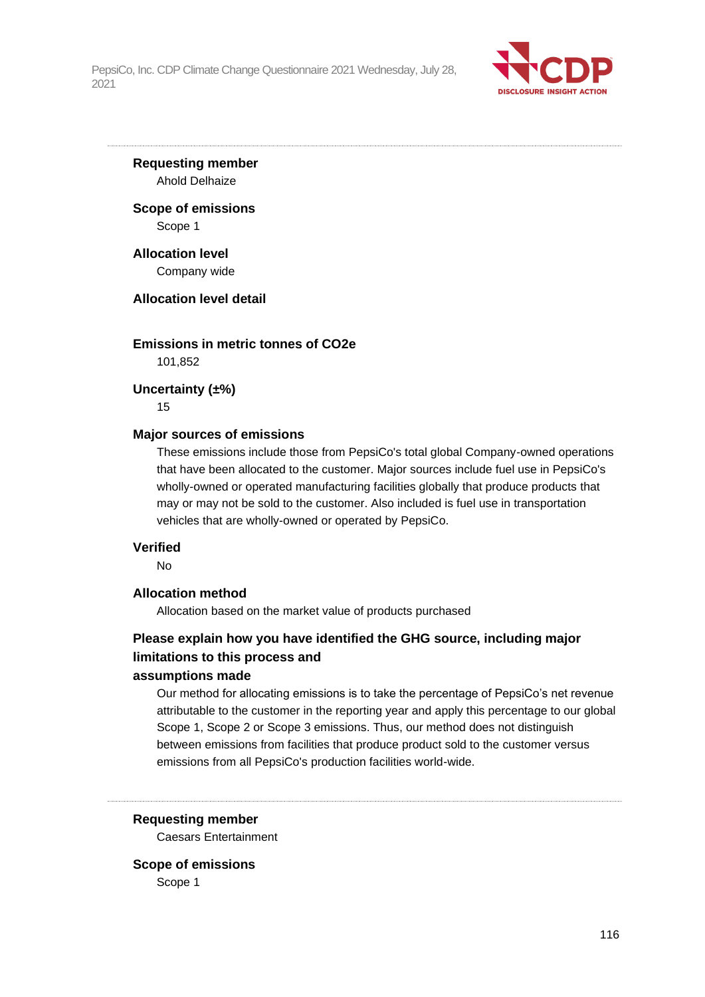

**Requesting member** Ahold Delhaize

**Scope of emissions** Scope 1

**Allocation level** Company wide

#### **Allocation level detail**

### **Emissions in metric tonnes of CO2e**

101,852

**Uncertainty (±%)**

15

#### **Major sources of emissions**

These emissions include those from PepsiCo's total global Company-owned operations that have been allocated to the customer. Major sources include fuel use in PepsiCo's wholly-owned or operated manufacturing facilities globally that produce products that may or may not be sold to the customer. Also included is fuel use in transportation vehicles that are wholly-owned or operated by PepsiCo.

#### **Verified**

No

#### **Allocation method**

Allocation based on the market value of products purchased

### **Please explain how you have identified the GHG source, including major limitations to this process and**

### **assumptions made**

Our method for allocating emissions is to take the percentage of PepsiCo's net revenue attributable to the customer in the reporting year and apply this percentage to our global Scope 1, Scope 2 or Scope 3 emissions. Thus, our method does not distinguish between emissions from facilities that produce product sold to the customer versus emissions from all PepsiCo's production facilities world-wide.

#### **Requesting member**

Caesars Entertainment

#### **Scope of emissions**

Scope 1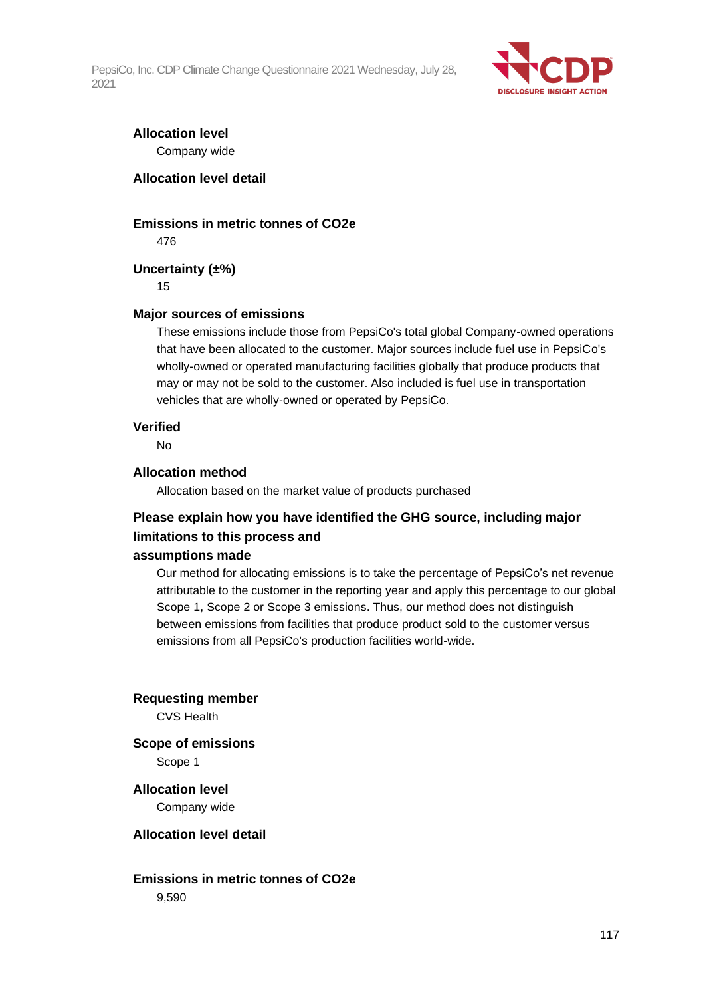

### **Allocation level** Company wide

### **Allocation level detail**

#### **Emissions in metric tonnes of CO2e**

476

### **Uncertainty (±%)**

15

#### **Major sources of emissions**

These emissions include those from PepsiCo's total global Company-owned operations that have been allocated to the customer. Major sources include fuel use in PepsiCo's wholly-owned or operated manufacturing facilities globally that produce products that may or may not be sold to the customer. Also included is fuel use in transportation vehicles that are wholly-owned or operated by PepsiCo.

#### **Verified**

No

#### **Allocation method**

Allocation based on the market value of products purchased

### **Please explain how you have identified the GHG source, including major limitations to this process and**

#### **assumptions made**

Our method for allocating emissions is to take the percentage of PepsiCo's net revenue attributable to the customer in the reporting year and apply this percentage to our global Scope 1, Scope 2 or Scope 3 emissions. Thus, our method does not distinguish between emissions from facilities that produce product sold to the customer versus emissions from all PepsiCo's production facilities world-wide.

**Requesting member**

CVS Health

**Scope of emissions** Scope 1

**Allocation level**

Company wide

#### **Allocation level detail**

**Emissions in metric tonnes of CO2e** 9,590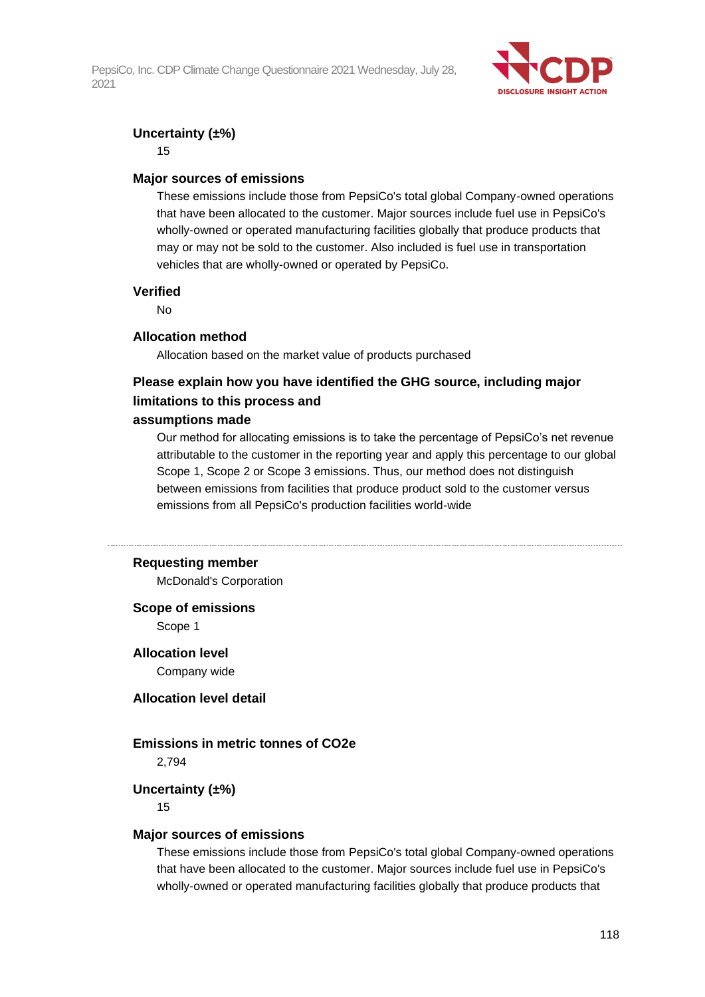

### **Uncertainty (±%)**

15

#### **Major sources of emissions**

These emissions include those from PepsiCo's total global Company-owned operations that have been allocated to the customer. Major sources include fuel use in PepsiCo's wholly-owned or operated manufacturing facilities globally that produce products that may or may not be sold to the customer. Also included is fuel use in transportation vehicles that are wholly-owned or operated by PepsiCo.

#### **Verified**

No

#### **Allocation method**

Allocation based on the market value of products purchased

### **Please explain how you have identified the GHG source, including major limitations to this process and**

#### **assumptions made**

Our method for allocating emissions is to take the percentage of PepsiCo's net revenue attributable to the customer in the reporting year and apply this percentage to our global Scope 1, Scope 2 or Scope 3 emissions. Thus, our method does not distinguish between emissions from facilities that produce product sold to the customer versus emissions from all PepsiCo's production facilities world-wide

#### **Requesting member**

McDonald's Corporation

#### **Scope of emissions**

Scope 1

**Allocation level**

Company wide

### **Allocation level detail**

### **Emissions in metric tonnes of CO2e**

2,794

#### **Uncertainty (±%)**

15

#### **Major sources of emissions**

These emissions include those from PepsiCo's total global Company-owned operations that have been allocated to the customer. Major sources include fuel use in PepsiCo's wholly-owned or operated manufacturing facilities globally that produce products that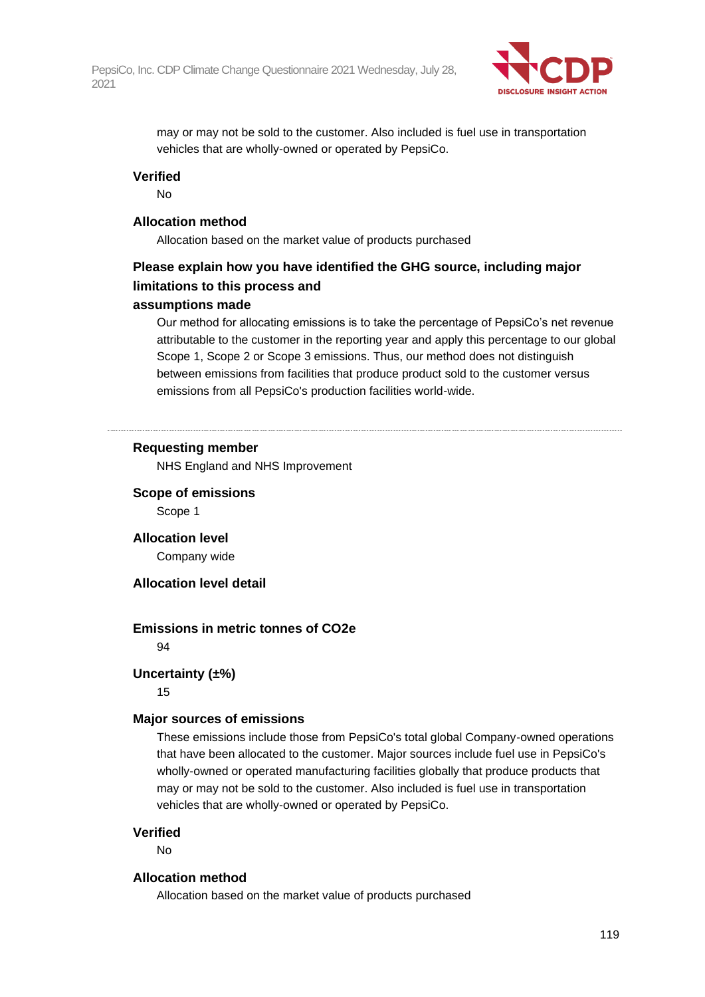

may or may not be sold to the customer. Also included is fuel use in transportation vehicles that are wholly-owned or operated by PepsiCo.

#### **Verified**

No

#### **Allocation method**

Allocation based on the market value of products purchased

### **Please explain how you have identified the GHG source, including major limitations to this process and**

### **assumptions made**

Our method for allocating emissions is to take the percentage of PepsiCo's net revenue attributable to the customer in the reporting year and apply this percentage to our global Scope 1, Scope 2 or Scope 3 emissions. Thus, our method does not distinguish between emissions from facilities that produce product sold to the customer versus emissions from all PepsiCo's production facilities world-wide.

#### **Requesting member**

NHS England and NHS Improvement

### **Scope of emissions**

Scope 1

**Allocation level** Company wide

#### **Allocation level detail**

#### **Emissions in metric tonnes of CO2e**

94

#### **Uncertainty (±%)**

15

#### **Major sources of emissions**

These emissions include those from PepsiCo's total global Company-owned operations that have been allocated to the customer. Major sources include fuel use in PepsiCo's wholly-owned or operated manufacturing facilities globally that produce products that may or may not be sold to the customer. Also included is fuel use in transportation vehicles that are wholly-owned or operated by PepsiCo.

#### **Verified**

No

#### **Allocation method**

Allocation based on the market value of products purchased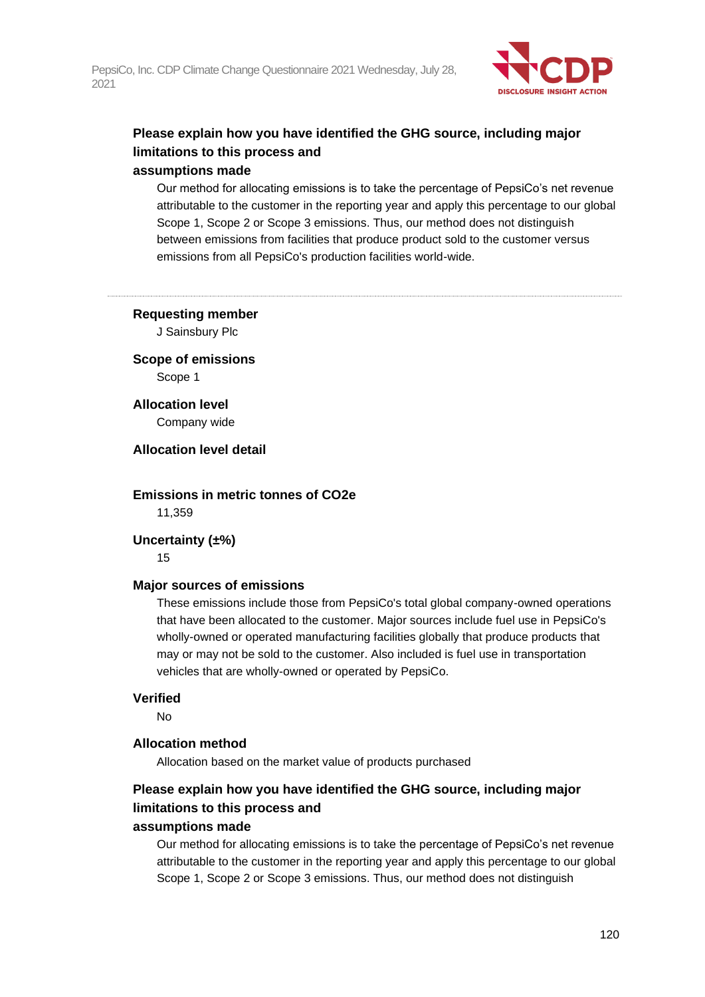

## **Please explain how you have identified the GHG source, including major limitations to this process and**

### **assumptions made**

Our method for allocating emissions is to take the percentage of PepsiCo's net revenue attributable to the customer in the reporting year and apply this percentage to our global Scope 1, Scope 2 or Scope 3 emissions. Thus, our method does not distinguish between emissions from facilities that produce product sold to the customer versus emissions from all PepsiCo's production facilities world-wide.

**Requesting member**

J Sainsbury Plc

**Scope of emissions** Scope 1

**Allocation level** Company wide

**Allocation level detail**

**Emissions in metric tonnes of CO2e** 11,359

**Uncertainty (±%)**

15

### **Major sources of emissions**

These emissions include those from PepsiCo's total global company-owned operations that have been allocated to the customer. Major sources include fuel use in PepsiCo's wholly-owned or operated manufacturing facilities globally that produce products that may or may not be sold to the customer. Also included is fuel use in transportation vehicles that are wholly-owned or operated by PepsiCo.

### **Verified**

No

### **Allocation method**

Allocation based on the market value of products purchased

## **Please explain how you have identified the GHG source, including major limitations to this process and**

### **assumptions made**

Our method for allocating emissions is to take the percentage of PepsiCo's net revenue attributable to the customer in the reporting year and apply this percentage to our global Scope 1, Scope 2 or Scope 3 emissions. Thus, our method does not distinguish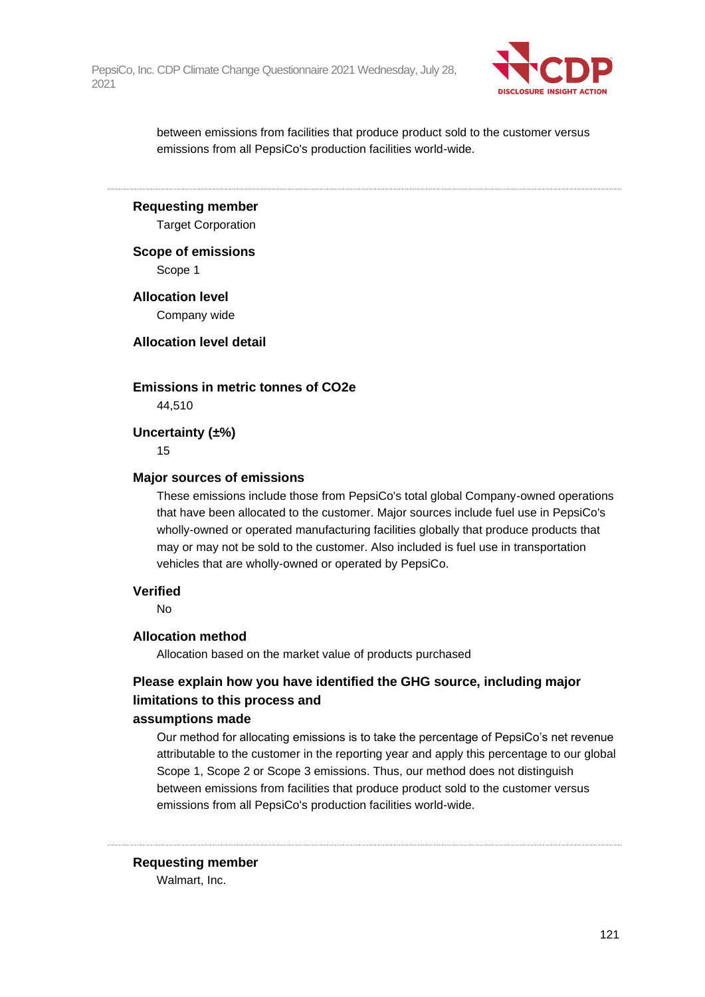

between emissions from facilities that produce product sold to the customer versus emissions from all PepsiCo's production facilities world-wide.

**Requesting member**

Target Corporation

**Scope of emissions** Scope 1

**Allocation level** Company wide

**Allocation level detail**

**Emissions in metric tonnes of CO2e**

44,510

**Uncertainty (±%)**

15

#### **Major sources of emissions**

These emissions include those from PepsiCo's total global Company-owned operations that have been allocated to the customer. Major sources include fuel use in PepsiCo's wholly-owned or operated manufacturing facilities globally that produce products that may or may not be sold to the customer. Also included is fuel use in transportation vehicles that are wholly-owned or operated by PepsiCo.

#### **Verified**

No

#### **Allocation method**

Allocation based on the market value of products purchased

### **Please explain how you have identified the GHG source, including major limitations to this process and**

#### **assumptions made**

Our method for allocating emissions is to take the percentage of PepsiCo's net revenue attributable to the customer in the reporting year and apply this percentage to our global Scope 1, Scope 2 or Scope 3 emissions. Thus, our method does not distinguish between emissions from facilities that produce product sold to the customer versus emissions from all PepsiCo's production facilities world-wide.

#### **Requesting member**

Walmart, Inc.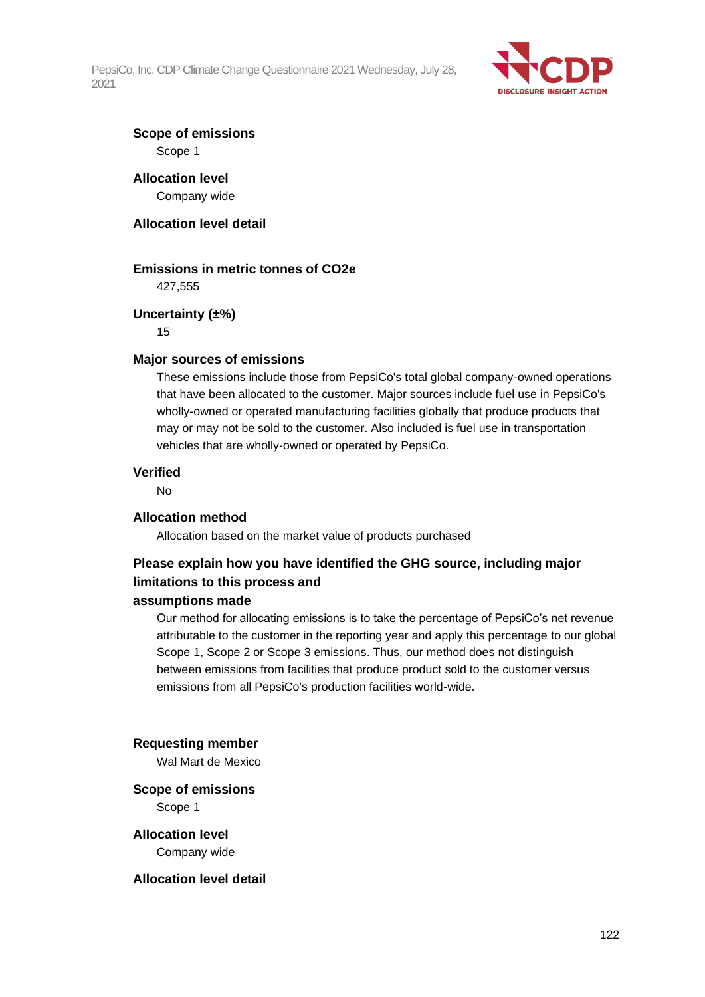

# **Scope of emissions**

Scope 1

## **Allocation level**

Company wide

### **Allocation level detail**

### **Emissions in metric tonnes of CO2e**

427,555

### **Uncertainty (±%)**

15

#### **Major sources of emissions**

These emissions include those from PepsiCo's total global company-owned operations that have been allocated to the customer. Major sources include fuel use in PepsiCo's wholly-owned or operated manufacturing facilities globally that produce products that may or may not be sold to the customer. Also included is fuel use in transportation vehicles that are wholly-owned or operated by PepsiCo.

#### **Verified**

No

### **Allocation method**

Allocation based on the market value of products purchased

### **Please explain how you have identified the GHG source, including major limitations to this process and**

#### **assumptions made**

Our method for allocating emissions is to take the percentage of PepsiCo's net revenue attributable to the customer in the reporting year and apply this percentage to our global Scope 1, Scope 2 or Scope 3 emissions. Thus, our method does not distinguish between emissions from facilities that produce product sold to the customer versus emissions from all PepsiCo's production facilities world-wide.

#### **Requesting member**

Wal Mart de Mexico

#### **Scope of emissions**

Scope 1

### **Allocation level**

Company wide

#### **Allocation level detail**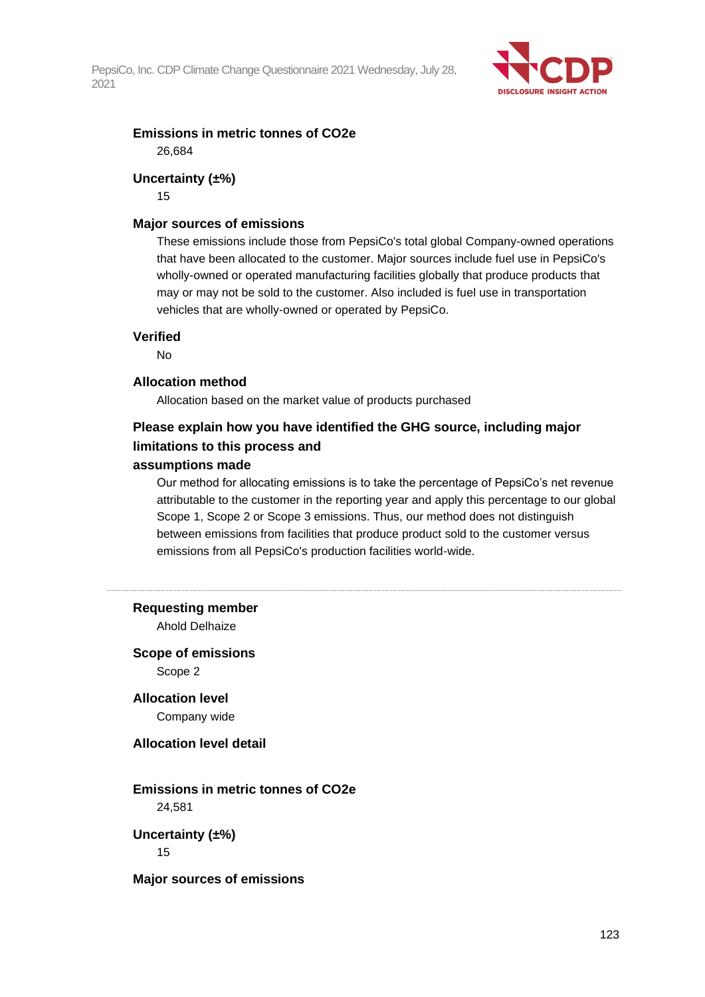

### **Emissions in metric tonnes of CO2e** 26,684

### **Uncertainty (±%)**

15

#### **Major sources of emissions**

These emissions include those from PepsiCo's total global Company-owned operations that have been allocated to the customer. Major sources include fuel use in PepsiCo's wholly-owned or operated manufacturing facilities globally that produce products that may or may not be sold to the customer. Also included is fuel use in transportation vehicles that are wholly-owned or operated by PepsiCo.

#### **Verified**

No

#### **Allocation method**

Allocation based on the market value of products purchased

### **Please explain how you have identified the GHG source, including major limitations to this process and**

#### **assumptions made**

Our method for allocating emissions is to take the percentage of PepsiCo's net revenue attributable to the customer in the reporting year and apply this percentage to our global Scope 1, Scope 2 or Scope 3 emissions. Thus, our method does not distinguish between emissions from facilities that produce product sold to the customer versus emissions from all PepsiCo's production facilities world-wide.

#### **Requesting member**

Ahold Delhaize

### **Scope of emissions** Scope 2

**Allocation level** Company wide

#### **Allocation level detail**

### **Emissions in metric tonnes of CO2e**

24,581

**Uncertainty (±%)** 15

**Major sources of emissions**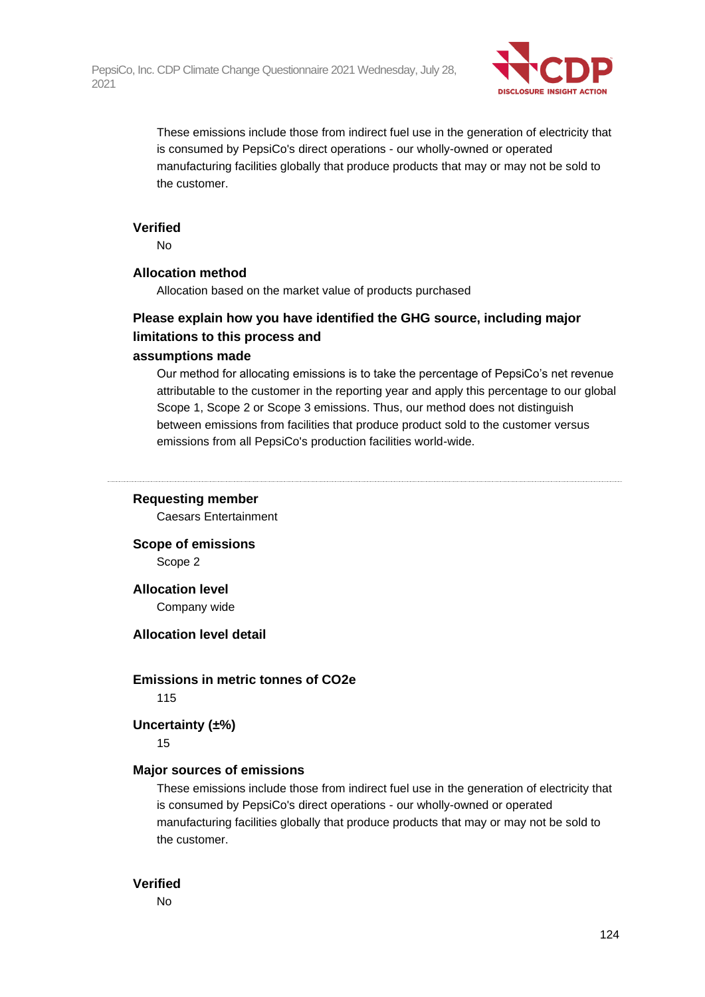

These emissions include those from indirect fuel use in the generation of electricity that is consumed by PepsiCo's direct operations - our wholly-owned or operated manufacturing facilities globally that produce products that may or may not be sold to the customer.

#### **Verified**

No

#### **Allocation method**

Allocation based on the market value of products purchased

### **Please explain how you have identified the GHG source, including major limitations to this process and**

#### **assumptions made**

Our method for allocating emissions is to take the percentage of PepsiCo's net revenue attributable to the customer in the reporting year and apply this percentage to our global Scope 1, Scope 2 or Scope 3 emissions. Thus, our method does not distinguish between emissions from facilities that produce product sold to the customer versus emissions from all PepsiCo's production facilities world-wide.

#### **Requesting member**

Caesars Entertainment

**Scope of emissions**

Scope 2

#### **Allocation level**

Company wide

#### **Allocation level detail**

**Emissions in metric tonnes of CO2e**

115

#### **Uncertainty (±%)**

15

#### **Major sources of emissions**

These emissions include those from indirect fuel use in the generation of electricity that is consumed by PepsiCo's direct operations - our wholly-owned or operated manufacturing facilities globally that produce products that may or may not be sold to the customer.

#### **Verified**

No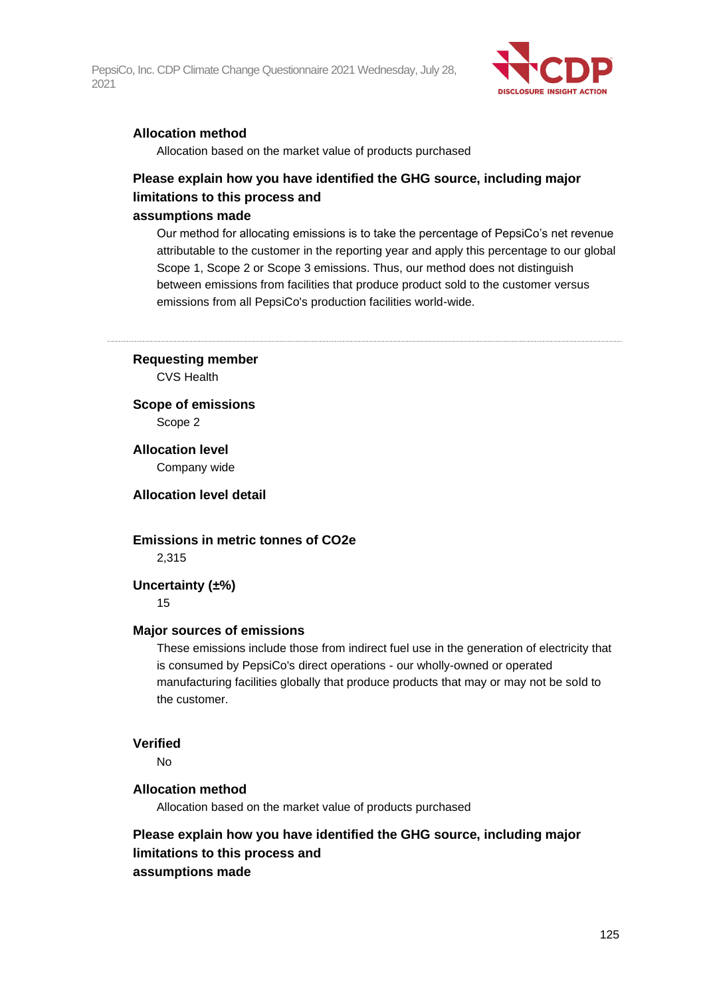

### **Allocation method**

Allocation based on the market value of products purchased

### **Please explain how you have identified the GHG source, including major limitations to this process and**

#### **assumptions made**

Our method for allocating emissions is to take the percentage of PepsiCo's net revenue attributable to the customer in the reporting year and apply this percentage to our global Scope 1, Scope 2 or Scope 3 emissions. Thus, our method does not distinguish between emissions from facilities that produce product sold to the customer versus emissions from all PepsiCo's production facilities world-wide.

**Requesting member** CVS Health

**Scope of emissions** Scope 2

**Allocation level** Company wide

**Allocation level detail**

**Emissions in metric tonnes of CO2e** 2,315

#### **Uncertainty (±%)**

15

#### **Major sources of emissions**

These emissions include those from indirect fuel use in the generation of electricity that is consumed by PepsiCo's direct operations - our wholly-owned or operated manufacturing facilities globally that produce products that may or may not be sold to the customer.

#### **Verified**

No

#### **Allocation method**

Allocation based on the market value of products purchased

### **Please explain how you have identified the GHG source, including major limitations to this process and assumptions made**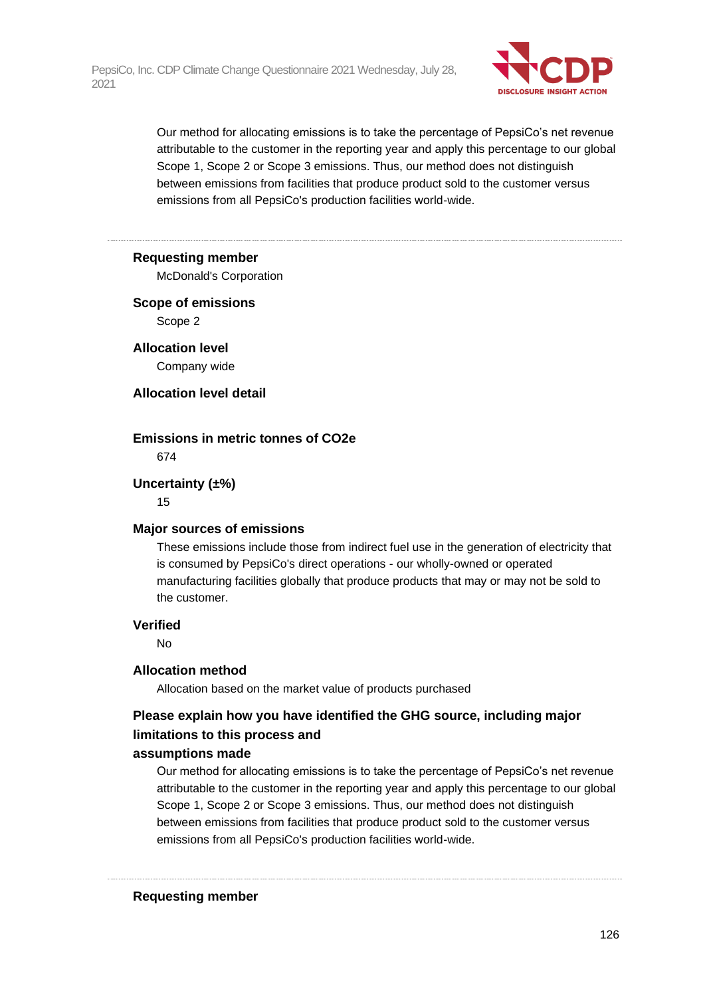

Our method for allocating emissions is to take the percentage of PepsiCo's net revenue attributable to the customer in the reporting year and apply this percentage to our global Scope 1, Scope 2 or Scope 3 emissions. Thus, our method does not distinguish between emissions from facilities that produce product sold to the customer versus emissions from all PepsiCo's production facilities world-wide.

#### **Requesting member**

McDonald's Corporation

### **Scope of emissions** Scope 2

**Allocation level**

Company wide

### **Allocation level detail**

### **Emissions in metric tonnes of CO2e**

674

### **Uncertainty (±%)**

15

### **Major sources of emissions**

These emissions include those from indirect fuel use in the generation of electricity that is consumed by PepsiCo's direct operations - our wholly-owned or operated manufacturing facilities globally that produce products that may or may not be sold to the customer.

### **Verified**

No

### **Allocation method**

Allocation based on the market value of products purchased

### **Please explain how you have identified the GHG source, including major limitations to this process and**

### **assumptions made**

Our method for allocating emissions is to take the percentage of PepsiCo's net revenue attributable to the customer in the reporting year and apply this percentage to our global Scope 1, Scope 2 or Scope 3 emissions. Thus, our method does not distinguish between emissions from facilities that produce product sold to the customer versus emissions from all PepsiCo's production facilities world-wide.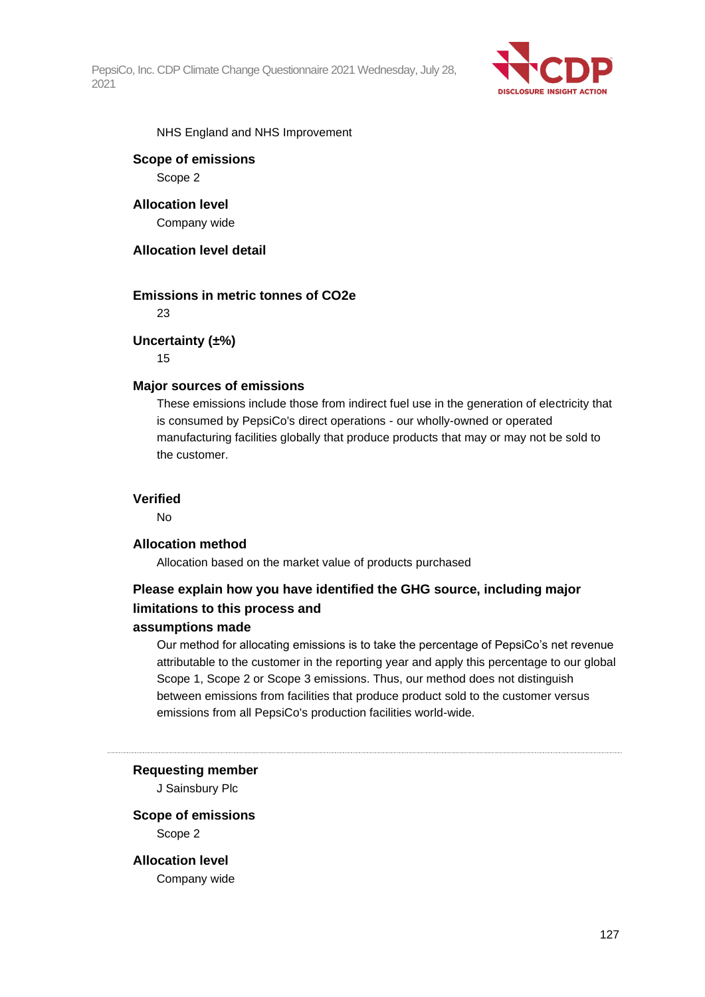

NHS England and NHS Improvement

## **Scope of emissions**

Scope 2

**Allocation level** Company wide

#### **Allocation level detail**

#### **Emissions in metric tonnes of CO2e**

23

#### **Uncertainty (±%)**

15

#### **Major sources of emissions**

These emissions include those from indirect fuel use in the generation of electricity that is consumed by PepsiCo's direct operations - our wholly-owned or operated manufacturing facilities globally that produce products that may or may not be sold to the customer.

#### **Verified**

No

#### **Allocation method**

Allocation based on the market value of products purchased

### **Please explain how you have identified the GHG source, including major limitations to this process and**

#### **assumptions made**

Our method for allocating emissions is to take the percentage of PepsiCo's net revenue attributable to the customer in the reporting year and apply this percentage to our global Scope 1, Scope 2 or Scope 3 emissions. Thus, our method does not distinguish between emissions from facilities that produce product sold to the customer versus emissions from all PepsiCo's production facilities world-wide.

#### **Requesting member**

J Sainsbury Plc

#### **Scope of emissions** Scope 2

**Allocation level** Company wide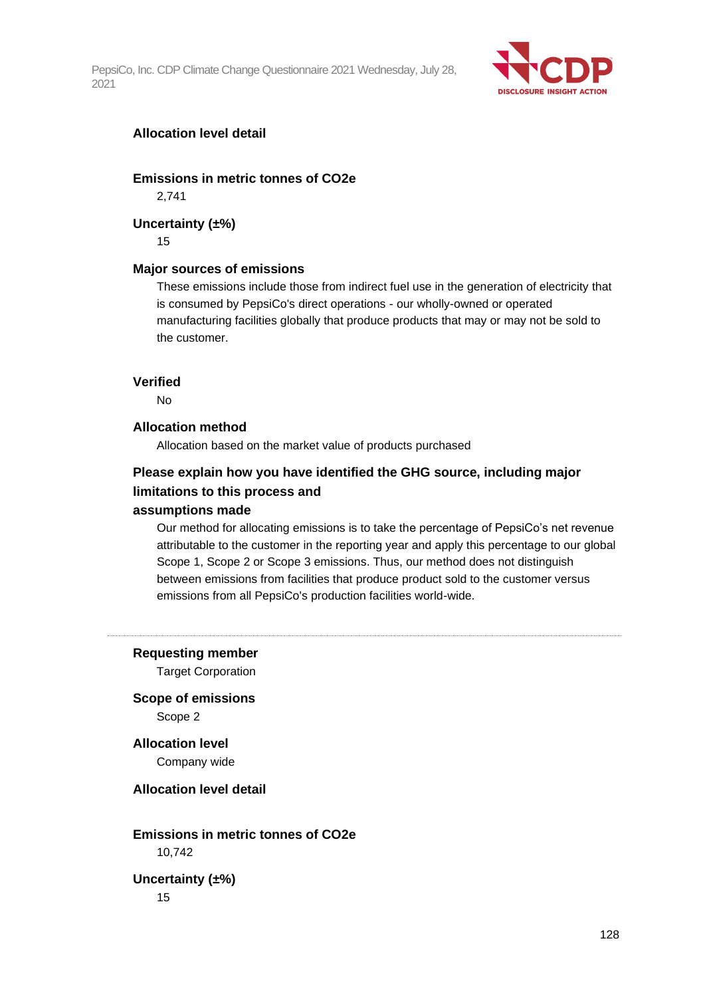

### **Allocation level detail**

**Emissions in metric tonnes of CO2e**

2,741

#### **Uncertainty (±%)**

15

#### **Major sources of emissions**

These emissions include those from indirect fuel use in the generation of electricity that is consumed by PepsiCo's direct operations - our wholly-owned or operated manufacturing facilities globally that produce products that may or may not be sold to the customer.

#### **Verified**

No

#### **Allocation method**

Allocation based on the market value of products purchased

## **Please explain how you have identified the GHG source, including major limitations to this process and**

### **assumptions made**

Our method for allocating emissions is to take the percentage of PepsiCo's net revenue attributable to the customer in the reporting year and apply this percentage to our global Scope 1, Scope 2 or Scope 3 emissions. Thus, our method does not distinguish between emissions from facilities that produce product sold to the customer versus emissions from all PepsiCo's production facilities world-wide.

**Requesting member**

Target Corporation

**Scope of emissions** Scope 2

**Allocation level** Company wide

**Allocation level detail**

**Emissions in metric tonnes of CO2e**

10,742

**Uncertainty (±%)** 15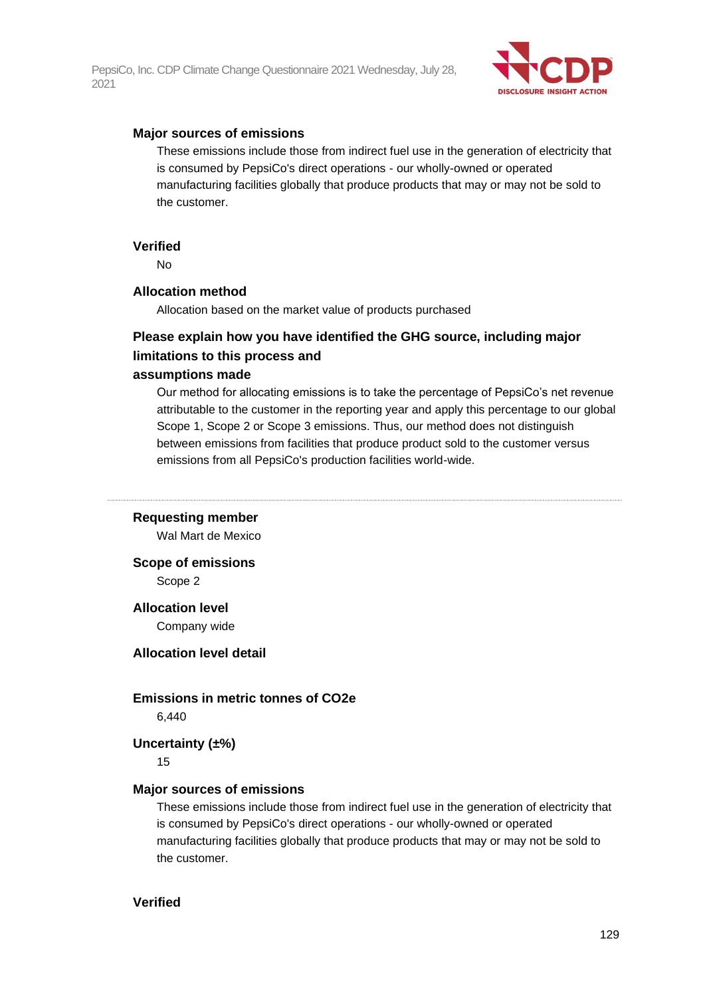

#### **Major sources of emissions**

These emissions include those from indirect fuel use in the generation of electricity that is consumed by PepsiCo's direct operations - our wholly-owned or operated manufacturing facilities globally that produce products that may or may not be sold to the customer.

#### **Verified**

No

#### **Allocation method**

Allocation based on the market value of products purchased

### **Please explain how you have identified the GHG source, including major limitations to this process and**

#### **assumptions made**

Our method for allocating emissions is to take the percentage of PepsiCo's net revenue attributable to the customer in the reporting year and apply this percentage to our global Scope 1, Scope 2 or Scope 3 emissions. Thus, our method does not distinguish between emissions from facilities that produce product sold to the customer versus emissions from all PepsiCo's production facilities world-wide.

#### **Requesting member**

Wal Mart de Mexico

**Scope of emissions**

Scope 2

#### **Allocation level**

Company wide

#### **Allocation level detail**

#### **Emissions in metric tonnes of CO2e**

6,440

**Uncertainty (±%)**

15

#### **Major sources of emissions**

These emissions include those from indirect fuel use in the generation of electricity that is consumed by PepsiCo's direct operations - our wholly-owned or operated manufacturing facilities globally that produce products that may or may not be sold to the customer.

### **Verified**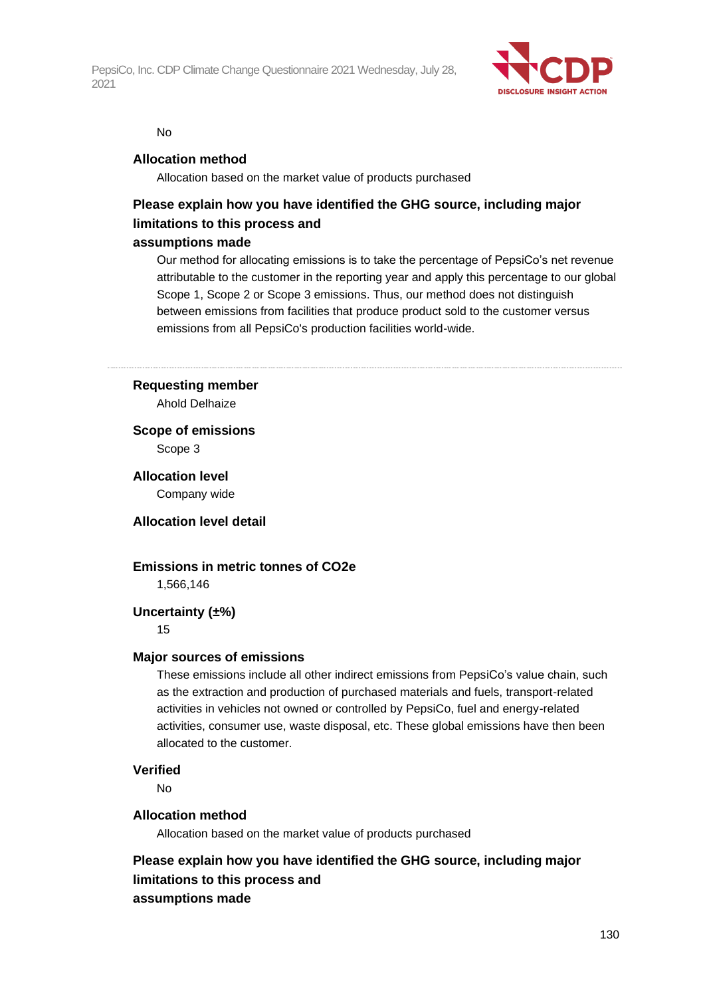

#### No

#### **Allocation method**

Allocation based on the market value of products purchased

## **Please explain how you have identified the GHG source, including major limitations to this process and**

#### **assumptions made**

Our method for allocating emissions is to take the percentage of PepsiCo's net revenue attributable to the customer in the reporting year and apply this percentage to our global Scope 1, Scope 2 or Scope 3 emissions. Thus, our method does not distinguish between emissions from facilities that produce product sold to the customer versus emissions from all PepsiCo's production facilities world-wide.

#### **Requesting member**

Ahold Delhaize

**Scope of emissions** Scope 3

**Allocation level** Company wide

**Allocation level detail**

### **Emissions in metric tonnes of CO2e**

1,566,146

#### **Uncertainty (±%)**

15

#### **Major sources of emissions**

These emissions include all other indirect emissions from PepsiCo's value chain, such as the extraction and production of purchased materials and fuels, transport-related activities in vehicles not owned or controlled by PepsiCo, fuel and energy-related activities, consumer use, waste disposal, etc. These global emissions have then been allocated to the customer.

#### **Verified**

No

#### **Allocation method**

Allocation based on the market value of products purchased

**Please explain how you have identified the GHG source, including major limitations to this process and assumptions made**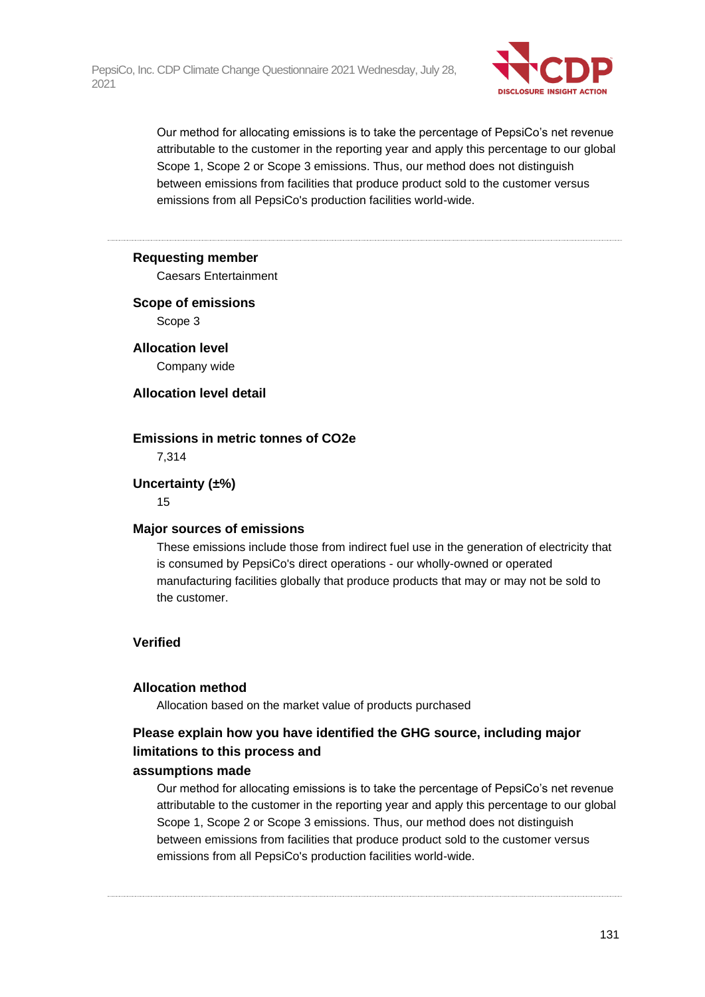

Our method for allocating emissions is to take the percentage of PepsiCo's net revenue attributable to the customer in the reporting year and apply this percentage to our global Scope 1, Scope 2 or Scope 3 emissions. Thus, our method does not distinguish between emissions from facilities that produce product sold to the customer versus emissions from all PepsiCo's production facilities world-wide.

#### **Requesting member**

Caesars Entertainment

### **Scope of emissions** Scope 3

**Allocation level** Company wide

#### **Allocation level detail**

#### **Emissions in metric tonnes of CO2e**

7,314

#### **Uncertainty (±%)**

15

### **Major sources of emissions**

These emissions include those from indirect fuel use in the generation of electricity that is consumed by PepsiCo's direct operations - our wholly-owned or operated manufacturing facilities globally that produce products that may or may not be sold to the customer.

### **Verified**

#### **Allocation method**

Allocation based on the market value of products purchased

### **Please explain how you have identified the GHG source, including major limitations to this process and**

### **assumptions made**

Our method for allocating emissions is to take the percentage of PepsiCo's net revenue attributable to the customer in the reporting year and apply this percentage to our global Scope 1, Scope 2 or Scope 3 emissions. Thus, our method does not distinguish between emissions from facilities that produce product sold to the customer versus emissions from all PepsiCo's production facilities world-wide.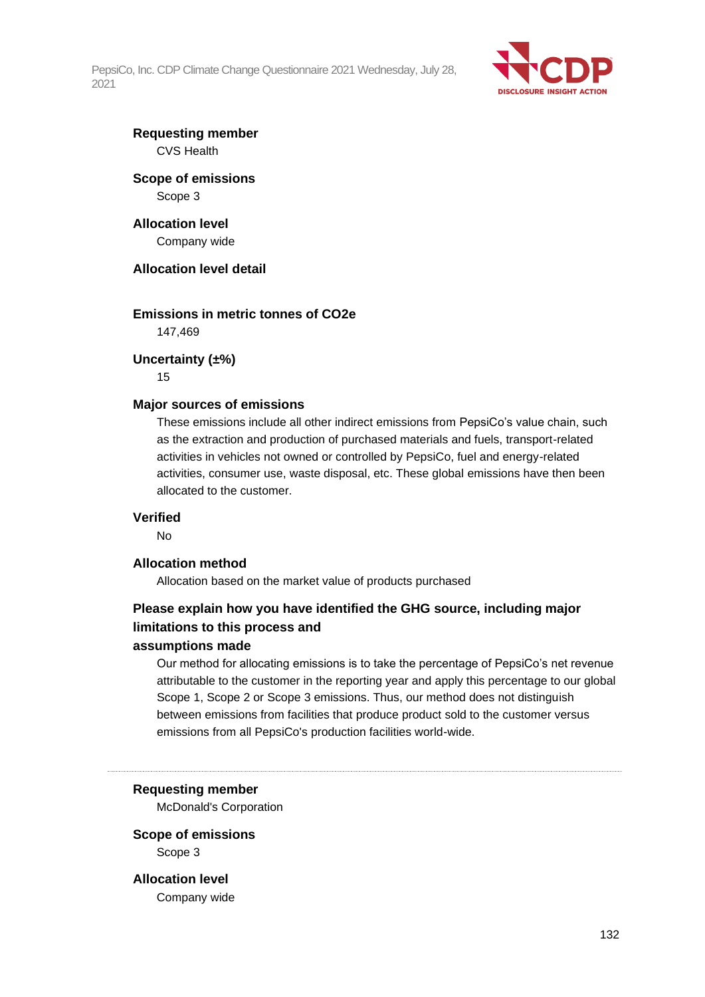

### **Requesting member** CVS Health

### **Scope of emissions** Scope 3

#### **Allocation level** Company wide

**Allocation level detail**

### **Emissions in metric tonnes of CO2e**

147,469

#### **Uncertainty (±%)**

15

#### **Major sources of emissions**

These emissions include all other indirect emissions from PepsiCo's value chain, such as the extraction and production of purchased materials and fuels, transport-related activities in vehicles not owned or controlled by PepsiCo, fuel and energy-related activities, consumer use, waste disposal, etc. These global emissions have then been allocated to the customer.

#### **Verified**

No

#### **Allocation method**

Allocation based on the market value of products purchased

### **Please explain how you have identified the GHG source, including major limitations to this process and**

#### **assumptions made**

Our method for allocating emissions is to take the percentage of PepsiCo's net revenue attributable to the customer in the reporting year and apply this percentage to our global Scope 1, Scope 2 or Scope 3 emissions. Thus, our method does not distinguish between emissions from facilities that produce product sold to the customer versus emissions from all PepsiCo's production facilities world-wide.

**Requesting member**

McDonald's Corporation

#### **Scope of emissions** Scope 3

**Allocation level** Company wide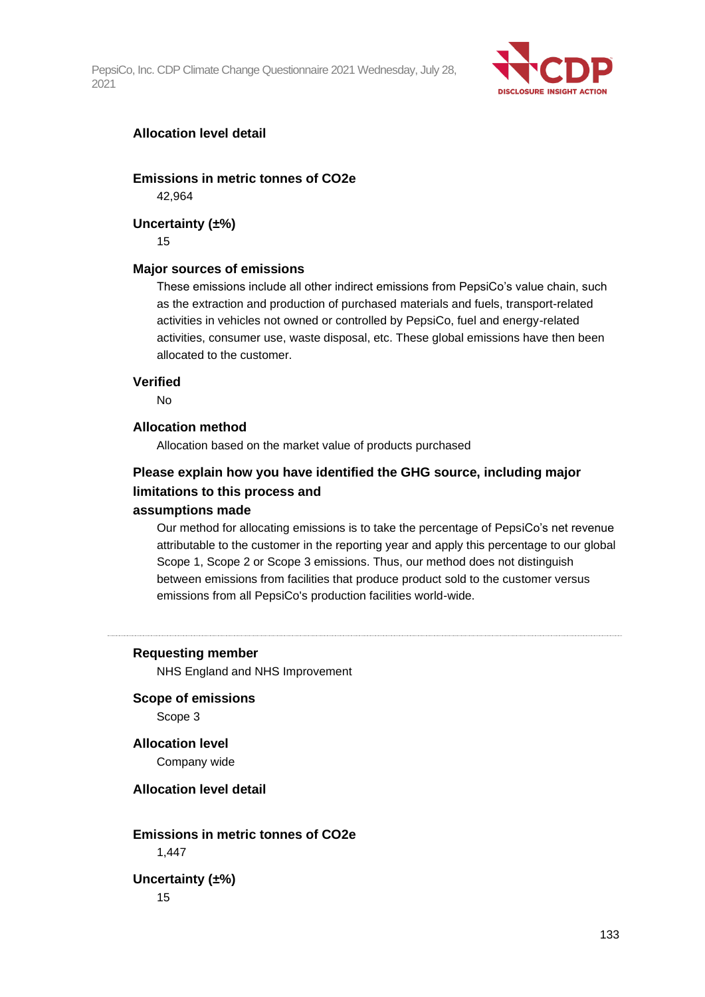

### **Allocation level detail**

**Emissions in metric tonnes of CO2e**

42,964

#### **Uncertainty (±%)**

15

#### **Major sources of emissions**

These emissions include all other indirect emissions from PepsiCo's value chain, such as the extraction and production of purchased materials and fuels, transport-related activities in vehicles not owned or controlled by PepsiCo, fuel and energy-related activities, consumer use, waste disposal, etc. These global emissions have then been allocated to the customer.

#### **Verified**

No

#### **Allocation method**

Allocation based on the market value of products purchased

### **Please explain how you have identified the GHG source, including major limitations to this process and**

#### **assumptions made**

Our method for allocating emissions is to take the percentage of PepsiCo's net revenue attributable to the customer in the reporting year and apply this percentage to our global Scope 1, Scope 2 or Scope 3 emissions. Thus, our method does not distinguish between emissions from facilities that produce product sold to the customer versus emissions from all PepsiCo's production facilities world-wide.

#### **Requesting member**

NHS England and NHS Improvement

**Scope of emissions**

Scope 3

**Allocation level** Company wide

**Allocation level detail**

**Emissions in metric tonnes of CO2e**

1,447

**Uncertainty (±%)** 15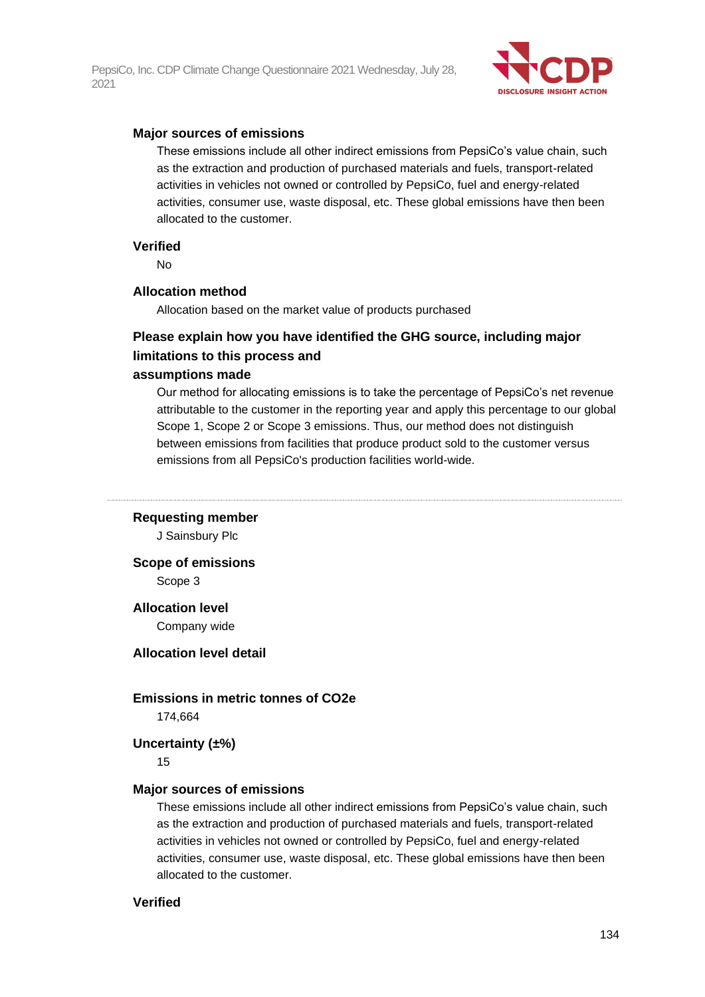

#### **Major sources of emissions**

These emissions include all other indirect emissions from PepsiCo's value chain, such as the extraction and production of purchased materials and fuels, transport-related activities in vehicles not owned or controlled by PepsiCo, fuel and energy-related activities, consumer use, waste disposal, etc. These global emissions have then been allocated to the customer.

#### **Verified**

No

#### **Allocation method**

Allocation based on the market value of products purchased

### **Please explain how you have identified the GHG source, including major limitations to this process and**

#### **assumptions made**

Our method for allocating emissions is to take the percentage of PepsiCo's net revenue attributable to the customer in the reporting year and apply this percentage to our global Scope 1, Scope 2 or Scope 3 emissions. Thus, our method does not distinguish between emissions from facilities that produce product sold to the customer versus emissions from all PepsiCo's production facilities world-wide.

#### **Requesting member**

J Sainsbury Plc

**Scope of emissions** Scope 3

#### **Allocation level**

Company wide

#### **Allocation level detail**

#### **Emissions in metric tonnes of CO2e**

174,664

#### **Uncertainty (±%)**

15

#### **Major sources of emissions**

These emissions include all other indirect emissions from PepsiCo's value chain, such as the extraction and production of purchased materials and fuels, transport-related activities in vehicles not owned or controlled by PepsiCo, fuel and energy-related activities, consumer use, waste disposal, etc. These global emissions have then been allocated to the customer.

#### **Verified**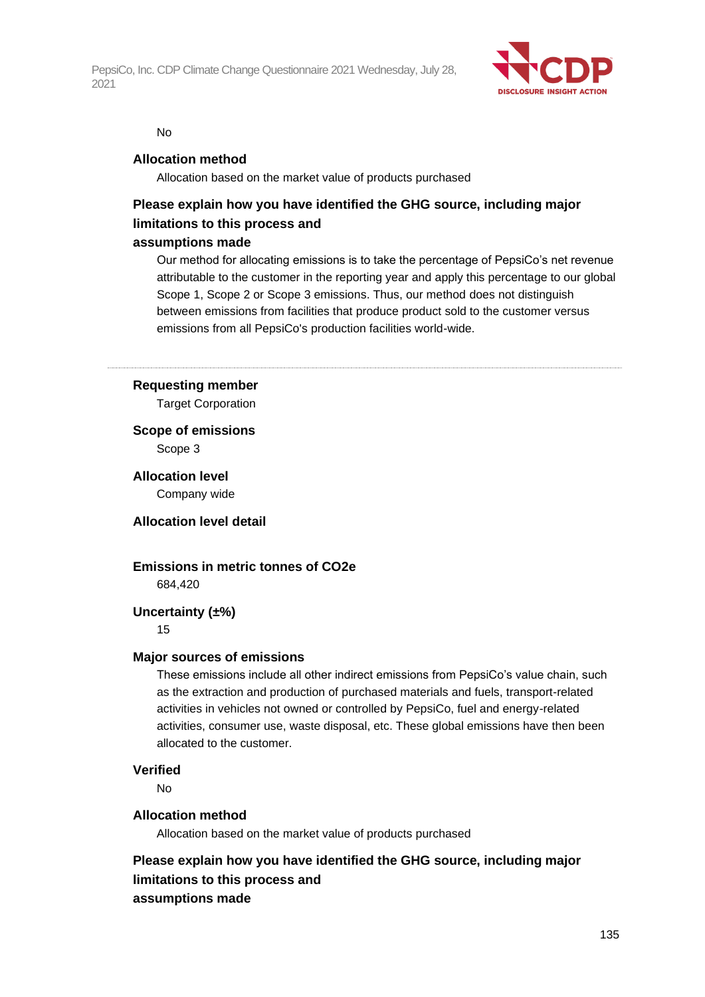

#### No

#### **Allocation method**

Allocation based on the market value of products purchased

## **Please explain how you have identified the GHG source, including major limitations to this process and**

#### **assumptions made**

Our method for allocating emissions is to take the percentage of PepsiCo's net revenue attributable to the customer in the reporting year and apply this percentage to our global Scope 1, Scope 2 or Scope 3 emissions. Thus, our method does not distinguish between emissions from facilities that produce product sold to the customer versus emissions from all PepsiCo's production facilities world-wide.

#### **Requesting member**

Target Corporation

**Scope of emissions** Scope 3

**Allocation level** Company wide

**Allocation level detail**

### **Emissions in metric tonnes of CO2e**

684,420

### **Uncertainty (±%)**

15

#### **Major sources of emissions**

These emissions include all other indirect emissions from PepsiCo's value chain, such as the extraction and production of purchased materials and fuels, transport-related activities in vehicles not owned or controlled by PepsiCo, fuel and energy-related activities, consumer use, waste disposal, etc. These global emissions have then been allocated to the customer.

#### **Verified**

No

#### **Allocation method**

Allocation based on the market value of products purchased

**Please explain how you have identified the GHG source, including major limitations to this process and assumptions made**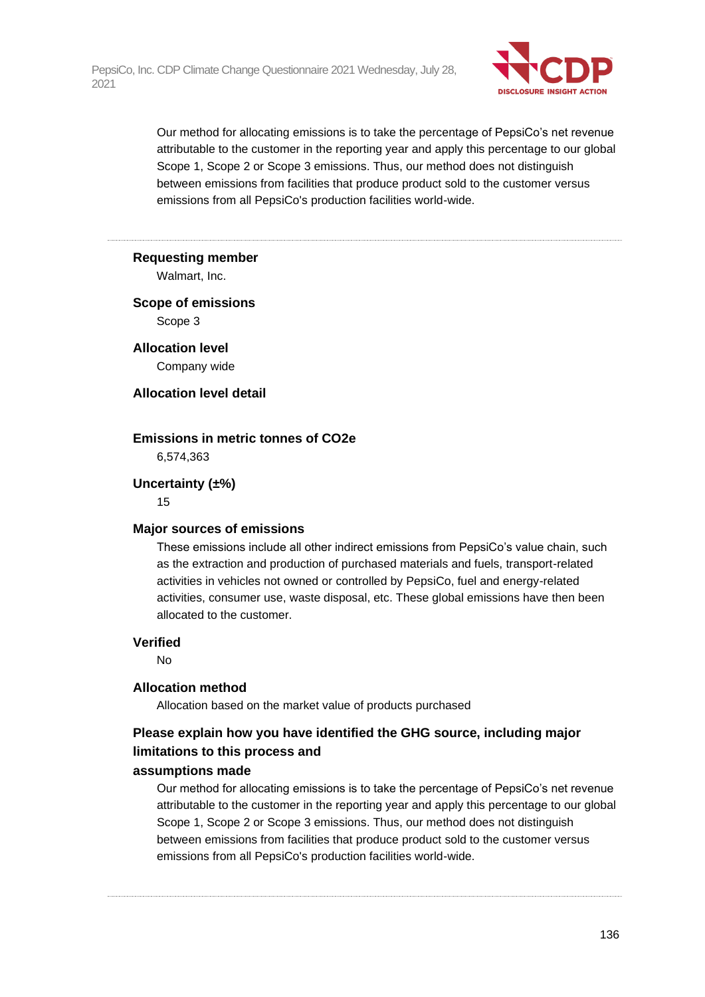

Our method for allocating emissions is to take the percentage of PepsiCo's net revenue attributable to the customer in the reporting year and apply this percentage to our global Scope 1, Scope 2 or Scope 3 emissions. Thus, our method does not distinguish between emissions from facilities that produce product sold to the customer versus emissions from all PepsiCo's production facilities world-wide.

#### **Requesting member**

Walmart, Inc.

### **Scope of emissions** Scope 3

**Allocation level** Company wide

### **Allocation level detail**

#### **Emissions in metric tonnes of CO2e**

6,574,363

#### **Uncertainty (±%)**

15

#### **Major sources of emissions**

These emissions include all other indirect emissions from PepsiCo's value chain, such as the extraction and production of purchased materials and fuels, transport-related activities in vehicles not owned or controlled by PepsiCo, fuel and energy-related activities, consumer use, waste disposal, etc. These global emissions have then been allocated to the customer.

#### **Verified**

No

#### **Allocation method**

Allocation based on the market value of products purchased

### **Please explain how you have identified the GHG source, including major limitations to this process and**

### **assumptions made**

Our method for allocating emissions is to take the percentage of PepsiCo's net revenue attributable to the customer in the reporting year and apply this percentage to our global Scope 1, Scope 2 or Scope 3 emissions. Thus, our method does not distinguish between emissions from facilities that produce product sold to the customer versus emissions from all PepsiCo's production facilities world-wide.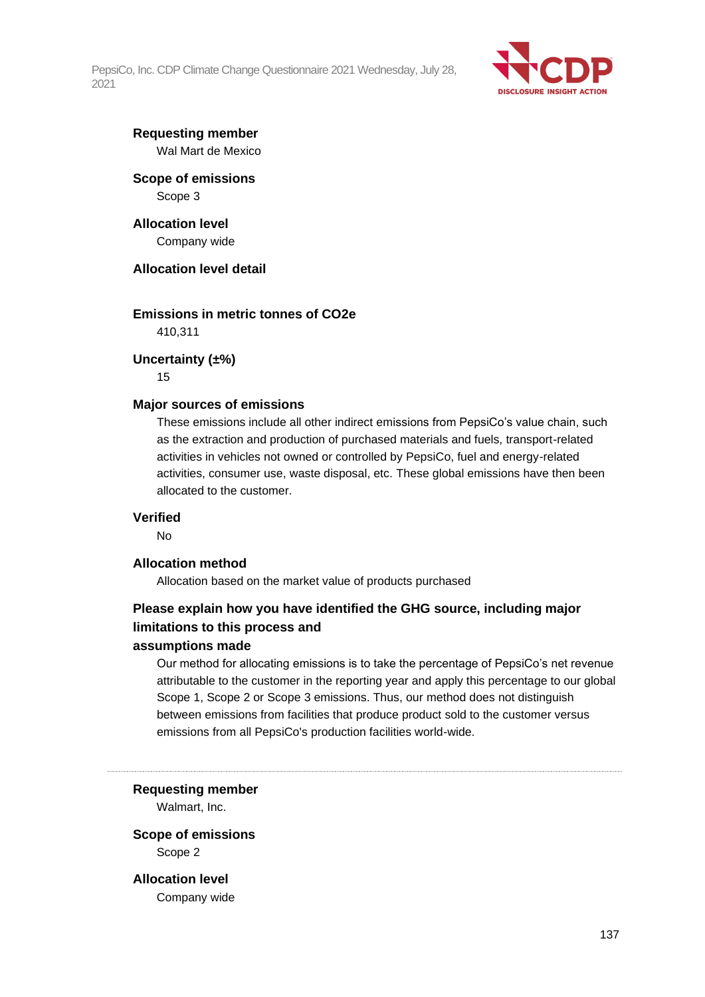

### **Requesting member** Wal Mart de Mexico

### **Scope of emissions** Scope 3

### **Allocation level** Company wide

### **Allocation level detail**

### **Emissions in metric tonnes of CO2e**

410,311

### **Uncertainty (±%)**

15

### **Major sources of emissions**

These emissions include all other indirect emissions from PepsiCo's value chain, such as the extraction and production of purchased materials and fuels, transport-related activities in vehicles not owned or controlled by PepsiCo, fuel and energy-related activities, consumer use, waste disposal, etc. These global emissions have then been allocated to the customer.

### **Verified**

No

### **Allocation method**

Allocation based on the market value of products purchased

### **Please explain how you have identified the GHG source, including major limitations to this process and**

### **assumptions made**

Our method for allocating emissions is to take the percentage of PepsiCo's net revenue attributable to the customer in the reporting year and apply this percentage to our global Scope 1, Scope 2 or Scope 3 emissions. Thus, our method does not distinguish between emissions from facilities that produce product sold to the customer versus emissions from all PepsiCo's production facilities world-wide.

**Requesting member**

Walmart, Inc.

### **Scope of emissions** Scope 2

**Allocation level** Company wide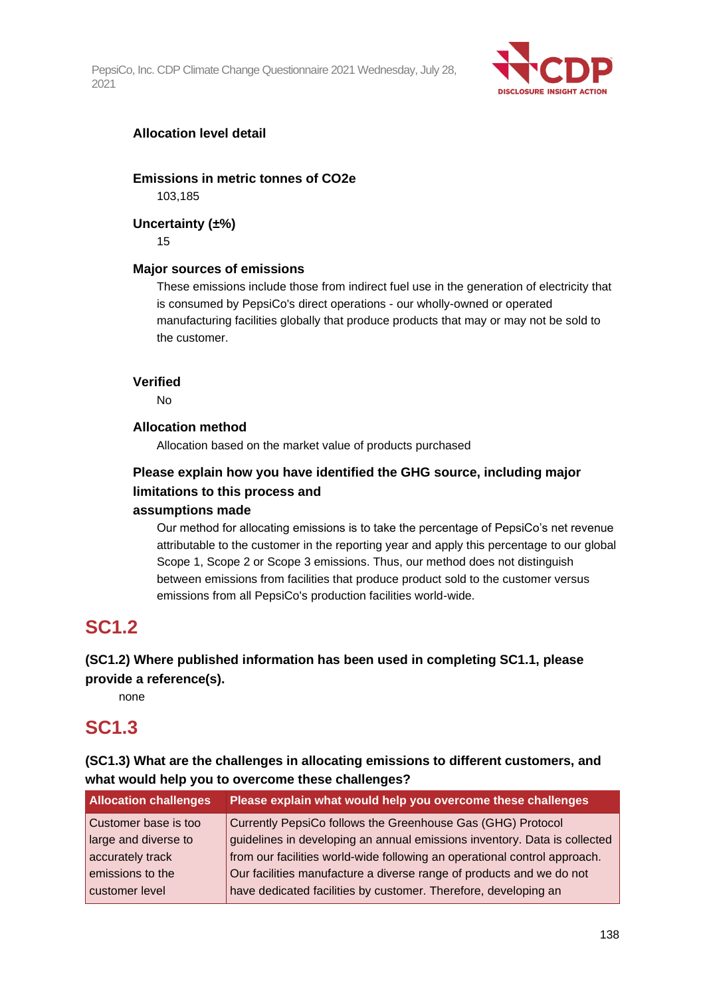

### **Allocation level detail**

### **Emissions in metric tonnes of CO2e**

103,185

### **Uncertainty (±%)**

15

### **Major sources of emissions**

These emissions include those from indirect fuel use in the generation of electricity that is consumed by PepsiCo's direct operations - our wholly-owned or operated manufacturing facilities globally that produce products that may or may not be sold to the customer.

#### **Verified**

No

### **Allocation method**

Allocation based on the market value of products purchased

## **Please explain how you have identified the GHG source, including major limitations to this process and**

### **assumptions made**

Our method for allocating emissions is to take the percentage of PepsiCo's net revenue attributable to the customer in the reporting year and apply this percentage to our global Scope 1, Scope 2 or Scope 3 emissions. Thus, our method does not distinguish between emissions from facilities that produce product sold to the customer versus emissions from all PepsiCo's production facilities world-wide.

## **SC1.2**

### **(SC1.2) Where published information has been used in completing SC1.1, please provide a reference(s).**

none

## **SC1.3**

### **(SC1.3) What are the challenges in allocating emissions to different customers, and what would help you to overcome these challenges?**

| <b>Allocation challenges</b> | Please explain what would help you overcome these challenges              |
|------------------------------|---------------------------------------------------------------------------|
| Customer base is too         | Currently PepsiCo follows the Greenhouse Gas (GHG) Protocol               |
| large and diverse to         | guidelines in developing an annual emissions inventory. Data is collected |
| accurately track             | from our facilities world-wide following an operational control approach. |
| emissions to the             | Our facilities manufacture a diverse range of products and we do not      |
| customer level               | have dedicated facilities by customer. Therefore, developing an           |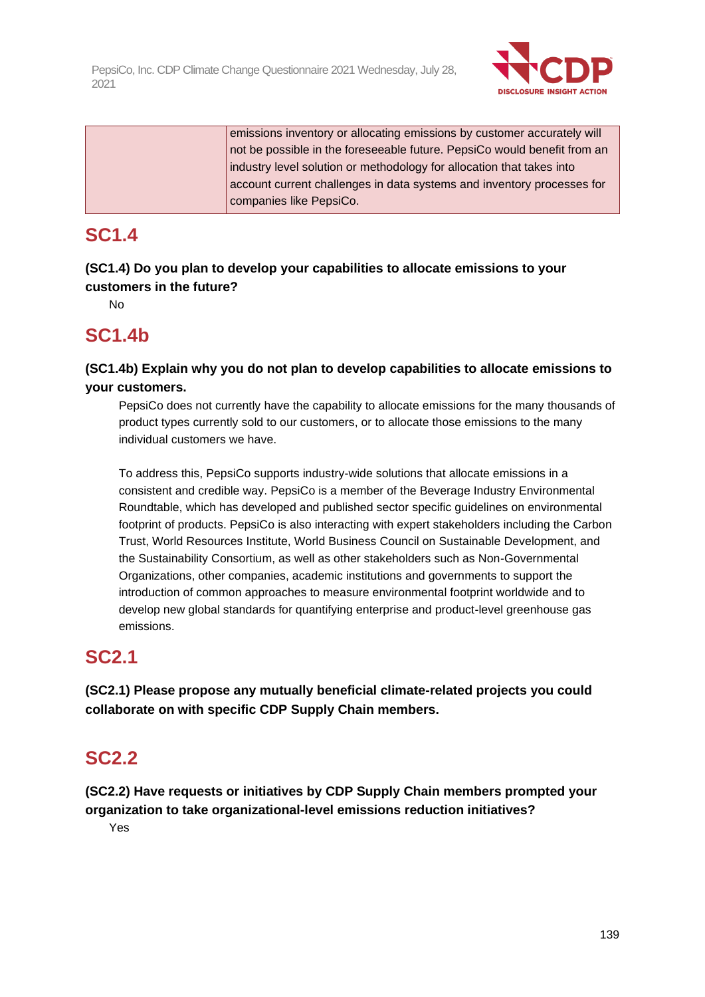

emissions inventory or allocating emissions by customer accurately will not be possible in the foreseeable future. PepsiCo would benefit from an industry level solution or methodology for allocation that takes into account current challenges in data systems and inventory processes for companies like PepsiCo.

## **SC1.4**

**(SC1.4) Do you plan to develop your capabilities to allocate emissions to your customers in the future?**

No

## **SC1.4b**

### **(SC1.4b) Explain why you do not plan to develop capabilities to allocate emissions to your customers.**

PepsiCo does not currently have the capability to allocate emissions for the many thousands of product types currently sold to our customers, or to allocate those emissions to the many individual customers we have.

To address this, PepsiCo supports industry-wide solutions that allocate emissions in a consistent and credible way. PepsiCo is a member of the Beverage Industry Environmental Roundtable, which has developed and published sector specific guidelines on environmental footprint of products. PepsiCo is also interacting with expert stakeholders including the Carbon Trust, World Resources Institute, World Business Council on Sustainable Development, and the Sustainability Consortium, as well as other stakeholders such as Non-Governmental Organizations, other companies, academic institutions and governments to support the introduction of common approaches to measure environmental footprint worldwide and to develop new global standards for quantifying enterprise and product-level greenhouse gas emissions.

## **SC2.1**

**(SC2.1) Please propose any mutually beneficial climate-related projects you could collaborate on with specific CDP Supply Chain members.**

## **SC2.2**

**(SC2.2) Have requests or initiatives by CDP Supply Chain members prompted your organization to take organizational-level emissions reduction initiatives?**

Yes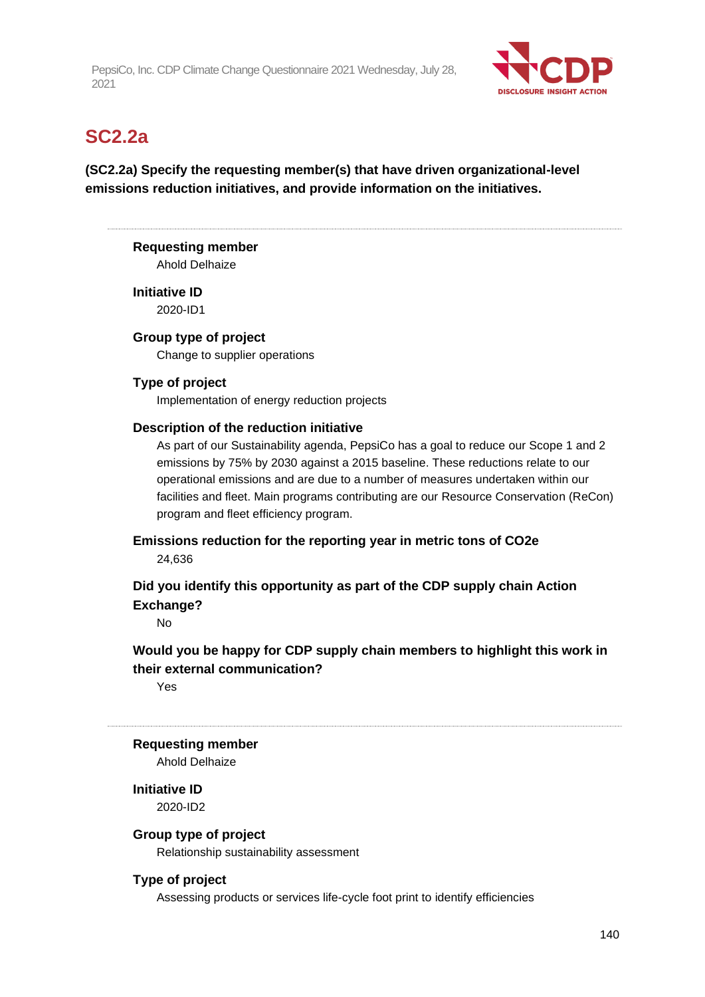

## **SC2.2a**

### **(SC2.2a) Specify the requesting member(s) that have driven organizational-level emissions reduction initiatives, and provide information on the initiatives.**

### **Requesting member**

Ahold Delhaize

**Initiative ID** 2020-ID1

### **Group type of project**

Change to supplier operations

### **Type of project**

Implementation of energy reduction projects

### **Description of the reduction initiative**

As part of our Sustainability agenda, PepsiCo has a goal to reduce our Scope 1 and 2 emissions by 75% by 2030 against a 2015 baseline. These reductions relate to our operational emissions and are due to a number of measures undertaken within our facilities and fleet. Main programs contributing are our Resource Conservation (ReCon) program and fleet efficiency program.

**Emissions reduction for the reporting year in metric tons of CO2e**

24,636

### **Did you identify this opportunity as part of the CDP supply chain Action Exchange?**

No

### **Would you be happy for CDP supply chain members to highlight this work in their external communication?**

Yes

### **Requesting member**

Ahold Delhaize

**Initiative ID** 2020-ID2

### **Group type of project**

Relationship sustainability assessment

### **Type of project**

Assessing products or services life-cycle foot print to identify efficiencies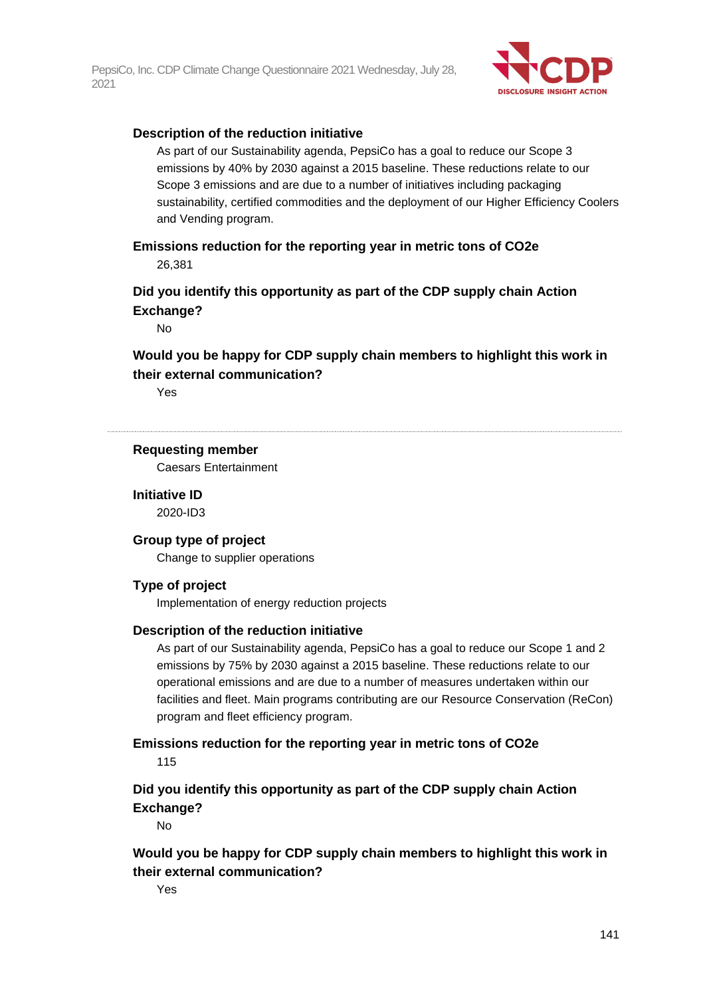

#### **Description of the reduction initiative**

As part of our Sustainability agenda, PepsiCo has a goal to reduce our Scope 3 emissions by 40% by 2030 against a 2015 baseline. These reductions relate to our Scope 3 emissions and are due to a number of initiatives including packaging sustainability, certified commodities and the deployment of our Higher Efficiency Coolers and Vending program.

**Emissions reduction for the reporting year in metric tons of CO2e** 26,381

**Did you identify this opportunity as part of the CDP supply chain Action Exchange?**

No

**Would you be happy for CDP supply chain members to highlight this work in their external communication?**

Yes

#### **Requesting member**

Caesars Entertainment

**Initiative ID**

2020-ID3

### **Group type of project**

Change to supplier operations

#### **Type of project**

Implementation of energy reduction projects

#### **Description of the reduction initiative**

As part of our Sustainability agenda, PepsiCo has a goal to reduce our Scope 1 and 2 emissions by 75% by 2030 against a 2015 baseline. These reductions relate to our operational emissions and are due to a number of measures undertaken within our facilities and fleet. Main programs contributing are our Resource Conservation (ReCon) program and fleet efficiency program.

#### **Emissions reduction for the reporting year in metric tons of CO2e** 115

**Did you identify this opportunity as part of the CDP supply chain Action Exchange?**

No

**Would you be happy for CDP supply chain members to highlight this work in their external communication?**

Yes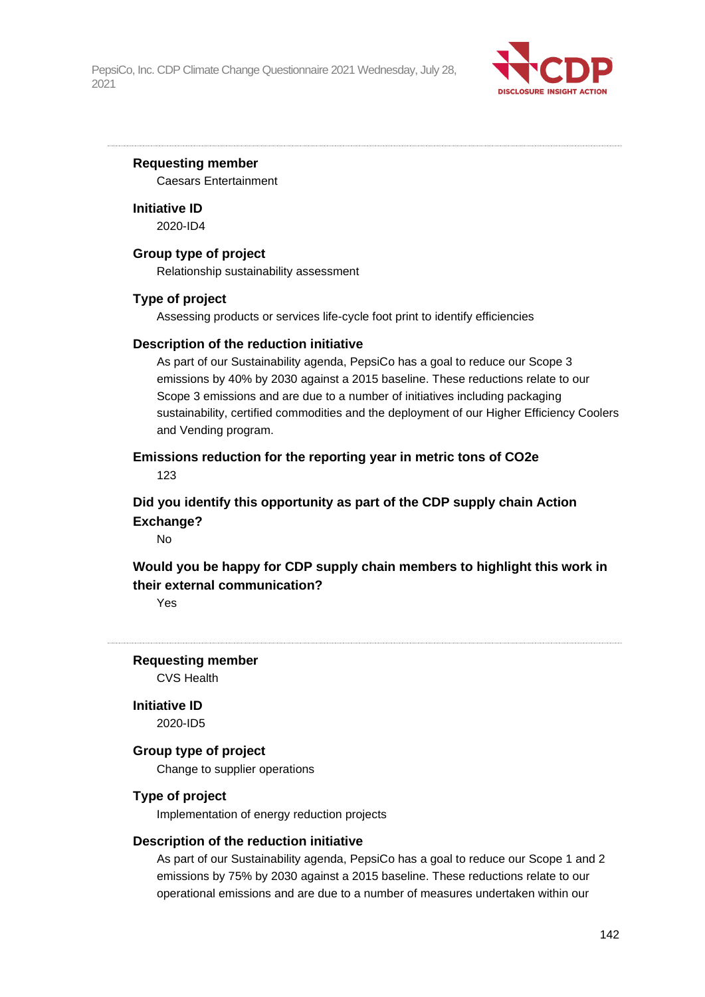

#### **Requesting member**

Caesars Entertainment

**Initiative ID** 2020-ID4

#### **Group type of project**

Relationship sustainability assessment

#### **Type of project**

Assessing products or services life-cycle foot print to identify efficiencies

#### **Description of the reduction initiative**

As part of our Sustainability agenda, PepsiCo has a goal to reduce our Scope 3 emissions by 40% by 2030 against a 2015 baseline. These reductions relate to our Scope 3 emissions and are due to a number of initiatives including packaging sustainability, certified commodities and the deployment of our Higher Efficiency Coolers and Vending program.

## **Emissions reduction for the reporting year in metric tons of CO2e**

123

### **Did you identify this opportunity as part of the CDP supply chain Action Exchange?**

No

### **Would you be happy for CDP supply chain members to highlight this work in their external communication?**

Yes

**Requesting member**

CVS Health

**Initiative ID**

2020-ID5

### **Group type of project**

Change to supplier operations

#### **Type of project**

Implementation of energy reduction projects

#### **Description of the reduction initiative**

As part of our Sustainability agenda, PepsiCo has a goal to reduce our Scope 1 and 2 emissions by 75% by 2030 against a 2015 baseline. These reductions relate to our operational emissions and are due to a number of measures undertaken within our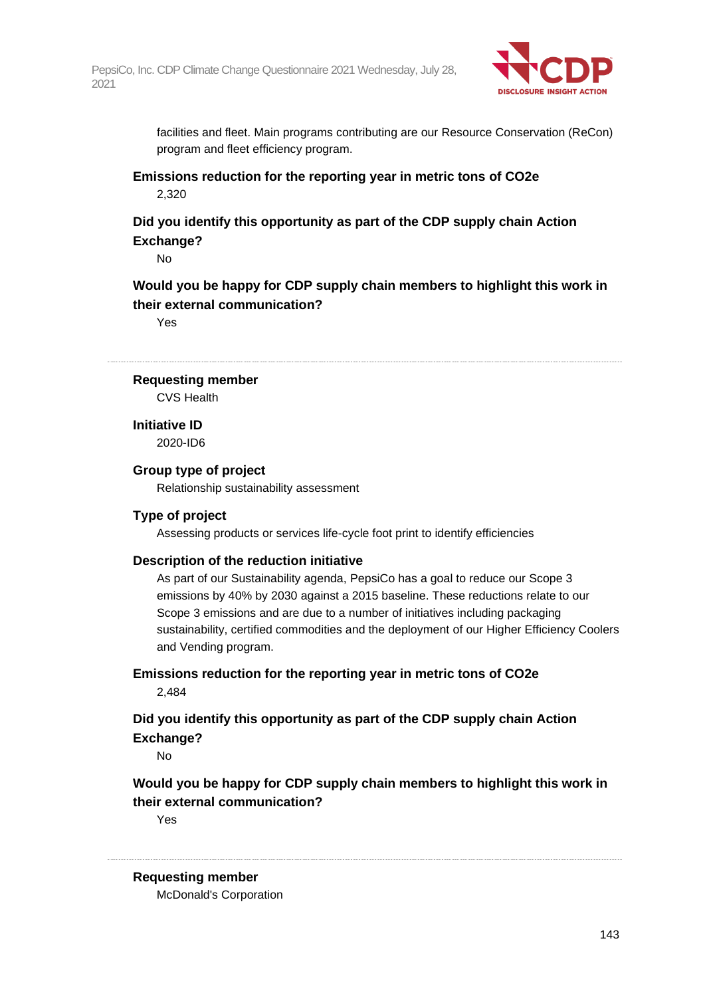

facilities and fleet. Main programs contributing are our Resource Conservation (ReCon) program and fleet efficiency program.

**Emissions reduction for the reporting year in metric tons of CO2e** 2,320

### **Did you identify this opportunity as part of the CDP supply chain Action Exchange?**

No

### **Would you be happy for CDP supply chain members to highlight this work in their external communication?**

Yes

#### **Requesting member**

CVS Health

**Initiative ID** 2020-ID6

#### **Group type of project**

Relationship sustainability assessment

### **Type of project**

Assessing products or services life-cycle foot print to identify efficiencies

#### **Description of the reduction initiative**

As part of our Sustainability agenda, PepsiCo has a goal to reduce our Scope 3 emissions by 40% by 2030 against a 2015 baseline. These reductions relate to our Scope 3 emissions and are due to a number of initiatives including packaging sustainability, certified commodities and the deployment of our Higher Efficiency Coolers and Vending program.

**Emissions reduction for the reporting year in metric tons of CO2e** 2,484

### **Did you identify this opportunity as part of the CDP supply chain Action Exchange?**

No

### **Would you be happy for CDP supply chain members to highlight this work in their external communication?**

Yes

#### **Requesting member**

McDonald's Corporation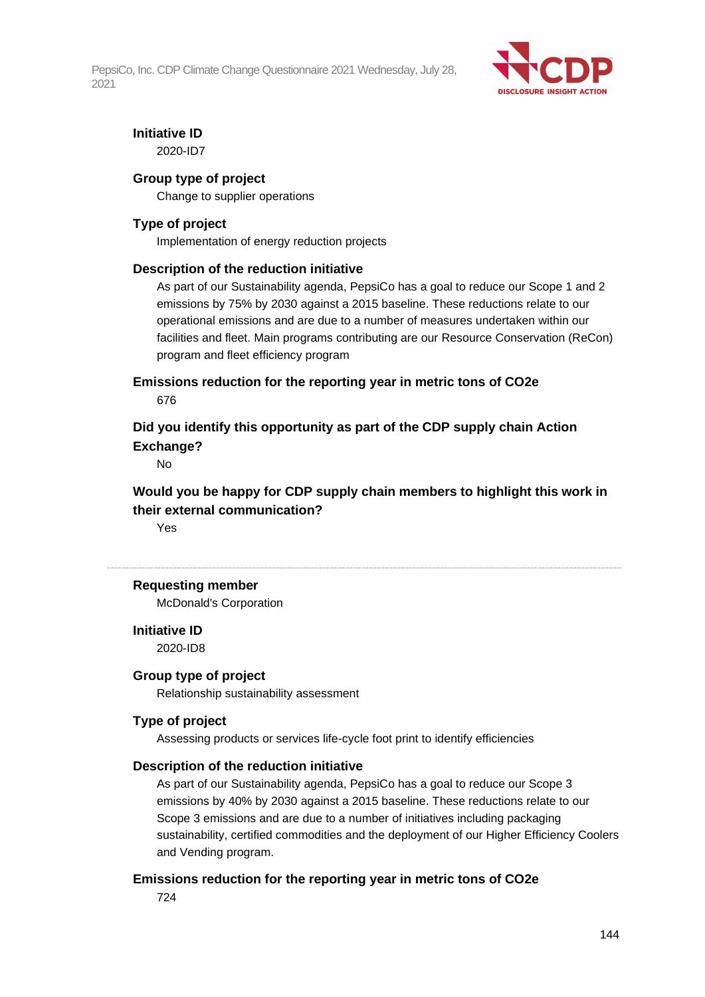

### **Initiative ID**

2020-ID7

### **Group type of project**

Change to supplier operations

### **Type of project**

Implementation of energy reduction projects

#### **Description of the reduction initiative**

As part of our Sustainability agenda, PepsiCo has a goal to reduce our Scope 1 and 2 emissions by 75% by 2030 against a 2015 baseline. These reductions relate to our operational emissions and are due to a number of measures undertaken within our facilities and fleet. Main programs contributing are our Resource Conservation (ReCon) program and fleet efficiency program

**Emissions reduction for the reporting year in metric tons of CO2e** 676

### **Did you identify this opportunity as part of the CDP supply chain Action Exchange?**

No

**Would you be happy for CDP supply chain members to highlight this work in their external communication?**

Yes

#### **Requesting member**

McDonald's Corporation

**Initiative ID**

2020-ID8

#### **Group type of project**

Relationship sustainability assessment

### **Type of project**

Assessing products or services life-cycle foot print to identify efficiencies

#### **Description of the reduction initiative**

As part of our Sustainability agenda, PepsiCo has a goal to reduce our Scope 3 emissions by 40% by 2030 against a 2015 baseline. These reductions relate to our Scope 3 emissions and are due to a number of initiatives including packaging sustainability, certified commodities and the deployment of our Higher Efficiency Coolers and Vending program.

#### **Emissions reduction for the reporting year in metric tons of CO2e**

724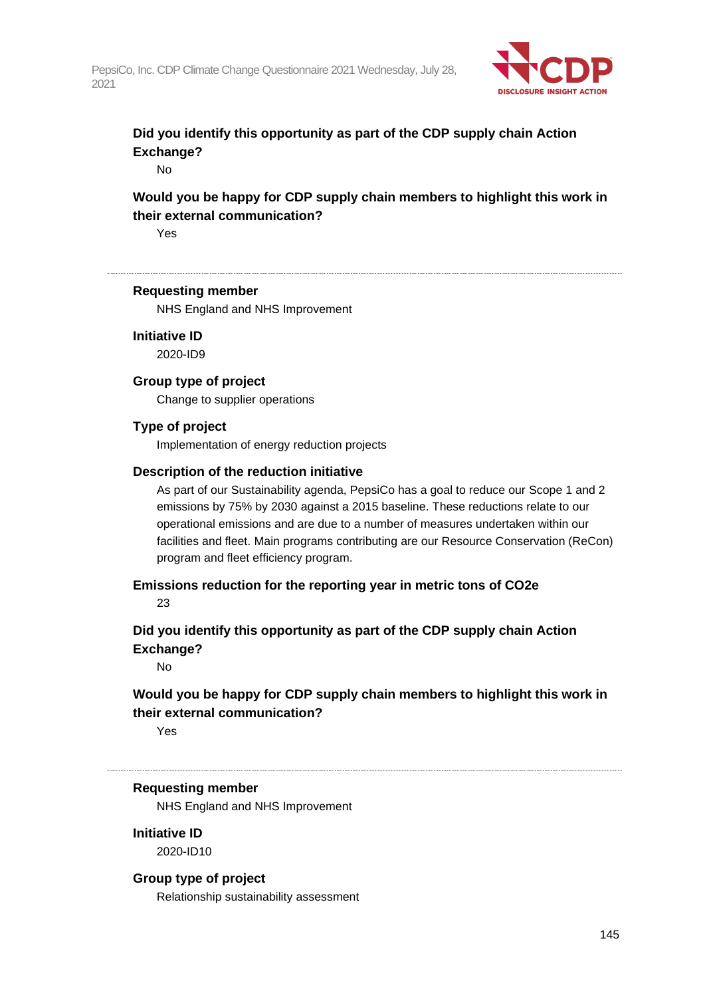

## **Did you identify this opportunity as part of the CDP supply chain Action Exchange?**

No

## **Would you be happy for CDP supply chain members to highlight this work in their external communication?**

Yes

#### **Requesting member**

NHS England and NHS Improvement

**Initiative ID**

2020-ID9

#### **Group type of project**

Change to supplier operations

#### **Type of project**

Implementation of energy reduction projects

#### **Description of the reduction initiative**

As part of our Sustainability agenda, PepsiCo has a goal to reduce our Scope 1 and 2 emissions by 75% by 2030 against a 2015 baseline. These reductions relate to our operational emissions and are due to a number of measures undertaken within our facilities and fleet. Main programs contributing are our Resource Conservation (ReCon) program and fleet efficiency program.

**Emissions reduction for the reporting year in metric tons of CO2e**

23

**Did you identify this opportunity as part of the CDP supply chain Action Exchange?**

No

## **Would you be happy for CDP supply chain members to highlight this work in their external communication?**

Yes

#### **Requesting member**

NHS England and NHS Improvement

**Initiative ID** 2020-ID10

#### **Group type of project**

Relationship sustainability assessment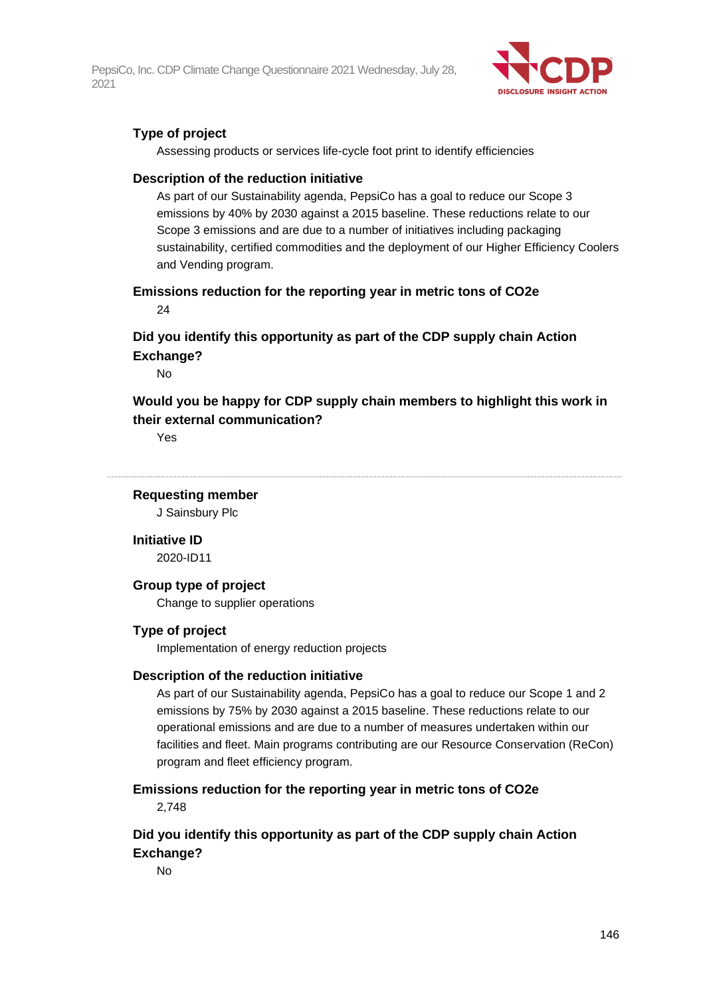

### **Type of project**

Assessing products or services life-cycle foot print to identify efficiencies

#### **Description of the reduction initiative**

As part of our Sustainability agenda, PepsiCo has a goal to reduce our Scope 3 emissions by 40% by 2030 against a 2015 baseline. These reductions relate to our Scope 3 emissions and are due to a number of initiatives including packaging sustainability, certified commodities and the deployment of our Higher Efficiency Coolers and Vending program.

**Emissions reduction for the reporting year in metric tons of CO2e**  $24$ 

## **Did you identify this opportunity as part of the CDP supply chain Action Exchange?**

No

## **Would you be happy for CDP supply chain members to highlight this work in their external communication?**

Yes

**Requesting member**

J Sainsbury Plc

**Initiative ID**

2020-ID11

#### **Group type of project**

Change to supplier operations

#### **Type of project**

Implementation of energy reduction projects

#### **Description of the reduction initiative**

As part of our Sustainability agenda, PepsiCo has a goal to reduce our Scope 1 and 2 emissions by 75% by 2030 against a 2015 baseline. These reductions relate to our operational emissions and are due to a number of measures undertaken within our facilities and fleet. Main programs contributing are our Resource Conservation (ReCon) program and fleet efficiency program.

#### **Emissions reduction for the reporting year in metric tons of CO2e**

2,748

## **Did you identify this opportunity as part of the CDP supply chain Action Exchange?**

No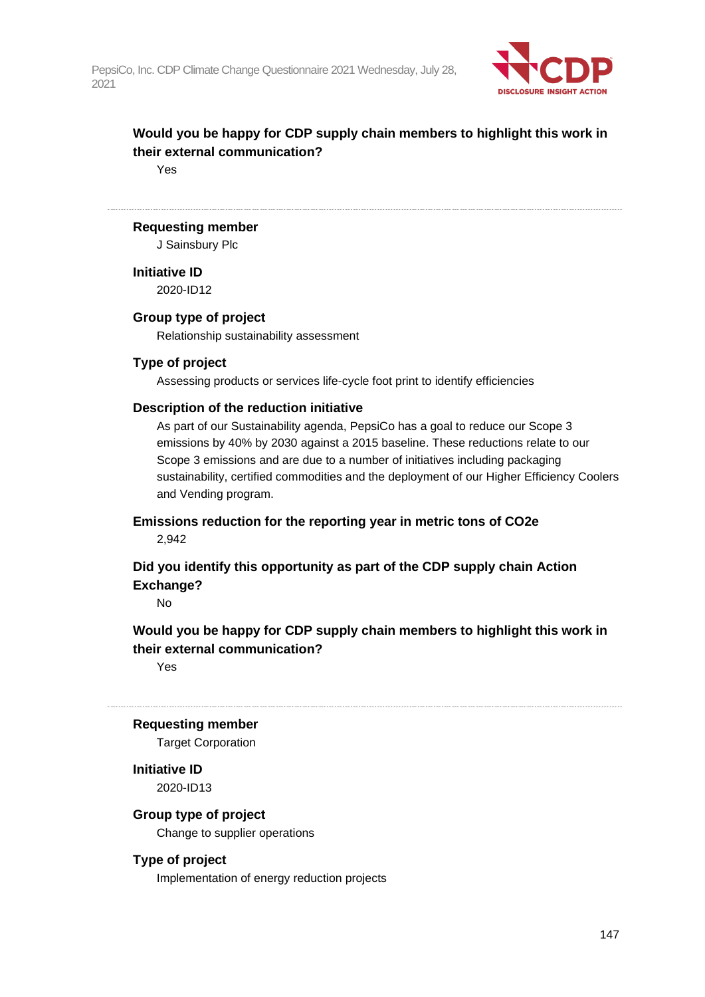

## **Would you be happy for CDP supply chain members to highlight this work in their external communication?**

Yes

#### **Requesting member**

J Sainsbury Plc

**Initiative ID** 2020-ID12

#### **Group type of project**

Relationship sustainability assessment

#### **Type of project**

Assessing products or services life-cycle foot print to identify efficiencies

#### **Description of the reduction initiative**

As part of our Sustainability agenda, PepsiCo has a goal to reduce our Scope 3 emissions by 40% by 2030 against a 2015 baseline. These reductions relate to our Scope 3 emissions and are due to a number of initiatives including packaging sustainability, certified commodities and the deployment of our Higher Efficiency Coolers and Vending program.

**Emissions reduction for the reporting year in metric tons of CO2e** 2,942

**Did you identify this opportunity as part of the CDP supply chain Action Exchange?**

No

## **Would you be happy for CDP supply chain members to highlight this work in their external communication?**

Yes

#### **Requesting member**

Target Corporation

## **Initiative ID**

2020-ID13

#### **Group type of project**

Change to supplier operations

#### **Type of project**

Implementation of energy reduction projects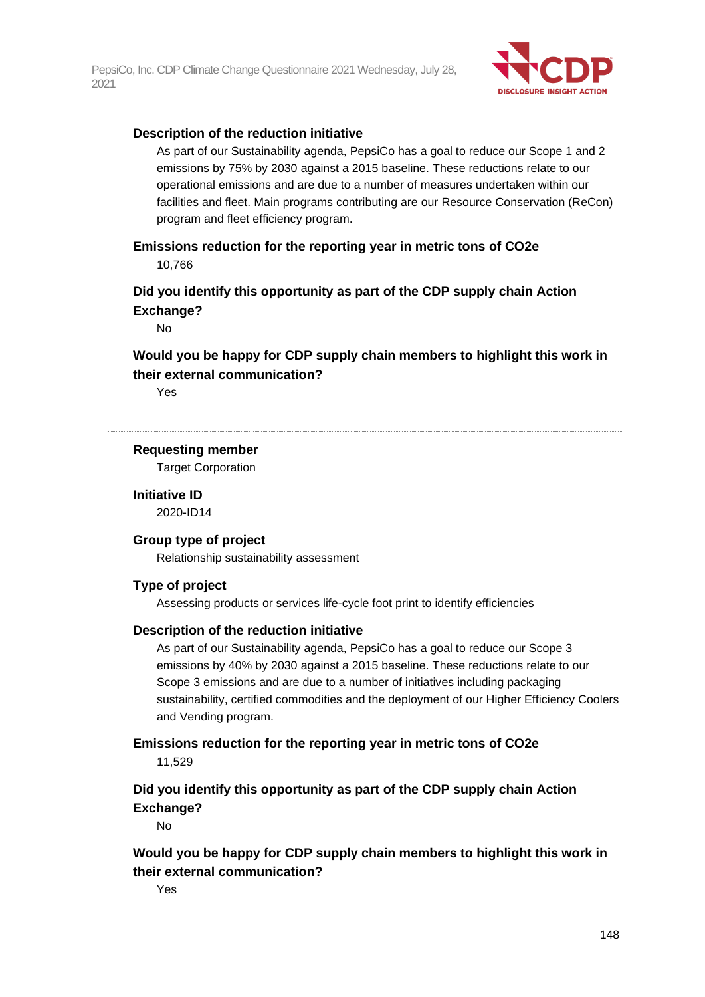

#### **Description of the reduction initiative**

As part of our Sustainability agenda, PepsiCo has a goal to reduce our Scope 1 and 2 emissions by 75% by 2030 against a 2015 baseline. These reductions relate to our operational emissions and are due to a number of measures undertaken within our facilities and fleet. Main programs contributing are our Resource Conservation (ReCon) program and fleet efficiency program.

**Emissions reduction for the reporting year in metric tons of CO2e** 10,766

**Did you identify this opportunity as part of the CDP supply chain Action Exchange?**

No

**Would you be happy for CDP supply chain members to highlight this work in their external communication?**

Yes

#### **Requesting member**

Target Corporation

**Initiative ID** 2020-ID14

## **Group type of project**

Relationship sustainability assessment

#### **Type of project**

Assessing products or services life-cycle foot print to identify efficiencies

#### **Description of the reduction initiative**

As part of our Sustainability agenda, PepsiCo has a goal to reduce our Scope 3 emissions by 40% by 2030 against a 2015 baseline. These reductions relate to our Scope 3 emissions and are due to a number of initiatives including packaging sustainability, certified commodities and the deployment of our Higher Efficiency Coolers and Vending program.

# **Emissions reduction for the reporting year in metric tons of CO2e**

11,529

## **Did you identify this opportunity as part of the CDP supply chain Action Exchange?**

No

**Would you be happy for CDP supply chain members to highlight this work in their external communication?**

Yes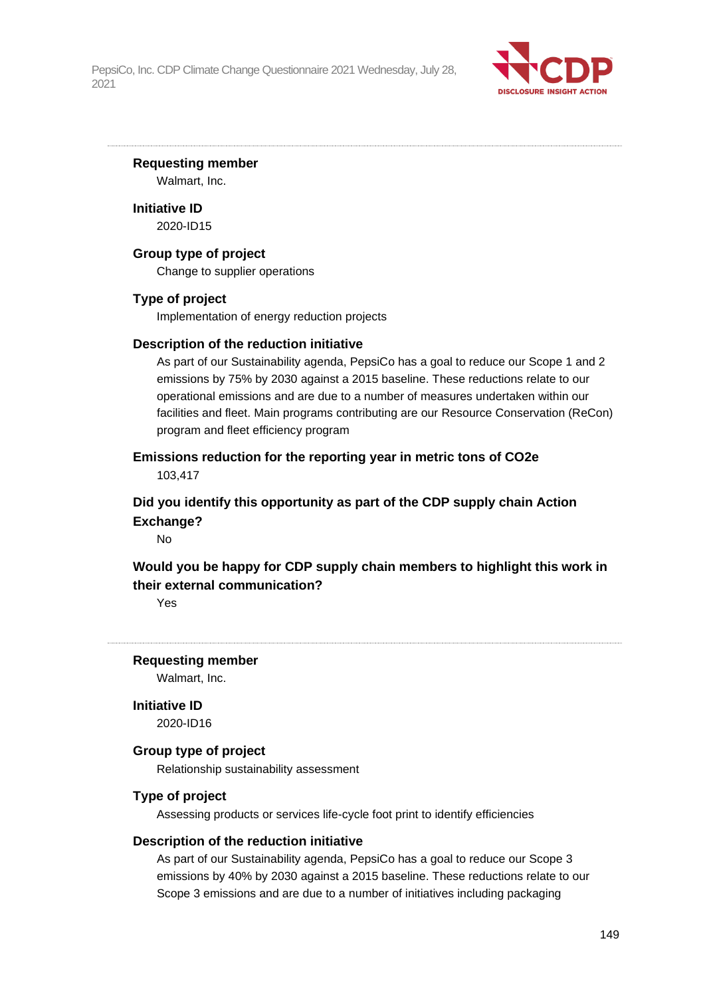

#### **Requesting member**

Walmart, Inc.

**Initiative ID** 2020-ID15

#### **Group type of project**

Change to supplier operations

#### **Type of project**

Implementation of energy reduction projects

#### **Description of the reduction initiative**

As part of our Sustainability agenda, PepsiCo has a goal to reduce our Scope 1 and 2 emissions by 75% by 2030 against a 2015 baseline. These reductions relate to our operational emissions and are due to a number of measures undertaken within our facilities and fleet. Main programs contributing are our Resource Conservation (ReCon) program and fleet efficiency program

## **Emissions reduction for the reporting year in metric tons of CO2e**

103,417

## **Did you identify this opportunity as part of the CDP supply chain Action Exchange?**

No

## **Would you be happy for CDP supply chain members to highlight this work in their external communication?**

Yes

#### **Requesting member**

Walmart, Inc.

**Initiative ID**

2020-ID16

#### **Group type of project**

Relationship sustainability assessment

#### **Type of project**

Assessing products or services life-cycle foot print to identify efficiencies

#### **Description of the reduction initiative**

As part of our Sustainability agenda, PepsiCo has a goal to reduce our Scope 3 emissions by 40% by 2030 against a 2015 baseline. These reductions relate to our Scope 3 emissions and are due to a number of initiatives including packaging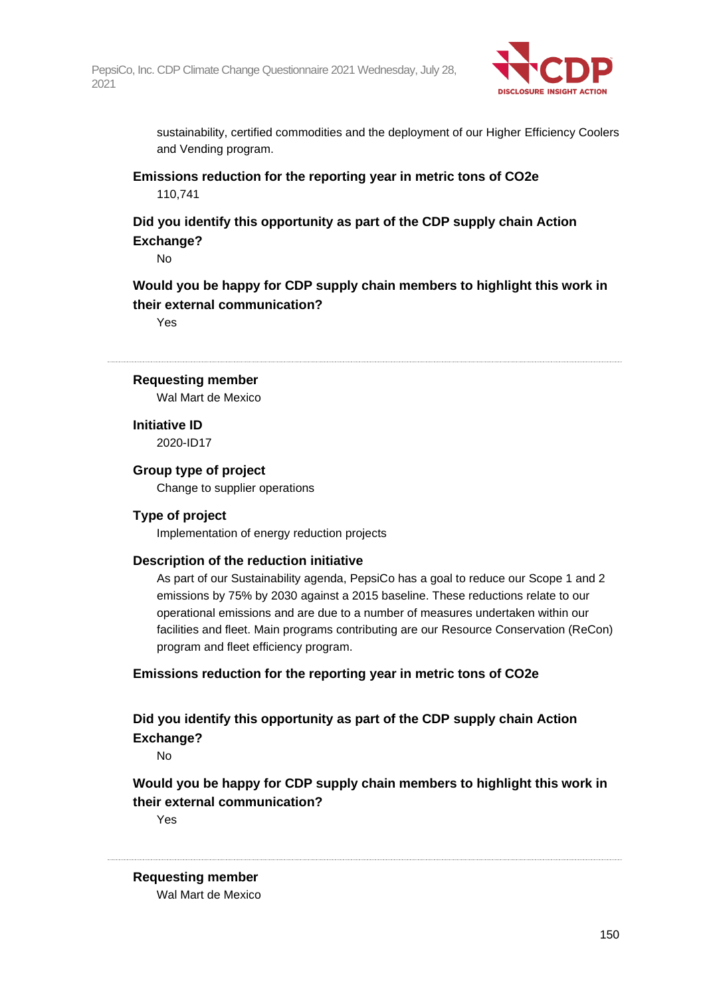

sustainability, certified commodities and the deployment of our Higher Efficiency Coolers and Vending program.

**Emissions reduction for the reporting year in metric tons of CO2e** 110,741

## **Did you identify this opportunity as part of the CDP supply chain Action Exchange?**

No

**Would you be happy for CDP supply chain members to highlight this work in their external communication?**

Yes

#### **Requesting member**

Wal Mart de Mexico

**Initiative ID** 2020-ID17

#### **Group type of project**

Change to supplier operations

#### **Type of project**

Implementation of energy reduction projects

#### **Description of the reduction initiative**

As part of our Sustainability agenda, PepsiCo has a goal to reduce our Scope 1 and 2 emissions by 75% by 2030 against a 2015 baseline. These reductions relate to our operational emissions and are due to a number of measures undertaken within our facilities and fleet. Main programs contributing are our Resource Conservation (ReCon) program and fleet efficiency program.

#### **Emissions reduction for the reporting year in metric tons of CO2e**

## **Did you identify this opportunity as part of the CDP supply chain Action Exchange?**

No

## **Would you be happy for CDP supply chain members to highlight this work in their external communication?**

Yes

#### **Requesting member**

Wal Mart de Mexico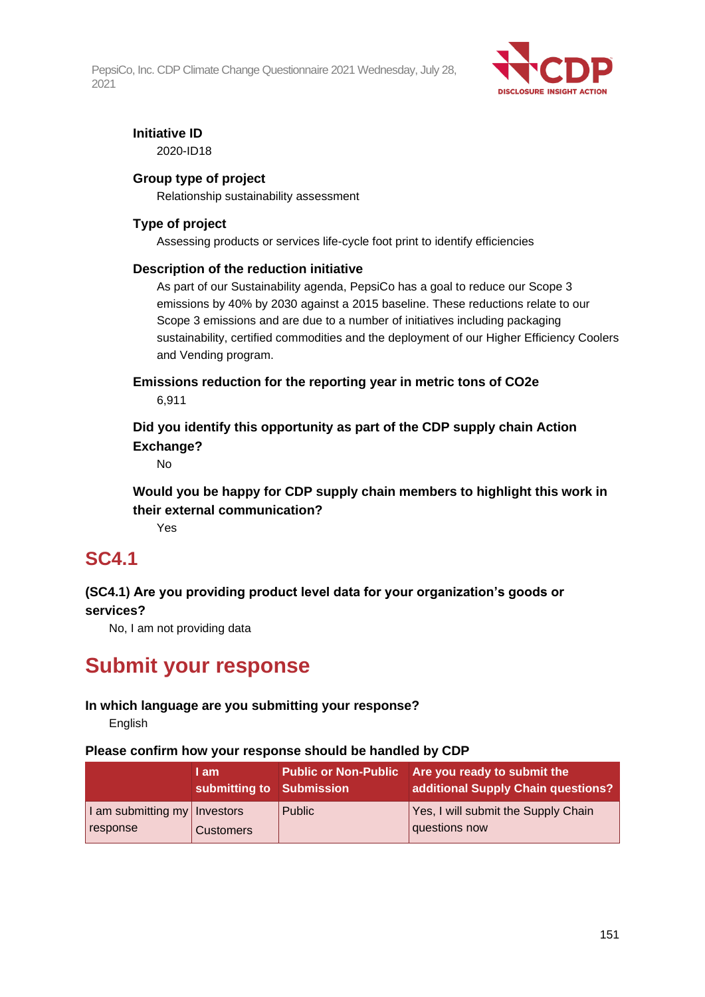

## **Initiative ID**

2020-ID18

### **Group type of project**

Relationship sustainability assessment

## **Type of project**

Assessing products or services life-cycle foot print to identify efficiencies

#### **Description of the reduction initiative**

As part of our Sustainability agenda, PepsiCo has a goal to reduce our Scope 3 emissions by 40% by 2030 against a 2015 baseline. These reductions relate to our Scope 3 emissions and are due to a number of initiatives including packaging sustainability, certified commodities and the deployment of our Higher Efficiency Coolers and Vending program.

**Emissions reduction for the reporting year in metric tons of CO2e** 6,911

**Did you identify this opportunity as part of the CDP supply chain Action Exchange?**

No

**Would you be happy for CDP supply chain members to highlight this work in their external communication?**

Yes

# **SC4.1**

## **(SC4.1) Are you providing product level data for your organization's goods or services?**

No, I am not providing data

# **Submit your response**

## **In which language are you submitting your response?**

English

#### **Please confirm how your response should be handled by CDP**

|                                | I am<br>submitting to Submission |        | Public or Non-Public Are you ready to submit the<br>additional Supply Chain questions? |
|--------------------------------|----------------------------------|--------|----------------------------------------------------------------------------------------|
| I am submitting my   Investors |                                  | Public | Yes, I will submit the Supply Chain                                                    |
| response                       | <b>Customers</b>                 |        | questions now                                                                          |